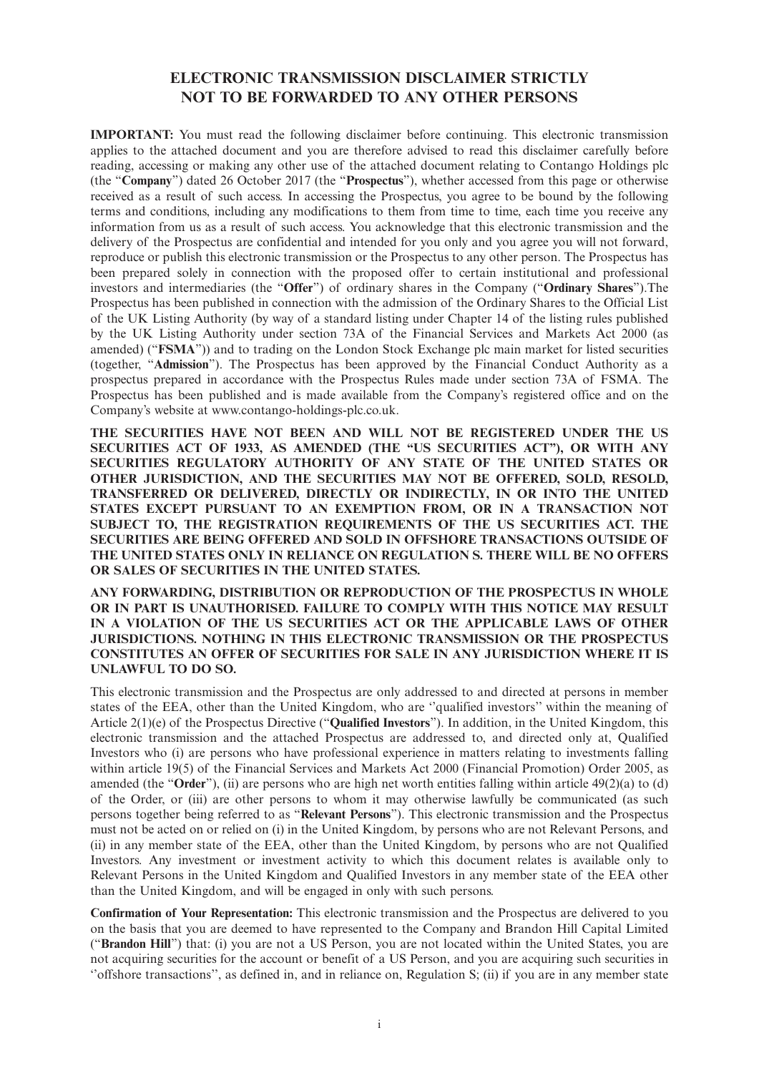## **ELECTRONIC TRANSMISSION DISCLAIMER STRICTLY NOT TO BE FORWARDED TO ANY OTHER PERSONS**

**IMPORTANT:** You must read the following disclaimer before continuing. This electronic transmission applies to the attached document and you are therefore advised to read this disclaimer carefully before reading, accessing or making any other use of the attached document relating to Contango Holdings plc (the "**Company**") dated 26 October 2017 (the "**Prospectus**"), whether accessed from this page or otherwise received as a result of such access. In accessing the Prospectus, you agree to be bound by the following terms and conditions, including any modifications to them from time to time, each time you receive any information from us as a result of such access. You acknowledge that this electronic transmission and the delivery of the Prospectus are confidential and intended for you only and you agree you will not forward, reproduce or publish this electronic transmission or the Prospectus to any other person. The Prospectus has been prepared solely in connection with the proposed offer to certain institutional and professional investors and intermediaries (the "**Offer**") of ordinary shares in the Company ("**Ordinary Shares**").The Prospectus has been published in connection with the admission of the Ordinary Shares to the Official List of the UK Listing Authority (by way of a standard listing under Chapter 14 of the listing rules published by the UK Listing Authority under section 73A of the Financial Services and Markets Act 2000 (as amended) ("**FSMA**")) and to trading on the London Stock Exchange plc main market for listed securities (together, "**Admission**"). The Prospectus has been approved by the Financial Conduct Authority as a prospectus prepared in accordance with the Prospectus Rules made under section 73A of FSMA. The Prospectus has been published and is made available from the Company's registered office and on the Company's website at www.contango-holdings-plc.co.uk.

**THE SECURITIES HAVE NOT BEEN AND WILL NOT BE REGISTERED UNDER THE US SECURITIES ACT OF 1933, AS AMENDED (THE "US SECURITIES ACT"), OR WITH ANY SECURITIES REGULATORY AUTHORITY OF ANY STATE OF THE UNITED STATES OR OTHER JURISDICTION, AND THE SECURITIES MAY NOT BE OFFERED, SOLD, RESOLD, TRANSFERRED OR DELIVERED, DIRECTLY OR INDIRECTLY, IN OR INTO THE UNITED STATES EXCEPT PURSUANT TO AN EXEMPTION FROM, OR IN A TRANSACTION NOT SUBJECT TO, THE REGISTRATION REQUIREMENTS OF THE US SECURITIES ACT. THE SECURITIES ARE BEING OFFERED AND SOLD IN OFFSHORE TRANSACTIONS OUTSIDE OF THE UNITED STATES ONLY IN RELIANCE ON REGULATION S. THERE WILL BE NO OFFERS OR SALES OF SECURITIES IN THE UNITED STATES.**

**ANY FORWARDING, DISTRIBUTION OR REPRODUCTION OF THE PROSPECTUS IN WHOLE OR IN PART IS UNAUTHORISED. FAILURE TO COMPLY WITH THIS NOTICE MAY RESULT IN A VIOLATION OF THE US SECURITIES ACT OR THE APPLICABLE LAWS OF OTHER JURISDICTIONS. NOTHING IN THIS ELECTRONIC TRANSMISSION OR THE PROSPECTUS CONSTITUTES AN OFFER OF SECURITIES FOR SALE IN ANY JURISDICTION WHERE IT IS UNLAWFUL TO DO SO.**

This electronic transmission and the Prospectus are only addressed to and directed at persons in member states of the EEA, other than the United Kingdom, who are ''qualified investors'' within the meaning of Article 2(1)(e) of the Prospectus Directive ("**Qualified Investors**"). In addition, in the United Kingdom, this electronic transmission and the attached Prospectus are addressed to, and directed only at, Qualified Investors who (i) are persons who have professional experience in matters relating to investments falling within article 19(5) of the Financial Services and Markets Act 2000 (Financial Promotion) Order 2005, as amended (the "**Order**"), (ii) are persons who are high net worth entities falling within article 49(2)(a) to (d) of the Order, or (iii) are other persons to whom it may otherwise lawfully be communicated (as such persons together being referred to as "**Relevant Persons**"). This electronic transmission and the Prospectus must not be acted on or relied on (i) in the United Kingdom, by persons who are not Relevant Persons, and (ii) in any member state of the EEA, other than the United Kingdom, by persons who are not Qualified Investors. Any investment or investment activity to which this document relates is available only to Relevant Persons in the United Kingdom and Qualified Investors in any member state of the EEA other than the United Kingdom, and will be engaged in only with such persons.

**Confirmation of Your Representation:** This electronic transmission and the Prospectus are delivered to you on the basis that you are deemed to have represented to the Company and Brandon Hill Capital Limited ("**Brandon Hill**") that: (i) you are not a US Person, you are not located within the United States, you are not acquiring securities for the account or benefit of a US Person, and you are acquiring such securities in ''offshore transactions'', as defined in, and in reliance on, Regulation S; (ii) if you are in any member state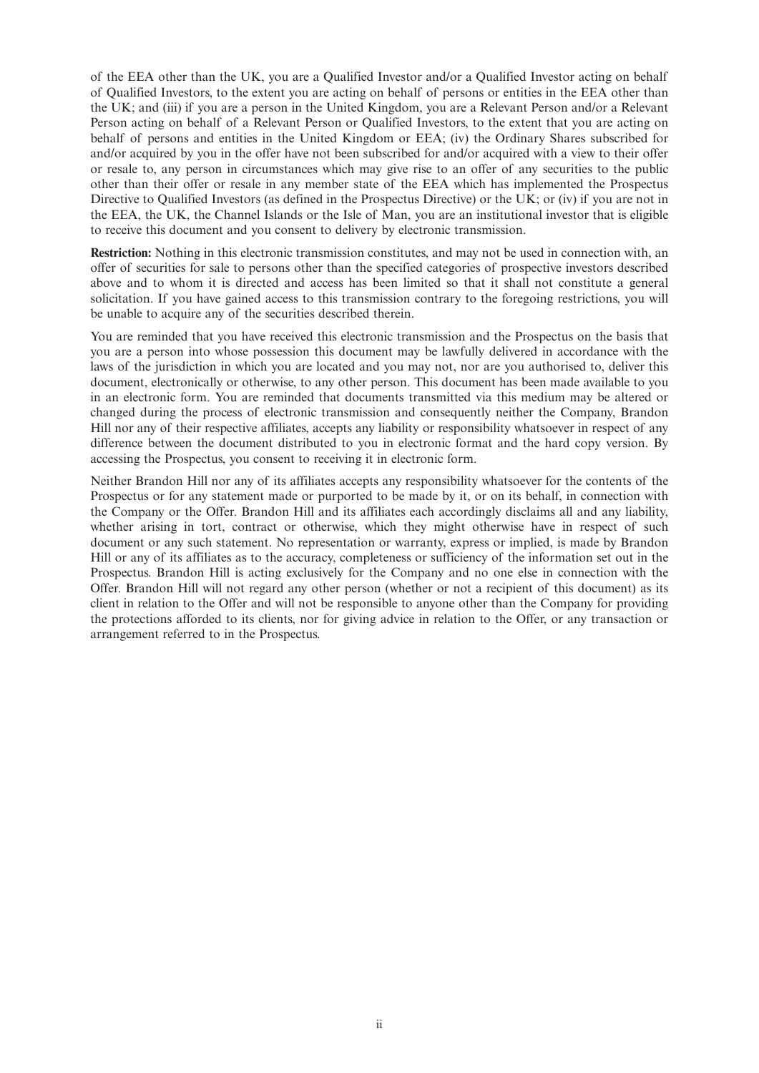of the EEA other than the UK, you are a Qualified Investor and/or a Qualified Investor acting on behalf of Qualified Investors, to the extent you are acting on behalf of persons or entities in the EEA other than the UK; and (iii) if you are a person in the United Kingdom, you are a Relevant Person and/or a Relevant Person acting on behalf of a Relevant Person or Qualified Investors, to the extent that you are acting on behalf of persons and entities in the United Kingdom or EEA; (iv) the Ordinary Shares subscribed for and/or acquired by you in the offer have not been subscribed for and/or acquired with a view to their offer or resale to, any person in circumstances which may give rise to an offer of any securities to the public other than their offer or resale in any member state of the EEA which has implemented the Prospectus Directive to Qualified Investors (as defined in the Prospectus Directive) or the UK; or (iv) if you are not in the EEA, the UK, the Channel Islands or the Isle of Man, you are an institutional investor that is eligible to receive this document and you consent to delivery by electronic transmission.

**Restriction:** Nothing in this electronic transmission constitutes, and may not be used in connection with, an offer of securities for sale to persons other than the specified categories of prospective investors described above and to whom it is directed and access has been limited so that it shall not constitute a general solicitation. If you have gained access to this transmission contrary to the foregoing restrictions, you will be unable to acquire any of the securities described therein.

You are reminded that you have received this electronic transmission and the Prospectus on the basis that you are a person into whose possession this document may be lawfully delivered in accordance with the laws of the jurisdiction in which you are located and you may not, nor are you authorised to, deliver this document, electronically or otherwise, to any other person. This document has been made available to you in an electronic form. You are reminded that documents transmitted via this medium may be altered or changed during the process of electronic transmission and consequently neither the Company, Brandon Hill nor any of their respective affiliates, accepts any liability or responsibility whatsoever in respect of any difference between the document distributed to you in electronic format and the hard copy version. By accessing the Prospectus, you consent to receiving it in electronic form.

Neither Brandon Hill nor any of its affiliates accepts any responsibility whatsoever for the contents of the Prospectus or for any statement made or purported to be made by it, or on its behalf, in connection with the Company or the Offer. Brandon Hill and its affiliates each accordingly disclaims all and any liability, whether arising in tort, contract or otherwise, which they might otherwise have in respect of such document or any such statement. No representation or warranty, express or implied, is made by Brandon Hill or any of its affiliates as to the accuracy, completeness or sufficiency of the information set out in the Prospectus. Brandon Hill is acting exclusively for the Company and no one else in connection with the Offer. Brandon Hill will not regard any other person (whether or not a recipient of this document) as its client in relation to the Offer and will not be responsible to anyone other than the Company for providing the protections afforded to its clients, nor for giving advice in relation to the Offer, or any transaction or arrangement referred to in the Prospectus.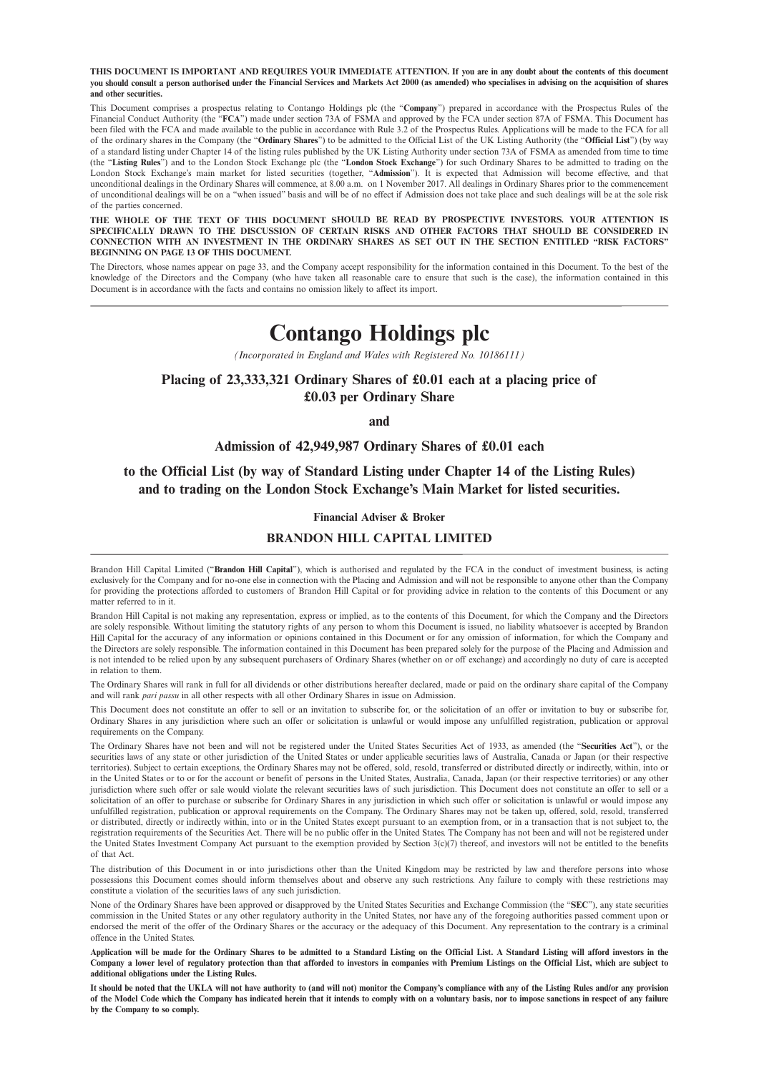THIS DOCUMENT IS IMPORTANT AND REQUIRES YOUR IMMEDIATE ATTENTION. If you are in any doubt about the contents of this document you should consult a person authorised under the Financial Services and Markets Act 2000 (as amended) who specialises in advising on the acquisition of shares **and other securities.**

This Document comprises a prospectus relating to Contango Holdings plc (the "**Company**") prepared in accordance with the Prospectus Rules of the Financial Conduct Authority (the "**FCA**") made under section 73A of FSMA and approved by the FCA under section 87A of FSMA. This Document has been filed with the FCA and made available to the public in accordance with Rule 3.2 of the Prospectus Rules. Applications will be made to the FCA for all of the ordinary shares in the Company (the "**Ordinary Shares**") to be admitted to the Official List of the UK Listing Authority (the "**Official List**") (by way of a standard listing under Chapter 14 of the listing rules published by the UK Listing Authority under section 73A of FSMA as amended from time to time (the "**Listing Rules**") and to the London Stock Exchange plc (the "**London Stock Exchange**") for such Ordinary Shares to be admitted to trading on the London Stock Exchange's main market for listed securities (together, "**Admission**"). It is expected that Admission will become effective, and that unconditional dealings in the Ordinary Shares will commence, at 8.00 a.m. on 1 November 2017. All dealings in Ordinary Shares prior to the commencement of unconditional dealings will be on a "when issued" basis and will be of no effect if Admission does not take place and such dealings will be at the sole risk of the parties concerned.

**THE WHOLE OF THE TEXT OF THIS DOCUMENT SHOULD BE READ BY PROSPECTIVE INVESTORS. YOUR ATTENTION IS SPECIFICALLY DRAWN TO THE DISCUSSION OF CERTAIN RISKS AND OTHER FACTORS THAT SHOULD BE CONSIDERED IN CONNECTION WITH AN INVESTMENT IN THE ORDINARY SHARES AS SET OUT IN THE SECTION ENTITLED "RISK FACTORS" BEGINNING ON PAGE 13 OF THIS DOCUMENT.**

The Directors, whose names appear on page 33, and the Company accept responsibility for the information contained in this Document. To the best of the knowledge of the Directors and the Company (who have taken all reasonable care to ensure that such is the case), the information contained in this Document is in accordance with the facts and contains no omission likely to affect its import.

# **Contango Holdings plc**

*(Incorporated in England and Wales with Registered No. 10186111)*

## **Placing of 23,333,321 Ordinary Shares of £0.01 each at a placing price of £0.03 per Ordinary Share**

**and**

#### **Admission of 42,949,987 Ordinary Shares of £0.01 each**

**to the Official List (by way of Standard Listing under Chapter 14 of the Listing Rules) and to trading on the London Stock Exchange's Main Market for listed securities.**

#### **Financial Adviser & Broker**

#### **BRANDON HILL CAPITAL LIMITED**

Brandon Hill Capital Limited ("**Brandon Hill Capital**"), which is authorised and regulated by the FCA in the conduct of investment business, is acting exclusively for the Company and for no-one else in connection with the Placing and Admission and will not be responsible to anyone other than the Company for providing the protections afforded to customers of Brandon Hill Capital or for providing advice in relation to the contents of this Document or any matter referred to in it.

Brandon Hill Capital is not making any representation, express or implied, as to the contents of this Document, for which the Company and the Directors are solely responsible. Without limiting the statutory rights of any person to whom this Document is issued, no liability whatsoever is accepted by Brandon Hill Capital for the accuracy of any information or opinions contained in this Document or for any omission of information, for which the Company and the Directors are solely responsible. The information contained in this Document has been prepared solely for the purpose of the Placing and Admission and is not intended to be relied upon by any subsequent purchasers of Ordinary Shares (whether on or off exchange) and accordingly no duty of care is accepted in relation to them.

The Ordinary Shares will rank in full for all dividends or other distributions hereafter declared, made or paid on the ordinary share capital of the Company and will rank *pari passu* in all other respects with all other Ordinary Shares in issue on Admission.

This Document does not constitute an offer to sell or an invitation to subscribe for, or the solicitation of an offer or invitation to buy or subscribe for, Ordinary Shares in any jurisdiction where such an offer or solicitation is unlawful or would impose any unfulfilled registration, publication or approval requirements on the Company.

The Ordinary Shares have not been and will not be registered under the United States Securities Act of 1933, as amended (the "**Securities Act**"), or the securities laws of any state or other jurisdiction of the United States or under applicable securities laws of Australia, Canada or Japan (or their respective territories). Subject to certain exceptions, the Ordinary Shares may not be offered, sold, resold, transferred or distributed directly or indirectly, within, into or in the United States or to or for the account or benefit of persons in the United States, Australia, Canada, Japan (or their respective territories) or any other jurisdiction where such offer or sale would violate the relevant securities laws of such jurisdiction. This Document does not constitute an offer to sell or a solicitation of an offer to purchase or subscribe for Ordinary Shares in any jurisdiction in which such offer or solicitation is unlawful or would impose any unfulfilled registration, publication or approval requirements on the Company. The Ordinary Shares may not be taken up, offered, sold, resold, transferred or distributed, directly or indirectly within, into or in the United States except pursuant to an exemption from, or in a transaction that is not subject to, the registration requirements of the Securities Act. There will be no public offer in the United States. The Company has not been and will not be registered under the United States Investment Company Act pursuant to the exemption provided by Section 3(c)(7) thereof, and investors will not be entitled to the benefits of that Act.

The distribution of this Document in or into jurisdictions other than the United Kingdom may be restricted by law and therefore persons into whose possessions this Document comes should inform themselves about and observe any such restrictions. Any failure to comply with these restrictions may constitute a violation of the securities laws of any such jurisdiction.

None of the Ordinary Shares have been approved or disapproved by the United States Securities and Exchange Commission (the "**SEC**"), any state securities commission in the United States or any other regulatory authority in the United States, nor have any of the foregoing authorities passed comment upon or endorsed the merit of the offer of the Ordinary Shares or the accuracy or the adequacy of this Document. Any representation to the contrary is a criminal offence in the United States.

Application will be made for the Ordinary Shares to be admitted to a Standard Listing on the Official List. A Standard Listing will afford investors in the Company a lower level of regulatory protection than that afforded to investors in companies with Premium Listings on the Official List, which are subject to **additional obligations under the Listing Rules.**

It should be noted that the UKLA will not have authority to (and will not) monitor the Company's compliance with any of the Listing Rules and/or any provision of the Model Code which the Company has indicated herein that it intends to comply with on a voluntary basis, nor to impose sanctions in respect of any failure **by the Company to so comply.**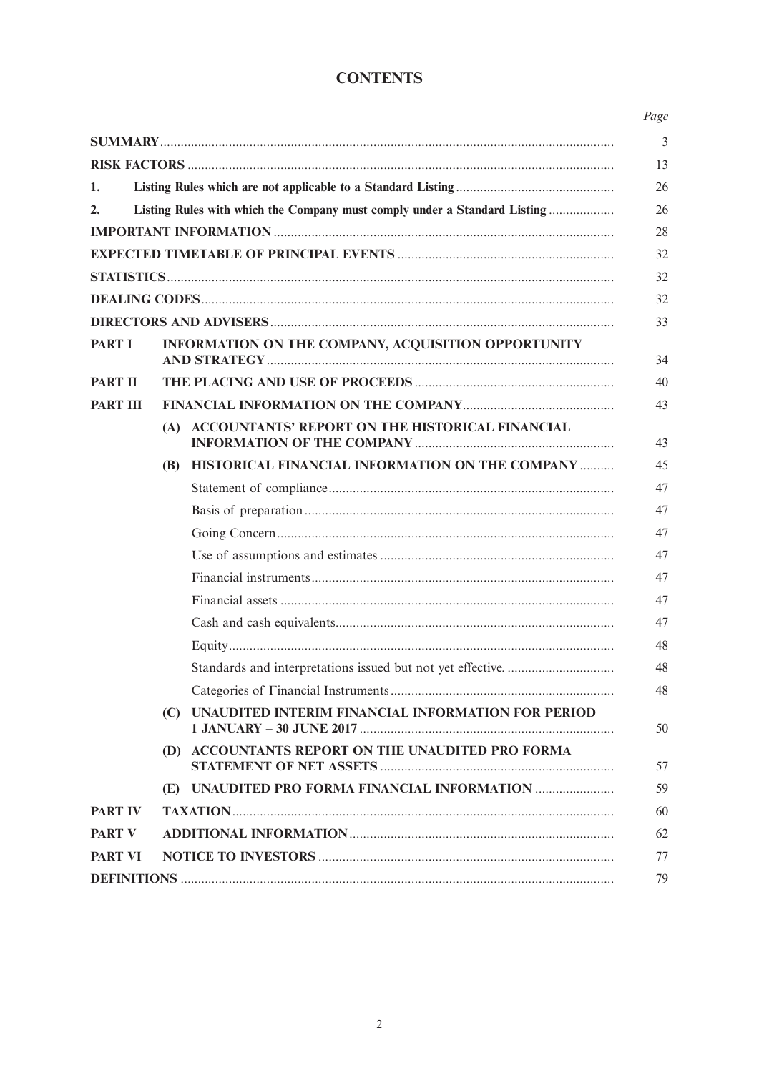# **CONTENTS**

| 1.              |     |                                                                           |  |  |
|-----------------|-----|---------------------------------------------------------------------------|--|--|
| 2.              |     | Listing Rules with which the Company must comply under a Standard Listing |  |  |
|                 |     |                                                                           |  |  |
|                 |     |                                                                           |  |  |
|                 |     |                                                                           |  |  |
|                 |     |                                                                           |  |  |
|                 |     |                                                                           |  |  |
| <b>PART I</b>   |     | INFORMATION ON THE COMPANY, ACQUISITION OPPORTUNITY                       |  |  |
| <b>PART II</b>  |     |                                                                           |  |  |
| <b>PART III</b> |     |                                                                           |  |  |
|                 |     | (A) ACCOUNTANTS' REPORT ON THE HISTORICAL FINANCIAL                       |  |  |
|                 |     | (B) HISTORICAL FINANCIAL INFORMATION ON THE COMPANY                       |  |  |
|                 |     |                                                                           |  |  |
|                 |     |                                                                           |  |  |
|                 |     |                                                                           |  |  |
|                 |     |                                                                           |  |  |
|                 |     |                                                                           |  |  |
|                 |     |                                                                           |  |  |
|                 |     |                                                                           |  |  |
|                 |     |                                                                           |  |  |
|                 |     |                                                                           |  |  |
|                 |     |                                                                           |  |  |
|                 | (C) | UNAUDITED INTERIM FINANCIAL INFORMATION FOR PERIOD                        |  |  |
|                 |     | (D) ACCOUNTANTS REPORT ON THE UNAUDITED PRO FORMA                         |  |  |
|                 |     | (E) UNAUDITED PRO FORMA FINANCIAL INFORMATION                             |  |  |
| <b>PART IV</b>  |     |                                                                           |  |  |
| <b>PART V</b>   |     |                                                                           |  |  |
| <b>PART VI</b>  |     |                                                                           |  |  |
|                 |     |                                                                           |  |  |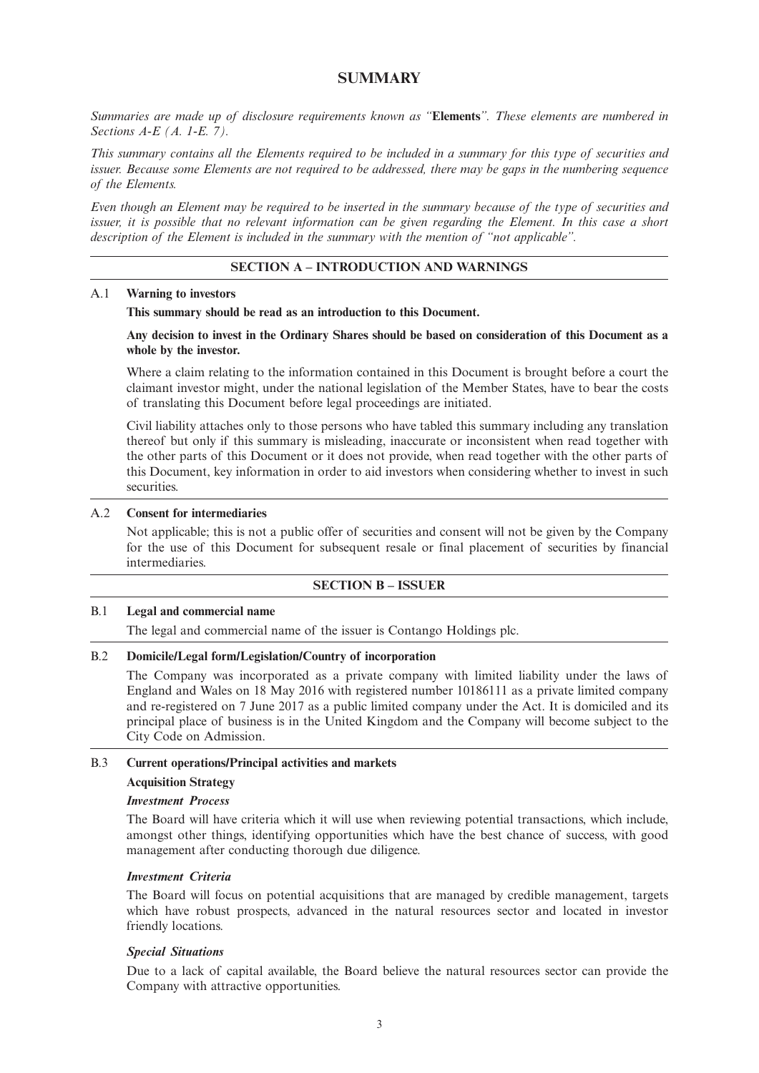## **SUMMARY**

*Summaries are made up of disclosure requirements known as "***Elements***". These elements are numbered in Sections A-E (A. 1-E. 7).*

This summary contains all the Elements required to be included in a summary for this type of securities and issuer. Because some Elements are not required to be addressed, there may be gaps in the numbering sequence *of the Elements.*

Even though an Element may be required to be inserted in the summary because of the type of securities and issuer, it is possible that no relevant information can be given regarding the Element. In this case a short *description of the Element is included in the summary with the mention of "not applicable".*

#### **SECTION A – INTRODUCTION AND WARNINGS**

#### A.1 **Warning to investors**

**This summary should be read as an introduction to this Document.**

#### Any decision to invest in the Ordinary Shares should be based on consideration of this Document as a **whole by the investor.**

Where a claim relating to the information contained in this Document is brought before a court the claimant investor might, under the national legislation of the Member States, have to bear the costs of translating this Document before legal proceedings are initiated.

Civil liability attaches only to those persons who have tabled this summary including any translation thereof but only if this summary is misleading, inaccurate or inconsistent when read together with the other parts of this Document or it does not provide, when read together with the other parts of this Document, key information in order to aid investors when considering whether to invest in such securities.

### A.2 **Consent for intermediaries**

Not applicable; this is not a public offer of securities and consent will not be given by the Company for the use of this Document for subsequent resale or final placement of securities by financial intermediaries.

#### **SECTION B – ISSUER**

#### B.1 **Legal and commercial name**

The legal and commercial name of the issuer is Contango Holdings plc.

#### B.2 **Domicile/Legal form/Legislation/Country of incorporation**

The Company was incorporated as a private company with limited liability under the laws of England and Wales on 18 May 2016 with registered number 10186111 as a private limited company and re-registered on 7 June 2017 as a public limited company under the Act. It is domiciled and its principal place of business is in the United Kingdom and the Company will become subject to the City Code on Admission.

#### B.3 **Current operations/Principal activities and markets**

#### **Acquisition Strategy**

#### *Investment Process*

The Board will have criteria which it will use when reviewing potential transactions, which include, amongst other things, identifying opportunities which have the best chance of success, with good management after conducting thorough due diligence.

#### *Investment Criteria*

The Board will focus on potential acquisitions that are managed by credible management, targets which have robust prospects, advanced in the natural resources sector and located in investor friendly locations.

### *Special Situations*

Due to a lack of capital available, the Board believe the natural resources sector can provide the Company with attractive opportunities.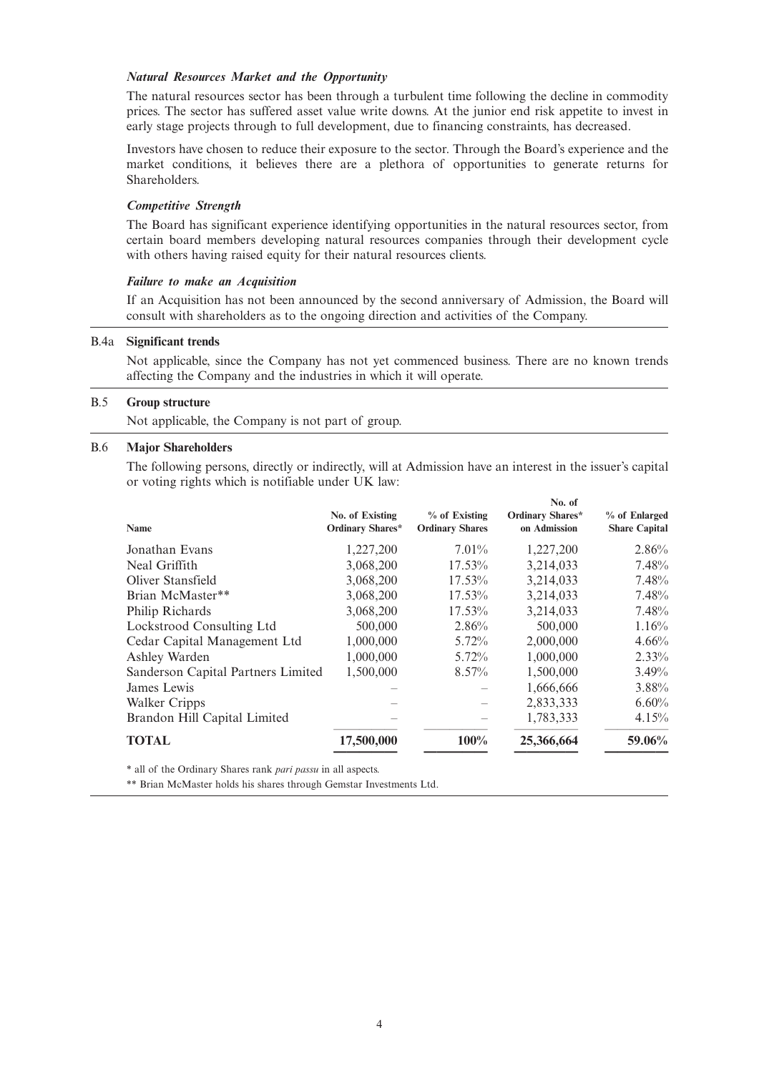#### *Natural Resources Market and the Opportunity*

The natural resources sector has been through a turbulent time following the decline in commodity prices. The sector has suffered asset value write downs. At the junior end risk appetite to invest in early stage projects through to full development, due to financing constraints, has decreased.

Investors have chosen to reduce their exposure to the sector. Through the Board's experience and the market conditions, it believes there are a plethora of opportunities to generate returns for Shareholders.

#### *Competitive Strength*

The Board has significant experience identifying opportunities in the natural resources sector, from certain board members developing natural resources companies through their development cycle with others having raised equity for their natural resources clients.

#### *Failure to make an Acquisition*

If an Acquisition has not been announced by the second anniversary of Admission, the Board will consult with shareholders as to the ongoing direction and activities of the Company.

#### B.4a **Significant trends**

Not applicable, since the Company has not yet commenced business. There are no known trends affecting the Company and the industries in which it will operate.

#### B.5 **Group structure**

Not applicable, the Company is not part of group.

#### B.6 **Major Shareholders**

The following persons, directly or indirectly, will at Admission have an interest in the issuer's capital or voting rights which is notifiable under UK law:

|                                    |                                     |                                         | No. of                                  |                                       |
|------------------------------------|-------------------------------------|-----------------------------------------|-----------------------------------------|---------------------------------------|
| Name                               | No. of Existing<br>Ordinary Shares* | % of Existing<br><b>Ordinary Shares</b> | <b>Ordinary Shares*</b><br>on Admission | % of Enlarged<br><b>Share Capital</b> |
| Jonathan Evans                     | 1,227,200                           | $7.01\%$                                | 1,227,200                               | 2.86%                                 |
| Neal Griffith                      | 3,068,200                           | $17.53\%$                               | 3,214,033                               | 7.48%                                 |
| Oliver Stansfield                  | 3,068,200                           | 17.53%                                  | 3,214,033                               | 7.48%                                 |
| Brian McMaster**                   | 3,068,200                           | 17.53%                                  | 3,214,033                               | 7.48%                                 |
| Philip Richards                    | 3,068,200                           | 17.53%                                  | 3,214,033                               | 7.48%                                 |
| Lockstrood Consulting Ltd          | 500,000                             | 2.86%                                   | 500,000                                 | 1.16%                                 |
| Cedar Capital Management Ltd       | 1,000,000                           | $5.72\%$                                | 2,000,000                               | 4.66%                                 |
| Ashley Warden                      | 1,000,000                           | 5.72%                                   | 1,000,000                               | 2.33%                                 |
| Sanderson Capital Partners Limited | 1,500,000                           | 8.57%                                   | 1,500,000                               | 3.49%                                 |
| James Lewis                        |                                     |                                         | 1,666,666                               | 3.88%                                 |
| Walker Cripps                      |                                     |                                         | 2,833,333                               | 6.60%                                 |
| Brandon Hill Capital Limited       |                                     |                                         | 1,783,333                               | 4.15%                                 |
| <b>TOTAL</b>                       | 17,500,000                          | 100%                                    | 25,366,664                              | 59.06%                                |

\* all of the Ordinary Shares rank *pari passu* in all aspects.

\*\* Brian McMaster holds his shares through Gemstar Investments Ltd.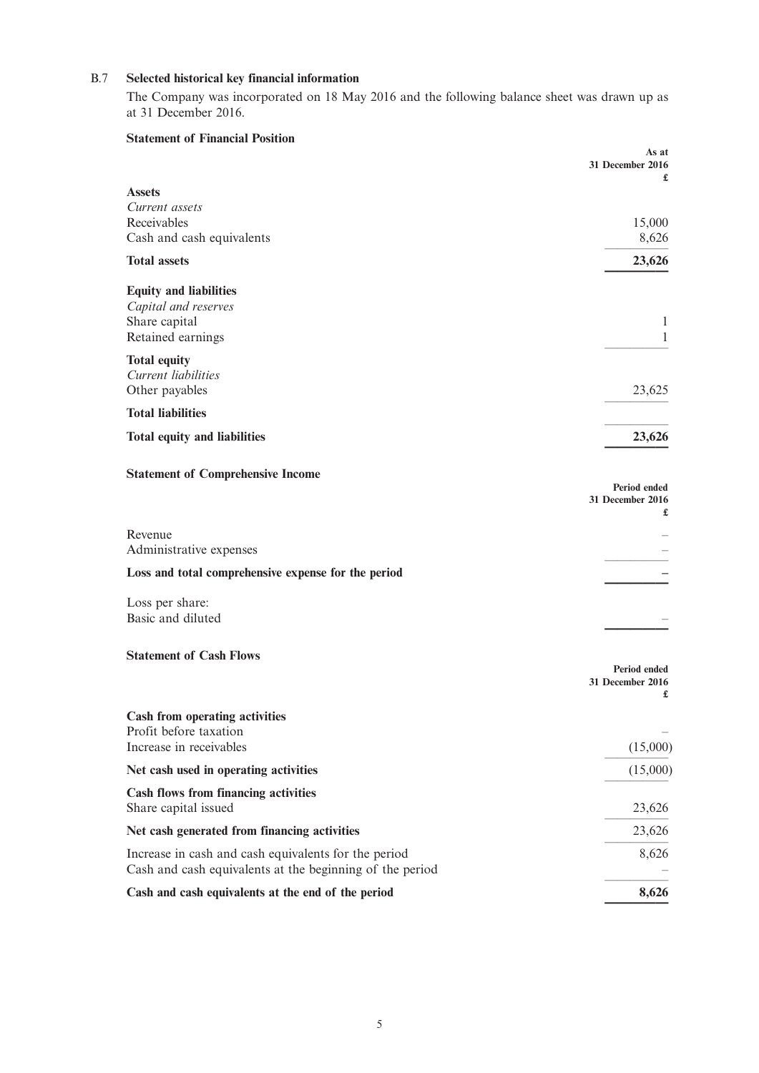## B.7 **Selected historical key financial information**

The Company was incorporated on 18 May 2016 and the following balance sheet was drawn up as at 31 December 2016.

| <b>Statement of Financial Position</b>                   | As at                            |
|----------------------------------------------------------|----------------------------------|
|                                                          | 31 December 2016                 |
| <b>Assets</b>                                            |                                  |
| Current assets<br>Receivables                            | 15,000                           |
| Cash and cash equivalents                                | 8,626                            |
| <b>Total assets</b>                                      | 23,626                           |
| <b>Equity and liabilities</b>                            |                                  |
| Capital and reserves                                     |                                  |
| Share capital                                            | 1                                |
| Retained earnings                                        | 1                                |
| <b>Total equity</b>                                      |                                  |
| Current liabilities                                      |                                  |
| Other payables                                           | 23,625                           |
| <b>Total liabilities</b>                                 |                                  |
| <b>Total equity and liabilities</b>                      | 23,626                           |
| <b>Statement of Comprehensive Income</b>                 |                                  |
|                                                          | Period ended<br>31 December 2016 |
|                                                          | £                                |
| Revenue                                                  |                                  |
| Administrative expenses                                  |                                  |
| Loss and total comprehensive expense for the period      |                                  |
| Loss per share:                                          |                                  |
| Basic and diluted                                        |                                  |
| <b>Statement of Cash Flows</b>                           |                                  |
|                                                          | Period ended                     |
|                                                          | 31 December 2016                 |
| <b>Cash from operating activities</b>                    |                                  |
| Profit before taxation                                   |                                  |
| Increase in receivables                                  | (15,000)                         |
| Net cash used in operating activities                    | (15,000)                         |
| Cash flows from financing activities                     |                                  |
| Share capital issued                                     | 23,626                           |
| Net cash generated from financing activities             | 23,626                           |
| Increase in cash and cash equivalents for the period     | 8,626                            |
| Cash and cash equivalents at the beginning of the period |                                  |
| Cash and cash equivalents at the end of the period       | 8,626                            |
|                                                          |                                  |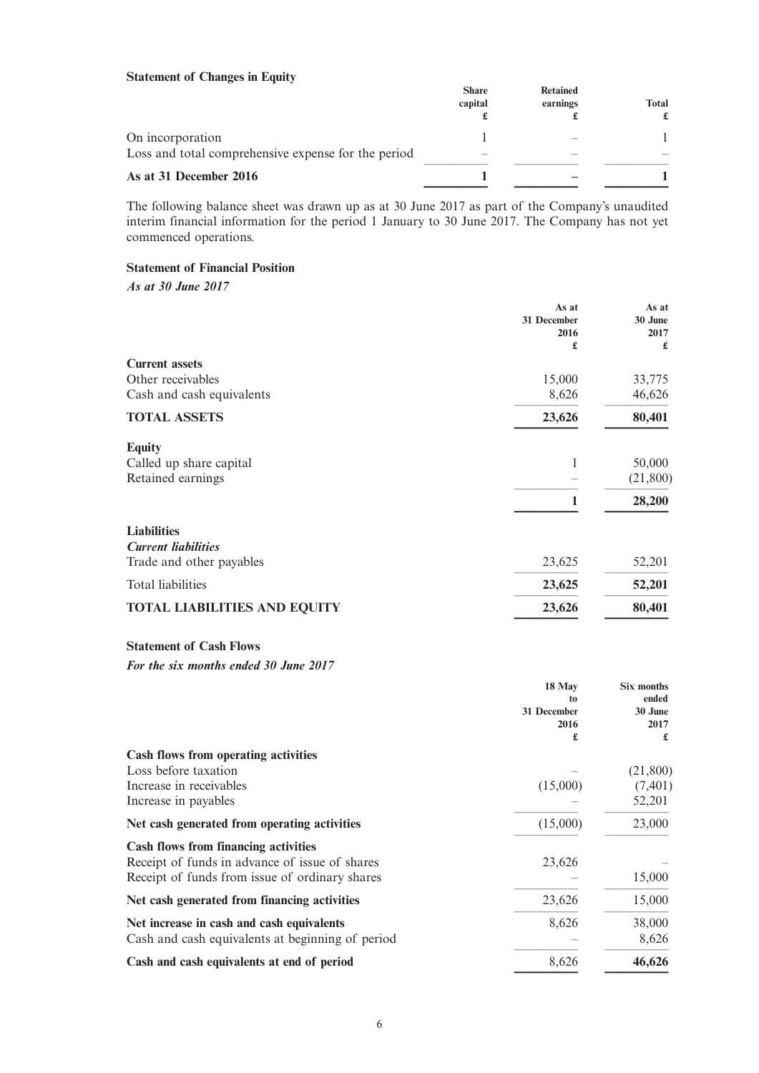## **Statement of Changes in Equity**

|                                                     | <b>Share</b><br>capital  | <b>Retained</b><br>earnings | <b>Total</b><br>£ |
|-----------------------------------------------------|--------------------------|-----------------------------|-------------------|
| On incorporation                                    |                          |                             |                   |
| Loss and total comprehensive expense for the period | $\overline{\phantom{a}}$ |                             |                   |
| As at 31 December 2016                              |                          |                             |                   |

The following balance sheet was drawn up as at 30 June 2017 as part of the Company's unaudited interim financial information for the period 1 January to 30 June 2017. The Company has not yet commenced operations.

## **Statement of Financial Position**

*As at 30 June 2017*

|                                     | As at       | As at     |
|-------------------------------------|-------------|-----------|
|                                     | 31 December | 30 June   |
|                                     | 2016        | 2017      |
|                                     | £           | £         |
| <b>Current assets</b>               |             |           |
| Other receivables                   | 15,000      | 33,775    |
| Cash and cash equivalents           | 8,626       | 46,626    |
| <b>TOTAL ASSETS</b>                 | 23,626      | 80,401    |
| <b>Equity</b>                       |             |           |
| Called up share capital             | 1           | 50,000    |
| Retained earnings                   |             | (21, 800) |
|                                     | 1           | 28,200    |
| <b>Liabilities</b>                  |             |           |
| <b>Current liabilities</b>          |             |           |
| Trade and other payables            | 23,625      | 52,201    |
| Total liabilities                   | 23,625      | 52,201    |
| <b>TOTAL LIABILITIES AND EQUITY</b> | 23,626      | 80,401    |

|                                                  | 18 May      | Six months       |
|--------------------------------------------------|-------------|------------------|
|                                                  | to          | ended<br>30 June |
|                                                  | 31 December |                  |
|                                                  | 2016<br>£   | 2017<br>£        |
| Cash flows from operating activities             |             |                  |
| Loss before taxation                             |             | (21,800)         |
| Increase in receivables                          | (15,000)    | (7, 401)         |
| Increase in payables                             |             | 52,201           |
| Net cash generated from operating activities     | (15,000)    | 23,000           |
| <b>Cash flows from financing activities</b>      |             |                  |
| Receipt of funds in advance of issue of shares   | 23,626      |                  |
| Receipt of funds from issue of ordinary shares   |             | 15,000           |
| Net cash generated from financing activities     | 23,626      | 15,000           |
| Net increase in cash and cash equivalents        | 8,626       | 38,000           |
| Cash and cash equivalents at beginning of period |             | 8,626            |
| Cash and cash equivalents at end of period       | 8,626       | 46,626           |
|                                                  |             |                  |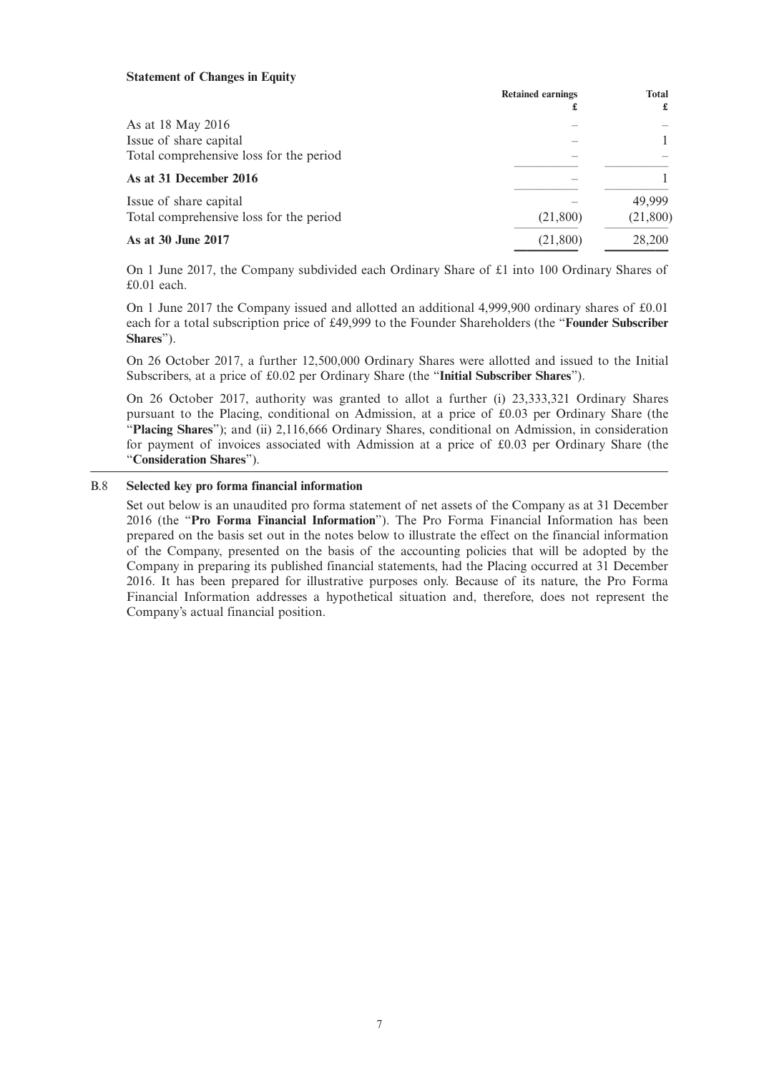#### **Statement of Changes in Equity**

|                                         | <b>Retained earnings</b> | <b>Total</b><br>£ |
|-----------------------------------------|--------------------------|-------------------|
| As at 18 May 2016                       |                          |                   |
| Issue of share capital                  |                          |                   |
| Total comprehensive loss for the period |                          |                   |
| As at 31 December 2016                  |                          |                   |
| Issue of share capital                  |                          | 49.999            |
| Total comprehensive loss for the period | (21,800)                 | (21,800)          |
| As at 30 June 2017                      | (21,800)                 | 28,200            |
|                                         |                          |                   |

On 1 June 2017, the Company subdivided each Ordinary Share of £1 into 100 Ordinary Shares of £0.01 each.

On 1 June 2017 the Company issued and allotted an additional 4,999,900 ordinary shares of £0.01 each for a total subscription price of £49,999 to the Founder Shareholders (the "**Founder Subscriber Shares**").

On 26 October 2017, a further 12,500,000 Ordinary Shares were allotted and issued to the Initial Subscribers, at a price of £0.02 per Ordinary Share (the "**Initial Subscriber Shares**").

On 26 October 2017, authority was granted to allot a further (i) 23,333,321 Ordinary Shares pursuant to the Placing, conditional on Admission, at a price of £0.03 per Ordinary Share (the "**Placing Shares**"); and (ii) 2,116,666 Ordinary Shares, conditional on Admission, in consideration for payment of invoices associated with Admission at a price of £0.03 per Ordinary Share (the "**Consideration Shares**").

### B.8 **Selected key pro forma financial information**

Set out below is an unaudited pro forma statement of net assets of the Company as at 31 December 2016 (the "**Pro Forma Financial Information**"). The Pro Forma Financial Information has been prepared on the basis set out in the notes below to illustrate the effect on the financial information of the Company, presented on the basis of the accounting policies that will be adopted by the Company in preparing its published financial statements, had the Placing occurred at 31 December 2016. It has been prepared for illustrative purposes only. Because of its nature, the Pro Forma Financial Information addresses a hypothetical situation and, therefore, does not represent the Company's actual financial position.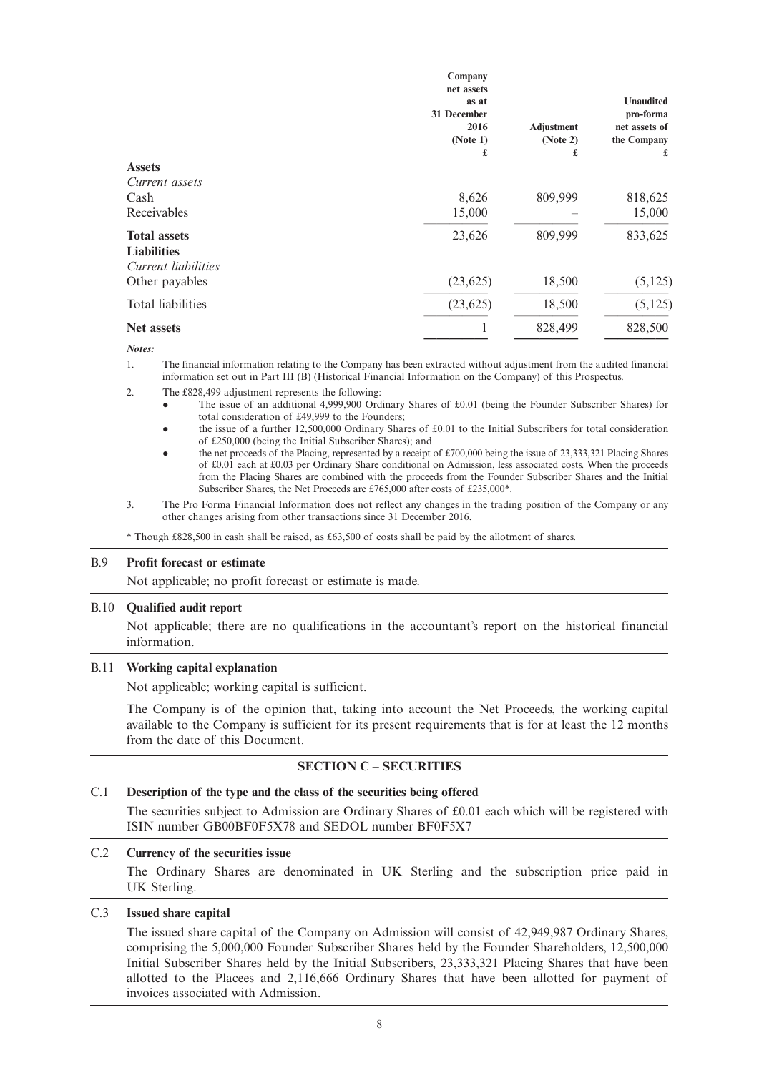|                     | Company<br>net assets |                   |                  |
|---------------------|-----------------------|-------------------|------------------|
|                     | as at                 |                   | <b>Unaudited</b> |
|                     | <b>31 December</b>    |                   | pro-forma        |
|                     | 2016                  | <b>Adjustment</b> | net assets of    |
|                     | (Note 1)<br>£         | (Note 2)<br>£     | the Company<br>£ |
| <b>Assets</b>       |                       |                   |                  |
| Current assets      |                       |                   |                  |
| Cash                | 8,626                 | 809,999           | 818,625          |
| Receivables         | 15,000                |                   | 15,000           |
| <b>Total assets</b> | 23,626                | 809,999           | 833,625          |
| <b>Liabilities</b>  |                       |                   |                  |
| Current liabilities |                       |                   |                  |
| Other payables      | (23, 625)             | 18,500            | (5, 125)         |
| Total liabilities   | (23, 625)             | 18,500            | (5, 125)         |
| <b>Net assets</b>   |                       | 828,499           | 828,500          |
| Notes:              |                       |                   |                  |

1. The financial information relating to the Company has been extracted without adjustment from the audited financial information set out in Part III (B) (Historical Financial Information on the Company) of this Prospectus.

2. The £828,499 adjustment represents the following:

- The issue of an additional 4,999,900 Ordinary Shares of £0.01 (being the Founder Subscriber Shares) for total consideration of £49,999 to the Founders;
- l the issue of a further 12,500,000 Ordinary Shares of £0.01 to the Initial Subscribers for total consideration of £250,000 (being the Initial Subscriber Shares); and
- the net proceeds of the Placing, represented by a receipt of £700,000 being the issue of 23,333,321 Placing Shares of £0.01 each at £0.03 per Ordinary Share conditional on Admission, less associated costs. When the proceeds from the Placing Shares are combined with the proceeds from the Founder Subscriber Shares and the Initial Subscriber Shares, the Net Proceeds are £765,000 after costs of £235,000\*.
- 3. The Pro Forma Financial Information does not reflect any changes in the trading position of the Company or any other changes arising from other transactions since 31 December 2016.

\* Though £828,500 in cash shall be raised, as £63,500 of costs shall be paid by the allotment of shares.

#### B.9 **Profit forecast or estimate**

Not applicable; no profit forecast or estimate is made.

#### B.10 **Qualified audit report**

Not applicable; there are no qualifications in the accountant's report on the historical financial information.

#### B.11 **Working capital explanation**

Not applicable; working capital is sufficient.

The Company is of the opinion that, taking into account the Net Proceeds, the working capital available to the Company is sufficient for its present requirements that is for at least the 12 months from the date of this Document.

### **SECTION C – SECURITIES**

#### C.1 **Description of the type and the class of the securities being offered**

The securities subject to Admission are Ordinary Shares of £0.01 each which will be registered with ISIN number GB00BF0F5X78 and SEDOL number BF0F5X7

## C.2 **Currency of the securities issue**

The Ordinary Shares are denominated in UK Sterling and the subscription price paid in UK Sterling.

## C.3 **Issued share capital**

The issued share capital of the Company on Admission will consist of 42,949,987 Ordinary Shares, comprising the 5,000,000 Founder Subscriber Shares held by the Founder Shareholders, 12,500,000 Initial Subscriber Shares held by the Initial Subscribers, 23,333,321 Placing Shares that have been allotted to the Placees and 2,116,666 Ordinary Shares that have been allotted for payment of invoices associated with Admission.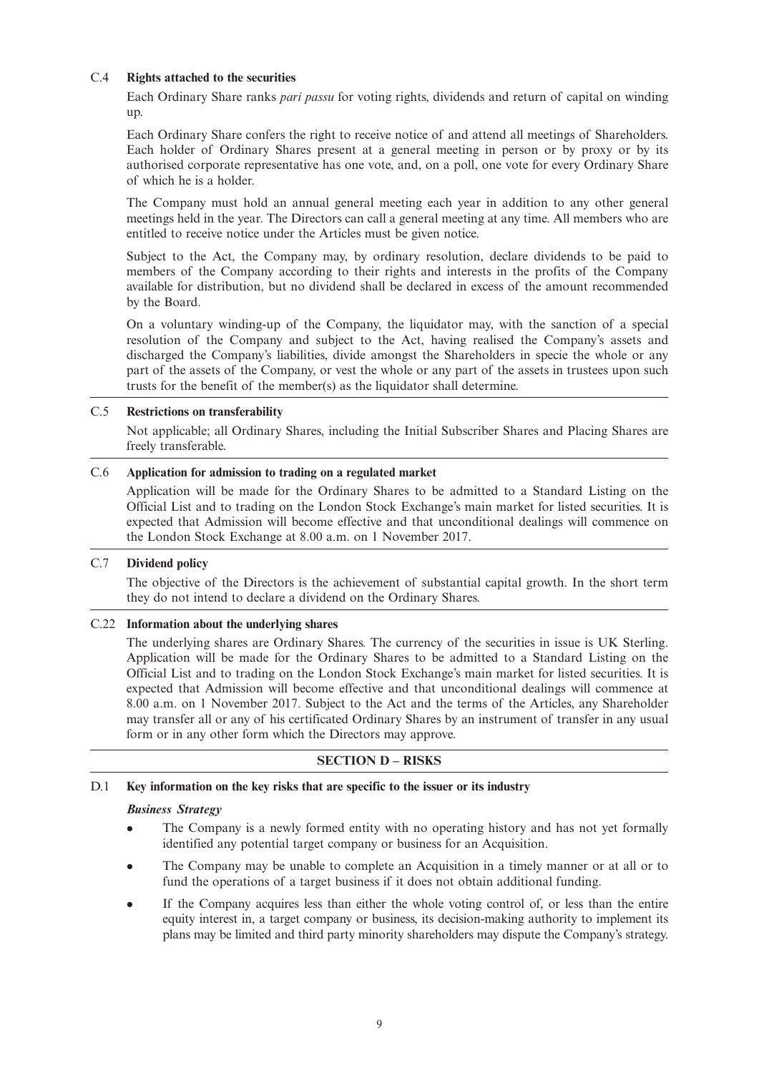## C.4 **Rights attached to the securities**

Each Ordinary Share ranks *pari passu* for voting rights, dividends and return of capital on winding up.

Each Ordinary Share confers the right to receive notice of and attend all meetings of Shareholders. Each holder of Ordinary Shares present at a general meeting in person or by proxy or by its authorised corporate representative has one vote, and, on a poll, one vote for every Ordinary Share of which he is a holder.

The Company must hold an annual general meeting each year in addition to any other general meetings held in the year. The Directors can call a general meeting at any time. All members who are entitled to receive notice under the Articles must be given notice.

Subject to the Act, the Company may, by ordinary resolution, declare dividends to be paid to members of the Company according to their rights and interests in the profits of the Company available for distribution, but no dividend shall be declared in excess of the amount recommended by the Board.

On a voluntary winding-up of the Company, the liquidator may, with the sanction of a special resolution of the Company and subject to the Act, having realised the Company's assets and discharged the Company's liabilities, divide amongst the Shareholders in specie the whole or any part of the assets of the Company, or vest the whole or any part of the assets in trustees upon such trusts for the benefit of the member(s) as the liquidator shall determine.

### C.5 **Restrictions on transferability**

Not applicable; all Ordinary Shares, including the Initial Subscriber Shares and Placing Shares are freely transferable.

## C.6 **Application for admission to trading on a regulated market**

Application will be made for the Ordinary Shares to be admitted to a Standard Listing on the Official List and to trading on the London Stock Exchange's main market for listed securities. It is expected that Admission will become effective and that unconditional dealings will commence on the London Stock Exchange at 8.00 a.m. on 1 November 2017.

## C.7 **Dividend policy**

The objective of the Directors is the achievement of substantial capital growth. In the short term they do not intend to declare a dividend on the Ordinary Shares.

### C.22 **Information about the underlying shares**

The underlying shares are Ordinary Shares. The currency of the securities in issue is UK Sterling. Application will be made for the Ordinary Shares to be admitted to a Standard Listing on the Official List and to trading on the London Stock Exchange's main market for listed securities. It is expected that Admission will become effective and that unconditional dealings will commence at 8.00 a.m. on 1 November 2017. Subject to the Act and the terms of the Articles, any Shareholder may transfer all or any of his certificated Ordinary Shares by an instrument of transfer in any usual form or in any other form which the Directors may approve.

### **SECTION D – RISKS**

## D.1 **Key information on the key risks that are specific to the issuer or its industry**

### *Business Strategy*

- The Company is a newly formed entity with no operating history and has not yet formally identified any potential target company or business for an Acquisition.
- The Company may be unable to complete an Acquisition in a timely manner or at all or to fund the operations of a target business if it does not obtain additional funding.
- <sup>l</sup> If the Company acquires less than either the whole voting control of, or less than the entire equity interest in, a target company or business, its decision-making authority to implement its plans may be limited and third party minority shareholders may dispute the Company's strategy.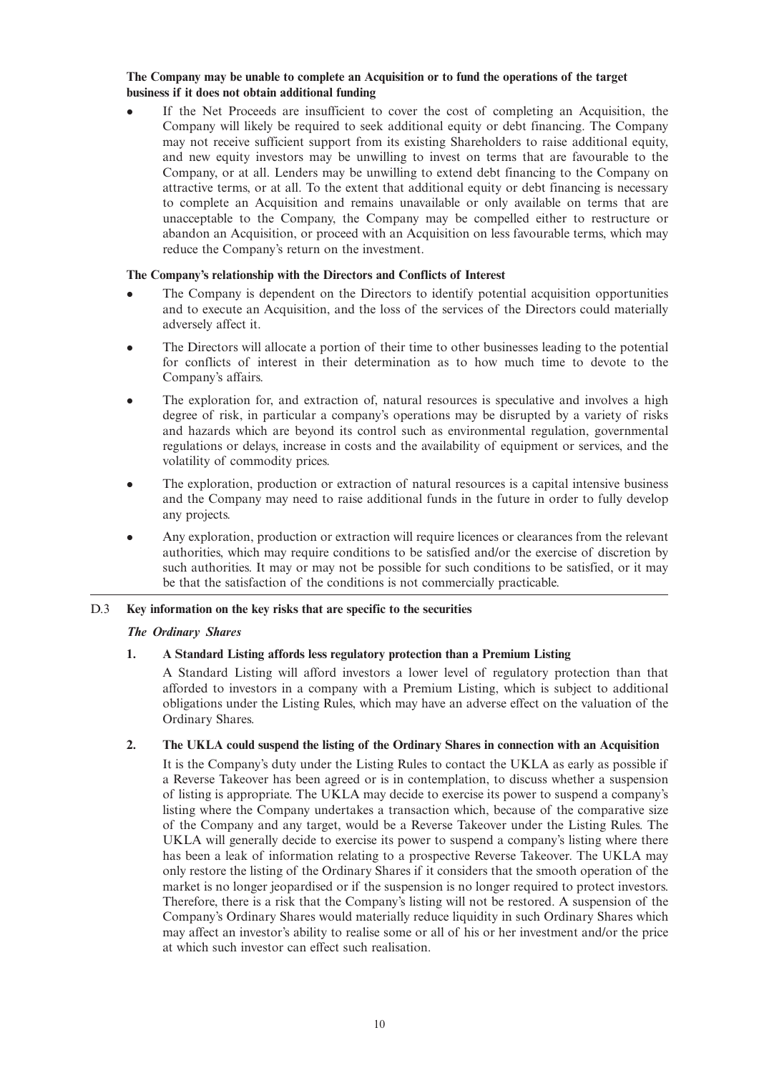#### **The Company may be unable to complete an Acquisition or to fund the operations of the target business if it does not obtain additional funding**

<sup>l</sup> If the Net Proceeds are insufficient to cover the cost of completing an Acquisition, the Company will likely be required to seek additional equity or debt financing. The Company may not receive sufficient support from its existing Shareholders to raise additional equity, and new equity investors may be unwilling to invest on terms that are favourable to the Company, or at all. Lenders may be unwilling to extend debt financing to the Company on attractive terms, or at all. To the extent that additional equity or debt financing is necessary to complete an Acquisition and remains unavailable or only available on terms that are unacceptable to the Company, the Company may be compelled either to restructure or abandon an Acquisition, or proceed with an Acquisition on less favourable terms, which may reduce the Company's return on the investment.

## **The Company's relationship with the Directors and Conflicts of Interest**

- The Company is dependent on the Directors to identify potential acquisition opportunities and to execute an Acquisition, and the loss of the services of the Directors could materially adversely affect it.
- The Directors will allocate a portion of their time to other businesses leading to the potential for conflicts of interest in their determination as to how much time to devote to the Company's affairs.
- The exploration for, and extraction of, natural resources is speculative and involves a high degree of risk, in particular a company's operations may be disrupted by a variety of risks and hazards which are beyond its control such as environmental regulation, governmental regulations or delays, increase in costs and the availability of equipment or services, and the volatility of commodity prices.
- The exploration, production or extraction of natural resources is a capital intensive business and the Company may need to raise additional funds in the future in order to fully develop any projects.
- <sup>l</sup> Any exploration, production or extraction will require licences or clearances from the relevant authorities, which may require conditions to be satisfied and/or the exercise of discretion by such authorities. It may or may not be possible for such conditions to be satisfied, or it may be that the satisfaction of the conditions is not commercially practicable.

## D.3 **Key information on the key risks that are specific to the securities**

### *The Ordinary Shares*

## **1. A Standard Listing affords less regulatory protection than a Premium Listing**

A Standard Listing will afford investors a lower level of regulatory protection than that afforded to investors in a company with a Premium Listing, which is subject to additional obligations under the Listing Rules, which may have an adverse effect on the valuation of the Ordinary Shares.

## **2. The UKLA could suspend the listing of the Ordinary Shares in connection with an Acquisition**

It is the Company's duty under the Listing Rules to contact the UKLA as early as possible if a Reverse Takeover has been agreed or is in contemplation, to discuss whether a suspension of listing is appropriate. The UKLA may decide to exercise its power to suspend a company's listing where the Company undertakes a transaction which, because of the comparative size of the Company and any target, would be a Reverse Takeover under the Listing Rules. The UKLA will generally decide to exercise its power to suspend a company's listing where there has been a leak of information relating to a prospective Reverse Takeover. The UKLA may only restore the listing of the Ordinary Shares if it considers that the smooth operation of the market is no longer jeopardised or if the suspension is no longer required to protect investors. Therefore, there is a risk that the Company's listing will not be restored. A suspension of the Company's Ordinary Shares would materially reduce liquidity in such Ordinary Shares which may affect an investor's ability to realise some or all of his or her investment and/or the price at which such investor can effect such realisation.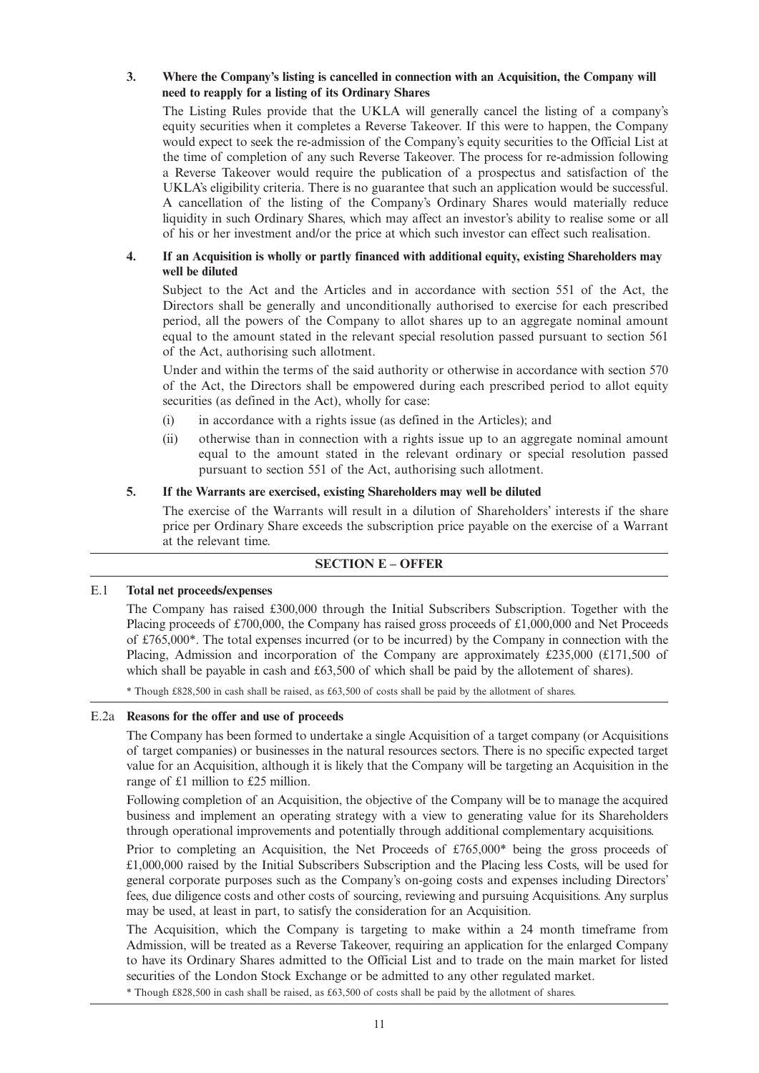## **3. Where the Company's listing is cancelled in connection with an Acquisition, the Company will need to reapply for a listing of its Ordinary Shares**

The Listing Rules provide that the UKLA will generally cancel the listing of a company's equity securities when it completes a Reverse Takeover. If this were to happen, the Company would expect to seek the re-admission of the Company's equity securities to the Official List at the time of completion of any such Reverse Takeover. The process for re-admission following a Reverse Takeover would require the publication of a prospectus and satisfaction of the UKLA's eligibility criteria. There is no guarantee that such an application would be successful. A cancellation of the listing of the Company's Ordinary Shares would materially reduce liquidity in such Ordinary Shares, which may affect an investor's ability to realise some or all of his or her investment and/or the price at which such investor can effect such realisation.

## **4. If an Acquisition is wholly or partly financed with additional equity, existing Shareholders may well be diluted**

Subject to the Act and the Articles and in accordance with section 551 of the Act, the Directors shall be generally and unconditionally authorised to exercise for each prescribed period, all the powers of the Company to allot shares up to an aggregate nominal amount equal to the amount stated in the relevant special resolution passed pursuant to section 561 of the Act, authorising such allotment.

Under and within the terms of the said authority or otherwise in accordance with section 570 of the Act, the Directors shall be empowered during each prescribed period to allot equity securities (as defined in the Act), wholly for case:

- (i) in accordance with a rights issue (as defined in the Articles); and
- (ii) otherwise than in connection with a rights issue up to an aggregate nominal amount equal to the amount stated in the relevant ordinary or special resolution passed pursuant to section 551 of the Act, authorising such allotment.

## **5. If the Warrants are exercised, existing Shareholders may well be diluted**

The exercise of the Warrants will result in a dilution of Shareholders' interests if the share price per Ordinary Share exceeds the subscription price payable on the exercise of a Warrant at the relevant time.

## **SECTION E – OFFER**

### E.1 **Total net proceeds/expenses**

The Company has raised £300,000 through the Initial Subscribers Subscription. Together with the Placing proceeds of £700,000, the Company has raised gross proceeds of £1,000,000 and Net Proceeds of £765,000\*. The total expenses incurred (or to be incurred) by the Company in connection with the Placing, Admission and incorporation of the Company are approximately £235,000 (£171,500 of which shall be payable in cash and £63,500 of which shall be paid by the allotement of shares).

\* Though £828,500 in cash shall be raised, as £63,500 of costs shall be paid by the allotment of shares.

## E.2a **Reasons for the offer and use of proceeds**

The Company has been formed to undertake a single Acquisition of a target company (or Acquisitions of target companies) or businesses in the natural resources sectors. There is no specific expected target value for an Acquisition, although it is likely that the Company will be targeting an Acquisition in the range of £1 million to £25 million.

Following completion of an Acquisition, the objective of the Company will be to manage the acquired business and implement an operating strategy with a view to generating value for its Shareholders through operational improvements and potentially through additional complementary acquisitions.

Prior to completing an Acquisition, the Net Proceeds of £765,000\* being the gross proceeds of £1,000,000 raised by the Initial Subscribers Subscription and the Placing less Costs, will be used for general corporate purposes such as the Company's on-going costs and expenses including Directors' fees, due diligence costs and other costs of sourcing, reviewing and pursuing Acquisitions. Any surplus may be used, at least in part, to satisfy the consideration for an Acquisition.

The Acquisition, which the Company is targeting to make within a 24 month timeframe from Admission, will be treated as a Reverse Takeover, requiring an application for the enlarged Company to have its Ordinary Shares admitted to the Official List and to trade on the main market for listed securities of the London Stock Exchange or be admitted to any other regulated market.

\* Though £828,500 in cash shall be raised, as £63,500 of costs shall be paid by the allotment of shares.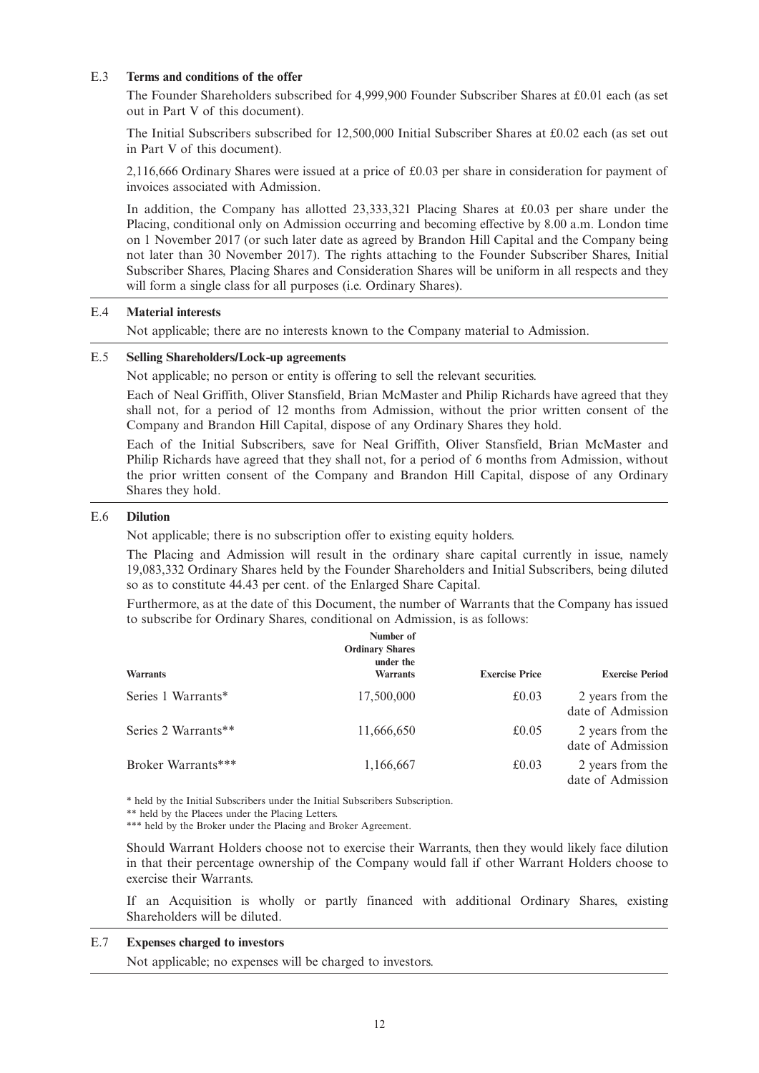## E.3 **Terms and conditions of the offer**

The Founder Shareholders subscribed for 4,999,900 Founder Subscriber Shares at £0.01 each (as set out in Part V of this document).

The Initial Subscribers subscribed for 12,500,000 Initial Subscriber Shares at £0.02 each (as set out in Part V of this document).

2,116,666 Ordinary Shares were issued at a price of £0.03 per share in consideration for payment of invoices associated with Admission.

In addition, the Company has allotted 23,333,321 Placing Shares at £0.03 per share under the Placing, conditional only on Admission occurring and becoming effective by 8.00 a.m. London time on 1 November 2017 (or such later date as agreed by Brandon Hill Capital and the Company being not later than 30 November 2017). The rights attaching to the Founder Subscriber Shares, Initial Subscriber Shares, Placing Shares and Consideration Shares will be uniform in all respects and they will form a single class for all purposes (i.e. Ordinary Shares).

## E.4 **Material interests**

Not applicable; there are no interests known to the Company material to Admission.

## E.5 **Selling Shareholders/Lock-up agreements**

Not applicable; no person or entity is offering to sell the relevant securities.

Each of Neal Griffith, Oliver Stansfield, Brian McMaster and Philip Richards have agreed that they shall not, for a period of 12 months from Admission, without the prior written consent of the Company and Brandon Hill Capital, dispose of any Ordinary Shares they hold.

Each of the Initial Subscribers, save for Neal Griffith, Oliver Stansfield, Brian McMaster and Philip Richards have agreed that they shall not, for a period of 6 months from Admission, without the prior written consent of the Company and Brandon Hill Capital, dispose of any Ordinary Shares they hold.

#### E.6 **Dilution**

Not applicable; there is no subscription offer to existing equity holders.

The Placing and Admission will result in the ordinary share capital currently in issue, namely 19,083,332 Ordinary Shares held by the Founder Shareholders and Initial Subscribers, being diluted so as to constitute 44.43 per cent. of the Enlarged Share Capital.

Furthermore, as at the date of this Document, the number of Warrants that the Company has issued to subscribe for Ordinary Shares, conditional on Admission, is as follows:

| <b>Warrants</b>     | Number of<br><b>Ordinary Shares</b><br>under the<br><b>Warrants</b> | <b>Exercise Price</b> | <b>Exercise Period</b>                |
|---------------------|---------------------------------------------------------------------|-----------------------|---------------------------------------|
| Series 1 Warrants*  | 17,500,000                                                          | £0.03                 | 2 years from the<br>date of Admission |
| Series 2 Warrants** | 11,666,650                                                          | £0.05                 | 2 years from the<br>date of Admission |
| Broker Warrants***  | 1,166,667                                                           | £0.03                 | 2 years from the<br>date of Admission |

\* held by the Initial Subscribers under the Initial Subscribers Subscription.

\*\* held by the Placees under the Placing Letters.

\*\*\* held by the Broker under the Placing and Broker Agreement.

Should Warrant Holders choose not to exercise their Warrants, then they would likely face dilution in that their percentage ownership of the Company would fall if other Warrant Holders choose to exercise their Warrants.

If an Acquisition is wholly or partly financed with additional Ordinary Shares, existing Shareholders will be diluted.

## E.7 **Expenses charged to investors**

Not applicable; no expenses will be charged to investors.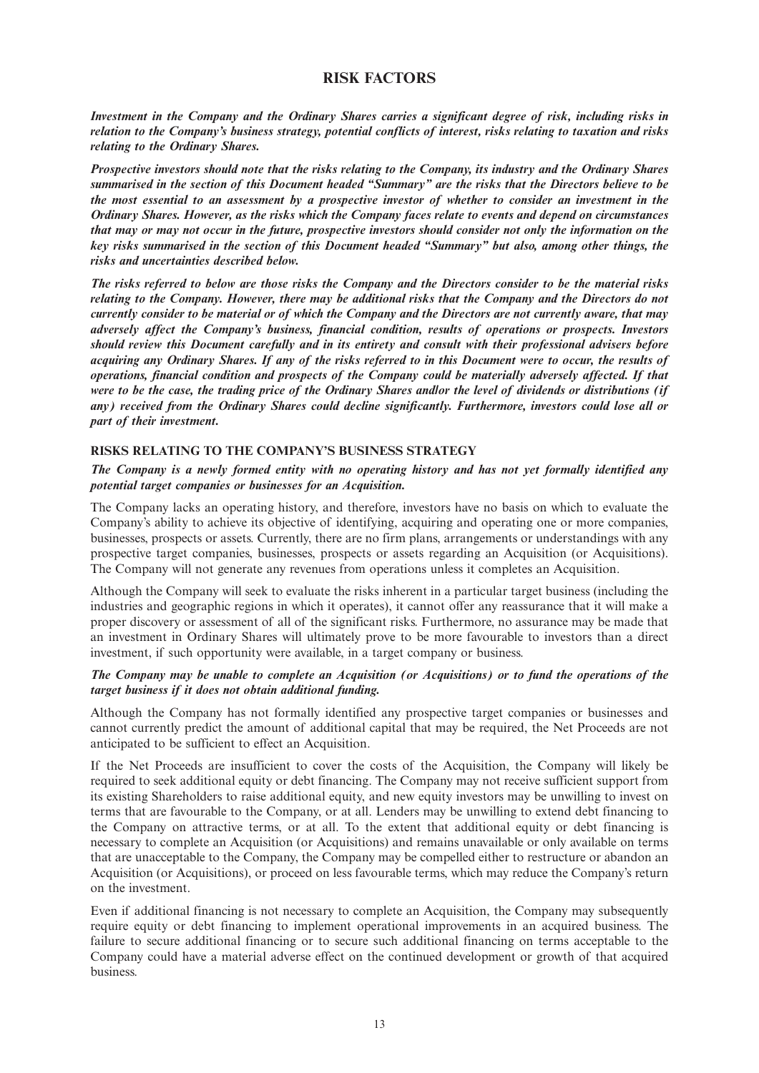## **RISK FACTORS**

Investment in the Company and the Ordinary Shares carries a significant degree of risk, including risks in relation to the Company's business strategy, potential conflicts of interest, risks relating to taxation and risks *relating to the Ordinary Shares.*

Prospective investors should note that the risks relating to the Company, its industry and the Ordinary Shares summarised in the section of this Document headed "Summary" are the risks that the Directors believe to be the most essential to an assessment by a prospective investor of whether to consider an investment in the Ordinary Shares. However, as the risks which the Company faces relate to events and depend on circumstances that may or may not occur in the future, prospective investors should consider not only the information on the *key risks summarised in the section of this Document headed "Summary" but also, among other things, the risks and uncertainties described below.*

The risks referred to below are those risks the Company and the Directors consider to be the material risks relating to the Company. However, there may be additional risks that the Company and the Directors do not currently consider to be material or of which the Company and the Directors are not currently aware, that may *adversely affect the Company's business, financial condition, results of operations or prospects. Investors should review this Document carefully and in its entirety and consult with their professional advisers before* acquiring any Ordinary Shares. If any of the risks referred to in this Document were to occur, the results of *operations, financial condition and prospects of the Company could be materially adversely affected. If that* were to be the case, the trading price of the Ordinary Shares andlor the level of dividends or distributions (if *any) received from the Ordinary Shares could decline significantly. Furthermore, investors could lose all or part of their investment.*

## **RISKS RELATING TO THE COMPANY'S BUSINESS STRATEGY**

## The Company is a newly formed entity with no operating history and has not yet formally identified any *potential target companies or businesses for an Acquisition.*

The Company lacks an operating history, and therefore, investors have no basis on which to evaluate the Company's ability to achieve its objective of identifying, acquiring and operating one or more companies, businesses, prospects or assets. Currently, there are no firm plans, arrangements or understandings with any prospective target companies, businesses, prospects or assets regarding an Acquisition (or Acquisitions). The Company will not generate any revenues from operations unless it completes an Acquisition.

Although the Company will seek to evaluate the risks inherent in a particular target business (including the industries and geographic regions in which it operates), it cannot offer any reassurance that it will make a proper discovery or assessment of all of the significant risks. Furthermore, no assurance may be made that an investment in Ordinary Shares will ultimately prove to be more favourable to investors than a direct investment, if such opportunity were available, in a target company or business.

### The Company may be unable to complete an Acquisition (or Acquisitions) or to fund the operations of the *target business if it does not obtain additional funding.*

Although the Company has not formally identified any prospective target companies or businesses and cannot currently predict the amount of additional capital that may be required, the Net Proceeds are not anticipated to be sufficient to effect an Acquisition.

If the Net Proceeds are insufficient to cover the costs of the Acquisition, the Company will likely be required to seek additional equity or debt financing. The Company may not receive sufficient support from its existing Shareholders to raise additional equity, and new equity investors may be unwilling to invest on terms that are favourable to the Company, or at all. Lenders may be unwilling to extend debt financing to the Company on attractive terms, or at all. To the extent that additional equity or debt financing is necessary to complete an Acquisition (or Acquisitions) and remains unavailable or only available on terms that are unacceptable to the Company, the Company may be compelled either to restructure or abandon an Acquisition (or Acquisitions), or proceed on less favourable terms, which may reduce the Company's return on the investment.

Even if additional financing is not necessary to complete an Acquisition, the Company may subsequently require equity or debt financing to implement operational improvements in an acquired business. The failure to secure additional financing or to secure such additional financing on terms acceptable to the Company could have a material adverse effect on the continued development or growth of that acquired business.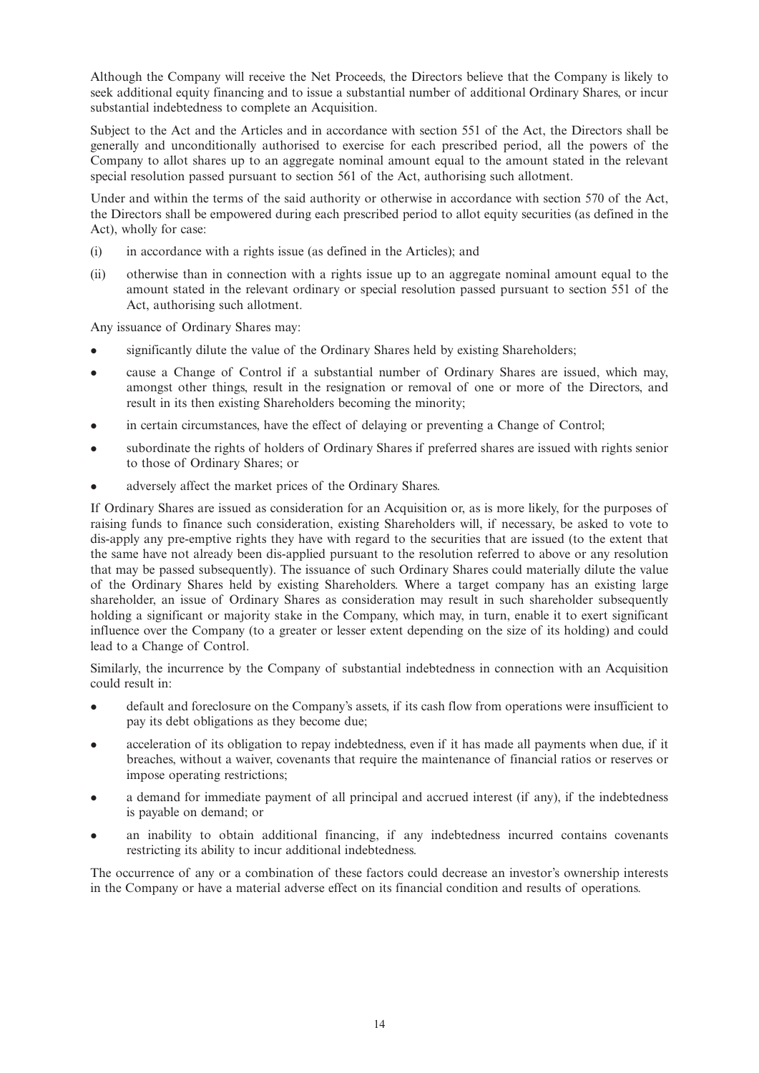Although the Company will receive the Net Proceeds, the Directors believe that the Company is likely to seek additional equity financing and to issue a substantial number of additional Ordinary Shares, or incur substantial indebtedness to complete an Acquisition.

Subject to the Act and the Articles and in accordance with section 551 of the Act, the Directors shall be generally and unconditionally authorised to exercise for each prescribed period, all the powers of the Company to allot shares up to an aggregate nominal amount equal to the amount stated in the relevant special resolution passed pursuant to section 561 of the Act, authorising such allotment.

Under and within the terms of the said authority or otherwise in accordance with section 570 of the Act, the Directors shall be empowered during each prescribed period to allot equity securities (as defined in the Act), wholly for case:

- (i) in accordance with a rights issue (as defined in the Articles); and
- (ii) otherwise than in connection with a rights issue up to an aggregate nominal amount equal to the amount stated in the relevant ordinary or special resolution passed pursuant to section 551 of the Act, authorising such allotment.

Any issuance of Ordinary Shares may:

- significantly dilute the value of the Ordinary Shares held by existing Shareholders;
- cause a Change of Control if a substantial number of Ordinary Shares are issued, which may, amongst other things, result in the resignation or removal of one or more of the Directors, and result in its then existing Shareholders becoming the minority;
- in certain circumstances, have the effect of delaying or preventing a Change of Control;
- subordinate the rights of holders of Ordinary Shares if preferred shares are issued with rights senior to those of Ordinary Shares; or
- adversely affect the market prices of the Ordinary Shares.

If Ordinary Shares are issued as consideration for an Acquisition or, as is more likely, for the purposes of raising funds to finance such consideration, existing Shareholders will, if necessary, be asked to vote to dis-apply any pre-emptive rights they have with regard to the securities that are issued (to the extent that the same have not already been dis-applied pursuant to the resolution referred to above or any resolution that may be passed subsequently). The issuance of such Ordinary Shares could materially dilute the value of the Ordinary Shares held by existing Shareholders. Where a target company has an existing large shareholder, an issue of Ordinary Shares as consideration may result in such shareholder subsequently holding a significant or majority stake in the Company, which may, in turn, enable it to exert significant influence over the Company (to a greater or lesser extent depending on the size of its holding) and could lead to a Change of Control.

Similarly, the incurrence by the Company of substantial indebtedness in connection with an Acquisition could result in:

- <sup>l</sup> default and foreclosure on the Company's assets, if its cash flow from operations were insufficient to pay its debt obligations as they become due;
- acceleration of its obligation to repay indebtedness, even if it has made all payments when due, if it breaches, without a waiver, covenants that require the maintenance of financial ratios or reserves or impose operating restrictions;
- a demand for immediate payment of all principal and accrued interest (if any), if the indebtedness is payable on demand; or
- an inability to obtain additional financing, if any indebtedness incurred contains covenants restricting its ability to incur additional indebtedness.

The occurrence of any or a combination of these factors could decrease an investor's ownership interests in the Company or have a material adverse effect on its financial condition and results of operations.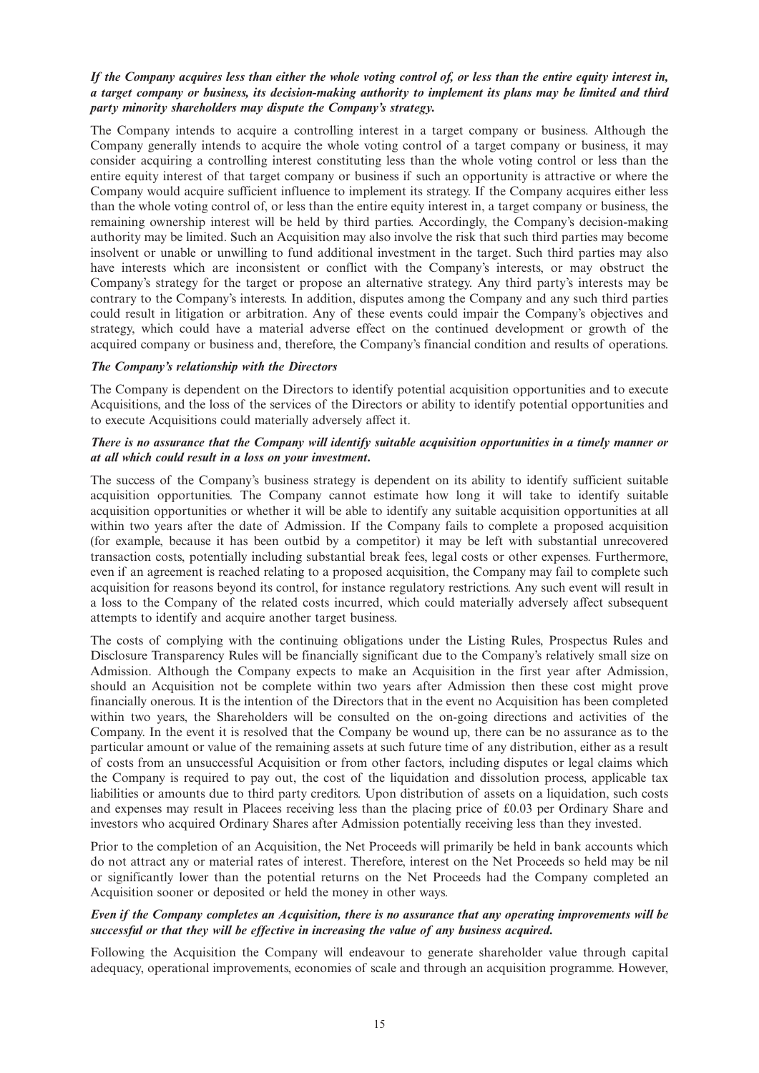## If the Company acquires less than either the whole voting control of, or less than the entire equity interest in, a target company or business, its decision-making authority to implement its plans may be limited and third *party minority shareholders may dispute the Company's strategy.*

The Company intends to acquire a controlling interest in a target company or business. Although the Company generally intends to acquire the whole voting control of a target company or business, it may consider acquiring a controlling interest constituting less than the whole voting control or less than the entire equity interest of that target company or business if such an opportunity is attractive or where the Company would acquire sufficient influence to implement its strategy. If the Company acquires either less than the whole voting control of, or less than the entire equity interest in, a target company or business, the remaining ownership interest will be held by third parties. Accordingly, the Company's decision-making authority may be limited. Such an Acquisition may also involve the risk that such third parties may become insolvent or unable or unwilling to fund additional investment in the target. Such third parties may also have interests which are inconsistent or conflict with the Company's interests, or may obstruct the Company's strategy for the target or propose an alternative strategy. Any third party's interests may be contrary to the Company's interests. In addition, disputes among the Company and any such third parties could result in litigation or arbitration. Any of these events could impair the Company's objectives and strategy, which could have a material adverse effect on the continued development or growth of the acquired company or business and, therefore, the Company's financial condition and results of operations.

### *The Company's relationship with the Directors*

The Company is dependent on the Directors to identify potential acquisition opportunities and to execute Acquisitions, and the loss of the services of the Directors or ability to identify potential opportunities and to execute Acquisitions could materially adversely affect it.

### There is no assurance that the Company will identify suitable acquisition opportunities in a timely manner or *at all which could result in a loss on your investment.*

The success of the Company's business strategy is dependent on its ability to identify sufficient suitable acquisition opportunities. The Company cannot estimate how long it will take to identify suitable acquisition opportunities or whether it will be able to identify any suitable acquisition opportunities at all within two years after the date of Admission. If the Company fails to complete a proposed acquisition (for example, because it has been outbid by a competitor) it may be left with substantial unrecovered transaction costs, potentially including substantial break fees, legal costs or other expenses. Furthermore, even if an agreement is reached relating to a proposed acquisition, the Company may fail to complete such acquisition for reasons beyond its control, for instance regulatory restrictions. Any such event will result in a loss to the Company of the related costs incurred, which could materially adversely affect subsequent attempts to identify and acquire another target business.

The costs of complying with the continuing obligations under the Listing Rules, Prospectus Rules and Disclosure Transparency Rules will be financially significant due to the Company's relatively small size on Admission. Although the Company expects to make an Acquisition in the first year after Admission, should an Acquisition not be complete within two years after Admission then these cost might prove financially onerous. It is the intention of the Directors that in the event no Acquisition has been completed within two years, the Shareholders will be consulted on the on-going directions and activities of the Company. In the event it is resolved that the Company be wound up, there can be no assurance as to the particular amount or value of the remaining assets at such future time of any distribution, either as a result of costs from an unsuccessful Acquisition or from other factors, including disputes or legal claims which the Company is required to pay out, the cost of the liquidation and dissolution process, applicable tax liabilities or amounts due to third party creditors. Upon distribution of assets on a liquidation, such costs and expenses may result in Placees receiving less than the placing price of £0.03 per Ordinary Share and investors who acquired Ordinary Shares after Admission potentially receiving less than they invested.

Prior to the completion of an Acquisition, the Net Proceeds will primarily be held in bank accounts which do not attract any or material rates of interest. Therefore, interest on the Net Proceeds so held may be nil or significantly lower than the potential returns on the Net Proceeds had the Company completed an Acquisition sooner or deposited or held the money in other ways.

## Even if the Company completes an Acquisition, there is no assurance that any operating improvements will be *successful or that they will be effective in increasing the value of any business acquired.*

Following the Acquisition the Company will endeavour to generate shareholder value through capital adequacy, operational improvements, economies of scale and through an acquisition programme. However,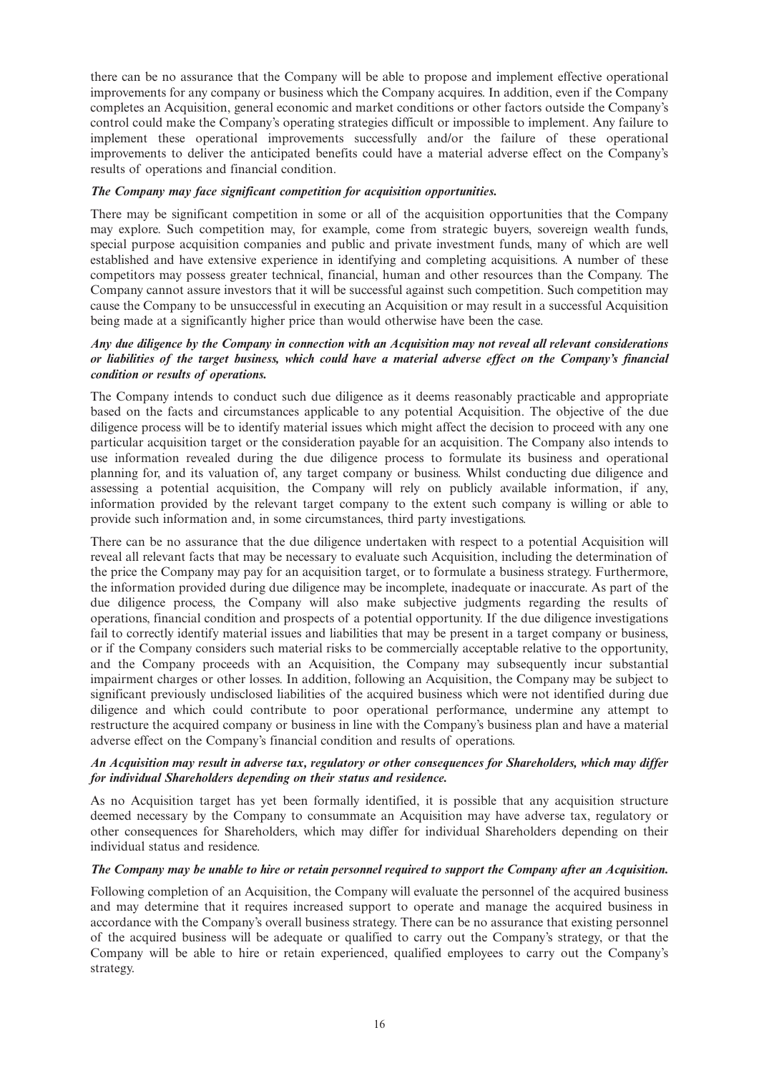there can be no assurance that the Company will be able to propose and implement effective operational improvements for any company or business which the Company acquires. In addition, even if the Company completes an Acquisition, general economic and market conditions or other factors outside the Company's control could make the Company's operating strategies difficult or impossible to implement. Any failure to implement these operational improvements successfully and/or the failure of these operational improvements to deliver the anticipated benefits could have a material adverse effect on the Company's results of operations and financial condition.

## *The Company may face significant competition for acquisition opportunities.*

There may be significant competition in some or all of the acquisition opportunities that the Company may explore. Such competition may, for example, come from strategic buyers, sovereign wealth funds, special purpose acquisition companies and public and private investment funds, many of which are well established and have extensive experience in identifying and completing acquisitions. A number of these competitors may possess greater technical, financial, human and other resources than the Company. The Company cannot assure investors that it will be successful against such competition. Such competition may cause the Company to be unsuccessful in executing an Acquisition or may result in a successful Acquisition being made at a significantly higher price than would otherwise have been the case.

## Any due diligence by the Company in connection with an Acquisition may not reveal all relevant considerations or liabilities of the target business, which could have a material adverse effect on the Company's financial *condition or results of operations.*

The Company intends to conduct such due diligence as it deems reasonably practicable and appropriate based on the facts and circumstances applicable to any potential Acquisition. The objective of the due diligence process will be to identify material issues which might affect the decision to proceed with any one particular acquisition target or the consideration payable for an acquisition. The Company also intends to use information revealed during the due diligence process to formulate its business and operational planning for, and its valuation of, any target company or business. Whilst conducting due diligence and assessing a potential acquisition, the Company will rely on publicly available information, if any, information provided by the relevant target company to the extent such company is willing or able to provide such information and, in some circumstances, third party investigations.

There can be no assurance that the due diligence undertaken with respect to a potential Acquisition will reveal all relevant facts that may be necessary to evaluate such Acquisition, including the determination of the price the Company may pay for an acquisition target, or to formulate a business strategy. Furthermore, the information provided during due diligence may be incomplete, inadequate or inaccurate. As part of the due diligence process, the Company will also make subjective judgments regarding the results of operations, financial condition and prospects of a potential opportunity. If the due diligence investigations fail to correctly identify material issues and liabilities that may be present in a target company or business, or if the Company considers such material risks to be commercially acceptable relative to the opportunity, and the Company proceeds with an Acquisition, the Company may subsequently incur substantial impairment charges or other losses. In addition, following an Acquisition, the Company may be subject to significant previously undisclosed liabilities of the acquired business which were not identified during due diligence and which could contribute to poor operational performance, undermine any attempt to restructure the acquired company or business in line with the Company's business plan and have a material adverse effect on the Company's financial condition and results of operations.

### *An Acquisition may result in adverse tax, regulatory or other consequences for Shareholders, which may differ for individual Shareholders depending on their status and residence.*

As no Acquisition target has yet been formally identified, it is possible that any acquisition structure deemed necessary by the Company to consummate an Acquisition may have adverse tax, regulatory or other consequences for Shareholders, which may differ for individual Shareholders depending on their individual status and residence.

### The Company may be unable to hire or retain personnel required to support the Company after an Acquisition.

Following completion of an Acquisition, the Company will evaluate the personnel of the acquired business and may determine that it requires increased support to operate and manage the acquired business in accordance with the Company's overall business strategy. There can be no assurance that existing personnel of the acquired business will be adequate or qualified to carry out the Company's strategy, or that the Company will be able to hire or retain experienced, qualified employees to carry out the Company's strategy.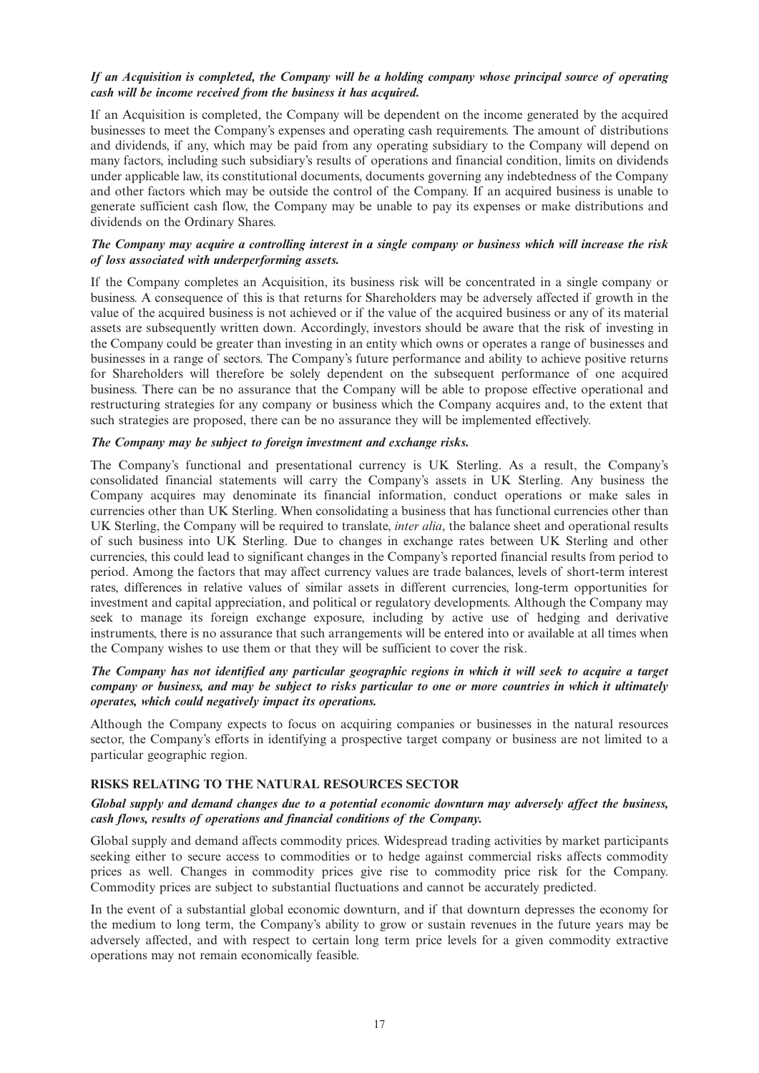## *If an Acquisition is completed, the Company will be a holding company whose principal source of operating cash will be income received from the business it has acquired.*

If an Acquisition is completed, the Company will be dependent on the income generated by the acquired businesses to meet the Company's expenses and operating cash requirements. The amount of distributions and dividends, if any, which may be paid from any operating subsidiary to the Company will depend on many factors, including such subsidiary's results of operations and financial condition, limits on dividends under applicable law, its constitutional documents, documents governing any indebtedness of the Company and other factors which may be outside the control of the Company. If an acquired business is unable to generate sufficient cash flow, the Company may be unable to pay its expenses or make distributions and dividends on the Ordinary Shares.

## The Company may acquire a controlling interest in a single company or business which will increase the risk *of loss associated with underperforming assets.*

If the Company completes an Acquisition, its business risk will be concentrated in a single company or business. A consequence of this is that returns for Shareholders may be adversely affected if growth in the value of the acquired business is not achieved or if the value of the acquired business or any of its material assets are subsequently written down. Accordingly, investors should be aware that the risk of investing in the Company could be greater than investing in an entity which owns or operates a range of businesses and businesses in a range of sectors. The Company's future performance and ability to achieve positive returns for Shareholders will therefore be solely dependent on the subsequent performance of one acquired business. There can be no assurance that the Company will be able to propose effective operational and restructuring strategies for any company or business which the Company acquires and, to the extent that such strategies are proposed, there can be no assurance they will be implemented effectively.

## *The Company may be subject to foreign investment and exchange risks.*

The Company's functional and presentational currency is UK Sterling. As a result, the Company's consolidated financial statements will carry the Company's assets in UK Sterling. Any business the Company acquires may denominate its financial information, conduct operations or make sales in currencies other than UK Sterling. When consolidating a business that has functional currencies other than UK Sterling, the Company will be required to translate, *inter alia*, the balance sheet and operational results of such business into UK Sterling. Due to changes in exchange rates between UK Sterling and other currencies, this could lead to significant changes in the Company's reported financial results from period to period. Among the factors that may affect currency values are trade balances, levels of short-term interest rates, differences in relative values of similar assets in different currencies, long-term opportunities for investment and capital appreciation, and political or regulatory developments. Although the Company may seek to manage its foreign exchange exposure, including by active use of hedging and derivative instruments, there is no assurance that such arrangements will be entered into or available at all times when the Company wishes to use them or that they will be sufficient to cover the risk.

## The Company has not identified any particular geographic regions in which it will seek to acquire a target company or business, and may be subject to risks particular to one or more countries in which it ultimately *operates, which could negatively impact its operations.*

Although the Company expects to focus on acquiring companies or businesses in the natural resources sector, the Company's efforts in identifying a prospective target company or business are not limited to a particular geographic region.

### **RISKS RELATING TO THE NATURAL RESOURCES SECTOR**

## *Global supply and demand changes due to a potential economic downturn may adversely affect the business, cash flows, results of operations and financial conditions of the Company.*

Global supply and demand affects commodity prices. Widespread trading activities by market participants seeking either to secure access to commodities or to hedge against commercial risks affects commodity prices as well. Changes in commodity prices give rise to commodity price risk for the Company. Commodity prices are subject to substantial fluctuations and cannot be accurately predicted.

In the event of a substantial global economic downturn, and if that downturn depresses the economy for the medium to long term, the Company's ability to grow or sustain revenues in the future years may be adversely affected, and with respect to certain long term price levels for a given commodity extractive operations may not remain economically feasible.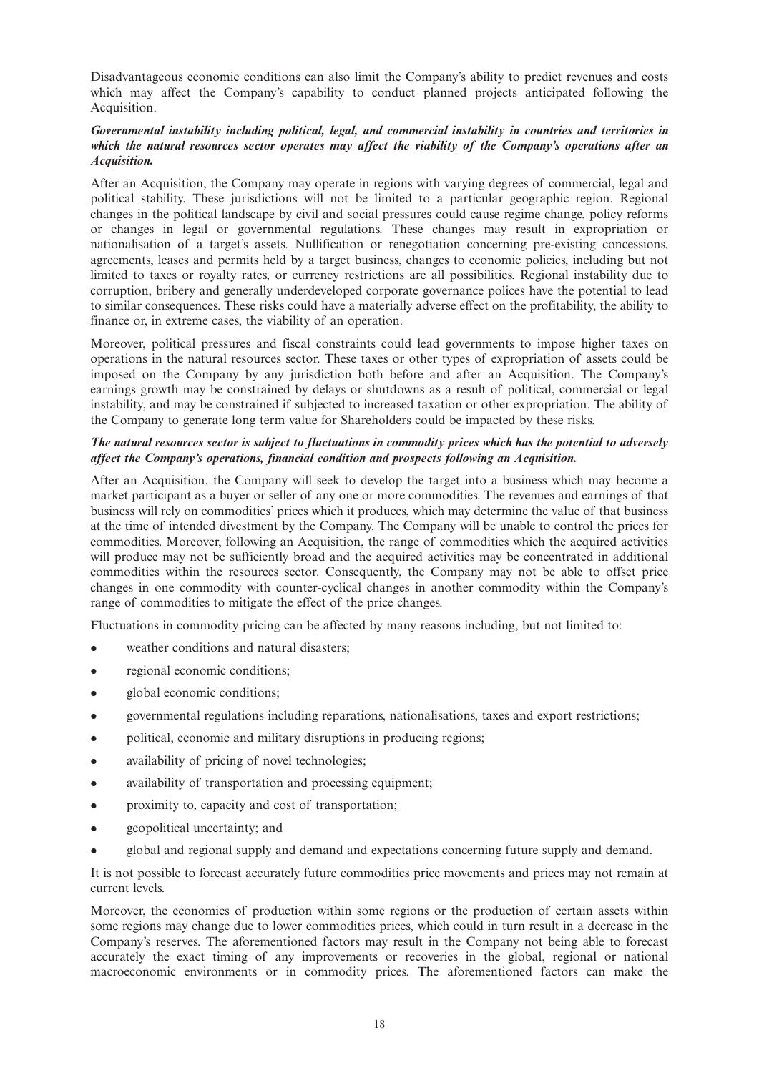Disadvantageous economic conditions can also limit the Company's ability to predict revenues and costs which may affect the Company's capability to conduct planned projects anticipated following the Acquisition.

## *Governmental instability including political, legal, and commercial instability in countries and territories in which the natural resources sector operates may affect the viability of the Company's operations after an Acquisition.*

After an Acquisition, the Company may operate in regions with varying degrees of commercial, legal and political stability. These jurisdictions will not be limited to a particular geographic region. Regional changes in the political landscape by civil and social pressures could cause regime change, policy reforms or changes in legal or governmental regulations. These changes may result in expropriation or nationalisation of a target's assets. Nullification or renegotiation concerning pre-existing concessions, agreements, leases and permits held by a target business, changes to economic policies, including but not limited to taxes or royalty rates, or currency restrictions are all possibilities. Regional instability due to corruption, bribery and generally underdeveloped corporate governance polices have the potential to lead to similar consequences. These risks could have a materially adverse effect on the profitability, the ability to finance or, in extreme cases, the viability of an operation.

Moreover, political pressures and fiscal constraints could lead governments to impose higher taxes on operations in the natural resources sector. These taxes or other types of expropriation of assets could be imposed on the Company by any jurisdiction both before and after an Acquisition. The Company's earnings growth may be constrained by delays or shutdowns as a result of political, commercial or legal instability, and may be constrained if subjected to increased taxation or other expropriation. The ability of the Company to generate long term value for Shareholders could be impacted by these risks.

## The natural resources sector is subject to fluctuations in commodity prices which has the potential to adversely *affect the Company's operations, financial condition and prospects following an Acquisition.*

After an Acquisition, the Company will seek to develop the target into a business which may become a market participant as a buyer or seller of any one or more commodities. The revenues and earnings of that business will rely on commodities' prices which it produces, which may determine the value of that business at the time of intended divestment by the Company. The Company will be unable to control the prices for commodities. Moreover, following an Acquisition, the range of commodities which the acquired activities will produce may not be sufficiently broad and the acquired activities may be concentrated in additional commodities within the resources sector. Consequently, the Company may not be able to offset price changes in one commodity with counter-cyclical changes in another commodity within the Company's range of commodities to mitigate the effect of the price changes.

Fluctuations in commodity pricing can be affected by many reasons including, but not limited to:

- weather conditions and natural disasters;
- regional economic conditions;
- <sup>l</sup> global economic conditions;
- <sup>l</sup> governmental regulations including reparations, nationalisations, taxes and export restrictions;
- political, economic and military disruptions in producing regions;
- availability of pricing of novel technologies;
- availability of transportation and processing equipment;
- proximity to, capacity and cost of transportation:
- geopolitical uncertainty; and
- <sup>l</sup> global and regional supply and demand and expectations concerning future supply and demand.

It is not possible to forecast accurately future commodities price movements and prices may not remain at current levels.

Moreover, the economics of production within some regions or the production of certain assets within some regions may change due to lower commodities prices, which could in turn result in a decrease in the Company's reserves. The aforementioned factors may result in the Company not being able to forecast accurately the exact timing of any improvements or recoveries in the global, regional or national macroeconomic environments or in commodity prices. The aforementioned factors can make the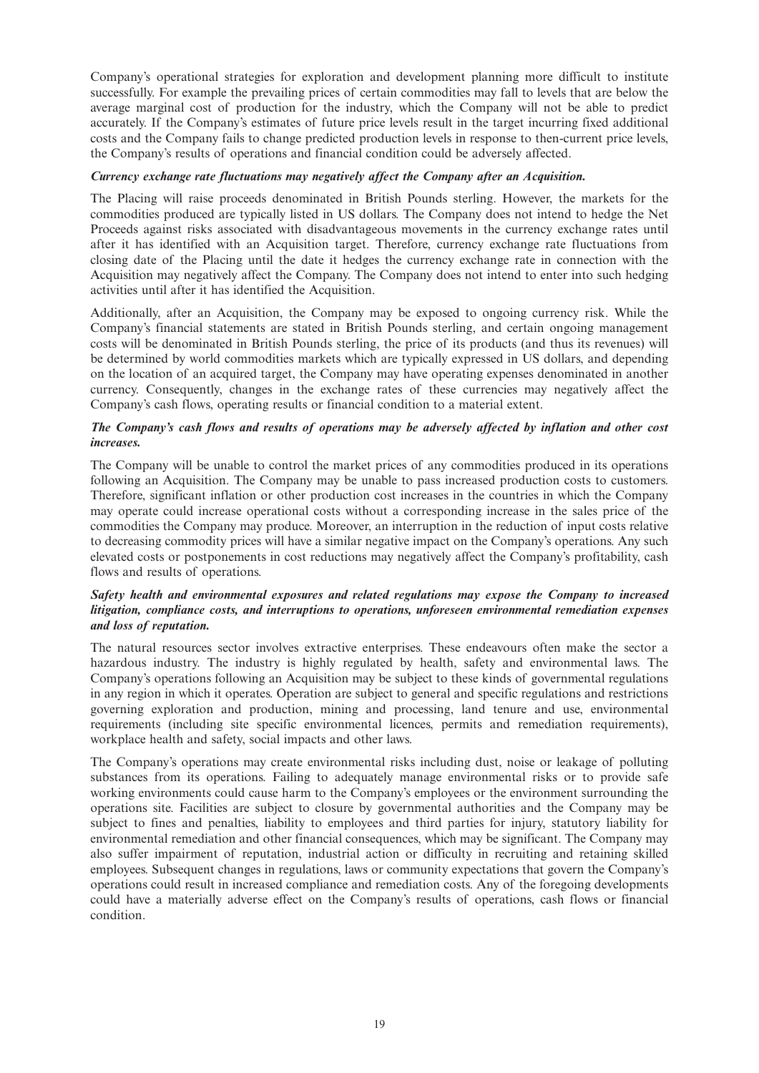Company's operational strategies for exploration and development planning more difficult to institute successfully. For example the prevailing prices of certain commodities may fall to levels that are below the average marginal cost of production for the industry, which the Company will not be able to predict accurately. If the Company's estimates of future price levels result in the target incurring fixed additional costs and the Company fails to change predicted production levels in response to then-current price levels, the Company's results of operations and financial condition could be adversely affected.

## *Currency exchange rate fluctuations may negatively affect the Company after an Acquisition.*

The Placing will raise proceeds denominated in British Pounds sterling. However, the markets for the commodities produced are typically listed in US dollars. The Company does not intend to hedge the Net Proceeds against risks associated with disadvantageous movements in the currency exchange rates until after it has identified with an Acquisition target. Therefore, currency exchange rate fluctuations from closing date of the Placing until the date it hedges the currency exchange rate in connection with the Acquisition may negatively affect the Company. The Company does not intend to enter into such hedging activities until after it has identified the Acquisition.

Additionally, after an Acquisition, the Company may be exposed to ongoing currency risk. While the Company's financial statements are stated in British Pounds sterling, and certain ongoing management costs will be denominated in British Pounds sterling, the price of its products (and thus its revenues) will be determined by world commodities markets which are typically expressed in US dollars, and depending on the location of an acquired target, the Company may have operating expenses denominated in another currency. Consequently, changes in the exchange rates of these currencies may negatively affect the Company's cash flows, operating results or financial condition to a material extent.

## *The Company's cash flows and results of operations may be adversely affected by inflation and other cost increases.*

The Company will be unable to control the market prices of any commodities produced in its operations following an Acquisition. The Company may be unable to pass increased production costs to customers. Therefore, significant inflation or other production cost increases in the countries in which the Company may operate could increase operational costs without a corresponding increase in the sales price of the commodities the Company may produce. Moreover, an interruption in the reduction of input costs relative to decreasing commodity prices will have a similar negative impact on the Company's operations. Any such elevated costs or postponements in cost reductions may negatively affect the Company's profitability, cash flows and results of operations.

## *Safety health and environmental exposures and related regulations may expose the Company to increased litigation, compliance costs, and interruptions to operations, unforeseen environmental remediation expenses and loss of reputation.*

The natural resources sector involves extractive enterprises. These endeavours often make the sector a hazardous industry. The industry is highly regulated by health, safety and environmental laws. The Company's operations following an Acquisition may be subject to these kinds of governmental regulations in any region in which it operates. Operation are subject to general and specific regulations and restrictions governing exploration and production, mining and processing, land tenure and use, environmental requirements (including site specific environmental licences, permits and remediation requirements), workplace health and safety, social impacts and other laws.

The Company's operations may create environmental risks including dust, noise or leakage of polluting substances from its operations. Failing to adequately manage environmental risks or to provide safe working environments could cause harm to the Company's employees or the environment surrounding the operations site. Facilities are subject to closure by governmental authorities and the Company may be subject to fines and penalties, liability to employees and third parties for injury, statutory liability for environmental remediation and other financial consequences, which may be significant. The Company may also suffer impairment of reputation, industrial action or difficulty in recruiting and retaining skilled employees. Subsequent changes in regulations, laws or community expectations that govern the Company's operations could result in increased compliance and remediation costs. Any of the foregoing developments could have a materially adverse effect on the Company's results of operations, cash flows or financial condition.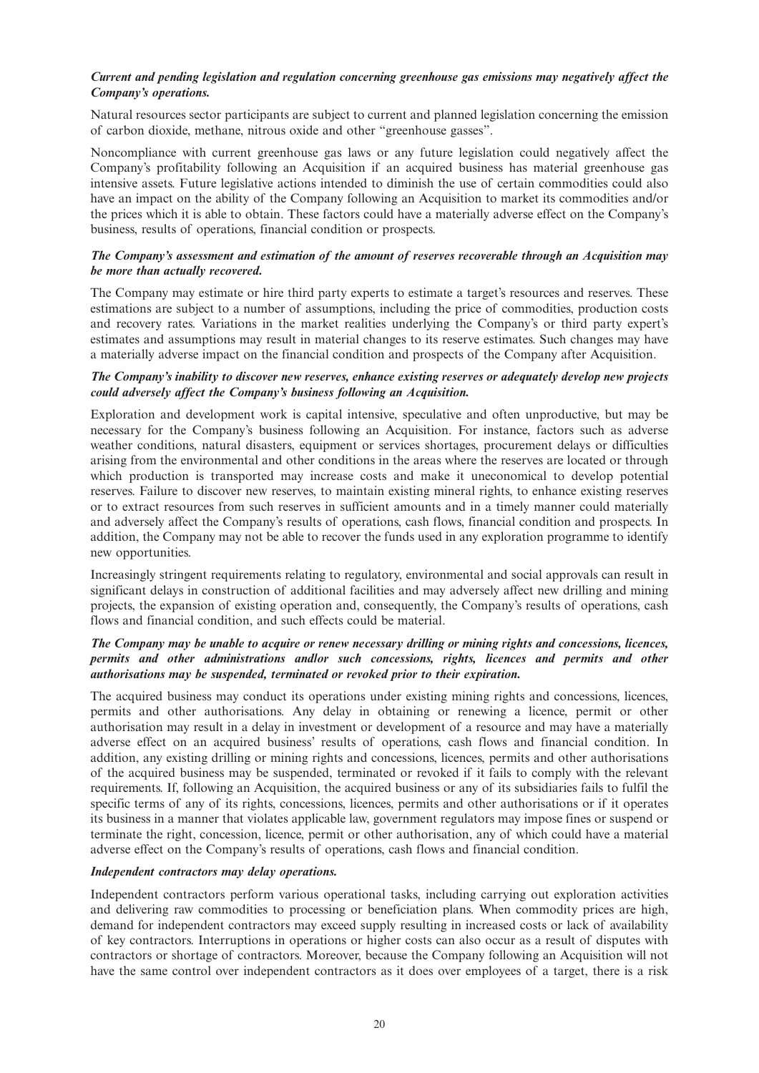## *Current and pending legislation and regulation concerning greenhouse gas emissions may negatively affect the Company's operations.*

Natural resources sector participants are subject to current and planned legislation concerning the emission of carbon dioxide, methane, nitrous oxide and other "greenhouse gasses".

Noncompliance with current greenhouse gas laws or any future legislation could negatively affect the Company's profitability following an Acquisition if an acquired business has material greenhouse gas intensive assets. Future legislative actions intended to diminish the use of certain commodities could also have an impact on the ability of the Company following an Acquisition to market its commodities and/or the prices which it is able to obtain. These factors could have a materially adverse effect on the Company's business, results of operations, financial condition or prospects.

## *The Company's assessment and estimation of the amount of reserves recoverable through an Acquisition may be more than actually recovered.*

The Company may estimate or hire third party experts to estimate a target's resources and reserves. These estimations are subject to a number of assumptions, including the price of commodities, production costs and recovery rates. Variations in the market realities underlying the Company's or third party expert's estimates and assumptions may result in material changes to its reserve estimates. Such changes may have a materially adverse impact on the financial condition and prospects of the Company after Acquisition.

## *The Company's inability to discover new reserves, enhance existing reserves or adequately develop new projects could adversely affect the Company's business following an Acquisition.*

Exploration and development work is capital intensive, speculative and often unproductive, but may be necessary for the Company's business following an Acquisition. For instance, factors such as adverse weather conditions, natural disasters, equipment or services shortages, procurement delays or difficulties arising from the environmental and other conditions in the areas where the reserves are located or through which production is transported may increase costs and make it uneconomical to develop potential reserves. Failure to discover new reserves, to maintain existing mineral rights, to enhance existing reserves or to extract resources from such reserves in sufficient amounts and in a timely manner could materially and adversely affect the Company's results of operations, cash flows, financial condition and prospects. In addition, the Company may not be able to recover the funds used in any exploration programme to identify new opportunities.

Increasingly stringent requirements relating to regulatory, environmental and social approvals can result in significant delays in construction of additional facilities and may adversely affect new drilling and mining projects, the expansion of existing operation and, consequently, the Company's results of operations, cash flows and financial condition, and such effects could be material.

## The Company may be unable to acquire or renew necessary drilling or mining rights and concessions, licences, *permits and other administrations and/or such concessions, rights, licences and permits and other authorisations may be suspended, terminated or revoked prior to their expiration.*

The acquired business may conduct its operations under existing mining rights and concessions, licences, permits and other authorisations. Any delay in obtaining or renewing a licence, permit or other authorisation may result in a delay in investment or development of a resource and may have a materially adverse effect on an acquired business' results of operations, cash flows and financial condition. In addition, any existing drilling or mining rights and concessions, licences, permits and other authorisations of the acquired business may be suspended, terminated or revoked if it fails to comply with the relevant requirements. If, following an Acquisition, the acquired business or any of its subsidiaries fails to fulfil the specific terms of any of its rights, concessions, licences, permits and other authorisations or if it operates its business in a manner that violates applicable law, government regulators may impose fines or suspend or terminate the right, concession, licence, permit or other authorisation, any of which could have a material adverse effect on the Company's results of operations, cash flows and financial condition.

### *Independent contractors may delay operations.*

Independent contractors perform various operational tasks, including carrying out exploration activities and delivering raw commodities to processing or beneficiation plans. When commodity prices are high, demand for independent contractors may exceed supply resulting in increased costs or lack of availability of key contractors. Interruptions in operations or higher costs can also occur as a result of disputes with contractors or shortage of contractors. Moreover, because the Company following an Acquisition will not have the same control over independent contractors as it does over employees of a target, there is a risk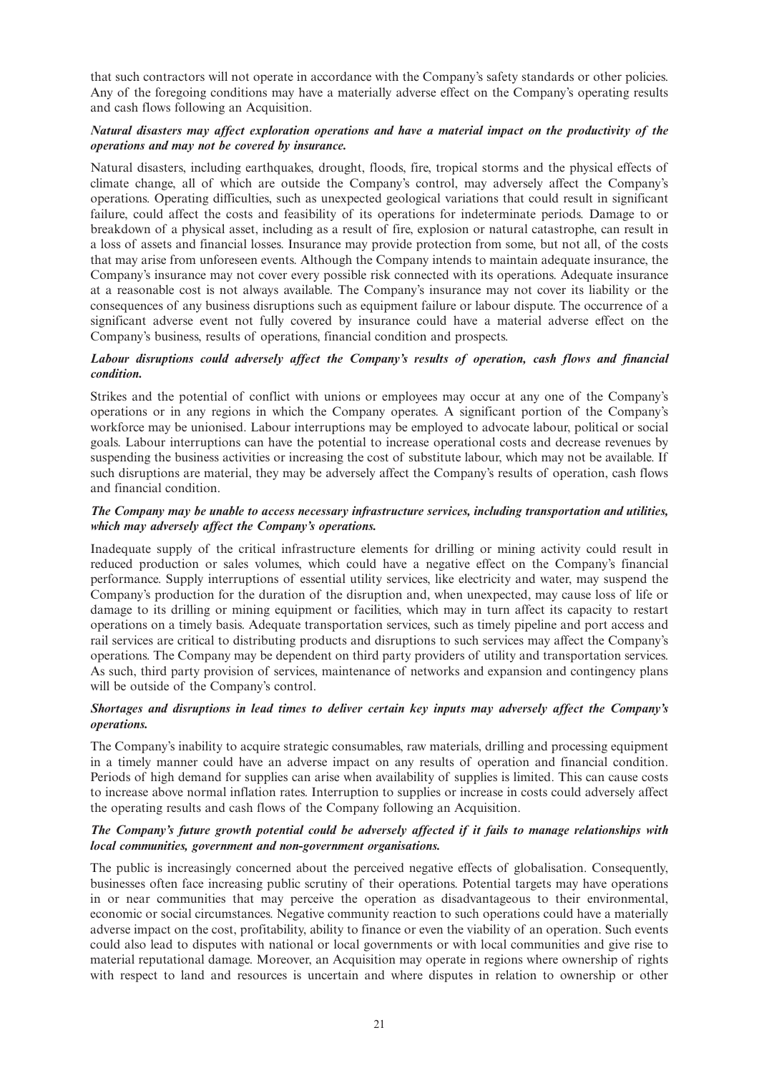that such contractors will not operate in accordance with the Company's safety standards or other policies. Any of the foregoing conditions may have a materially adverse effect on the Company's operating results and cash flows following an Acquisition.

## *Natural disasters may affect exploration operations and have a material impact on the productivity of the operations and may not be covered by insurance.*

Natural disasters, including earthquakes, drought, floods, fire, tropical storms and the physical effects of climate change, all of which are outside the Company's control, may adversely affect the Company's operations. Operating difficulties, such as unexpected geological variations that could result in significant failure, could affect the costs and feasibility of its operations for indeterminate periods. Damage to or breakdown of a physical asset, including as a result of fire, explosion or natural catastrophe, can result in a loss of assets and financial losses. Insurance may provide protection from some, but not all, of the costs that may arise from unforeseen events. Although the Company intends to maintain adequate insurance, the Company's insurance may not cover every possible risk connected with its operations. Adequate insurance at a reasonable cost is not always available. The Company's insurance may not cover its liability or the consequences of any business disruptions such as equipment failure or labour dispute. The occurrence of a significant adverse event not fully covered by insurance could have a material adverse effect on the Company's business, results of operations, financial condition and prospects.

## *Labour disruptions could adversely affect the Company's results of operation, cash flows and financial condition.*

Strikes and the potential of conflict with unions or employees may occur at any one of the Company's operations or in any regions in which the Company operates. A significant portion of the Company's workforce may be unionised. Labour interruptions may be employed to advocate labour, political or social goals. Labour interruptions can have the potential to increase operational costs and decrease revenues by suspending the business activities or increasing the cost of substitute labour, which may not be available. If such disruptions are material, they may be adversely affect the Company's results of operation, cash flows and financial condition.

## *The Company may be unable to access necessary infrastructure services, including transportation and utilities, which may adversely affect the Company's operations.*

Inadequate supply of the critical infrastructure elements for drilling or mining activity could result in reduced production or sales volumes, which could have a negative effect on the Company's financial performance. Supply interruptions of essential utility services, like electricity and water, may suspend the Company's production for the duration of the disruption and, when unexpected, may cause loss of life or damage to its drilling or mining equipment or facilities, which may in turn affect its capacity to restart operations on a timely basis. Adequate transportation services, such as timely pipeline and port access and rail services are critical to distributing products and disruptions to such services may affect the Company's operations. The Company may be dependent on third party providers of utility and transportation services. As such, third party provision of services, maintenance of networks and expansion and contingency plans will be outside of the Company's control.

## *Shortages and disruptions in lead times to deliver certain key inputs may adversely affect the Company's operations.*

The Company's inability to acquire strategic consumables, raw materials, drilling and processing equipment in a timely manner could have an adverse impact on any results of operation and financial condition. Periods of high demand for supplies can arise when availability of supplies is limited. This can cause costs to increase above normal inflation rates. Interruption to supplies or increase in costs could adversely affect the operating results and cash flows of the Company following an Acquisition.

## *The Company's future growth potential could be adversely affected if it fails to manage relationships with local communities, government and non-government organisations.*

The public is increasingly concerned about the perceived negative effects of globalisation. Consequently, businesses often face increasing public scrutiny of their operations. Potential targets may have operations in or near communities that may perceive the operation as disadvantageous to their environmental, economic or social circumstances. Negative community reaction to such operations could have a materially adverse impact on the cost, profitability, ability to finance or even the viability of an operation. Such events could also lead to disputes with national or local governments or with local communities and give rise to material reputational damage. Moreover, an Acquisition may operate in regions where ownership of rights with respect to land and resources is uncertain and where disputes in relation to ownership or other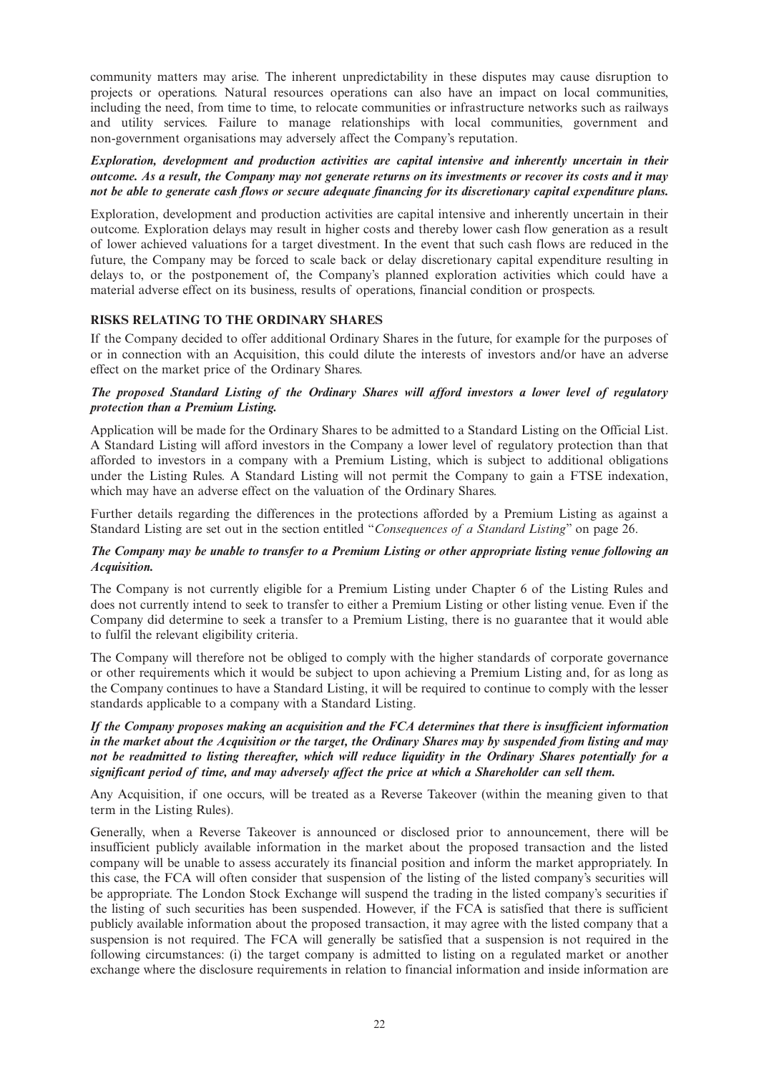community matters may arise. The inherent unpredictability in these disputes may cause disruption to projects or operations. Natural resources operations can also have an impact on local communities, including the need, from time to time, to relocate communities or infrastructure networks such as railways and utility services. Failure to manage relationships with local communities, government and non-government organisations may adversely affect the Company's reputation.

*Exploration, development and production activities are capital intensive and inherently uncertain in their* outcome. As a result, the Company may not generate returns on its investments or recover its costs and it may not be able to generate cash flows or secure adequate financing for its discretionary capital expenditure plans.

Exploration, development and production activities are capital intensive and inherently uncertain in their outcome. Exploration delays may result in higher costs and thereby lower cash flow generation as a result of lower achieved valuations for a target divestment. In the event that such cash flows are reduced in the future, the Company may be forced to scale back or delay discretionary capital expenditure resulting in delays to, or the postponement of, the Company's planned exploration activities which could have a material adverse effect on its business, results of operations, financial condition or prospects.

## **RISKS RELATING TO THE ORDINARY SHARES**

If the Company decided to offer additional Ordinary Shares in the future, for example for the purposes of or in connection with an Acquisition, this could dilute the interests of investors and/or have an adverse effect on the market price of the Ordinary Shares.

## *The proposed Standard Listing of the Ordinary Shares will afford investors a lower level of regulatory protection than a Premium Listing.*

Application will be made for the Ordinary Shares to be admitted to a Standard Listing on the Official List. A Standard Listing will afford investors in the Company a lower level of regulatory protection than that afforded to investors in a company with a Premium Listing, which is subject to additional obligations under the Listing Rules. A Standard Listing will not permit the Company to gain a FTSE indexation, which may have an adverse effect on the valuation of the Ordinary Shares.

Further details regarding the differences in the protections afforded by a Premium Listing as against a Standard Listing are set out in the section entitled "*Consequences of a Standard Listing*" on page 26.

## The Company may be unable to transfer to a Premium Listing or other appropriate listing venue following an *Acquisition.*

The Company is not currently eligible for a Premium Listing under Chapter 6 of the Listing Rules and does not currently intend to seek to transfer to either a Premium Listing or other listing venue. Even if the Company did determine to seek a transfer to a Premium Listing, there is no guarantee that it would able to fulfil the relevant eligibility criteria.

The Company will therefore not be obliged to comply with the higher standards of corporate governance or other requirements which it would be subject to upon achieving a Premium Listing and, for as long as the Company continues to have a Standard Listing, it will be required to continue to comply with the lesser standards applicable to a company with a Standard Listing.

## *If the Company proposes making an acquisition and the FCA determines that there is insufficient information* in the market about the Acquisition or the target, the Ordinary Shares may by suspended from listing and may not be readmitted to listing thereafter, which will reduce liquidity in the Ordinary Shares potentially for a *significant period of time, and may adversely affect the price at which a Shareholder can sell them.*

Any Acquisition, if one occurs, will be treated as a Reverse Takeover (within the meaning given to that term in the Listing Rules).

Generally, when a Reverse Takeover is announced or disclosed prior to announcement, there will be insufficient publicly available information in the market about the proposed transaction and the listed company will be unable to assess accurately its financial position and inform the market appropriately. In this case, the FCA will often consider that suspension of the listing of the listed company's securities will be appropriate. The London Stock Exchange will suspend the trading in the listed company's securities if the listing of such securities has been suspended. However, if the FCA is satisfied that there is sufficient publicly available information about the proposed transaction, it may agree with the listed company that a suspension is not required. The FCA will generally be satisfied that a suspension is not required in the following circumstances: (i) the target company is admitted to listing on a regulated market or another exchange where the disclosure requirements in relation to financial information and inside information are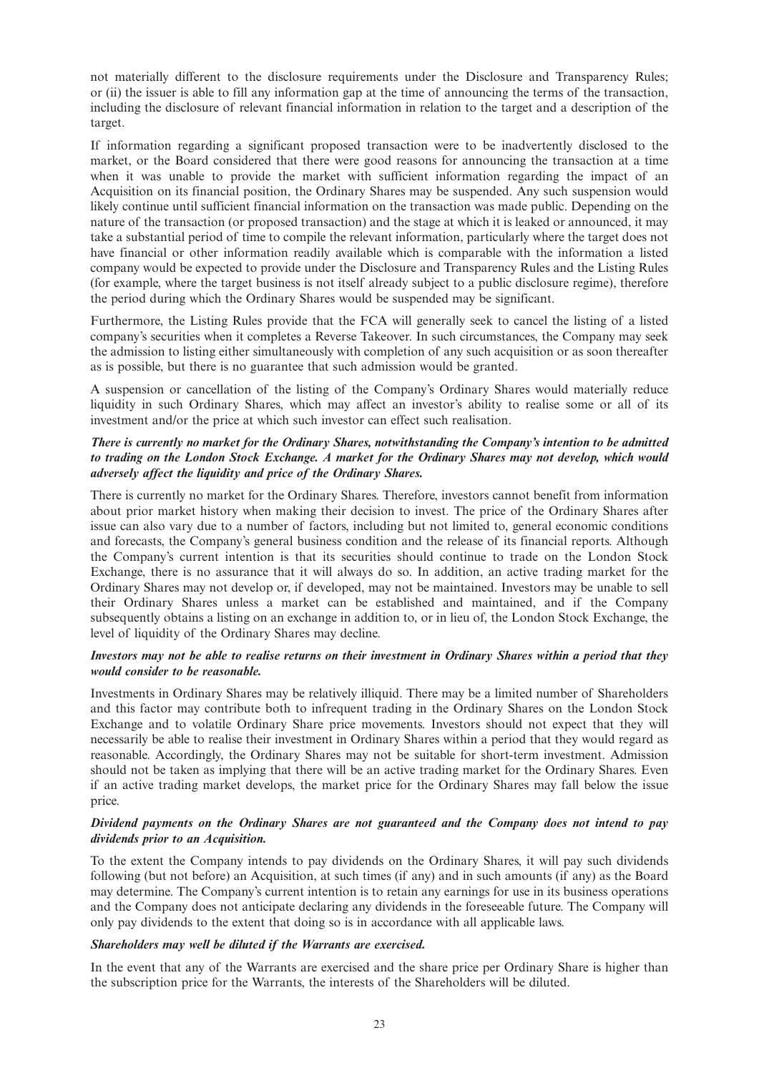not materially different to the disclosure requirements under the Disclosure and Transparency Rules; or (ii) the issuer is able to fill any information gap at the time of announcing the terms of the transaction, including the disclosure of relevant financial information in relation to the target and a description of the target.

If information regarding a significant proposed transaction were to be inadvertently disclosed to the market, or the Board considered that there were good reasons for announcing the transaction at a time when it was unable to provide the market with sufficient information regarding the impact of an Acquisition on its financial position, the Ordinary Shares may be suspended. Any such suspension would likely continue until sufficient financial information on the transaction was made public. Depending on the nature of the transaction (or proposed transaction) and the stage at which it is leaked or announced, it may take a substantial period of time to compile the relevant information, particularly where the target does not have financial or other information readily available which is comparable with the information a listed company would be expected to provide under the Disclosure and Transparency Rules and the Listing Rules (for example, where the target business is not itself already subject to a public disclosure regime), therefore the period during which the Ordinary Shares would be suspended may be significant.

Furthermore, the Listing Rules provide that the FCA will generally seek to cancel the listing of a listed company's securities when it completes a Reverse Takeover. In such circumstances, the Company may seek the admission to listing either simultaneously with completion of any such acquisition or as soon thereafter as is possible, but there is no guarantee that such admission would be granted.

A suspension or cancellation of the listing of the Company's Ordinary Shares would materially reduce liquidity in such Ordinary Shares, which may affect an investor's ability to realise some or all of its investment and/or the price at which such investor can effect such realisation.

## *There is currently no market for the Ordinary Shares, notwithstanding the Company's intention to be admitted* to trading on the London Stock Exchange. A market for the Ordinary Shares may not develop, which would *adversely affect the liquidity and price of the Ordinary Shares.*

There is currently no market for the Ordinary Shares. Therefore, investors cannot benefit from information about prior market history when making their decision to invest. The price of the Ordinary Shares after issue can also vary due to a number of factors, including but not limited to, general economic conditions and forecasts, the Company's general business condition and the release of its financial reports. Although the Company's current intention is that its securities should continue to trade on the London Stock Exchange, there is no assurance that it will always do so. In addition, an active trading market for the Ordinary Shares may not develop or, if developed, may not be maintained. Investors may be unable to sell their Ordinary Shares unless a market can be established and maintained, and if the Company subsequently obtains a listing on an exchange in addition to, or in lieu of, the London Stock Exchange, the level of liquidity of the Ordinary Shares may decline.

## Investors may not be able to realise returns on their investment in Ordinary Shares within a period that they *would consider to be reasonable.*

Investments in Ordinary Shares may be relatively illiquid. There may be a limited number of Shareholders and this factor may contribute both to infrequent trading in the Ordinary Shares on the London Stock Exchange and to volatile Ordinary Share price movements. Investors should not expect that they will necessarily be able to realise their investment in Ordinary Shares within a period that they would regard as reasonable. Accordingly, the Ordinary Shares may not be suitable for short-term investment. Admission should not be taken as implying that there will be an active trading market for the Ordinary Shares. Even if an active trading market develops, the market price for the Ordinary Shares may fall below the issue price.

## *Dividend payments on the Ordinary Shares are not guaranteed and the Company does not intend to pay dividends prior to an Acquisition.*

To the extent the Company intends to pay dividends on the Ordinary Shares, it will pay such dividends following (but not before) an Acquisition, at such times (if any) and in such amounts (if any) as the Board may determine. The Company's current intention is to retain any earnings for use in its business operations and the Company does not anticipate declaring any dividends in the foreseeable future. The Company will only pay dividends to the extent that doing so is in accordance with all applicable laws.

### *Shareholders may well be diluted if the Warrants are exercised.*

In the event that any of the Warrants are exercised and the share price per Ordinary Share is higher than the subscription price for the Warrants, the interests of the Shareholders will be diluted.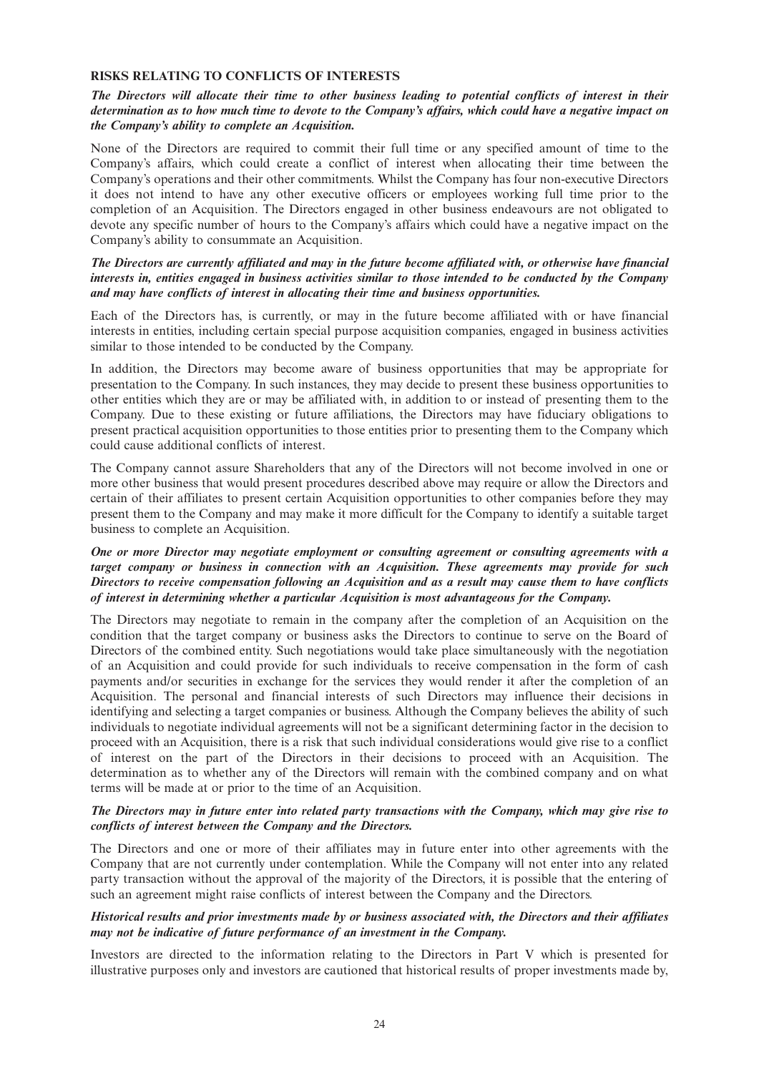#### **RISKS RELATING TO CONFLICTS OF INTERESTS**

## The Directors will allocate their time to other business leading to potential conflicts of interest in their determination as to how much time to devote to the Company's affairs, which could have a negative impact on *the Company's ability to complete an Acquisition.*

None of the Directors are required to commit their full time or any specified amount of time to the Company's affairs, which could create a conflict of interest when allocating their time between the Company's operations and their other commitments. Whilst the Company has four non-executive Directors it does not intend to have any other executive officers or employees working full time prior to the completion of an Acquisition. The Directors engaged in other business endeavours are not obligated to devote any specific number of hours to the Company's affairs which could have a negative impact on the Company's ability to consummate an Acquisition.

## The Directors are currently affiliated and may in the future become affiliated with, or otherwise have financial interests in, entities engaged in business activities similar to those intended to be conducted by the Company *and may have conflicts of interest in allocating their time and business opportunities.*

Each of the Directors has, is currently, or may in the future become affiliated with or have financial interests in entities, including certain special purpose acquisition companies, engaged in business activities similar to those intended to be conducted by the Company.

In addition, the Directors may become aware of business opportunities that may be appropriate for presentation to the Company. In such instances, they may decide to present these business opportunities to other entities which they are or may be affiliated with, in addition to or instead of presenting them to the Company. Due to these existing or future affiliations, the Directors may have fiduciary obligations to present practical acquisition opportunities to those entities prior to presenting them to the Company which could cause additional conflicts of interest.

The Company cannot assure Shareholders that any of the Directors will not become involved in one or more other business that would present procedures described above may require or allow the Directors and certain of their affiliates to present certain Acquisition opportunities to other companies before they may present them to the Company and may make it more difficult for the Company to identify a suitable target business to complete an Acquisition.

## *One or more Director may negotiate employment or consulting agreement or consulting agreements with a target company or business in connection with an Acquisition. These agreements may provide for such* Directors to receive compensation following an Acquisition and as a result may cause them to have conflicts *of interest in determining whether a particular Acquisition is most advantageous for the Company.*

The Directors may negotiate to remain in the company after the completion of an Acquisition on the condition that the target company or business asks the Directors to continue to serve on the Board of Directors of the combined entity. Such negotiations would take place simultaneously with the negotiation of an Acquisition and could provide for such individuals to receive compensation in the form of cash payments and/or securities in exchange for the services they would render it after the completion of an Acquisition. The personal and financial interests of such Directors may influence their decisions in identifying and selecting a target companies or business. Although the Company believes the ability of such individuals to negotiate individual agreements will not be a significant determining factor in the decision to proceed with an Acquisition, there is a risk that such individual considerations would give rise to a conflict of interest on the part of the Directors in their decisions to proceed with an Acquisition. The determination as to whether any of the Directors will remain with the combined company and on what terms will be made at or prior to the time of an Acquisition.

### The Directors may in future enter into related party transactions with the Company, which may give rise to *conflicts of interest between the Company and the Directors.*

The Directors and one or more of their affiliates may in future enter into other agreements with the Company that are not currently under contemplation. While the Company will not enter into any related party transaction without the approval of the majority of the Directors, it is possible that the entering of such an agreement might raise conflicts of interest between the Company and the Directors.

## *Historical results and prior investments made by or business associated with, the Directors and their affiliates may not be indicative of future performance of an investment in the Company.*

Investors are directed to the information relating to the Directors in Part V which is presented for illustrative purposes only and investors are cautioned that historical results of proper investments made by,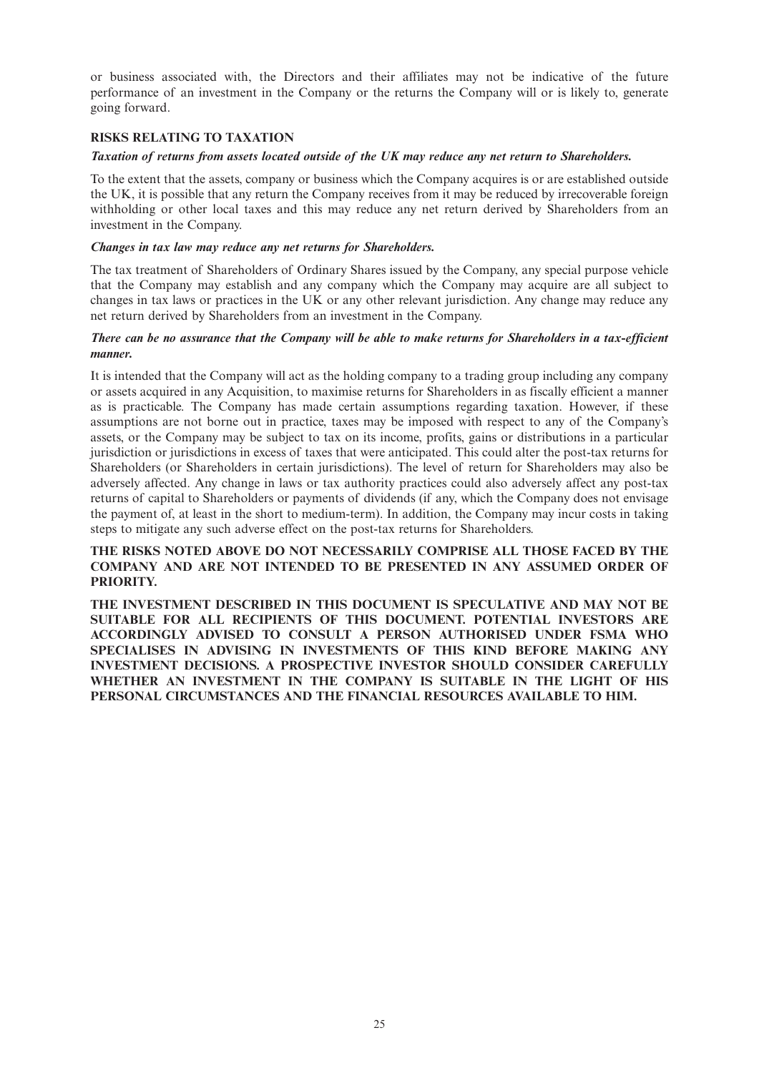or business associated with, the Directors and their affiliates may not be indicative of the future performance of an investment in the Company or the returns the Company will or is likely to, generate going forward.

## **RISKS RELATING TO TAXATION**

### *Taxation of returns from assets located outside of the UK may reduce any net return to Shareholders.*

To the extent that the assets, company or business which the Company acquires is or are established outside the UK, it is possible that any return the Company receives from it may be reduced by irrecoverable foreign withholding or other local taxes and this may reduce any net return derived by Shareholders from an investment in the Company.

### *Changes in tax law may reduce any net returns for Shareholders.*

The tax treatment of Shareholders of Ordinary Shares issued by the Company, any special purpose vehicle that the Company may establish and any company which the Company may acquire are all subject to changes in tax laws or practices in the UK or any other relevant jurisdiction. Any change may reduce any net return derived by Shareholders from an investment in the Company.

## There can be no assurance that the Company will be able to make returns for Shareholders in a tax-efficient *manner.*

It is intended that the Company will act as the holding company to a trading group including any company or assets acquired in any Acquisition, to maximise returns for Shareholders in as fiscally efficient a manner as is practicable. The Company has made certain assumptions regarding taxation. However, if these assumptions are not borne out in practice, taxes may be imposed with respect to any of the Company's assets, or the Company may be subject to tax on its income, profits, gains or distributions in a particular jurisdiction or jurisdictions in excess of taxes that were anticipated. This could alter the post-tax returns for Shareholders (or Shareholders in certain jurisdictions). The level of return for Shareholders may also be adversely affected. Any change in laws or tax authority practices could also adversely affect any post-tax returns of capital to Shareholders or payments of dividends (if any, which the Company does not envisage the payment of, at least in the short to medium-term). In addition, the Company may incur costs in taking steps to mitigate any such adverse effect on the post-tax returns for Shareholders.

## **THE RISKS NOTED ABOVE DO NOT NECESSARILY COMPRISE ALL THOSE FACED BY THE COMPANY AND ARE NOT INTENDED TO BE PRESENTED IN ANY ASSUMED ORDER OF PRIORITY.**

**THE INVESTMENT DESCRIBED IN THIS DOCUMENT IS SPECULATIVE AND MAY NOT BE SUITABLE FOR ALL RECIPIENTS OF THIS DOCUMENT. POTENTIAL INVESTORS ARE ACCORDINGLY ADVISED TO CONSULT A PERSON AUTHORISED UNDER FSMA WHO SPECIALISES IN ADVISING IN INVESTMENTS OF THIS KIND BEFORE MAKING ANY INVESTMENT DECISIONS. A PROSPECTIVE INVESTOR SHOULD CONSIDER CAREFULLY WHETHER AN INVESTMENT IN THE COMPANY IS SUITABLE IN THE LIGHT OF HIS PERSONAL CIRCUMSTANCES AND THE FINANCIAL RESOURCES AVAILABLE TO HIM.**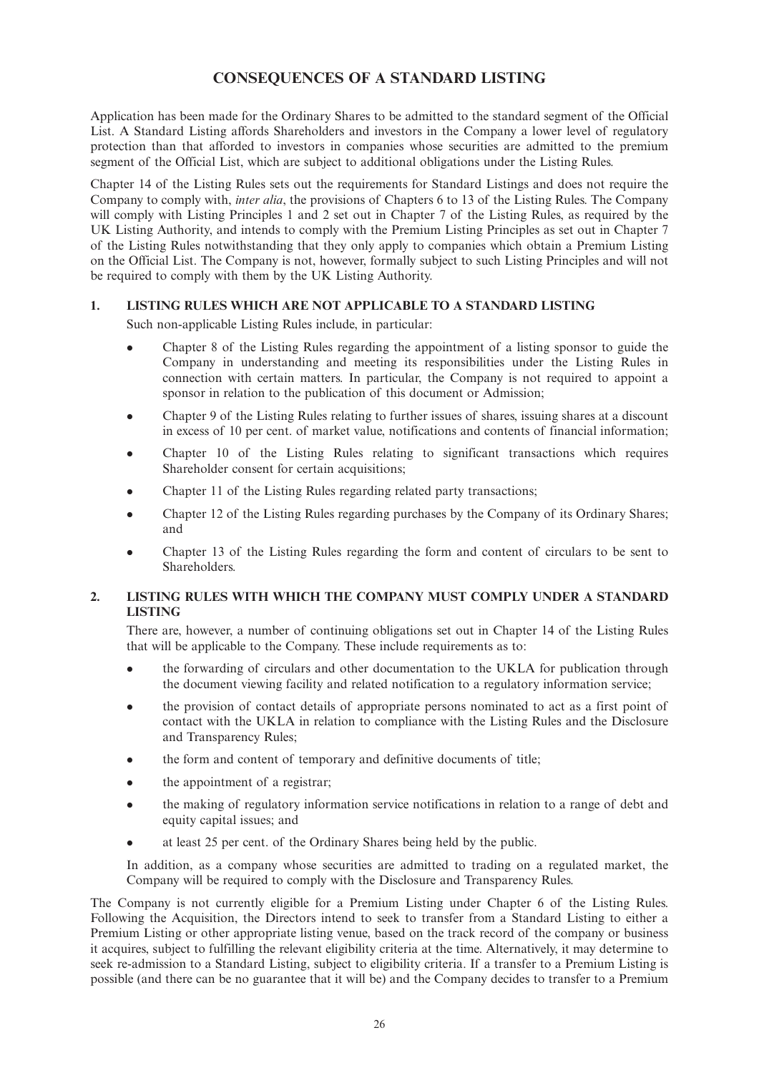## **CONSEQUENCES OF A STANDARD LISTING**

Application has been made for the Ordinary Shares to be admitted to the standard segment of the Official List. A Standard Listing affords Shareholders and investors in the Company a lower level of regulatory protection than that afforded to investors in companies whose securities are admitted to the premium segment of the Official List, which are subject to additional obligations under the Listing Rules.

Chapter 14 of the Listing Rules sets out the requirements for Standard Listings and does not require the Company to comply with, *inter alia*, the provisions of Chapters 6 to 13 of the Listing Rules. The Company will comply with Listing Principles 1 and 2 set out in Chapter 7 of the Listing Rules, as required by the UK Listing Authority, and intends to comply with the Premium Listing Principles as set out in Chapter 7 of the Listing Rules notwithstanding that they only apply to companies which obtain a Premium Listing on the Official List. The Company is not, however, formally subject to such Listing Principles and will not be required to comply with them by the UK Listing Authority.

## **1. LISTING RULES WHICH ARE NOT APPLICABLE TO A STANDARD LISTING**

Such non-applicable Listing Rules include, in particular:

- <sup>l</sup> Chapter 8 of the Listing Rules regarding the appointment of a listing sponsor to guide the Company in understanding and meeting its responsibilities under the Listing Rules in connection with certain matters. In particular, the Company is not required to appoint a sponsor in relation to the publication of this document or Admission;
- Chapter 9 of the Listing Rules relating to further issues of shares, issuing shares at a discount in excess of 10 per cent. of market value, notifications and contents of financial information;
- <sup>l</sup> Chapter 10 of the Listing Rules relating to significant transactions which requires Shareholder consent for certain acquisitions;
- Chapter 11 of the Listing Rules regarding related party transactions;
- <sup>l</sup> Chapter 12 of the Listing Rules regarding purchases by the Company of its Ordinary Shares; and
- Chapter 13 of the Listing Rules regarding the form and content of circulars to be sent to Shareholders.

## **2. LISTING RULES WITH WHICH THE COMPANY MUST COMPLY UNDER A STANDARD LISTING**

There are, however, a number of continuing obligations set out in Chapter 14 of the Listing Rules that will be applicable to the Company. These include requirements as to:

- <sup>l</sup> the forwarding of circulars and other documentation to the UKLA for publication through the document viewing facility and related notification to a regulatory information service;
- <sup>l</sup> the provision of contact details of appropriate persons nominated to act as a first point of contact with the UKLA in relation to compliance with the Listing Rules and the Disclosure and Transparency Rules;
- the form and content of temporary and definitive documents of title;
- the appointment of a registrar;
- <sup>l</sup> the making of regulatory information service notifications in relation to a range of debt and equity capital issues; and
- <sup>l</sup> at least 25 per cent. of the Ordinary Shares being held by the public.

In addition, as a company whose securities are admitted to trading on a regulated market, the Company will be required to comply with the Disclosure and Transparency Rules.

The Company is not currently eligible for a Premium Listing under Chapter 6 of the Listing Rules. Following the Acquisition, the Directors intend to seek to transfer from a Standard Listing to either a Premium Listing or other appropriate listing venue, based on the track record of the company or business it acquires, subject to fulfilling the relevant eligibility criteria at the time. Alternatively, it may determine to seek re-admission to a Standard Listing, subject to eligibility criteria. If a transfer to a Premium Listing is possible (and there can be no guarantee that it will be) and the Company decides to transfer to a Premium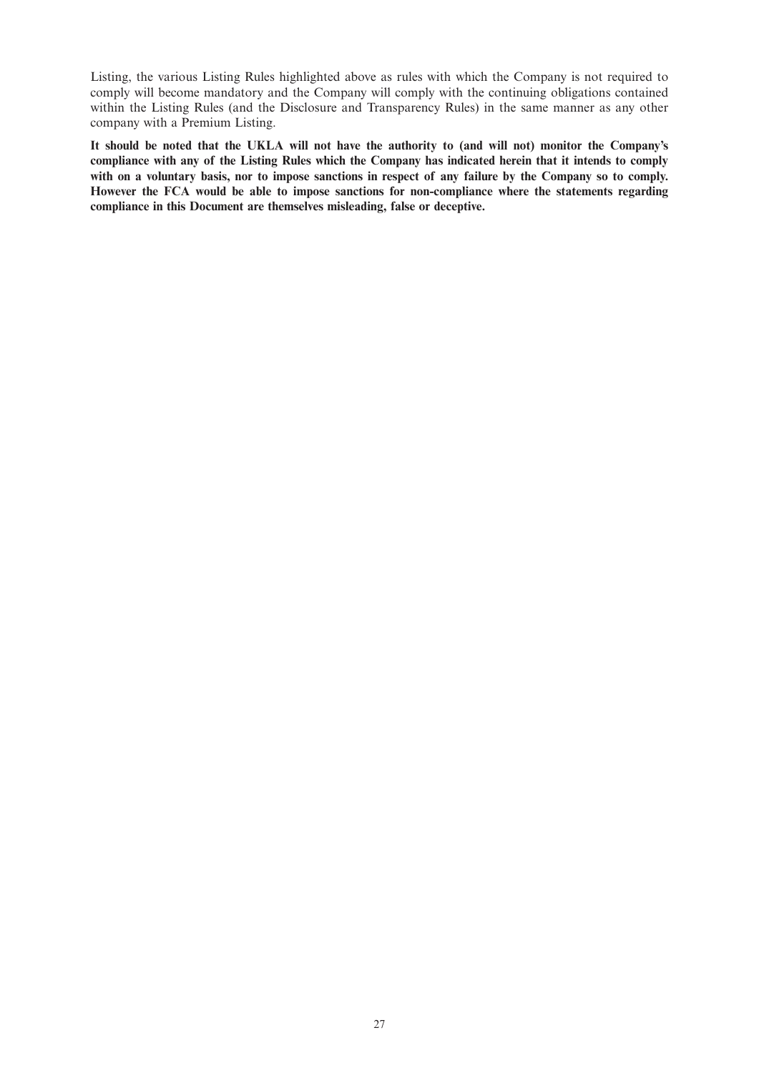Listing, the various Listing Rules highlighted above as rules with which the Company is not required to comply will become mandatory and the Company will comply with the continuing obligations contained within the Listing Rules (and the Disclosure and Transparency Rules) in the same manner as any other company with a Premium Listing.

It should be noted that the UKLA will not have the authority to (and will not) monitor the Company's compliance with any of the Listing Rules which the Company has indicated herein that it intends to comply with on a voluntary basis, nor to impose sanctions in respect of any failure by the Company so to comply. **However the FCA would be able to impose sanctions for non-compliance where the statements regarding compliance in this Document are themselves misleading, false or deceptive.**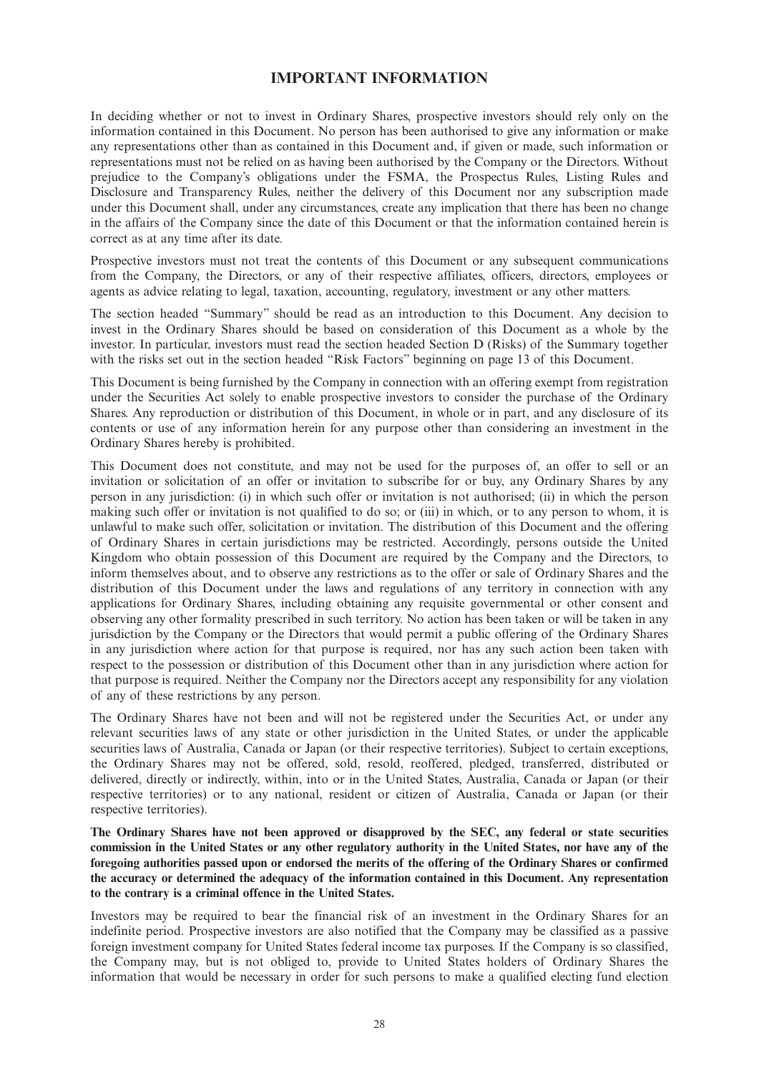## **IMPORTANT INFORMATION**

In deciding whether or not to invest in Ordinary Shares, prospective investors should rely only on the information contained in this Document. No person has been authorised to give any information or make any representations other than as contained in this Document and, if given or made, such information or representations must not be relied on as having been authorised by the Company or the Directors. Without prejudice to the Company's obligations under the FSMA, the Prospectus Rules, Listing Rules and Disclosure and Transparency Rules, neither the delivery of this Document nor any subscription made under this Document shall, under any circumstances, create any implication that there has been no change in the affairs of the Company since the date of this Document or that the information contained herein is correct as at any time after its date.

Prospective investors must not treat the contents of this Document or any subsequent communications from the Company, the Directors, or any of their respective affiliates, officers, directors, employees or agents as advice relating to legal, taxation, accounting, regulatory, investment or any other matters.

The section headed "Summary" should be read as an introduction to this Document. Any decision to invest in the Ordinary Shares should be based on consideration of this Document as a whole by the investor. In particular, investors must read the section headed Section D (Risks) of the Summary together with the risks set out in the section headed "Risk Factors" beginning on page 13 of this Document.

This Document is being furnished by the Company in connection with an offering exempt from registration under the Securities Act solely to enable prospective investors to consider the purchase of the Ordinary Shares. Any reproduction or distribution of this Document, in whole or in part, and any disclosure of its contents or use of any information herein for any purpose other than considering an investment in the Ordinary Shares hereby is prohibited.

This Document does not constitute, and may not be used for the purposes of, an offer to sell or an invitation or solicitation of an offer or invitation to subscribe for or buy, any Ordinary Shares by any person in any jurisdiction: (i) in which such offer or invitation is not authorised; (ii) in which the person making such offer or invitation is not qualified to do so; or (iii) in which, or to any person to whom, it is unlawful to make such offer, solicitation or invitation. The distribution of this Document and the offering of Ordinary Shares in certain jurisdictions may be restricted. Accordingly, persons outside the United Kingdom who obtain possession of this Document are required by the Company and the Directors, to inform themselves about, and to observe any restrictions as to the offer or sale of Ordinary Shares and the distribution of this Document under the laws and regulations of any territory in connection with any applications for Ordinary Shares, including obtaining any requisite governmental or other consent and observing any other formality prescribed in such territory. No action has been taken or will be taken in any jurisdiction by the Company or the Directors that would permit a public offering of the Ordinary Shares in any jurisdiction where action for that purpose is required, nor has any such action been taken with respect to the possession or distribution of this Document other than in any jurisdiction where action for that purpose is required. Neither the Company nor the Directors accept any responsibility for any violation of any of these restrictions by any person.

The Ordinary Shares have not been and will not be registered under the Securities Act, or under any relevant securities laws of any state or other jurisdiction in the United States, or under the applicable securities laws of Australia, Canada or Japan (or their respective territories). Subject to certain exceptions, the Ordinary Shares may not be offered, sold, resold, reoffered, pledged, transferred, distributed or delivered, directly or indirectly, within, into or in the United States, Australia, Canada or Japan (or their respective territories) or to any national, resident or citizen of Australia, Canada or Japan (or their respective territories).

**The Ordinary Shares have not been approved or disapproved by the SEC, any federal or state securities** commission in the United States or any other regulatory authority in the United States, nor have any of the foregoing authorities passed upon or endorsed the merits of the offering of the Ordinary Shares or confirmed **the accuracy or determined the adequacy of the information contained in this Document. Any representation to the contrary is a criminal offence in the United States.**

Investors may be required to bear the financial risk of an investment in the Ordinary Shares for an indefinite period. Prospective investors are also notified that the Company may be classified as a passive foreign investment company for United States federal income tax purposes. If the Company is so classified, the Company may, but is not obliged to, provide to United States holders of Ordinary Shares the information that would be necessary in order for such persons to make a qualified electing fund election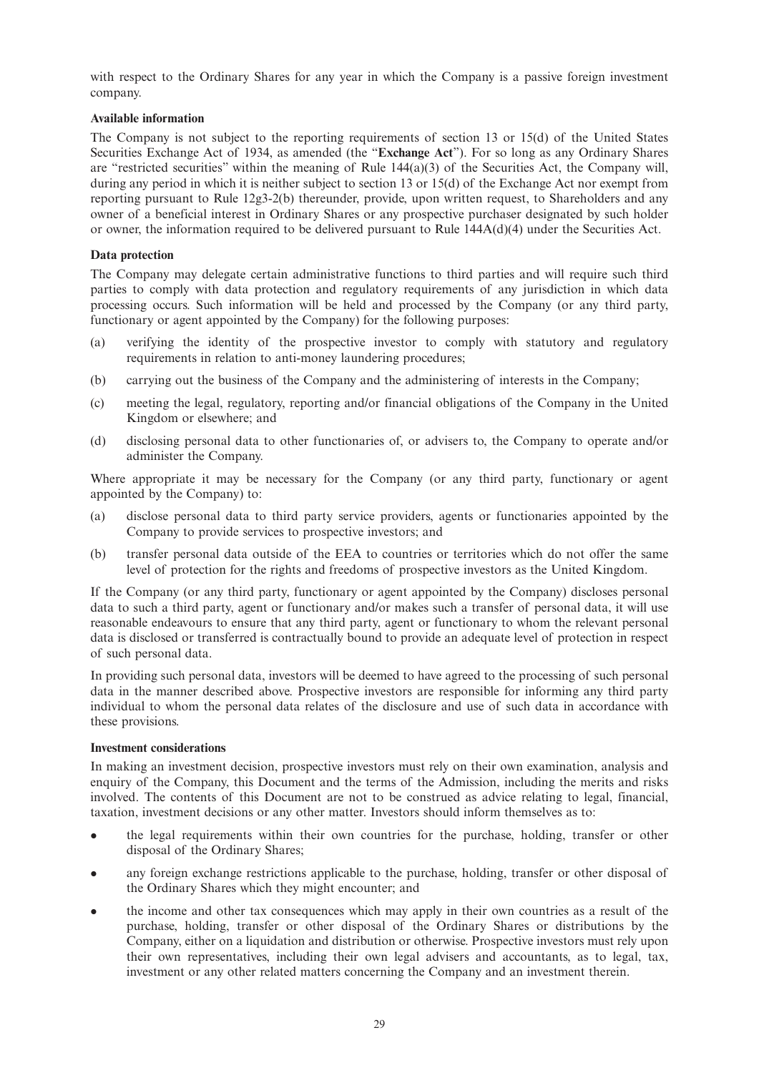with respect to the Ordinary Shares for any year in which the Company is a passive foreign investment company.

## **Available information**

The Company is not subject to the reporting requirements of section 13 or 15(d) of the United States Securities Exchange Act of 1934, as amended (the "**Exchange Act**"). For so long as any Ordinary Shares are "restricted securities" within the meaning of Rule 144(a)(3) of the Securities Act, the Company will, during any period in which it is neither subject to section 13 or 15(d) of the Exchange Act nor exempt from reporting pursuant to Rule 12g3-2(b) thereunder, provide, upon written request, to Shareholders and any owner of a beneficial interest in Ordinary Shares or any prospective purchaser designated by such holder or owner, the information required to be delivered pursuant to Rule 144A(d)(4) under the Securities Act.

## **Data protection**

The Company may delegate certain administrative functions to third parties and will require such third parties to comply with data protection and regulatory requirements of any jurisdiction in which data processing occurs. Such information will be held and processed by the Company (or any third party, functionary or agent appointed by the Company) for the following purposes:

- (a) verifying the identity of the prospective investor to comply with statutory and regulatory requirements in relation to anti-money laundering procedures;
- (b) carrying out the business of the Company and the administering of interests in the Company;
- (c) meeting the legal, regulatory, reporting and/or financial obligations of the Company in the United Kingdom or elsewhere; and
- (d) disclosing personal data to other functionaries of, or advisers to, the Company to operate and/or administer the Company.

Where appropriate it may be necessary for the Company (or any third party, functionary or agent appointed by the Company) to:

- (a) disclose personal data to third party service providers, agents or functionaries appointed by the Company to provide services to prospective investors; and
- (b) transfer personal data outside of the EEA to countries or territories which do not offer the same level of protection for the rights and freedoms of prospective investors as the United Kingdom.

If the Company (or any third party, functionary or agent appointed by the Company) discloses personal data to such a third party, agent or functionary and/or makes such a transfer of personal data, it will use reasonable endeavours to ensure that any third party, agent or functionary to whom the relevant personal data is disclosed or transferred is contractually bound to provide an adequate level of protection in respect of such personal data.

In providing such personal data, investors will be deemed to have agreed to the processing of such personal data in the manner described above. Prospective investors are responsible for informing any third party individual to whom the personal data relates of the disclosure and use of such data in accordance with these provisions.

### **Investment considerations**

In making an investment decision, prospective investors must rely on their own examination, analysis and enquiry of the Company, this Document and the terms of the Admission, including the merits and risks involved. The contents of this Document are not to be construed as advice relating to legal, financial, taxation, investment decisions or any other matter. Investors should inform themselves as to:

- the legal requirements within their own countries for the purchase, holding, transfer or other disposal of the Ordinary Shares;
- any foreign exchange restrictions applicable to the purchase, holding, transfer or other disposal of the Ordinary Shares which they might encounter; and
- <sup>l</sup> the income and other tax consequences which may apply in their own countries as a result of the purchase, holding, transfer or other disposal of the Ordinary Shares or distributions by the Company, either on a liquidation and distribution or otherwise. Prospective investors must rely upon their own representatives, including their own legal advisers and accountants, as to legal, tax, investment or any other related matters concerning the Company and an investment therein.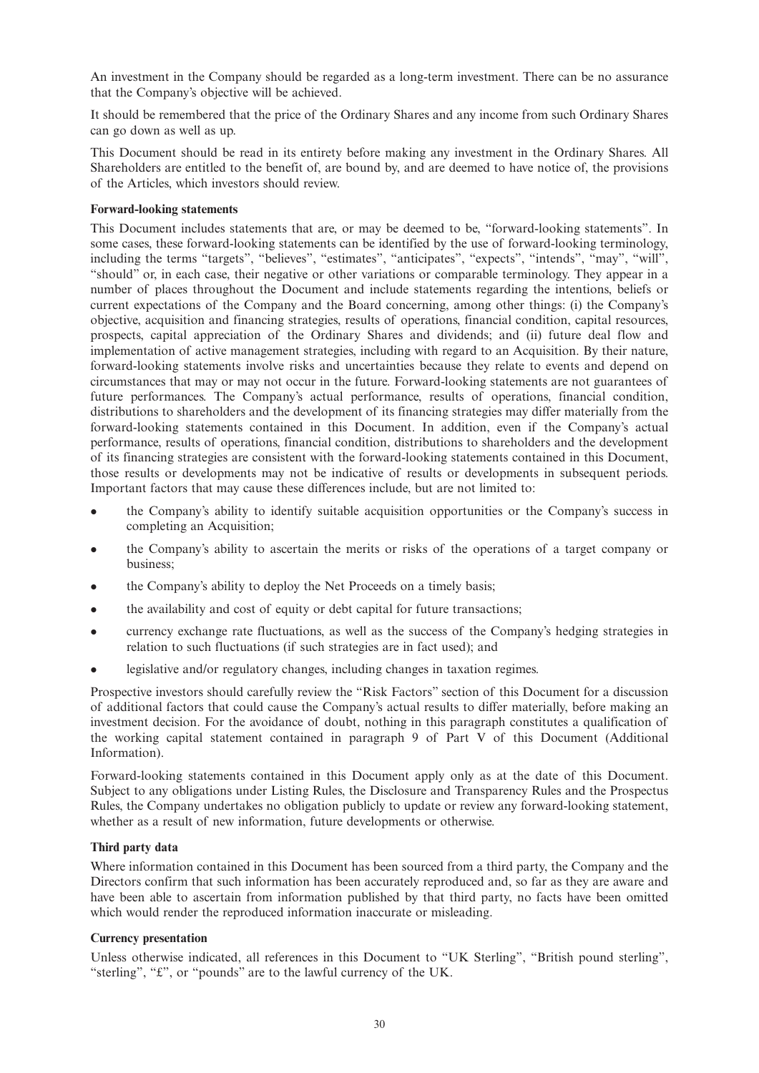An investment in the Company should be regarded as a long-term investment. There can be no assurance that the Company's objective will be achieved.

It should be remembered that the price of the Ordinary Shares and any income from such Ordinary Shares can go down as well as up.

This Document should be read in its entirety before making any investment in the Ordinary Shares. All Shareholders are entitled to the benefit of, are bound by, and are deemed to have notice of, the provisions of the Articles, which investors should review.

## **Forward-looking statements**

This Document includes statements that are, or may be deemed to be, "forward-looking statements". In some cases, these forward-looking statements can be identified by the use of forward-looking terminology, including the terms "targets", "believes", "estimates", "anticipates", "expects", "intends", "may", "will", "should" or, in each case, their negative or other variations or comparable terminology. They appear in a number of places throughout the Document and include statements regarding the intentions, beliefs or current expectations of the Company and the Board concerning, among other things: (i) the Company's objective, acquisition and financing strategies, results of operations, financial condition, capital resources, prospects, capital appreciation of the Ordinary Shares and dividends; and (ii) future deal flow and implementation of active management strategies, including with regard to an Acquisition. By their nature, forward-looking statements involve risks and uncertainties because they relate to events and depend on circumstances that may or may not occur in the future. Forward-looking statements are not guarantees of future performances. The Company's actual performance, results of operations, financial condition, distributions to shareholders and the development of its financing strategies may differ materially from the forward-looking statements contained in this Document. In addition, even if the Company's actual performance, results of operations, financial condition, distributions to shareholders and the development of its financing strategies are consistent with the forward-looking statements contained in this Document, those results or developments may not be indicative of results or developments in subsequent periods. Important factors that may cause these differences include, but are not limited to:

- <sup>l</sup> the Company's ability to identify suitable acquisition opportunities or the Company's success in completing an Acquisition;
- <sup>l</sup> the Company's ability to ascertain the merits or risks of the operations of a target company or business;
- the Company's ability to deploy the Net Proceeds on a timely basis;
- $\bullet$  the availability and cost of equity or debt capital for future transactions;
- currency exchange rate fluctuations, as well as the success of the Company's hedging strategies in relation to such fluctuations (if such strategies are in fact used); and
- legislative and/or regulatory changes, including changes in taxation regimes.

Prospective investors should carefully review the "Risk Factors" section of this Document for a discussion of additional factors that could cause the Company's actual results to differ materially, before making an investment decision. For the avoidance of doubt, nothing in this paragraph constitutes a qualification of the working capital statement contained in paragraph 9 of Part V of this Document (Additional Information).

Forward-looking statements contained in this Document apply only as at the date of this Document. Subject to any obligations under Listing Rules, the Disclosure and Transparency Rules and the Prospectus Rules, the Company undertakes no obligation publicly to update or review any forward-looking statement, whether as a result of new information, future developments or otherwise.

### **Third party data**

Where information contained in this Document has been sourced from a third party, the Company and the Directors confirm that such information has been accurately reproduced and, so far as they are aware and have been able to ascertain from information published by that third party, no facts have been omitted which would render the reproduced information inaccurate or misleading.

### **Currency presentation**

Unless otherwise indicated, all references in this Document to "UK Sterling", "British pound sterling", "sterling", "£", or "pounds" are to the lawful currency of the UK.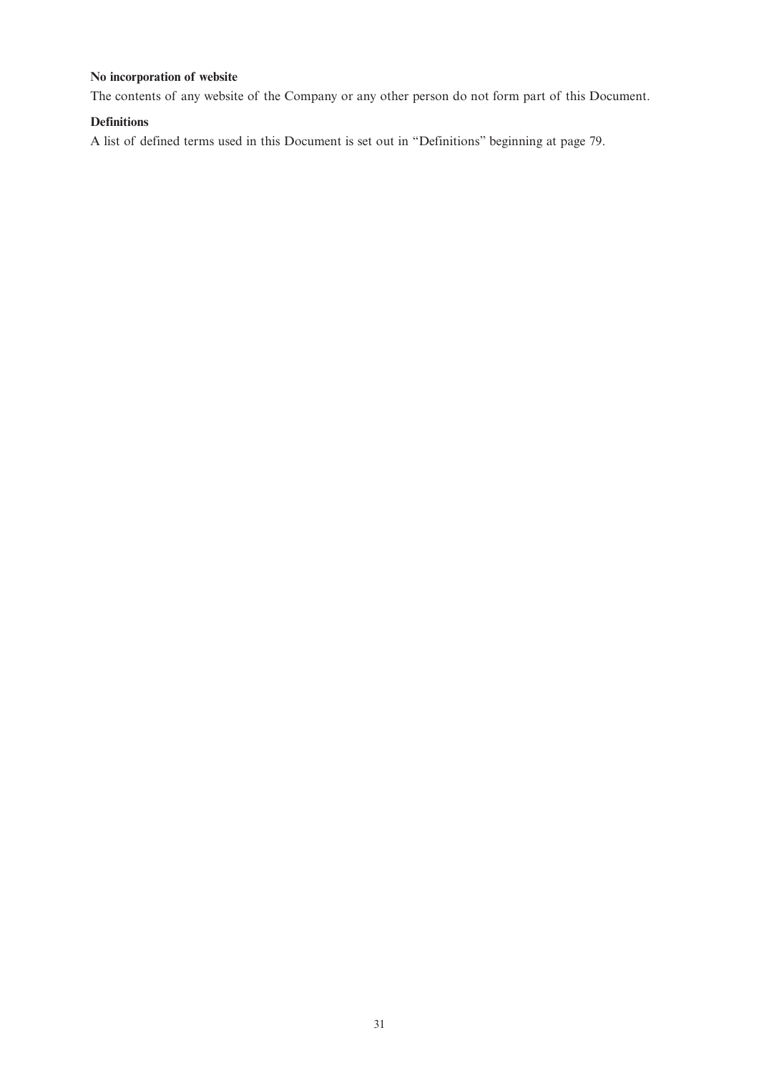## **No incorporation of website**

The contents of any website of the Company or any other person do not form part of this Document.

## **Definitions**

A list of defined terms used in this Document is set out in "Definitions" beginning at page 79.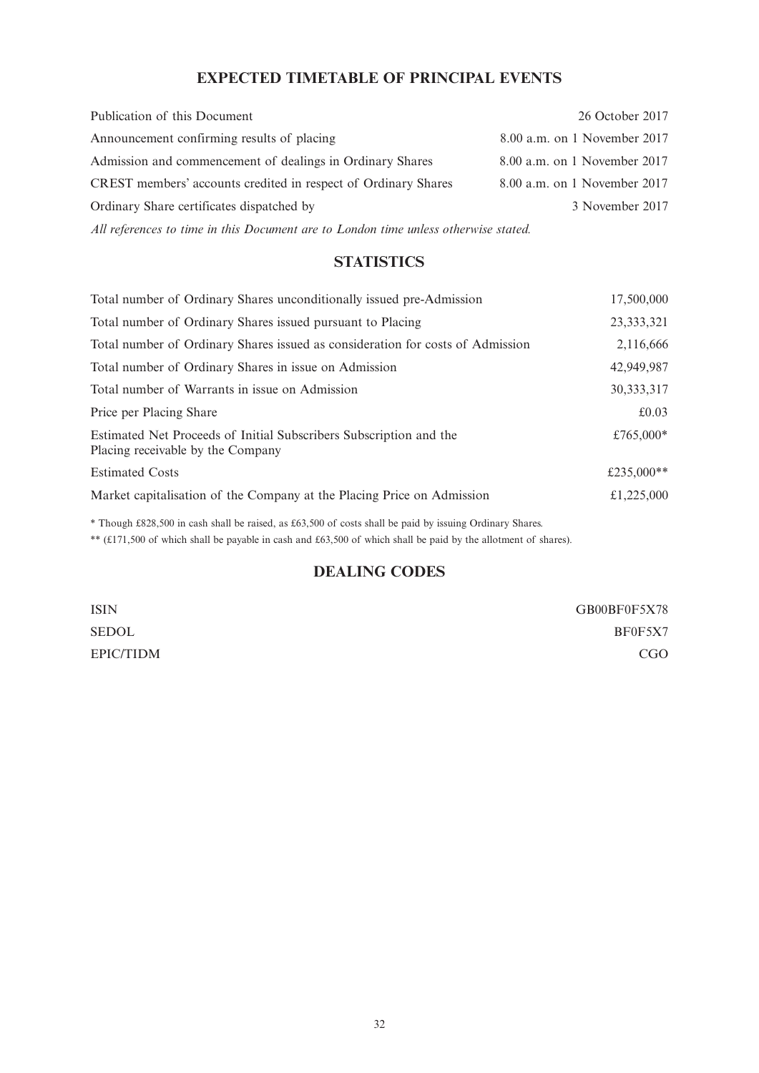# **EXPECTED TIMETABLE OF PRINCIPAL EVENTS**

| Publication of this Document                                   | 26 October 2017              |
|----------------------------------------------------------------|------------------------------|
| Announcement confirming results of placing                     | 8.00 a.m. on 1 November 2017 |
| Admission and commencement of dealings in Ordinary Shares      | 8.00 a.m. on 1 November 2017 |
| CREST members' accounts credited in respect of Ordinary Shares | 8.00 a.m. on 1 November 2017 |
| Ordinary Share certificates dispatched by                      | 3 November 2017              |
|                                                                |                              |

*All references to time in this Document are to London time unless otherwise stated.*

# **STATISTICS**

| Total number of Ordinary Shares unconditionally issued pre-Admission                                    | 17,500,000   |
|---------------------------------------------------------------------------------------------------------|--------------|
| Total number of Ordinary Shares issued pursuant to Placing                                              | 23, 333, 321 |
| Total number of Ordinary Shares issued as consideration for costs of Admission                          | 2,116,666    |
| Total number of Ordinary Shares in issue on Admission                                                   | 42,949,987   |
| Total number of Warrants in issue on Admission                                                          | 30, 333, 317 |
| Price per Placing Share                                                                                 | £0.03        |
| Estimated Net Proceeds of Initial Subscribers Subscription and the<br>Placing receivable by the Company | £765,000*    |
| <b>Estimated Costs</b>                                                                                  | £235,000**   |
| Market capitalisation of the Company at the Placing Price on Admission                                  | £1,225,000   |

\* Though £828,500 in cash shall be raised, as £63,500 of costs shall be paid by issuing Ordinary Shares.

\*\* (£171,500 of which shall be payable in cash and £63,500 of which shall be paid by the allotment of shares).

# **DEALING CODES**

| ISIN      | GB00BF0F5X78    |
|-----------|-----------------|
| SEDOL     | BF0F5X7         |
| EPIC/TIDM | CG <sub>O</sub> |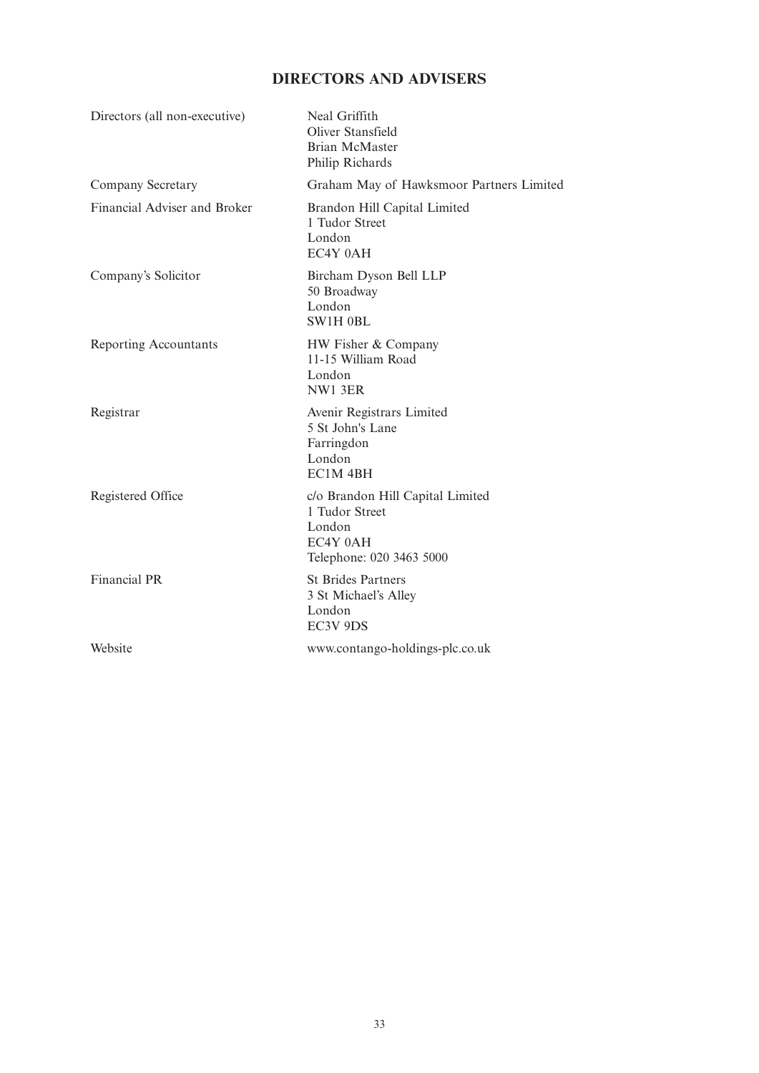# **DIRECTORS AND ADVISERS**

| Directors (all non-executive) | Neal Griffith<br>Oliver Stansfield<br><b>Brian McMaster</b><br>Philip Richards                       |
|-------------------------------|------------------------------------------------------------------------------------------------------|
| Company Secretary             | Graham May of Hawksmoor Partners Limited                                                             |
| Financial Adviser and Broker  | Brandon Hill Capital Limited<br>1 Tudor Street<br>London<br>EC4Y 0AH                                 |
| Company's Solicitor           | Bircham Dyson Bell LLP<br>50 Broadway<br>London<br>SW1H 0BL                                          |
| Reporting Accountants         | HW Fisher & Company<br>11-15 William Road<br>London<br>NW1 3ER                                       |
| Registrar                     | Avenir Registrars Limited<br>5 St John's Lane<br>Farringdon<br>London<br>EC1M <sub>4BH</sub>         |
| Registered Office             | c/o Brandon Hill Capital Limited<br>1 Tudor Street<br>London<br>EC4Y 0AH<br>Telephone: 020 3463 5000 |
| <b>Financial PR</b>           | <b>St Brides Partners</b><br>3 St Michael's Alley<br>London<br>EC3V 9DS                              |
| Website                       | www.contango-holdings-plc.co.uk                                                                      |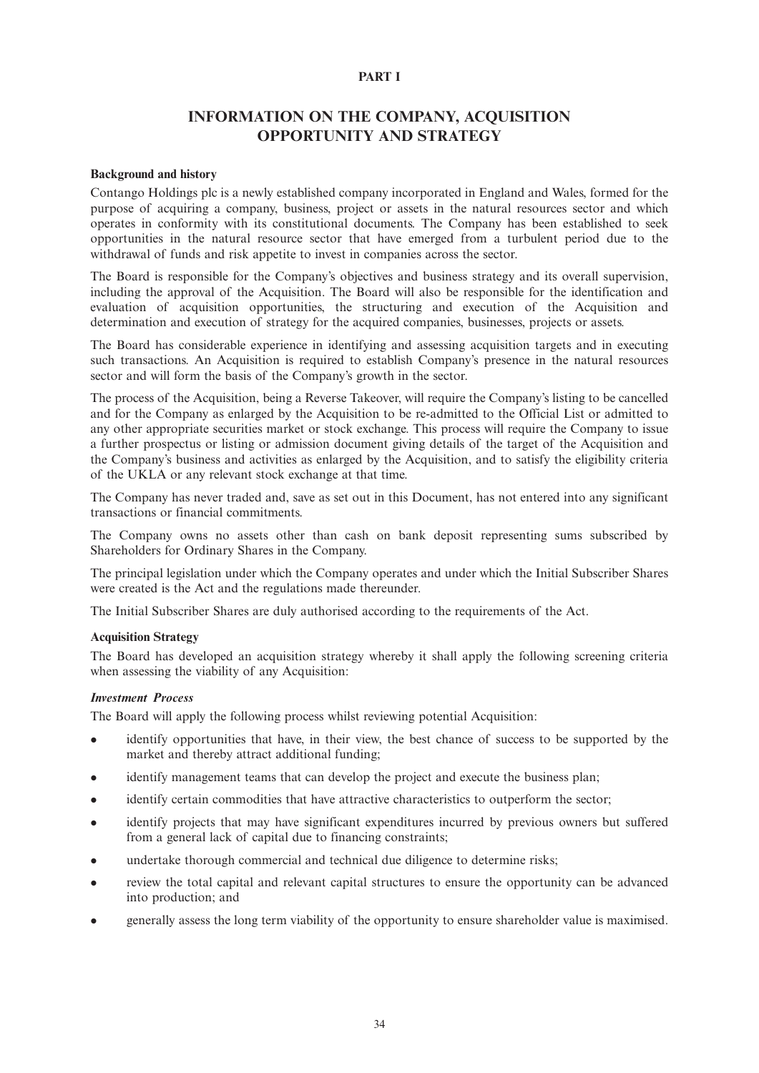## **PART I**

## **INFORMATION ON THE COMPANY, ACQUISITION OPPORTUNITY AND STRATEGY**

#### **Background and history**

Contango Holdings plc is a newly established company incorporated in England and Wales, formed for the purpose of acquiring a company, business, project or assets in the natural resources sector and which operates in conformity with its constitutional documents. The Company has been established to seek opportunities in the natural resource sector that have emerged from a turbulent period due to the withdrawal of funds and risk appetite to invest in companies across the sector.

The Board is responsible for the Company's objectives and business strategy and its overall supervision, including the approval of the Acquisition. The Board will also be responsible for the identification and evaluation of acquisition opportunities, the structuring and execution of the Acquisition and determination and execution of strategy for the acquired companies, businesses, projects or assets.

The Board has considerable experience in identifying and assessing acquisition targets and in executing such transactions. An Acquisition is required to establish Company's presence in the natural resources sector and will form the basis of the Company's growth in the sector.

The process of the Acquisition, being a Reverse Takeover, will require the Company's listing to be cancelled and for the Company as enlarged by the Acquisition to be re-admitted to the Official List or admitted to any other appropriate securities market or stock exchange. This process will require the Company to issue a further prospectus or listing or admission document giving details of the target of the Acquisition and the Company's business and activities as enlarged by the Acquisition, and to satisfy the eligibility criteria of the UKLA or any relevant stock exchange at that time.

The Company has never traded and, save as set out in this Document, has not entered into any significant transactions or financial commitments.

The Company owns no assets other than cash on bank deposit representing sums subscribed by Shareholders for Ordinary Shares in the Company.

The principal legislation under which the Company operates and under which the Initial Subscriber Shares were created is the Act and the regulations made thereunder.

The Initial Subscriber Shares are duly authorised according to the requirements of the Act.

#### **Acquisition Strategy**

The Board has developed an acquisition strategy whereby it shall apply the following screening criteria when assessing the viability of any Acquisition:

## *Investment Process*

The Board will apply the following process whilst reviewing potential Acquisition:

- identify opportunities that have, in their view, the best chance of success to be supported by the market and thereby attract additional funding;
- identify management teams that can develop the project and execute the business plan;
- identify certain commodities that have attractive characteristics to outperform the sector;
- identify projects that may have significant expenditures incurred by previous owners but suffered from a general lack of capital due to financing constraints;
- undertake thorough commercial and technical due diligence to determine risks;
- review the total capital and relevant capital structures to ensure the opportunity can be advanced into production; and
- **e** generally assess the long term viability of the opportunity to ensure shareholder value is maximised.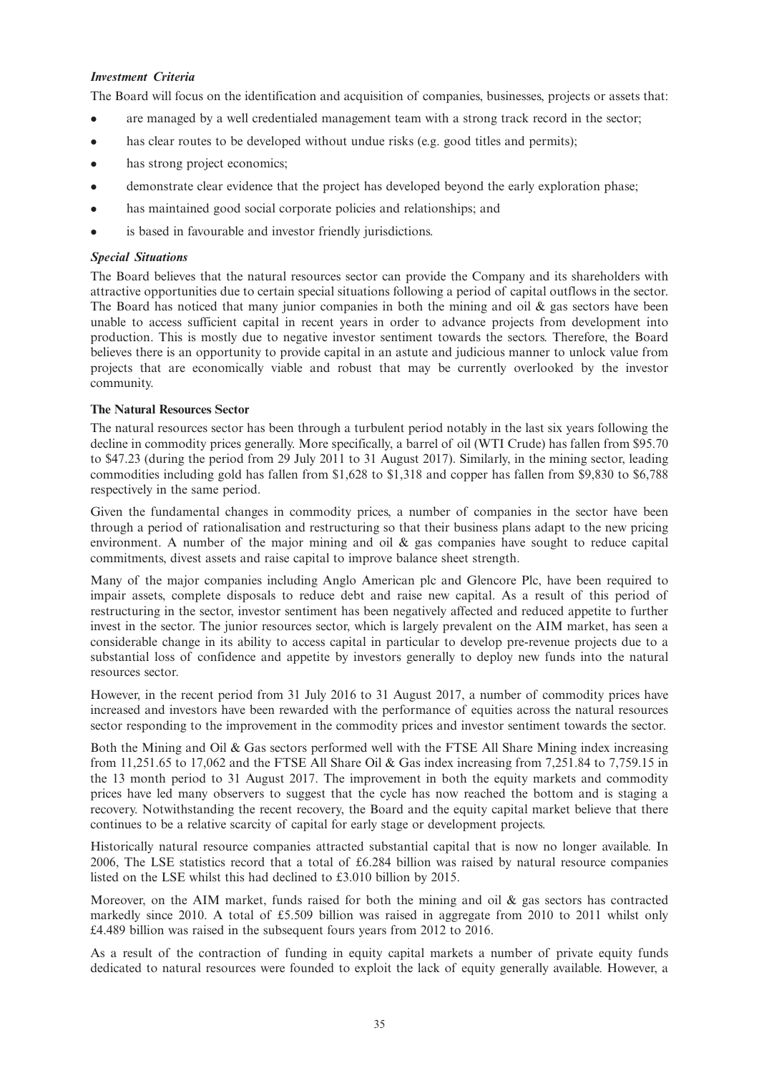### *Investment Criteria*

The Board will focus on the identification and acquisition of companies, businesses, projects or assets that:

- are managed by a well credentialed management team with a strong track record in the sector;
- $\bullet$  has clear routes to be developed without undue risks (e.g. good titles and permits);
- has strong project economics;
- <sup>l</sup> demonstrate clear evidence that the project has developed beyond the early exploration phase;
- has maintained good social corporate policies and relationships; and
- is based in favourable and investor friendly jurisdictions.

### *Special Situations*

The Board believes that the natural resources sector can provide the Company and its shareholders with attractive opportunities due to certain special situations following a period of capital outflows in the sector. The Board has noticed that many junior companies in both the mining and oil  $\&$  gas sectors have been unable to access sufficient capital in recent years in order to advance projects from development into production. This is mostly due to negative investor sentiment towards the sectors. Therefore, the Board believes there is an opportunity to provide capital in an astute and judicious manner to unlock value from projects that are economically viable and robust that may be currently overlooked by the investor community.

### **The Natural Resources Sector**

The natural resources sector has been through a turbulent period notably in the last six years following the decline in commodity prices generally. More specifically, a barrel of oil (WTI Crude) has fallen from \$95.70 to \$47.23 (during the period from 29 July 2011 to 31 August 2017). Similarly, in the mining sector, leading commodities including gold has fallen from \$1,628 to \$1,318 and copper has fallen from \$9,830 to \$6,788 respectively in the same period.

Given the fundamental changes in commodity prices, a number of companies in the sector have been through a period of rationalisation and restructuring so that their business plans adapt to the new pricing environment. A number of the major mining and oil & gas companies have sought to reduce capital commitments, divest assets and raise capital to improve balance sheet strength.

Many of the major companies including Anglo American plc and Glencore Plc, have been required to impair assets, complete disposals to reduce debt and raise new capital. As a result of this period of restructuring in the sector, investor sentiment has been negatively affected and reduced appetite to further invest in the sector. The junior resources sector, which is largely prevalent on the AIM market, has seen a considerable change in its ability to access capital in particular to develop pre-revenue projects due to a substantial loss of confidence and appetite by investors generally to deploy new funds into the natural resources sector.

However, in the recent period from 31 July 2016 to 31 August 2017, a number of commodity prices have increased and investors have been rewarded with the performance of equities across the natural resources sector responding to the improvement in the commodity prices and investor sentiment towards the sector.

Both the Mining and Oil & Gas sectors performed well with the FTSE All Share Mining index increasing from 11,251.65 to 17,062 and the FTSE All Share Oil & Gas index increasing from 7,251.84 to 7,759.15 in the 13 month period to 31 August 2017. The improvement in both the equity markets and commodity prices have led many observers to suggest that the cycle has now reached the bottom and is staging a recovery. Notwithstanding the recent recovery, the Board and the equity capital market believe that there continues to be a relative scarcity of capital for early stage or development projects.

Historically natural resource companies attracted substantial capital that is now no longer available. In 2006, The LSE statistics record that a total of £6.284 billion was raised by natural resource companies listed on the LSE whilst this had declined to £3.010 billion by 2015.

Moreover, on the AIM market, funds raised for both the mining and oil  $\&$  gas sectors has contracted markedly since 2010. A total of £5.509 billion was raised in aggregate from 2010 to 2011 whilst only £4.489 billion was raised in the subsequent fours years from 2012 to 2016.

As a result of the contraction of funding in equity capital markets a number of private equity funds dedicated to natural resources were founded to exploit the lack of equity generally available. However, a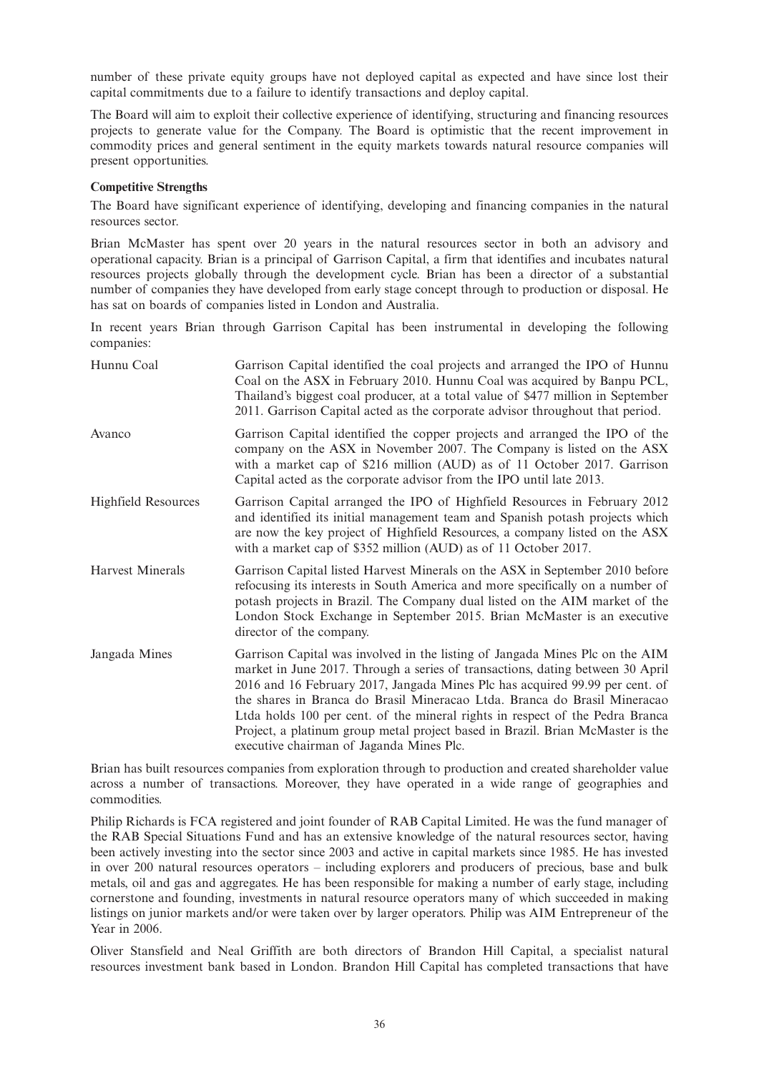number of these private equity groups have not deployed capital as expected and have since lost their capital commitments due to a failure to identify transactions and deploy capital.

The Board will aim to exploit their collective experience of identifying, structuring and financing resources projects to generate value for the Company. The Board is optimistic that the recent improvement in commodity prices and general sentiment in the equity markets towards natural resource companies will present opportunities.

### **Competitive Strengths**

The Board have significant experience of identifying, developing and financing companies in the natural resources sector.

Brian McMaster has spent over 20 years in the natural resources sector in both an advisory and operational capacity. Brian is a principal of Garrison Capital, a firm that identifies and incubates natural resources projects globally through the development cycle. Brian has been a director of a substantial number of companies they have developed from early stage concept through to production or disposal. He has sat on boards of companies listed in London and Australia.

In recent years Brian through Garrison Capital has been instrumental in developing the following companies:

| Hunnu Coal                 | Garrison Capital identified the coal projects and arranged the IPO of Hunnu<br>Coal on the ASX in February 2010. Hunnu Coal was acquired by Banpu PCL,<br>Thailand's biggest coal producer, at a total value of \$477 million in September<br>2011. Garrison Capital acted as the corporate advisor throughout that period.                                                                                                                                                                                                                |
|----------------------------|--------------------------------------------------------------------------------------------------------------------------------------------------------------------------------------------------------------------------------------------------------------------------------------------------------------------------------------------------------------------------------------------------------------------------------------------------------------------------------------------------------------------------------------------|
| Avanco                     | Garrison Capital identified the copper projects and arranged the IPO of the<br>company on the ASX in November 2007. The Company is listed on the ASX<br>with a market cap of \$216 million (AUD) as of 11 October 2017. Garrison<br>Capital acted as the corporate advisor from the IPO until late 2013.                                                                                                                                                                                                                                   |
| <b>Highfield Resources</b> | Garrison Capital arranged the IPO of Highfield Resources in February 2012<br>and identified its initial management team and Spanish potash projects which<br>are now the key project of Highfield Resources, a company listed on the ASX<br>with a market cap of \$352 million (AUD) as of 11 October 2017.                                                                                                                                                                                                                                |
| <b>Harvest Minerals</b>    | Garrison Capital listed Harvest Minerals on the ASX in September 2010 before<br>refocusing its interests in South America and more specifically on a number of<br>potash projects in Brazil. The Company dual listed on the AIM market of the<br>London Stock Exchange in September 2015. Brian McMaster is an executive<br>director of the company.                                                                                                                                                                                       |
| Jangada Mines              | Garrison Capital was involved in the listing of Jangada Mines Plc on the AIM<br>market in June 2017. Through a series of transactions, dating between 30 April<br>2016 and 16 February 2017, Jangada Mines Plc has acquired 99.99 per cent. of<br>the shares in Branca do Brasil Mineracao Ltda. Branca do Brasil Mineracao<br>Ltda holds 100 per cent. of the mineral rights in respect of the Pedra Branca<br>Project, a platinum group metal project based in Brazil. Brian McMaster is the<br>executive chairman of Jaganda Mines Plc. |

Brian has built resources companies from exploration through to production and created shareholder value across a number of transactions. Moreover, they have operated in a wide range of geographies and commodities.

Philip Richards is FCA registered and joint founder of RAB Capital Limited. He was the fund manager of the RAB Special Situations Fund and has an extensive knowledge of the natural resources sector, having been actively investing into the sector since 2003 and active in capital markets since 1985. He has invested in over 200 natural resources operators – including explorers and producers of precious, base and bulk metals, oil and gas and aggregates. He has been responsible for making a number of early stage, including cornerstone and founding, investments in natural resource operators many of which succeeded in making listings on junior markets and/or were taken over by larger operators. Philip was AIM Entrepreneur of the Year in 2006.

Oliver Stansfield and Neal Griffith are both directors of Brandon Hill Capital, a specialist natural resources investment bank based in London. Brandon Hill Capital has completed transactions that have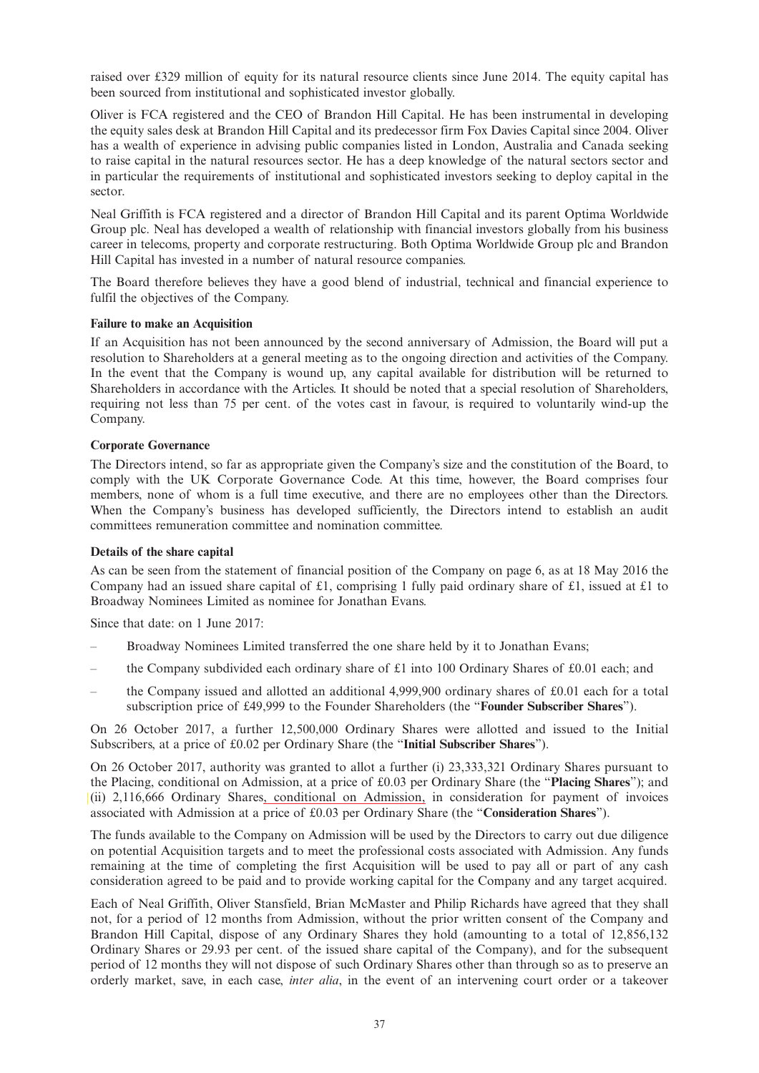raised over £329 million of equity for its natural resource clients since June 2014. The equity capital has been sourced from institutional and sophisticated investor globally.

Oliver is FCA registered and the CEO of Brandon Hill Capital. He has been instrumental in developing the equity sales desk at Brandon Hill Capital and its predecessor firm Fox Davies Capital since 2004. Oliver has a wealth of experience in advising public companies listed in London, Australia and Canada seeking to raise capital in the natural resources sector. He has a deep knowledge of the natural sectors sector and in particular the requirements of institutional and sophisticated investors seeking to deploy capital in the sector.

Neal Griffith is FCA registered and a director of Brandon Hill Capital and its parent Optima Worldwide Group plc. Neal has developed a wealth of relationship with financial investors globally from his business career in telecoms, property and corporate restructuring. Both Optima Worldwide Group plc and Brandon Hill Capital has invested in a number of natural resource companies.

The Board therefore believes they have a good blend of industrial, technical and financial experience to fulfil the objectives of the Company.

### **Failure to make an Acquisition**

If an Acquisition has not been announced by the second anniversary of Admission, the Board will put a resolution to Shareholders at a general meeting as to the ongoing direction and activities of the Company. In the event that the Company is wound up, any capital available for distribution will be returned to Shareholders in accordance with the Articles. It should be noted that a special resolution of Shareholders, requiring not less than 75 per cent. of the votes cast in favour, is required to voluntarily wind-up the Company.

## **Corporate Governance**

The Directors intend, so far as appropriate given the Company's size and the constitution of the Board, to comply with the UK Corporate Governance Code. At this time, however, the Board comprises four members, none of whom is a full time executive, and there are no employees other than the Directors. When the Company's business has developed sufficiently, the Directors intend to establish an audit committees remuneration committee and nomination committee.

### **Details of the share capital**

As can be seen from the statement of financial position of the Company on page 6, as at 18 May 2016 the Company had an issued share capital of £1, comprising 1 fully paid ordinary share of £1, issued at £1 to Broadway Nominees Limited as nominee for Jonathan Evans.

Since that date: on 1 June 2017:

- Broadway Nominees Limited transferred the one share held by it to Jonathan Evans;
- the Company subdivided each ordinary share of £1 into 100 Ordinary Shares of £0.01 each; and
- the Company issued and allotted an additional 4,999,900 ordinary shares of £0.01 each for a total subscription price of £49,999 to the Founder Shareholders (the "**Founder Subscriber Shares**").

On 26 October 2017, a further 12,500,000 Ordinary Shares were allotted and issued to the Initial Subscribers, at a price of £0.02 per Ordinary Share (the "**Initial Subscriber Shares**").

On 26 October 2017, authority was granted to allot a further (i) 23,333,321 Ordinary Shares pursuant to the Placing, conditional on Admission, at a price of £0.03 per Ordinary Share (the "**Placing Shares**"); and  $(iii)$  2,116,666 Ordinary Shares, conditional on Admission, in consideration for payment of invoices associated with Admission at a price of £0.03 per Ordinary Share (the "**Consideration Shares**").

The funds available to the Company on Admission will be used by the Directors to carry out due diligence on potential Acquisition targets and to meet the professional costs associated with Admission. Any funds remaining at the time of completing the first Acquisition will be used to pay all or part of any cash consideration agreed to be paid and to provide working capital for the Company and any target acquired.

Each of Neal Griffith, Oliver Stansfield, Brian McMaster and Philip Richards have agreed that they shall not, for a period of 12 months from Admission, without the prior written consent of the Company and Brandon Hill Capital, dispose of any Ordinary Shares they hold (amounting to a total of 12,856,132 Ordinary Shares or 29.93 per cent. of the issued share capital of the Company), and for the subsequent period of 12 months they will not dispose of such Ordinary Shares other than through so as to preserve an orderly market, save, in each case, *inter alia*, in the event of an intervening court order or a takeover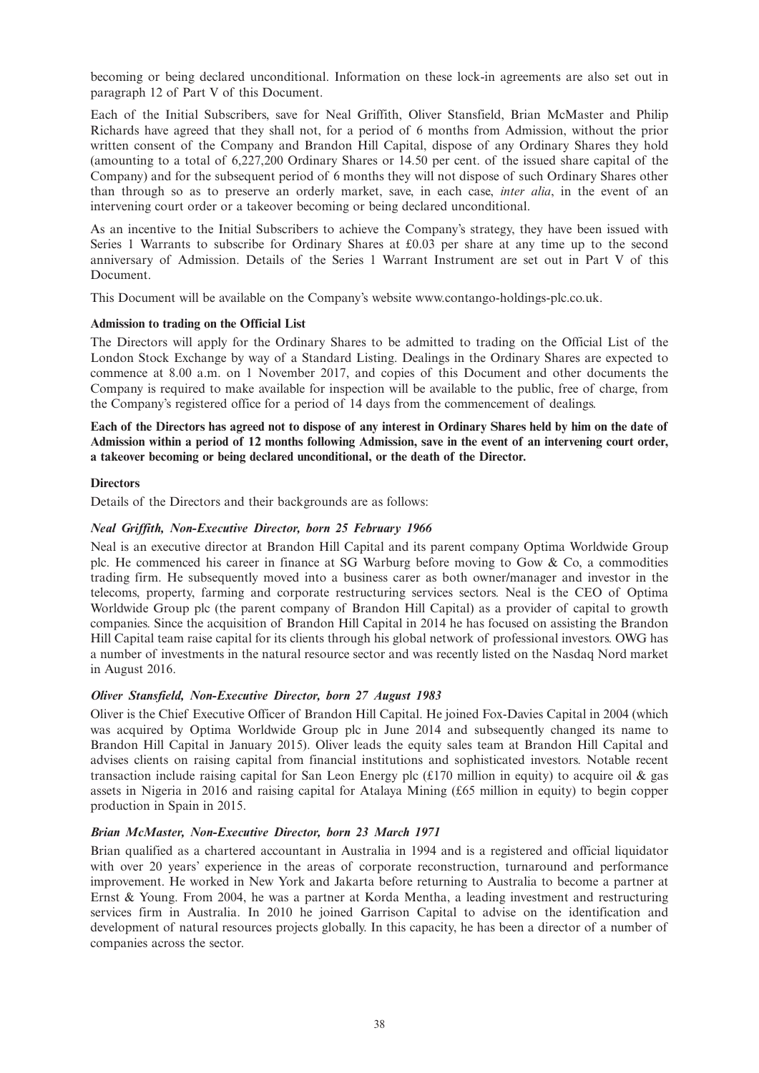becoming or being declared unconditional. Information on these lock-in agreements are also set out in paragraph 12 of Part V of this Document.

Each of the Initial Subscribers, save for Neal Griffith, Oliver Stansfield, Brian McMaster and Philip Richards have agreed that they shall not, for a period of 6 months from Admission, without the prior written consent of the Company and Brandon Hill Capital, dispose of any Ordinary Shares they hold (amounting to a total of 6,227,200 Ordinary Shares or 14.50 per cent. of the issued share capital of the Company) and for the subsequent period of 6 months they will not dispose of such Ordinary Shares other than through so as to preserve an orderly market, save, in each case, *inter alia*, in the event of an intervening court order or a takeover becoming or being declared unconditional.

As an incentive to the Initial Subscribers to achieve the Company's strategy, they have been issued with Series 1 Warrants to subscribe for Ordinary Shares at £0.03 per share at any time up to the second anniversary of Admission. Details of the Series 1 Warrant Instrument are set out in Part V of this Document.

This Document will be available on the Company's website www.contango-holdings-plc.co.uk.

### **Admission to trading on the Official List**

The Directors will apply for the Ordinary Shares to be admitted to trading on the Official List of the London Stock Exchange by way of a Standard Listing. Dealings in the Ordinary Shares are expected to commence at 8.00 a.m. on 1 November 2017, and copies of this Document and other documents the Company is required to make available for inspection will be available to the public, free of charge, from the Company's registered office for a period of 14 days from the commencement of dealings.

Each of the Directors has agreed not to dispose of any interest in Ordinary Shares held by him on the date of Admission within a period of 12 months following Admission, save in the event of an intervening court order, **a takeover becoming or being declared unconditional, or the death of the Director.**

#### **Directors**

Details of the Directors and their backgrounds are as follows:

#### *Neal Griffith, Non-Executive Director, born 25 February 1966*

Neal is an executive director at Brandon Hill Capital and its parent company Optima Worldwide Group plc. He commenced his career in finance at SG Warburg before moving to Gow & Co, a commodities trading firm. He subsequently moved into a business carer as both owner/manager and investor in the telecoms, property, farming and corporate restructuring services sectors. Neal is the CEO of Optima Worldwide Group plc (the parent company of Brandon Hill Capital) as a provider of capital to growth companies. Since the acquisition of Brandon Hill Capital in 2014 he has focused on assisting the Brandon Hill Capital team raise capital for its clients through his global network of professional investors. OWG has a number of investments in the natural resource sector and was recently listed on the Nasdaq Nord market in August 2016.

### *Oliver Stansfield, Non-Executive Director, born 27 August 1983*

Oliver is the Chief Executive Officer of Brandon Hill Capital. He joined Fox-Davies Capital in 2004 (which was acquired by Optima Worldwide Group plc in June 2014 and subsequently changed its name to Brandon Hill Capital in January 2015). Oliver leads the equity sales team at Brandon Hill Capital and advises clients on raising capital from financial institutions and sophisticated investors. Notable recent transaction include raising capital for San Leon Energy plc  $(£170$  million in equity) to acquire oil & gas assets in Nigeria in 2016 and raising capital for Atalaya Mining (£65 million in equity) to begin copper production in Spain in 2015.

#### *Brian McMaster, Non-Executive Director, born 23 March 1971*

Brian qualified as a chartered accountant in Australia in 1994 and is a registered and official liquidator with over 20 years' experience in the areas of corporate reconstruction, turnaround and performance improvement. He worked in New York and Jakarta before returning to Australia to become a partner at Ernst & Young. From 2004, he was a partner at Korda Mentha, a leading investment and restructuring services firm in Australia. In 2010 he joined Garrison Capital to advise on the identification and development of natural resources projects globally. In this capacity, he has been a director of a number of companies across the sector.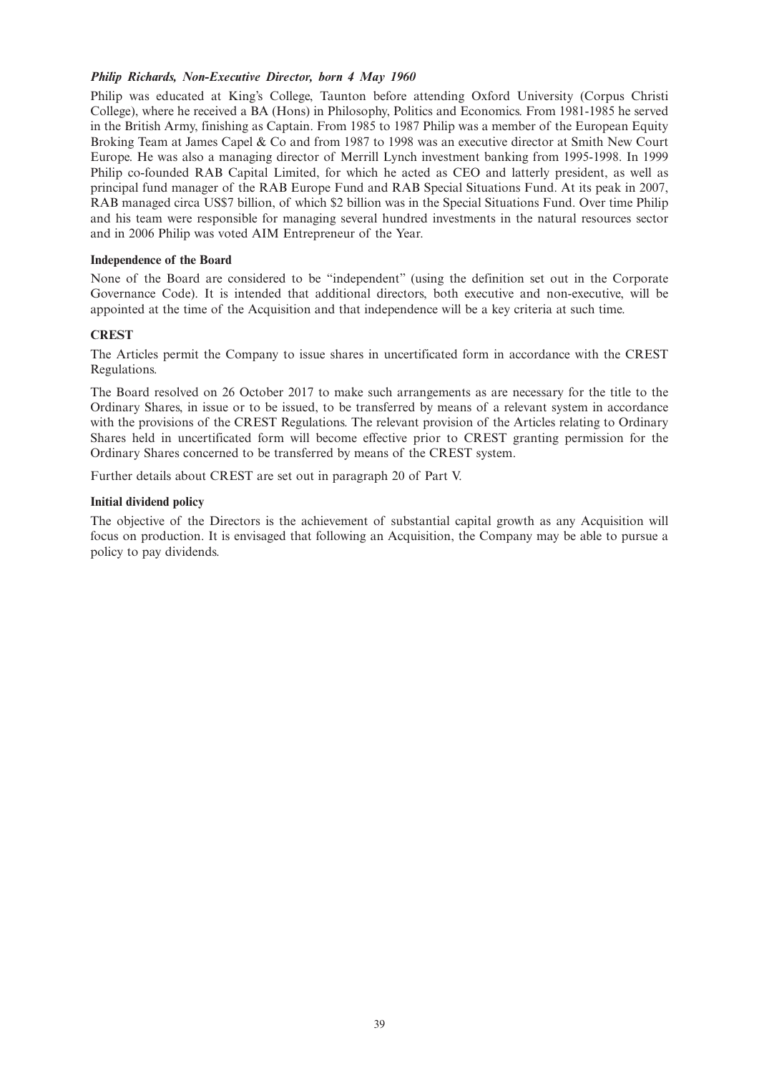### *Philip Richards, Non-Executive Director, born 4 May 1960*

Philip was educated at King's College, Taunton before attending Oxford University (Corpus Christi College), where he received a BA (Hons) in Philosophy, Politics and Economics. From 1981-1985 he served in the British Army, finishing as Captain. From 1985 to 1987 Philip was a member of the European Equity Broking Team at James Capel & Co and from 1987 to 1998 was an executive director at Smith New Court Europe. He was also a managing director of Merrill Lynch investment banking from 1995-1998. In 1999 Philip co-founded RAB Capital Limited, for which he acted as CEO and latterly president, as well as principal fund manager of the RAB Europe Fund and RAB Special Situations Fund. At its peak in 2007, RAB managed circa US\$7 billion, of which \$2 billion was in the Special Situations Fund. Over time Philip and his team were responsible for managing several hundred investments in the natural resources sector and in 2006 Philip was voted AIM Entrepreneur of the Year.

### **Independence of the Board**

None of the Board are considered to be "independent" (using the definition set out in the Corporate Governance Code). It is intended that additional directors, both executive and non-executive, will be appointed at the time of the Acquisition and that independence will be a key criteria at such time.

## **CREST**

The Articles permit the Company to issue shares in uncertificated form in accordance with the CREST Regulations.

The Board resolved on 26 October 2017 to make such arrangements as are necessary for the title to the Ordinary Shares, in issue or to be issued, to be transferred by means of a relevant system in accordance with the provisions of the CREST Regulations. The relevant provision of the Articles relating to Ordinary Shares held in uncertificated form will become effective prior to CREST granting permission for the Ordinary Shares concerned to be transferred by means of the CREST system.

Further details about CREST are set out in paragraph 20 of Part V.

### **Initial dividend policy**

The objective of the Directors is the achievement of substantial capital growth as any Acquisition will focus on production. It is envisaged that following an Acquisition, the Company may be able to pursue a policy to pay dividends.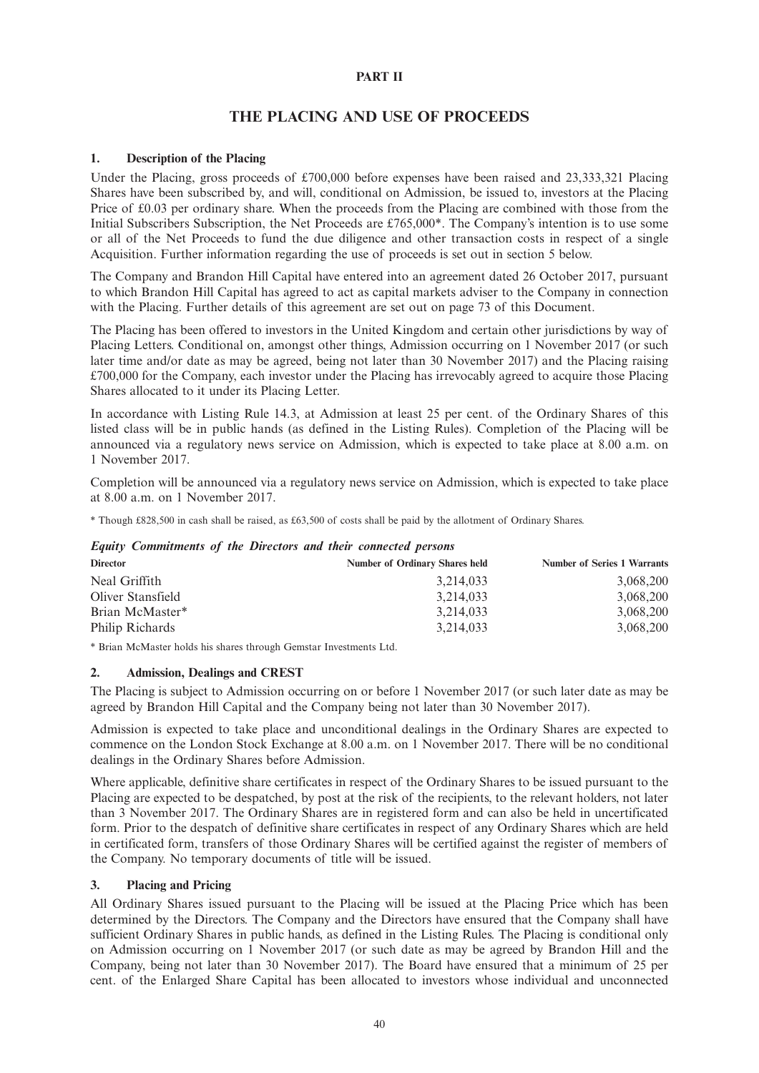## **PART II**

# **THE PLACING AND USE OF PROCEEDS**

## **1. Description of the Placing**

Under the Placing, gross proceeds of £700,000 before expenses have been raised and 23,333,321 Placing Shares have been subscribed by, and will, conditional on Admission, be issued to, investors at the Placing Price of £0.03 per ordinary share. When the proceeds from the Placing are combined with those from the Initial Subscribers Subscription, the Net Proceeds are £765,000\*. The Company's intention is to use some or all of the Net Proceeds to fund the due diligence and other transaction costs in respect of a single Acquisition. Further information regarding the use of proceeds is set out in section 5 below.

The Company and Brandon Hill Capital have entered into an agreement dated 26 October 2017, pursuant to which Brandon Hill Capital has agreed to act as capital markets adviser to the Company in connection with the Placing. Further details of this agreement are set out on page 73 of this Document.

The Placing has been offered to investors in the United Kingdom and certain other jurisdictions by way of Placing Letters. Conditional on, amongst other things, Admission occurring on 1 November 2017 (or such later time and/or date as may be agreed, being not later than 30 November 2017) and the Placing raising £700,000 for the Company, each investor under the Placing has irrevocably agreed to acquire those Placing Shares allocated to it under its Placing Letter.

In accordance with Listing Rule 14.3, at Admission at least 25 per cent. of the Ordinary Shares of this listed class will be in public hands (as defined in the Listing Rules). Completion of the Placing will be announced via a regulatory news service on Admission, which is expected to take place at 8.00 a.m. on 1 November 2017.

Completion will be announced via a regulatory news service on Admission, which is expected to take place at 8.00 a.m. on 1 November 2017.

\* Though £828,500 in cash shall be raised, as £63,500 of costs shall be paid by the allotment of Ordinary Shares.

### *Equity Commitments of the Directors and their connected persons*

| <b>Director</b>   | <b>Number of Ordinary Shares held</b> | <b>Number of Series 1 Warrants</b> |
|-------------------|---------------------------------------|------------------------------------|
| Neal Griffith     | 3,214,033                             | 3,068,200                          |
| Oliver Stansfield | 3,214,033                             | 3,068,200                          |
| Brian McMaster*   | 3,214,033                             | 3,068,200                          |
| Philip Richards   | 3,214,033                             | 3,068,200                          |

\* Brian McMaster holds his shares through Gemstar Investments Ltd.

### **2. Admission, Dealings and CREST**

The Placing is subject to Admission occurring on or before 1 November 2017 (or such later date as may be agreed by Brandon Hill Capital and the Company being not later than 30 November 2017).

Admission is expected to take place and unconditional dealings in the Ordinary Shares are expected to commence on the London Stock Exchange at 8.00 a.m. on 1 November 2017. There will be no conditional dealings in the Ordinary Shares before Admission.

Where applicable, definitive share certificates in respect of the Ordinary Shares to be issued pursuant to the Placing are expected to be despatched, by post at the risk of the recipients, to the relevant holders, not later than 3 November 2017. The Ordinary Shares are in registered form and can also be held in uncertificated form. Prior to the despatch of definitive share certificates in respect of any Ordinary Shares which are held in certificated form, transfers of those Ordinary Shares will be certified against the register of members of the Company. No temporary documents of title will be issued.

### **3. Placing and Pricing**

All Ordinary Shares issued pursuant to the Placing will be issued at the Placing Price which has been determined by the Directors. The Company and the Directors have ensured that the Company shall have sufficient Ordinary Shares in public hands, as defined in the Listing Rules. The Placing is conditional only on Admission occurring on 1 November 2017 (or such date as may be agreed by Brandon Hill and the Company, being not later than 30 November 2017). The Board have ensured that a minimum of 25 per cent. of the Enlarged Share Capital has been allocated to investors whose individual and unconnected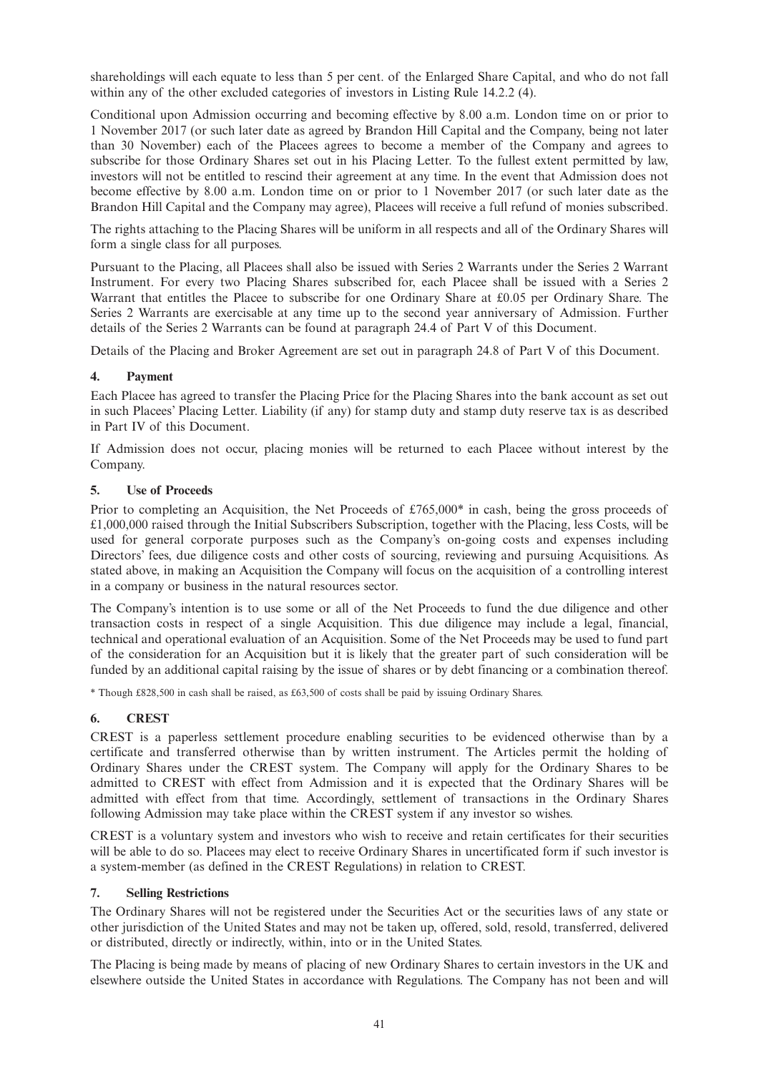shareholdings will each equate to less than 5 per cent. of the Enlarged Share Capital, and who do not fall within any of the other excluded categories of investors in Listing Rule 14.2.2 (4).

Conditional upon Admission occurring and becoming effective by 8.00 a.m. London time on or prior to 1 November 2017 (or such later date as agreed by Brandon Hill Capital and the Company, being not later than 30 November) each of the Placees agrees to become a member of the Company and agrees to subscribe for those Ordinary Shares set out in his Placing Letter. To the fullest extent permitted by law, investors will not be entitled to rescind their agreement at any time. In the event that Admission does not become effective by 8.00 a.m. London time on or prior to 1 November 2017 (or such later date as the Brandon Hill Capital and the Company may agree), Placees will receive a full refund of monies subscribed.

The rights attaching to the Placing Shares will be uniform in all respects and all of the Ordinary Shares will form a single class for all purposes.

Pursuant to the Placing, all Placees shall also be issued with Series 2 Warrants under the Series 2 Warrant Instrument. For every two Placing Shares subscribed for, each Placee shall be issued with a Series 2 Warrant that entitles the Placee to subscribe for one Ordinary Share at £0.05 per Ordinary Share. The Series 2 Warrants are exercisable at any time up to the second year anniversary of Admission. Further details of the Series 2 Warrants can be found at paragraph 24.4 of Part V of this Document.

Details of the Placing and Broker Agreement are set out in paragraph 24.8 of Part V of this Document.

## **4. Payment**

Each Placee has agreed to transfer the Placing Price for the Placing Shares into the bank account as set out in such Placees' Placing Letter. Liability (if any) for stamp duty and stamp duty reserve tax is as described in Part IV of this Document.

If Admission does not occur, placing monies will be returned to each Placee without interest by the Company.

## **5. Use of Proceeds**

Prior to completing an Acquisition, the Net Proceeds of £765,000 $*$  in cash, being the gross proceeds of £1,000,000 raised through the Initial Subscribers Subscription, together with the Placing, less Costs, will be used for general corporate purposes such as the Company's on-going costs and expenses including Directors' fees, due diligence costs and other costs of sourcing, reviewing and pursuing Acquisitions. As stated above, in making an Acquisition the Company will focus on the acquisition of a controlling interest in a company or business in the natural resources sector.

The Company's intention is to use some or all of the Net Proceeds to fund the due diligence and other transaction costs in respect of a single Acquisition. This due diligence may include a legal, financial, technical and operational evaluation of an Acquisition. Some of the Net Proceeds may be used to fund part of the consideration for an Acquisition but it is likely that the greater part of such consideration will be funded by an additional capital raising by the issue of shares or by debt financing or a combination thereof.

\* Though £828,500 in cash shall be raised, as £63,500 of costs shall be paid by issuing Ordinary Shares.

## **6. CREST**

CREST is a paperless settlement procedure enabling securities to be evidenced otherwise than by a certificate and transferred otherwise than by written instrument. The Articles permit the holding of Ordinary Shares under the CREST system. The Company will apply for the Ordinary Shares to be admitted to CREST with effect from Admission and it is expected that the Ordinary Shares will be admitted with effect from that time. Accordingly, settlement of transactions in the Ordinary Shares following Admission may take place within the CREST system if any investor so wishes.

CREST is a voluntary system and investors who wish to receive and retain certificates for their securities will be able to do so. Placees may elect to receive Ordinary Shares in uncertificated form if such investor is a system-member (as defined in the CREST Regulations) in relation to CREST.

## **7. Selling Restrictions**

The Ordinary Shares will not be registered under the Securities Act or the securities laws of any state or other jurisdiction of the United States and may not be taken up, offered, sold, resold, transferred, delivered or distributed, directly or indirectly, within, into or in the United States.

The Placing is being made by means of placing of new Ordinary Shares to certain investors in the UK and elsewhere outside the United States in accordance with Regulations. The Company has not been and will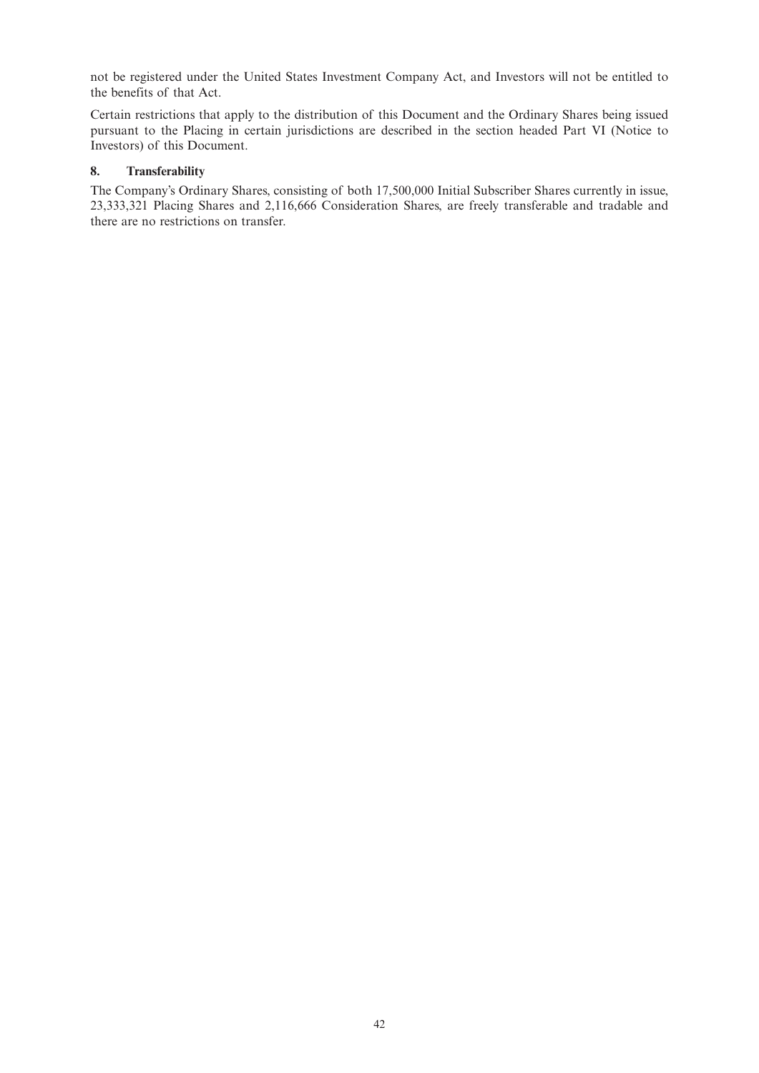not be registered under the United States Investment Company Act, and Investors will not be entitled to the benefits of that Act.

Certain restrictions that apply to the distribution of this Document and the Ordinary Shares being issued pursuant to the Placing in certain jurisdictions are described in the section headed Part VI (Notice to Investors) of this Document.

## **8. Transferability**

The Company's Ordinary Shares, consisting of both 17,500,000 Initial Subscriber Shares currently in issue, 23,333,321 Placing Shares and 2,116,666 Consideration Shares, are freely transferable and tradable and there are no restrictions on transfer.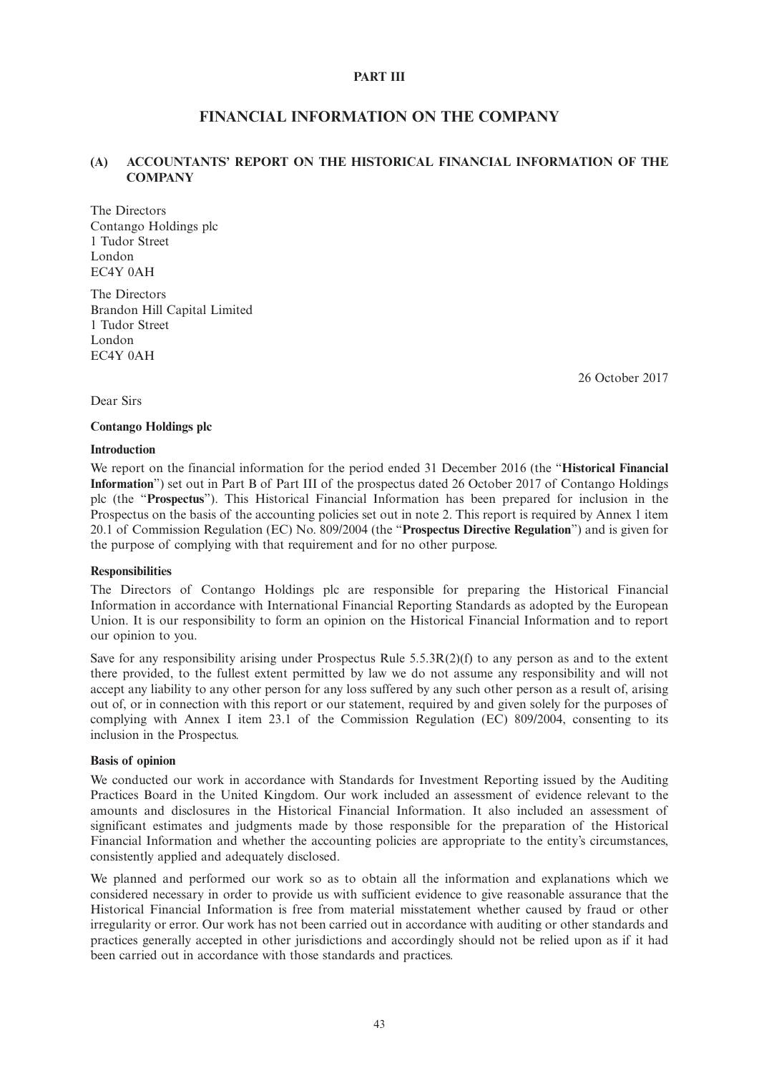### **PART III**

# **FINANCIAL INFORMATION ON THE COMPANY**

## **(A) ACCOUNTANTS' REPORT ON THE HISTORICAL FINANCIAL INFORMATION OF THE COMPANY**

The Directors Contango Holdings plc 1 Tudor Street London EC4Y 0AH

The Directors Brandon Hill Capital Limited 1 Tudor Street London EC4Y 0AH

26 October 2017

Dear Sirs

#### **Contango Holdings plc**

#### **Introduction**

We report on the financial information for the period ended 31 December 2016 (the "**Historical Financial Information**") set out in Part B of Part III of the prospectus dated 26 October 2017 of Contango Holdings plc (the "**Prospectus**"). This Historical Financial Information has been prepared for inclusion in the Prospectus on the basis of the accounting policies set out in note 2. This report is required by Annex 1 item 20.1 of Commission Regulation (EC) No. 809/2004 (the "**Prospectus Directive Regulation**") and is given for the purpose of complying with that requirement and for no other purpose.

### **Responsibilities**

The Directors of Contango Holdings plc are responsible for preparing the Historical Financial Information in accordance with International Financial Reporting Standards as adopted by the European Union. It is our responsibility to form an opinion on the Historical Financial Information and to report our opinion to you.

Save for any responsibility arising under Prospectus Rule 5.5.3R(2)(f) to any person as and to the extent there provided, to the fullest extent permitted by law we do not assume any responsibility and will not accept any liability to any other person for any loss suffered by any such other person as a result of, arising out of, or in connection with this report or our statement, required by and given solely for the purposes of complying with Annex I item 23.1 of the Commission Regulation (EC) 809/2004, consenting to its inclusion in the Prospectus.

## **Basis of opinion**

We conducted our work in accordance with Standards for Investment Reporting issued by the Auditing Practices Board in the United Kingdom. Our work included an assessment of evidence relevant to the amounts and disclosures in the Historical Financial Information. It also included an assessment of significant estimates and judgments made by those responsible for the preparation of the Historical Financial Information and whether the accounting policies are appropriate to the entity's circumstances, consistently applied and adequately disclosed.

We planned and performed our work so as to obtain all the information and explanations which we considered necessary in order to provide us with sufficient evidence to give reasonable assurance that the Historical Financial Information is free from material misstatement whether caused by fraud or other irregularity or error. Our work has not been carried out in accordance with auditing or other standards and practices generally accepted in other jurisdictions and accordingly should not be relied upon as if it had been carried out in accordance with those standards and practices.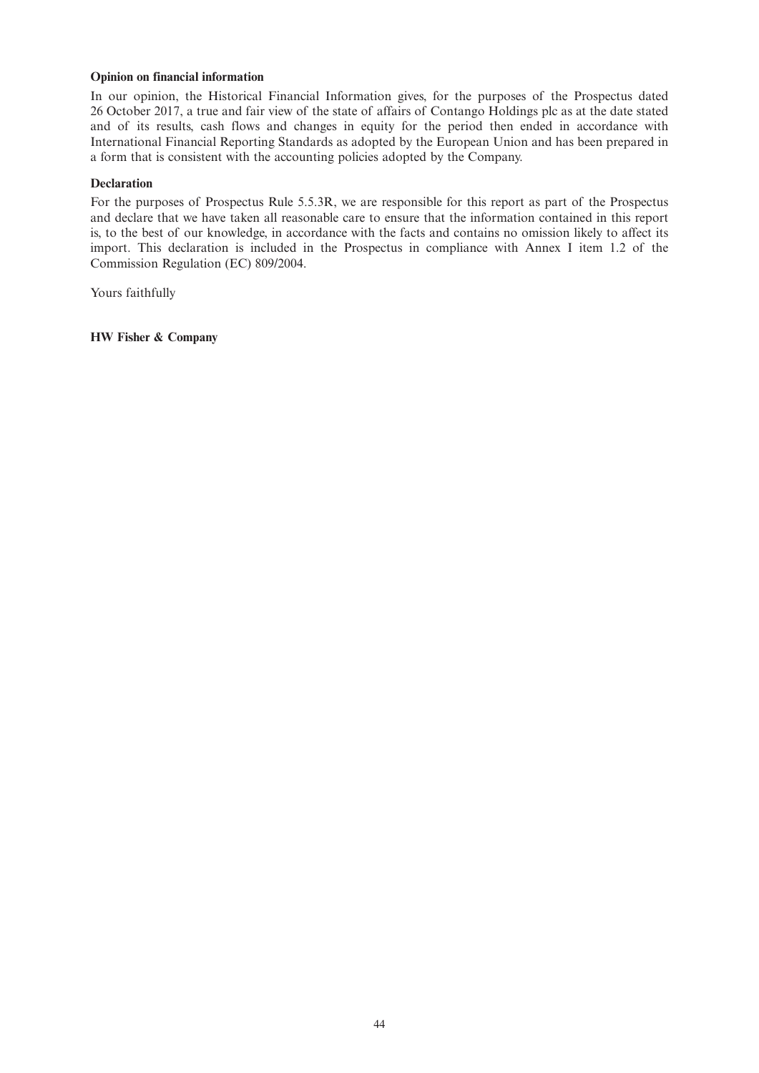### **Opinion on financial information**

In our opinion, the Historical Financial Information gives, for the purposes of the Prospectus dated 26 October 2017, a true and fair view of the state of affairs of Contango Holdings plc as at the date stated and of its results, cash flows and changes in equity for the period then ended in accordance with International Financial Reporting Standards as adopted by the European Union and has been prepared in a form that is consistent with the accounting policies adopted by the Company.

### **Declaration**

For the purposes of Prospectus Rule 5.5.3R, we are responsible for this report as part of the Prospectus and declare that we have taken all reasonable care to ensure that the information contained in this report is, to the best of our knowledge, in accordance with the facts and contains no omission likely to affect its import. This declaration is included in the Prospectus in compliance with Annex I item 1.2 of the Commission Regulation (EC) 809/2004.

Yours faithfully

**HW Fisher & Company**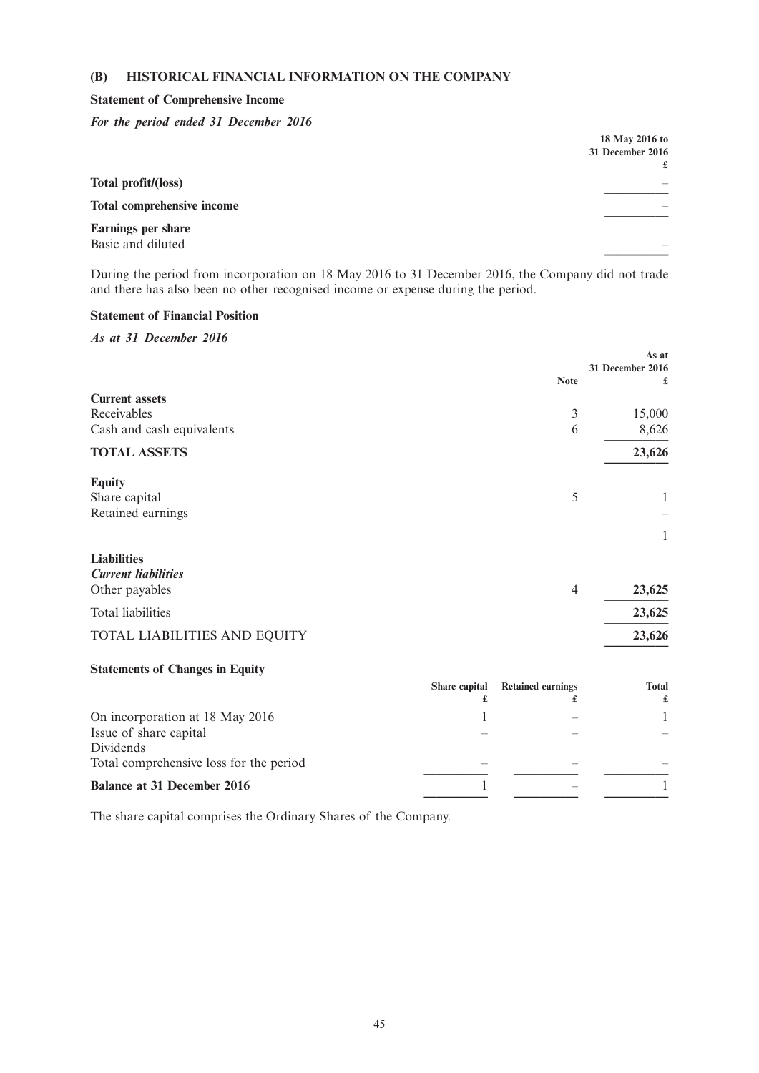## **(B) HISTORICAL FINANCIAL INFORMATION ON THE COMPANY**

#### **Statement of Comprehensive Income**

*For the period ended 31 December 2016*

|                            | 18 May 2016 to   |
|----------------------------|------------------|
|                            | 31 December 2016 |
|                            | £                |
| Total profit/(loss)        |                  |
| Total comprehensive income |                  |
| Earnings per share         |                  |
| Basic and diluted          |                  |
|                            |                  |

During the period from incorporation on 18 May 2016 to 31 December 2016, the Company did not trade and there has also been no other recognised income or expense during the period.

### **Statement of Financial Position**

*As at 31 December 2016*

|                                        |                | As at                        |
|----------------------------------------|----------------|------------------------------|
|                                        | <b>Note</b>    | <b>31 December 2016</b><br>£ |
| <b>Current assets</b>                  |                |                              |
| Receivables                            | 3              | 15,000                       |
| Cash and cash equivalents              | 6              | 8,626                        |
| <b>TOTAL ASSETS</b>                    |                | 23,626                       |
| <b>Equity</b>                          |                |                              |
| Share capital                          | 5              | 1                            |
| Retained earnings                      |                |                              |
|                                        |                |                              |
| <b>Liabilities</b>                     |                |                              |
| <b>Current liabilities</b>             |                |                              |
| Other payables                         | $\overline{4}$ | 23,625                       |
| <b>Total liabilities</b>               |                | 23,625                       |
| TOTAL LIABILITIES AND EQUITY           |                | 23,626                       |
| <b>Statements of Changes in Equity</b> |                |                              |

|                                         | Share capital | <b>Retained earnings</b> | <b>Total</b><br>£ |
|-----------------------------------------|---------------|--------------------------|-------------------|
| On incorporation at 18 May 2016         |               |                          |                   |
| Issue of share capital                  |               |                          |                   |
| Dividends                               |               |                          |                   |
| Total comprehensive loss for the period |               |                          |                   |
| <b>Balance at 31 December 2016</b>      |               |                          |                   |

The share capital comprises the Ordinary Shares of the Company.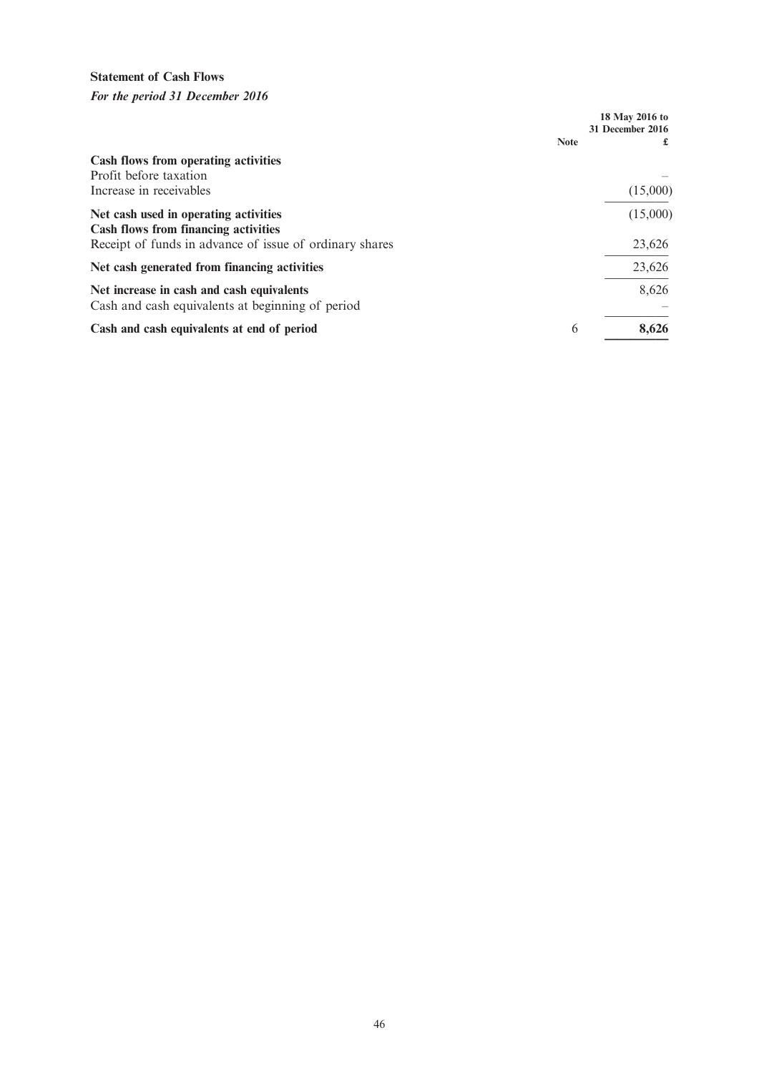# **Statement of Cash Flows**

*For the period 31 December 2016*

|                                                                                               |             | 18 May 2016 to<br><b>31 December 2016</b> |
|-----------------------------------------------------------------------------------------------|-------------|-------------------------------------------|
|                                                                                               | <b>Note</b> |                                           |
| Cash flows from operating activities<br>Profit before taxation                                |             |                                           |
| Increase in receivables                                                                       |             | (15,000)                                  |
| Net cash used in operating activities<br><b>Cash flows from financing activities</b>          |             | (15,000)                                  |
| Receipt of funds in advance of issue of ordinary shares                                       |             | 23,626                                    |
| Net cash generated from financing activities                                                  |             | 23,626                                    |
| Net increase in cash and cash equivalents<br>Cash and cash equivalents at beginning of period |             | 8,626                                     |
| Cash and cash equivalents at end of period                                                    | 6           | 8,626                                     |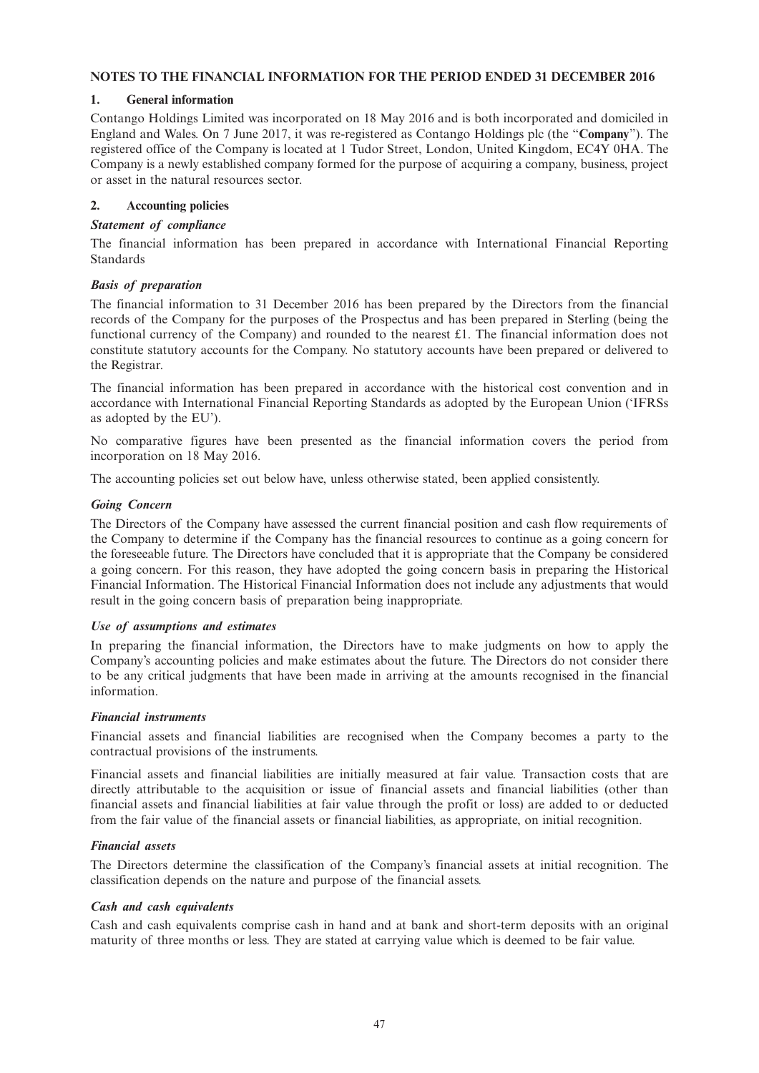## **NOTES TO THE FINANCIAL INFORMATION FOR THE PERIOD ENDED 31 DECEMBER 2016**

## **1. General information**

Contango Holdings Limited was incorporated on 18 May 2016 and is both incorporated and domiciled in England and Wales. On 7 June 2017, it was re-registered as Contango Holdings plc (the "**Company**"). The registered office of the Company is located at 1 Tudor Street, London, United Kingdom, EC4Y 0HA. The Company is a newly established company formed for the purpose of acquiring a company, business, project or asset in the natural resources sector.

## **2. Accounting policies**

## *Statement of compliance*

The financial information has been prepared in accordance with International Financial Reporting Standards

## *Basis of preparation*

The financial information to 31 December 2016 has been prepared by the Directors from the financial records of the Company for the purposes of the Prospectus and has been prepared in Sterling (being the functional currency of the Company) and rounded to the nearest £1. The financial information does not constitute statutory accounts for the Company. No statutory accounts have been prepared or delivered to the Registrar.

The financial information has been prepared in accordance with the historical cost convention and in accordance with International Financial Reporting Standards as adopted by the European Union ('IFRSs as adopted by the EU').

No comparative figures have been presented as the financial information covers the period from incorporation on 18 May 2016.

The accounting policies set out below have, unless otherwise stated, been applied consistently.

## *Going Concern*

The Directors of the Company have assessed the current financial position and cash flow requirements of the Company to determine if the Company has the financial resources to continue as a going concern for the foreseeable future. The Directors have concluded that it is appropriate that the Company be considered a going concern. For this reason, they have adopted the going concern basis in preparing the Historical Financial Information. The Historical Financial Information does not include any adjustments that would result in the going concern basis of preparation being inappropriate.

### *Use of assumptions and estimates*

In preparing the financial information, the Directors have to make judgments on how to apply the Company's accounting policies and make estimates about the future. The Directors do not consider there to be any critical judgments that have been made in arriving at the amounts recognised in the financial information.

### *Financial instruments*

Financial assets and financial liabilities are recognised when the Company becomes a party to the contractual provisions of the instruments.

Financial assets and financial liabilities are initially measured at fair value. Transaction costs that are directly attributable to the acquisition or issue of financial assets and financial liabilities (other than financial assets and financial liabilities at fair value through the profit or loss) are added to or deducted from the fair value of the financial assets or financial liabilities, as appropriate, on initial recognition.

## *Financial assets*

The Directors determine the classification of the Company's financial assets at initial recognition. The classification depends on the nature and purpose of the financial assets.

### *Cash and cash equivalents*

Cash and cash equivalents comprise cash in hand and at bank and short-term deposits with an original maturity of three months or less. They are stated at carrying value which is deemed to be fair value.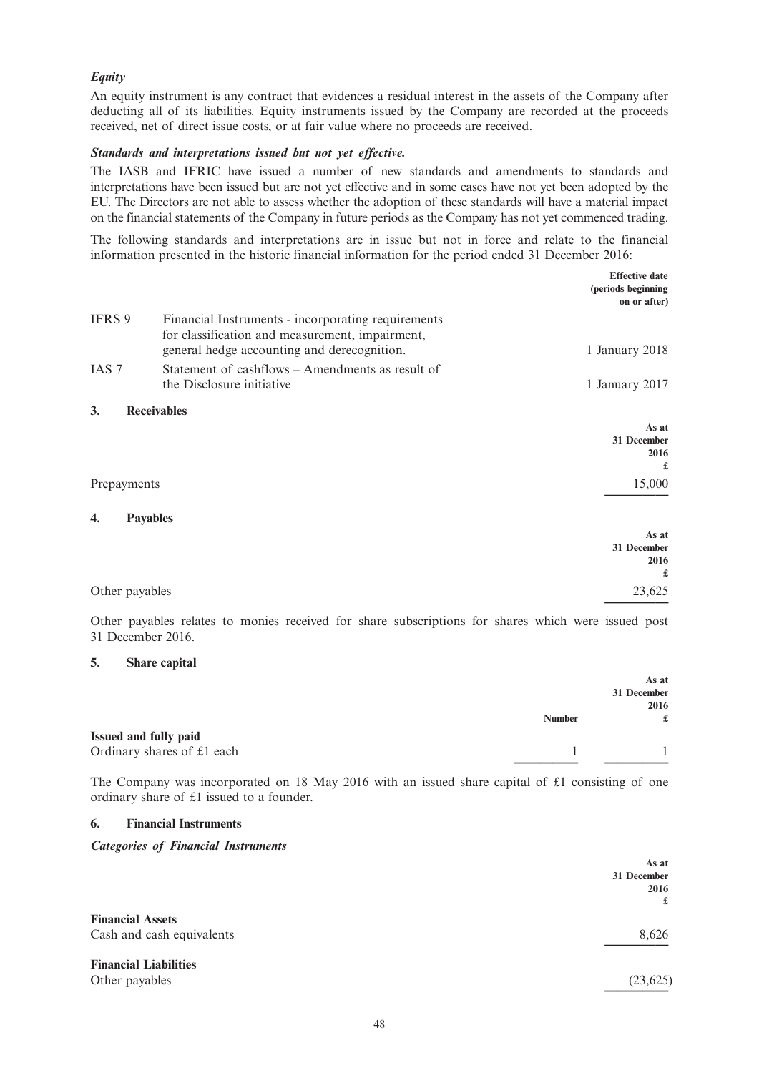## *Equity*

An equity instrument is any contract that evidences a residual interest in the assets of the Company after deducting all of its liabilities. Equity instruments issued by the Company are recorded at the proceeds received, net of direct issue costs, or at fair value where no proceeds are received.

#### *Standards and interpretations issued but not yet effective.*

The IASB and IFRIC have issued a number of new standards and amendments to standards and interpretations have been issued but are not yet effective and in some cases have not yet been adopted by the EU. The Directors are not able to assess whether the adoption of these standards will have a material impact on the financial statements of the Company in future periods as the Company has not yet commenced trading.

The following standards and interpretations are in issue but not in force and relate to the financial information presented in the historic financial information for the period ended 31 December 2016:

|                  |                                                                                                       | <b>Effective date</b><br>(periods beginning<br>on or after) |
|------------------|-------------------------------------------------------------------------------------------------------|-------------------------------------------------------------|
| IFRS 9           | Financial Instruments - incorporating requirements<br>for classification and measurement, impairment, |                                                             |
|                  | general hedge accounting and derecognition.                                                           | 1 January 2018                                              |
| IAS <sub>7</sub> | Statement of cashflows – Amendments as result of                                                      |                                                             |
|                  | the Disclosure initiative                                                                             | 1 January 2017                                              |
| 3.               | <b>Receivables</b>                                                                                    |                                                             |
|                  |                                                                                                       | As at                                                       |
|                  |                                                                                                       | 31 December<br>2016                                         |
|                  |                                                                                                       | £                                                           |
| Prepayments      |                                                                                                       | 15,000                                                      |
|                  |                                                                                                       |                                                             |
| 4.               | <b>Payables</b>                                                                                       |                                                             |
|                  |                                                                                                       | As at<br>31 December                                        |
|                  |                                                                                                       | 2016                                                        |
|                  |                                                                                                       | £                                                           |
| Other payables   |                                                                                                       | 23,625                                                      |
|                  |                                                                                                       |                                                             |

Other payables relates to monies received for share subscriptions for shares which were issued post 31 December 2016.

#### **5. Share capital**

|                              |               | As at<br>31 December<br>2016 |
|------------------------------|---------------|------------------------------|
|                              | <b>Number</b> | £                            |
| <b>Issued and fully paid</b> |               |                              |
| Ordinary shares of £1 each   |               |                              |
|                              |               |                              |

The Company was incorporated on 18 May 2016 with an issued share capital of £1 consisting of one ordinary share of £1 issued to a founder.

#### **6. Financial Instruments**

### *Categories of Financial Instruments*

|                                                      | As at<br>31 December<br>2016<br>£ |
|------------------------------------------------------|-----------------------------------|
| <b>Financial Assets</b><br>Cash and cash equivalents | 8,626                             |
| <b>Financial Liabilities</b><br>Other payables       | (23, 625)                         |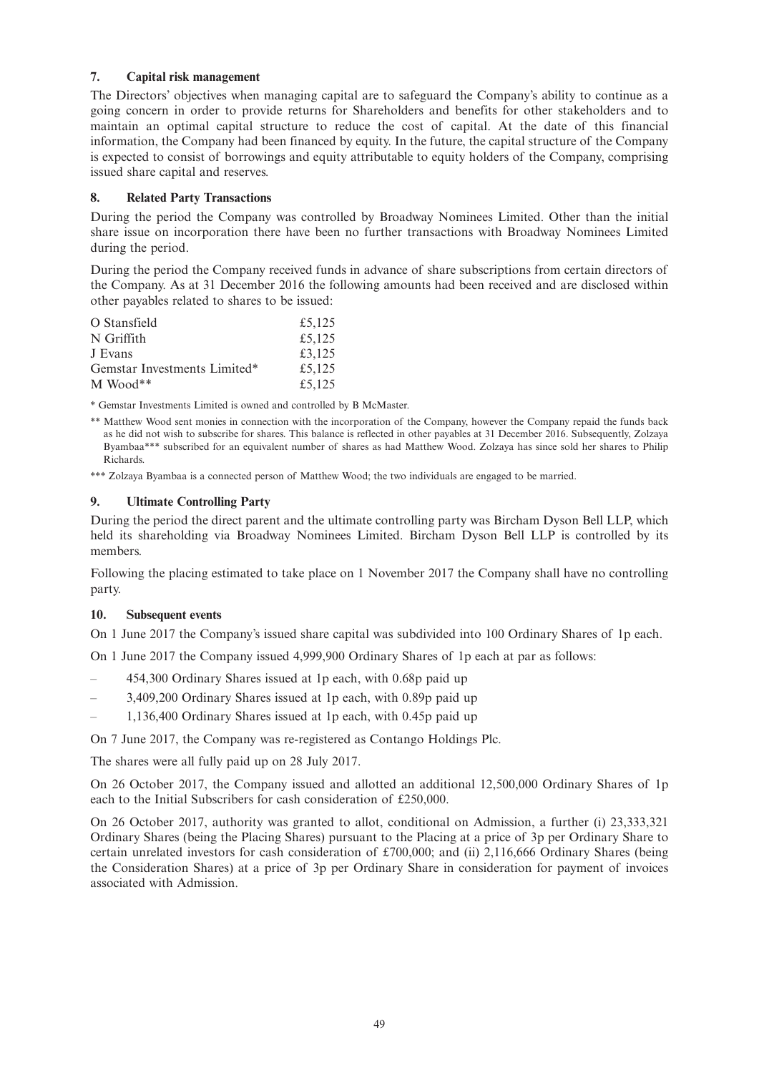### **7. Capital risk management**

The Directors' objectives when managing capital are to safeguard the Company's ability to continue as a going concern in order to provide returns for Shareholders and benefits for other stakeholders and to maintain an optimal capital structure to reduce the cost of capital. At the date of this financial information, the Company had been financed by equity. In the future, the capital structure of the Company is expected to consist of borrowings and equity attributable to equity holders of the Company, comprising issued share capital and reserves.

## **8. Related Party Transactions**

During the period the Company was controlled by Broadway Nominees Limited. Other than the initial share issue on incorporation there have been no further transactions with Broadway Nominees Limited during the period.

During the period the Company received funds in advance of share subscriptions from certain directors of the Company. As at 31 December 2016 the following amounts had been received and are disclosed within other payables related to shares to be issued:

| O Stansfield                 | £5,125 |
|------------------------------|--------|
| N Griffith                   | £5,125 |
| J Evans                      | £3,125 |
| Gemstar Investments Limited* | £5,125 |
| $M$ Wood**                   | £5,125 |

\* Gemstar Investments Limited is owned and controlled by B McMaster.

\*\* Matthew Wood sent monies in connection with the incorporation of the Company, however the Company repaid the funds back as he did not wish to subscribe for shares. This balance is reflected in other payables at 31 December 2016. Subsequently, Zolzaya Byambaa\*\*\* subscribed for an equivalent number of shares as had Matthew Wood. Zolzaya has since sold her shares to Philip Richards.

\*\*\* Zolzaya Byambaa is a connected person of Matthew Wood; the two individuals are engaged to be married.

## **9. Ultimate Controlling Party**

During the period the direct parent and the ultimate controlling party was Bircham Dyson Bell LLP, which held its shareholding via Broadway Nominees Limited. Bircham Dyson Bell LLP is controlled by its members.

Following the placing estimated to take place on 1 November 2017 the Company shall have no controlling party.

## **10. Subsequent events**

On 1 June 2017 the Company's issued share capital was subdivided into 100 Ordinary Shares of 1p each.

On 1 June 2017 the Company issued 4,999,900 Ordinary Shares of 1p each at par as follows:

- 454,300 Ordinary Shares issued at 1p each, with 0.68p paid up
- 3,409,200 Ordinary Shares issued at 1p each, with 0.89p paid up
- 1,136,400 Ordinary Shares issued at 1p each, with 0.45p paid up

On 7 June 2017, the Company was re-registered as Contango Holdings Plc.

The shares were all fully paid up on 28 July 2017.

On 26 October 2017, the Company issued and allotted an additional 12,500,000 Ordinary Shares of 1p each to the Initial Subscribers for cash consideration of £250,000.

On 26 October 2017, authority was granted to allot, conditional on Admission, a further (i) 23,333,321 Ordinary Shares (being the Placing Shares) pursuant to the Placing at a price of 3p per Ordinary Share to certain unrelated investors for cash consideration of £700,000; and (ii) 2,116,666 Ordinary Shares (being the Consideration Shares) at a price of 3p per Ordinary Share in consideration for payment of invoices associated with Admission.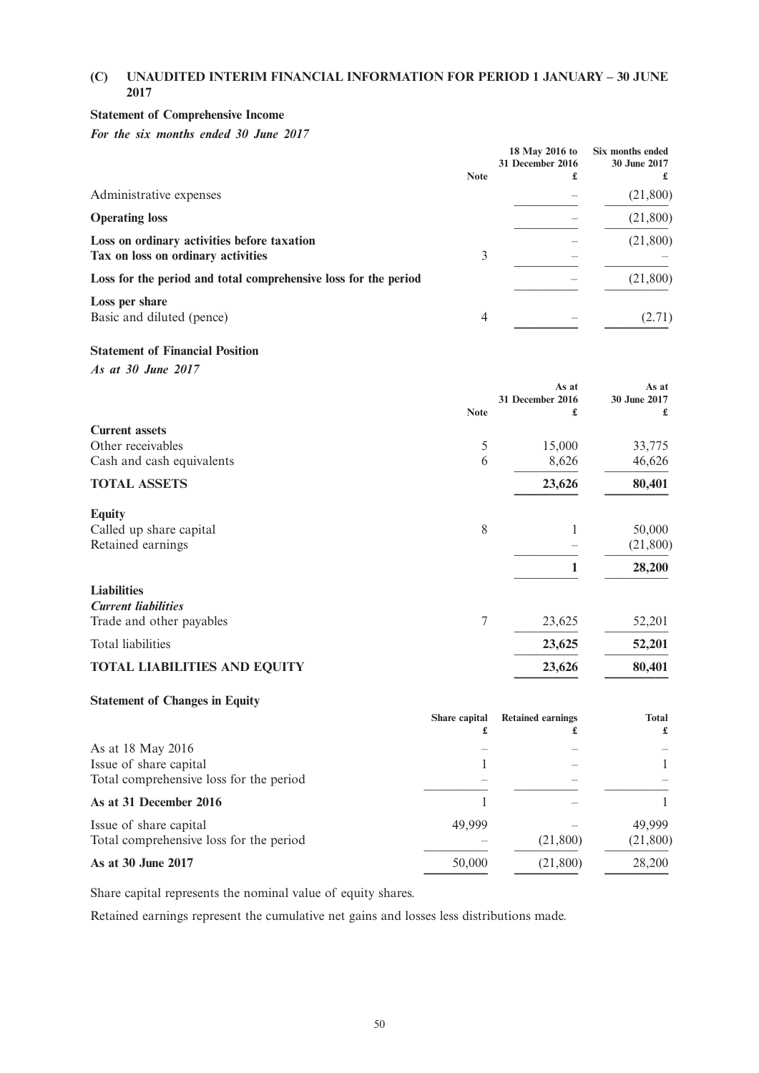## **(C) UNAUDITED INTERIM FINANCIAL INFORMATION FOR PERIOD 1 JANUARY – 30 JUNE 2017**

## **Statement of Comprehensive Income**

*For the six months ended 30 June 2017*

|                                                                                   | <b>Note</b> | 18 May 2016 to<br>31 December 2016<br>£ | Six months ended<br>30 June 2017 |
|-----------------------------------------------------------------------------------|-------------|-----------------------------------------|----------------------------------|
| Administrative expenses                                                           |             |                                         | (21,800)                         |
| <b>Operating loss</b>                                                             |             |                                         | (21,800)                         |
| Loss on ordinary activities before taxation<br>Tax on loss on ordinary activities | 3           |                                         | (21,800)                         |
| Loss for the period and total comprehensive loss for the period                   |             |                                         | (21,800)                         |
| Loss per share<br>Basic and diluted (pence)                                       | 4           |                                         | (2.71)                           |

### **Statement of Financial Position**

*As at 30 June 2017*

|                                     |             | As at            | As at        |
|-------------------------------------|-------------|------------------|--------------|
|                                     |             | 31 December 2016 | 30 June 2017 |
|                                     | <b>Note</b> | £                | £            |
| <b>Current assets</b>               |             |                  |              |
| Other receivables                   | 5           | 15,000           | 33,775       |
| Cash and cash equivalents           | 6           | 8,626            | 46,626       |
| <b>TOTAL ASSETS</b>                 |             | 23,626           | 80,401       |
| <b>Equity</b>                       |             |                  |              |
| Called up share capital             | 8           |                  | 50,000       |
| Retained earnings                   |             |                  | (21,800)     |
|                                     |             | 1                | 28,200       |
| <b>Liabilities</b>                  |             |                  |              |
| <b>Current liabilities</b>          |             |                  |              |
| Trade and other payables            | 7           | 23,625           | 52,201       |
| Total liabilities                   |             | 23,625           | 52,201       |
| <b>TOTAL LIABILITIES AND EQUITY</b> |             | 23,626           | 80,401       |
|                                     |             |                  |              |

# **Statement of Changes in Equity**

|                                                                                        | Share capital<br>£ | <b>Retained earnings</b> | <b>Total</b><br>£  |
|----------------------------------------------------------------------------------------|--------------------|--------------------------|--------------------|
| As at 18 May 2016<br>Issue of share capital<br>Total comprehensive loss for the period |                    |                          |                    |
| As at 31 December 2016                                                                 |                    |                          |                    |
| Issue of share capital<br>Total comprehensive loss for the period                      | 49,999             | (21,800)                 | 49,999<br>(21,800) |
| As at 30 June 2017                                                                     | 50,000             | (21,800)                 | 28,200             |

Share capital represents the nominal value of equity shares.

Retained earnings represent the cumulative net gains and losses less distributions made.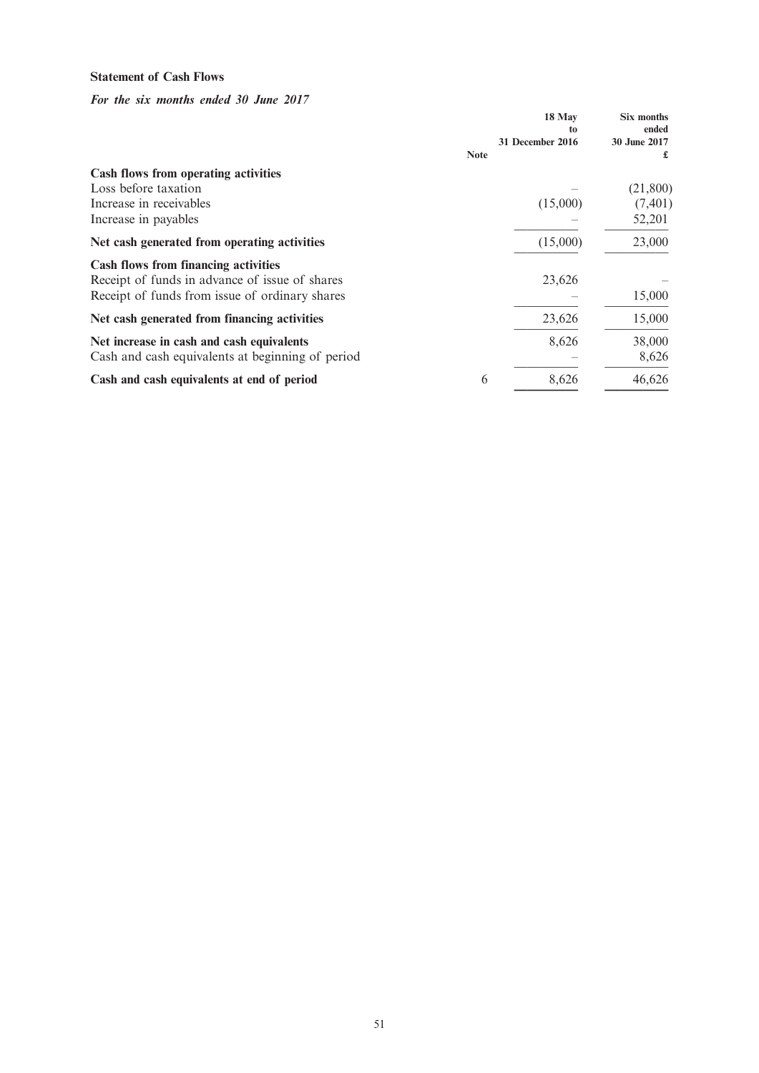## **Statement of Cash Flows**

*For the six months ended 30 June 2017*

|                                                  |             | 18 May<br>to<br>31 December 2016 | Six months<br>ended<br>30 June 2017 |
|--------------------------------------------------|-------------|----------------------------------|-------------------------------------|
|                                                  | <b>Note</b> |                                  | £                                   |
| Cash flows from operating activities             |             |                                  |                                     |
| Loss before taxation                             |             |                                  | (21,800)                            |
| Increase in receivables                          |             | (15,000)                         | (7, 401)                            |
| Increase in payables                             |             |                                  | 52,201                              |
| Net cash generated from operating activities     |             | (15,000)                         | 23,000                              |
| <b>Cash flows from financing activities</b>      |             |                                  |                                     |
| Receipt of funds in advance of issue of shares   |             | 23,626                           |                                     |
| Receipt of funds from issue of ordinary shares   |             |                                  | 15,000                              |
| Net cash generated from financing activities     |             | 23,626                           | 15,000                              |
| Net increase in cash and cash equivalents        |             | 8,626                            | 38,000                              |
| Cash and cash equivalents at beginning of period |             |                                  | 8,626                               |
| Cash and cash equivalents at end of period       | 6           | 8,626                            | 46,626                              |
|                                                  |             |                                  |                                     |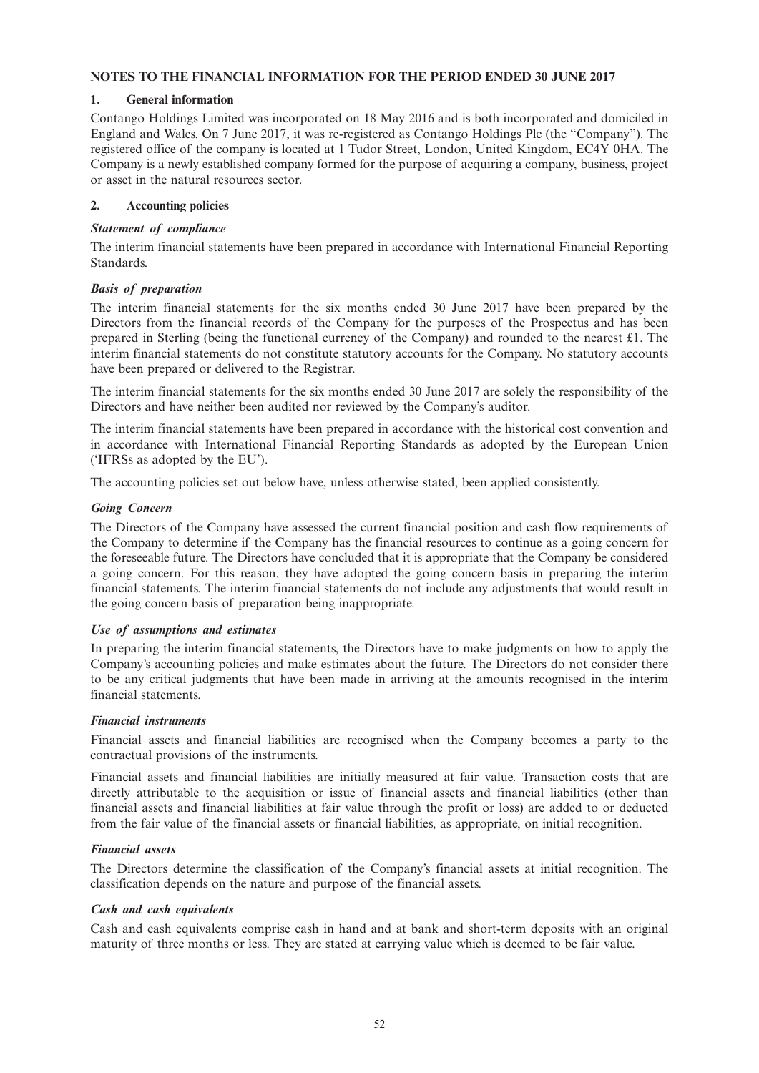## **NOTES TO THE FINANCIAL INFORMATION FOR THE PERIOD ENDED 30 JUNE 2017**

## **1. General information**

Contango Holdings Limited was incorporated on 18 May 2016 and is both incorporated and domiciled in England and Wales. On 7 June 2017, it was re-registered as Contango Holdings Plc (the "Company"). The registered office of the company is located at 1 Tudor Street, London, United Kingdom, EC4Y 0HA. The Company is a newly established company formed for the purpose of acquiring a company, business, project or asset in the natural resources sector.

## **2. Accounting policies**

### *Statement of compliance*

The interim financial statements have been prepared in accordance with International Financial Reporting Standards.

## *Basis of preparation*

The interim financial statements for the six months ended 30 June 2017 have been prepared by the Directors from the financial records of the Company for the purposes of the Prospectus and has been prepared in Sterling (being the functional currency of the Company) and rounded to the nearest £1. The interim financial statements do not constitute statutory accounts for the Company. No statutory accounts have been prepared or delivered to the Registrar.

The interim financial statements for the six months ended 30 June 2017 are solely the responsibility of the Directors and have neither been audited nor reviewed by the Company's auditor.

The interim financial statements have been prepared in accordance with the historical cost convention and in accordance with International Financial Reporting Standards as adopted by the European Union ('IFRSs as adopted by the EU').

The accounting policies set out below have, unless otherwise stated, been applied consistently.

## *Going Concern*

The Directors of the Company have assessed the current financial position and cash flow requirements of the Company to determine if the Company has the financial resources to continue as a going concern for the foreseeable future. The Directors have concluded that it is appropriate that the Company be considered a going concern. For this reason, they have adopted the going concern basis in preparing the interim financial statements. The interim financial statements do not include any adjustments that would result in the going concern basis of preparation being inappropriate.

### *Use of assumptions and estimates*

In preparing the interim financial statements, the Directors have to make judgments on how to apply the Company's accounting policies and make estimates about the future. The Directors do not consider there to be any critical judgments that have been made in arriving at the amounts recognised in the interim financial statements.

### *Financial instruments*

Financial assets and financial liabilities are recognised when the Company becomes a party to the contractual provisions of the instruments.

Financial assets and financial liabilities are initially measured at fair value. Transaction costs that are directly attributable to the acquisition or issue of financial assets and financial liabilities (other than financial assets and financial liabilities at fair value through the profit or loss) are added to or deducted from the fair value of the financial assets or financial liabilities, as appropriate, on initial recognition.

## *Financial assets*

The Directors determine the classification of the Company's financial assets at initial recognition. The classification depends on the nature and purpose of the financial assets.

### *Cash and cash equivalents*

Cash and cash equivalents comprise cash in hand and at bank and short-term deposits with an original maturity of three months or less. They are stated at carrying value which is deemed to be fair value.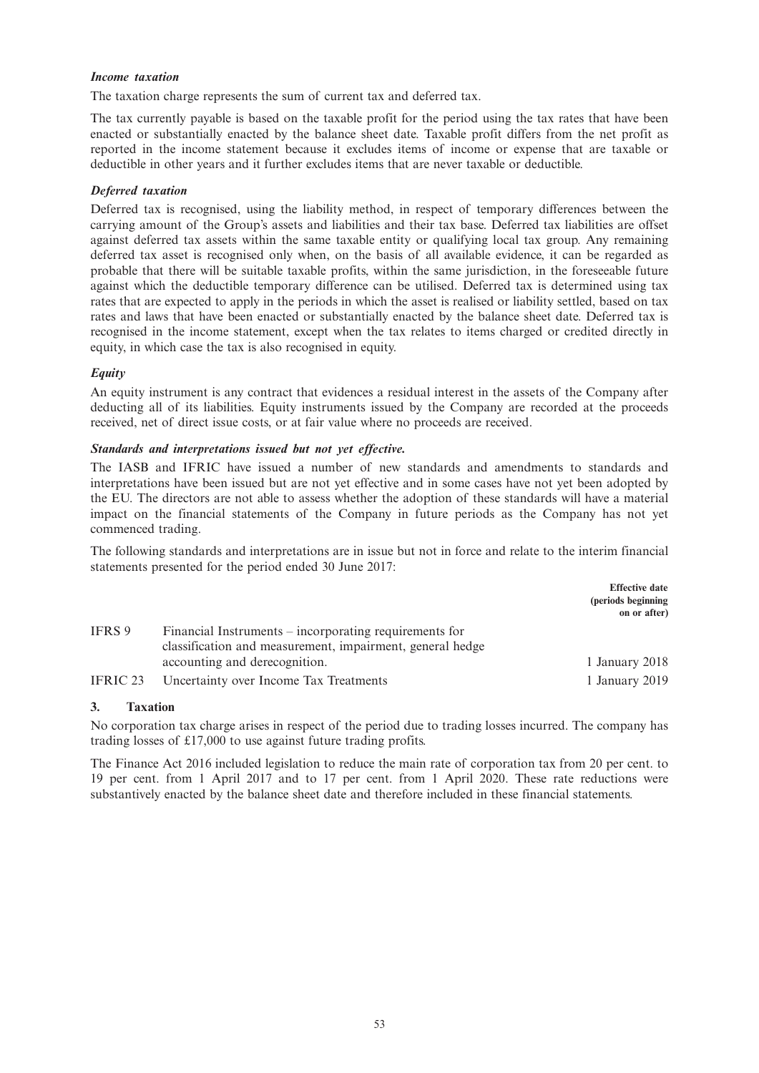### *Income taxation*

The taxation charge represents the sum of current tax and deferred tax.

The tax currently payable is based on the taxable profit for the period using the tax rates that have been enacted or substantially enacted by the balance sheet date. Taxable profit differs from the net profit as reported in the income statement because it excludes items of income or expense that are taxable or deductible in other years and it further excludes items that are never taxable or deductible.

## *Deferred taxation*

Deferred tax is recognised, using the liability method, in respect of temporary differences between the carrying amount of the Group's assets and liabilities and their tax base. Deferred tax liabilities are offset against deferred tax assets within the same taxable entity or qualifying local tax group. Any remaining deferred tax asset is recognised only when, on the basis of all available evidence, it can be regarded as probable that there will be suitable taxable profits, within the same jurisdiction, in the foreseeable future against which the deductible temporary difference can be utilised. Deferred tax is determined using tax rates that are expected to apply in the periods in which the asset is realised or liability settled, based on tax rates and laws that have been enacted or substantially enacted by the balance sheet date. Deferred tax is recognised in the income statement, except when the tax relates to items charged or credited directly in equity, in which case the tax is also recognised in equity.

## *Equity*

An equity instrument is any contract that evidences a residual interest in the assets of the Company after deducting all of its liabilities. Equity instruments issued by the Company are recorded at the proceeds received, net of direct issue costs, or at fair value where no proceeds are received.

### *Standards and interpretations issued but not yet effective.*

The IASB and IFRIC have issued a number of new standards and amendments to standards and interpretations have been issued but are not yet effective and in some cases have not yet been adopted by the EU. The directors are not able to assess whether the adoption of these standards will have a material impact on the financial statements of the Company in future periods as the Company has not yet commenced trading.

The following standards and interpretations are in issue but not in force and relate to the interim financial statements presented for the period ended 30 June 2017:

|          |                                                                                                                     | <b>Effective date</b><br>(periods beginning)<br>on or after) |
|----------|---------------------------------------------------------------------------------------------------------------------|--------------------------------------------------------------|
| IFRS 9   | Financial Instruments – incorporating requirements for<br>classification and measurement, impairment, general hedge |                                                              |
|          | accounting and derecognition.                                                                                       | 1 January 2018                                               |
| IFRIC 23 | Uncertainty over Income Tax Treatments                                                                              | 1 January 2019                                               |

### **3. Taxation**

No corporation tax charge arises in respect of the period due to trading losses incurred. The company has trading losses of £17,000 to use against future trading profits.

The Finance Act 2016 included legislation to reduce the main rate of corporation tax from 20 per cent. to 19 per cent. from 1 April 2017 and to 17 per cent. from 1 April 2020. These rate reductions were substantively enacted by the balance sheet date and therefore included in these financial statements.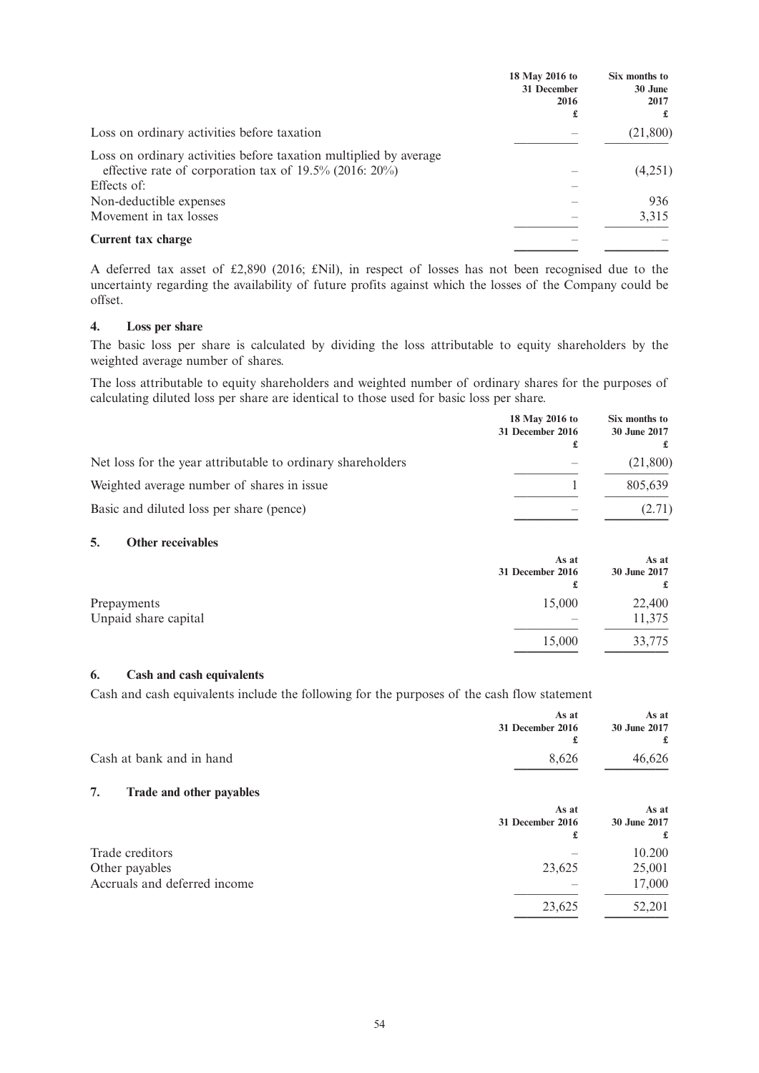|                                                                                                                                               | 18 May 2016 to<br>31 December<br>2016<br>£ | Six months to<br>30 June<br>2017<br>£ |
|-----------------------------------------------------------------------------------------------------------------------------------------------|--------------------------------------------|---------------------------------------|
| Loss on ordinary activities before taxation                                                                                                   |                                            | (21,800)                              |
| Loss on ordinary activities before taxation multiplied by average<br>effective rate of corporation tax of $19.5\%$ (2016: 20%)<br>Effects of: |                                            | (4,251)                               |
| Non-deductible expenses                                                                                                                       |                                            | 936                                   |
| Movement in tax losses                                                                                                                        |                                            | 3,315                                 |
| Current tax charge                                                                                                                            |                                            |                                       |

A deferred tax asset of £2,890 (2016; £Nil), in respect of losses has not been recognised due to the uncertainty regarding the availability of future profits against which the losses of the Company could be offset.

### **4. Loss per share**

The basic loss per share is calculated by dividing the loss attributable to equity shareholders by the weighted average number of shares.

The loss attributable to equity shareholders and weighted number of ordinary shares for the purposes of calculating diluted loss per share are identical to those used for basic loss per share.

|                                                             | 18 May 2016 to<br>31 December 2016<br>£ | Six months to<br>30 June 2017 |
|-------------------------------------------------------------|-----------------------------------------|-------------------------------|
| Net loss for the year attributable to ordinary shareholders |                                         | (21,800)                      |
| Weighted average number of shares in issue                  |                                         | 805,639                       |
| Basic and diluted loss per share (pence)                    |                                         | (2.71)                        |

## **5. Other receivables**

|                                     | As at<br>31 December 2016<br>£ | As at<br>30 June 2017<br>£ |
|-------------------------------------|--------------------------------|----------------------------|
| Prepayments<br>Unpaid share capital | 15,000                         | 22,400<br>11,375           |
|                                     | 15,000                         | 33,775                     |

### **6. Cash and cash equivalents**

Cash and cash equivalents include the following for the purposes of the cash flow statement

|                                | As at<br>31 December 2016<br>£ | As at<br>30 June 2017<br>£ |
|--------------------------------|--------------------------------|----------------------------|
| Cash at bank and in hand       | 8,626                          | 46,626                     |
| 7.<br>Trade and other payables |                                |                            |
|                                | As at                          | As at                      |
|                                | 31 December 2016               | 30 June 2017               |
|                                | £                              | £                          |
| Trade creditors                |                                | 10.200                     |
| Other payables                 | 23,625                         | 25,001                     |
| Accruals and deferred income   |                                | 17,000                     |
|                                | 23,625                         | 52,201                     |
|                                |                                |                            |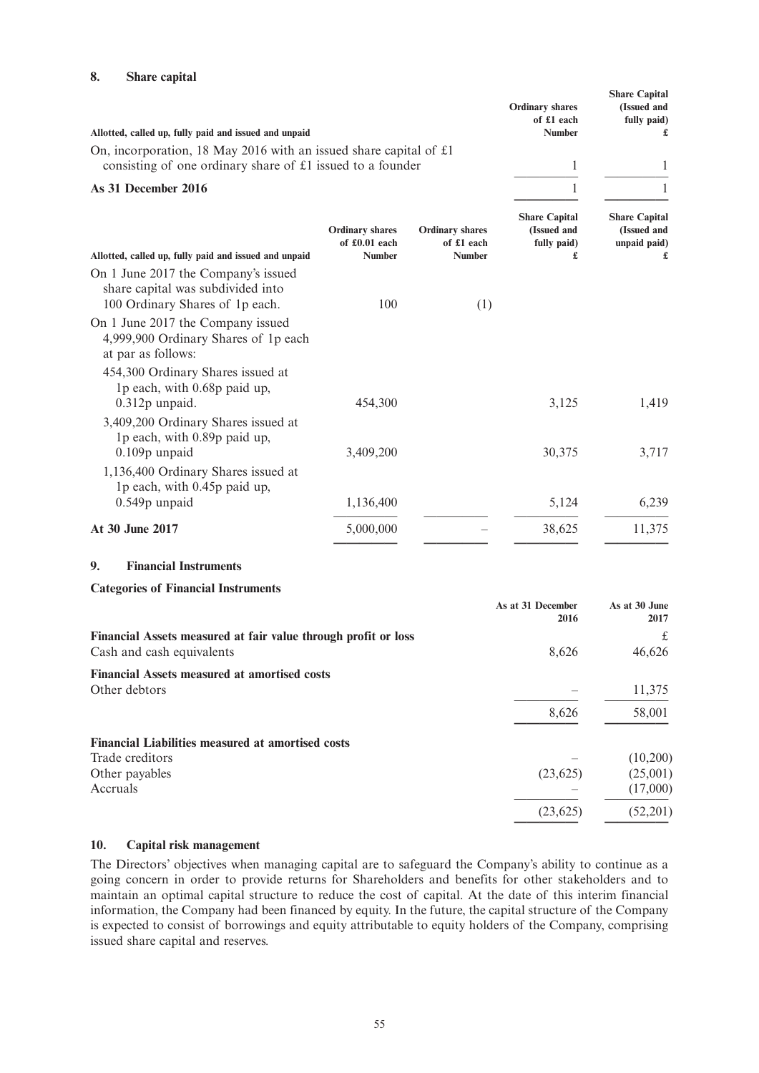## **8. Share capital**

| Allotted, called up, fully paid and issued and unpaid<br>On, incorporation, 18 May 2016 with an issued share capital of $£1$<br>consisting of one ordinary share of £1 issued to a founder                                   | of £1 each<br><b>Number</b><br>1                        | fully paid)<br>£                                         |
|------------------------------------------------------------------------------------------------------------------------------------------------------------------------------------------------------------------------------|---------------------------------------------------------|----------------------------------------------------------|
| As 31 December 2016                                                                                                                                                                                                          | 1                                                       | 1                                                        |
| <b>Ordinary shares</b><br><b>Ordinary shares</b><br>of £0.01 each<br>of £1 each<br><b>Number</b><br>Allotted, called up, fully paid and issued and unpaid<br><b>Number</b>                                                   | <b>Share Capital</b><br>(Issued and<br>fully paid)<br>£ | <b>Share Capital</b><br>(Issued and<br>unpaid paid)<br>£ |
| On 1 June 2017 the Company's issued<br>share capital was subdivided into<br>100 Ordinary Shares of 1p each.<br>100<br>(1)<br>On 1 June 2017 the Company issued<br>4,999,900 Ordinary Shares of 1p each<br>at par as follows: |                                                         |                                                          |
| 454,300 Ordinary Shares issued at<br>1p each, with 0.68p paid up,<br>$0.312p$ unpaid.<br>454,300                                                                                                                             | 3,125                                                   | 1,419                                                    |
| 3,409,200 Ordinary Shares issued at<br>1p each, with 0.89p paid up,<br>0.109p unpaid<br>3,409,200                                                                                                                            | 30,375                                                  | 3,717                                                    |
| 1,136,400 Ordinary Shares issued at<br>1p each, with 0.45p paid up,<br>0.549p unpaid<br>1,136,400                                                                                                                            | 5,124                                                   | 6,239                                                    |
| At 30 June 2017<br>5,000,000                                                                                                                                                                                                 | 38,625                                                  | 11,375                                                   |

## **9. Financial Instruments**

#### **Categories of Financial Instruments**

|                                                                | As at 31 December<br>2016 | As at 30 June<br>2017 |
|----------------------------------------------------------------|---------------------------|-----------------------|
| Financial Assets measured at fair value through profit or loss |                           | £                     |
| Cash and cash equivalents                                      | 8,626                     | 46,626                |
| <b>Financial Assets measured at amortised costs</b>            |                           |                       |
| Other debtors                                                  |                           | 11,375                |
|                                                                | 8,626                     | 58,001                |
| <b>Financial Liabilities measured at amortised costs</b>       |                           |                       |
| Trade creditors                                                |                           | (10,200)              |
| Other payables                                                 | (23, 625)                 | (25,001)              |
| Accruals                                                       |                           | (17,000)              |
|                                                                | (23, 625)                 | (52,201)              |

## **10. Capital risk management**

The Directors' objectives when managing capital are to safeguard the Company's ability to continue as a going concern in order to provide returns for Shareholders and benefits for other stakeholders and to maintain an optimal capital structure to reduce the cost of capital. At the date of this interim financial information, the Company had been financed by equity. In the future, the capital structure of the Company is expected to consist of borrowings and equity attributable to equity holders of the Company, comprising issued share capital and reserves.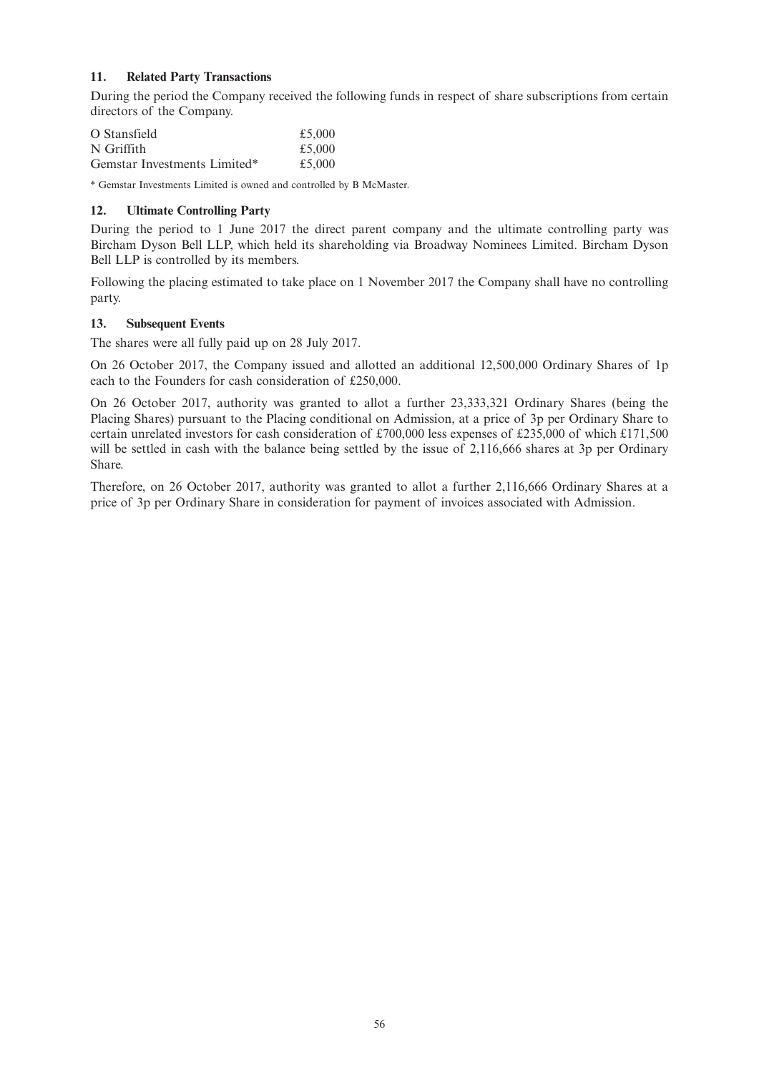## **11. Related Party Transactions**

During the period the Company received the following funds in respect of share subscriptions from certain directors of the Company.

| O Stansfield                 | £5,000 |
|------------------------------|--------|
| N Griffith                   | £5,000 |
| Gemstar Investments Limited* | £5,000 |

\* Gemstar Investments Limited is owned and controlled by B McMaster.

## **12. Ultimate Controlling Party**

During the period to 1 June 2017 the direct parent company and the ultimate controlling party was Bircham Dyson Bell LLP, which held its shareholding via Broadway Nominees Limited. Bircham Dyson Bell LLP is controlled by its members.

Following the placing estimated to take place on 1 November 2017 the Company shall have no controlling party.

### **13. Subsequent Events**

The shares were all fully paid up on 28 July 2017.

On 26 October 2017, the Company issued and allotted an additional 12,500,000 Ordinary Shares of 1p each to the Founders for cash consideration of £250,000.

On 26 October 2017, authority was granted to allot a further 23,333,321 Ordinary Shares (being the Placing Shares) pursuant to the Placing conditional on Admission, at a price of 3p per Ordinary Share to certain unrelated investors for cash consideration of £700,000 less expenses of £235,000 of which £171,500 will be settled in cash with the balance being settled by the issue of 2,116,666 shares at 3p per Ordinary Share.

Therefore, on 26 October 2017, authority was granted to allot a further 2,116,666 Ordinary Shares at a price of 3p per Ordinary Share in consideration for payment of invoices associated with Admission.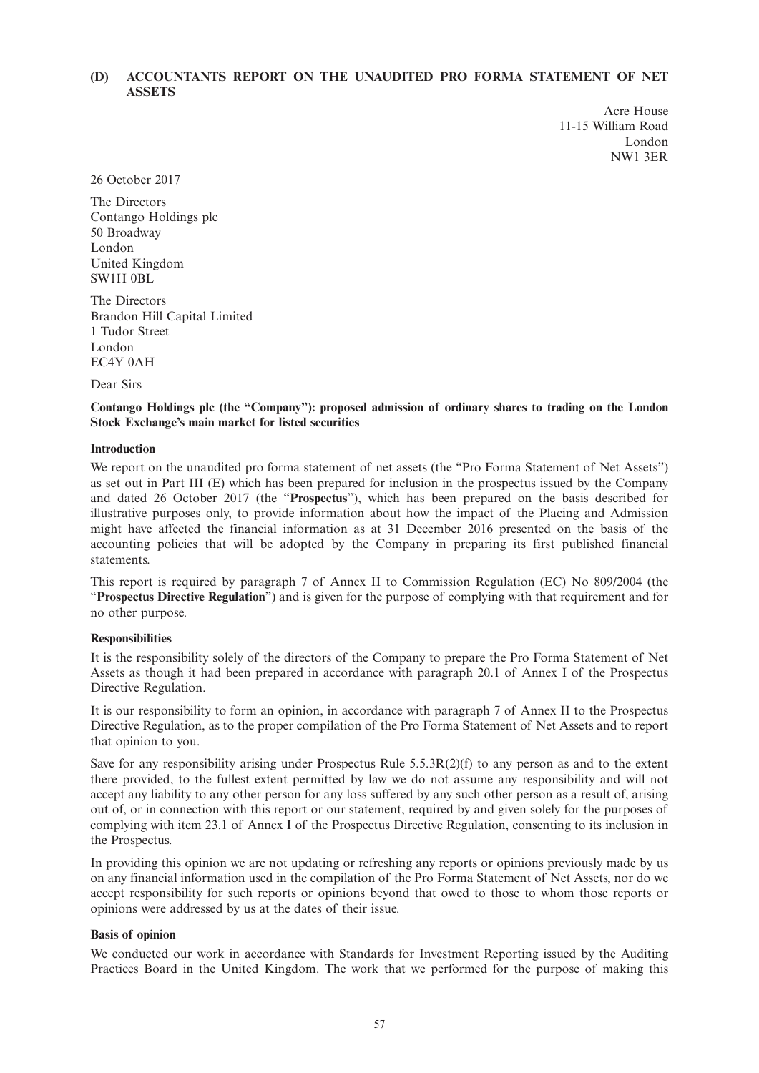## **(D) ACCOUNTANTS REPORT ON THE UNAUDITED PRO FORMA STATEMENT OF NET ASSETS**

Acre House 11-15 William Road London NW1 3ER

26 October 2017

The Directors Contango Holdings plc 50 Broadway London United Kingdom SW1H 0BL

The Directors Brandon Hill Capital Limited 1 Tudor Street London EC4Y 0AH

Dear Sirs

**Contango Holdings plc (the "Company"): proposed admission of ordinary shares to trading on the London Stock Exchange's main market for listed securities**

#### **Introduction**

We report on the unaudited pro forma statement of net assets (the "Pro Forma Statement of Net Assets") as set out in Part III (E) which has been prepared for inclusion in the prospectus issued by the Company and dated 26 October 2017 (the "**Prospectus**"), which has been prepared on the basis described for illustrative purposes only, to provide information about how the impact of the Placing and Admission might have affected the financial information as at 31 December 2016 presented on the basis of the accounting policies that will be adopted by the Company in preparing its first published financial statements.

This report is required by paragraph 7 of Annex II to Commission Regulation (EC) No 809/2004 (the "**Prospectus Directive Regulation**") and is given for the purpose of complying with that requirement and for no other purpose.

#### **Responsibilities**

It is the responsibility solely of the directors of the Company to prepare the Pro Forma Statement of Net Assets as though it had been prepared in accordance with paragraph 20.1 of Annex I of the Prospectus Directive Regulation.

It is our responsibility to form an opinion, in accordance with paragraph 7 of Annex II to the Prospectus Directive Regulation, as to the proper compilation of the Pro Forma Statement of Net Assets and to report that opinion to you.

Save for any responsibility arising under Prospectus Rule  $5.5.3R(2)(f)$  to any person as and to the extent there provided, to the fullest extent permitted by law we do not assume any responsibility and will not accept any liability to any other person for any loss suffered by any such other person as a result of, arising out of, or in connection with this report or our statement, required by and given solely for the purposes of complying with item 23.1 of Annex I of the Prospectus Directive Regulation, consenting to its inclusion in the Prospectus.

In providing this opinion we are not updating or refreshing any reports or opinions previously made by us on any financial information used in the compilation of the Pro Forma Statement of Net Assets, nor do we accept responsibility for such reports or opinions beyond that owed to those to whom those reports or opinions were addressed by us at the dates of their issue.

#### **Basis of opinion**

We conducted our work in accordance with Standards for Investment Reporting issued by the Auditing Practices Board in the United Kingdom. The work that we performed for the purpose of making this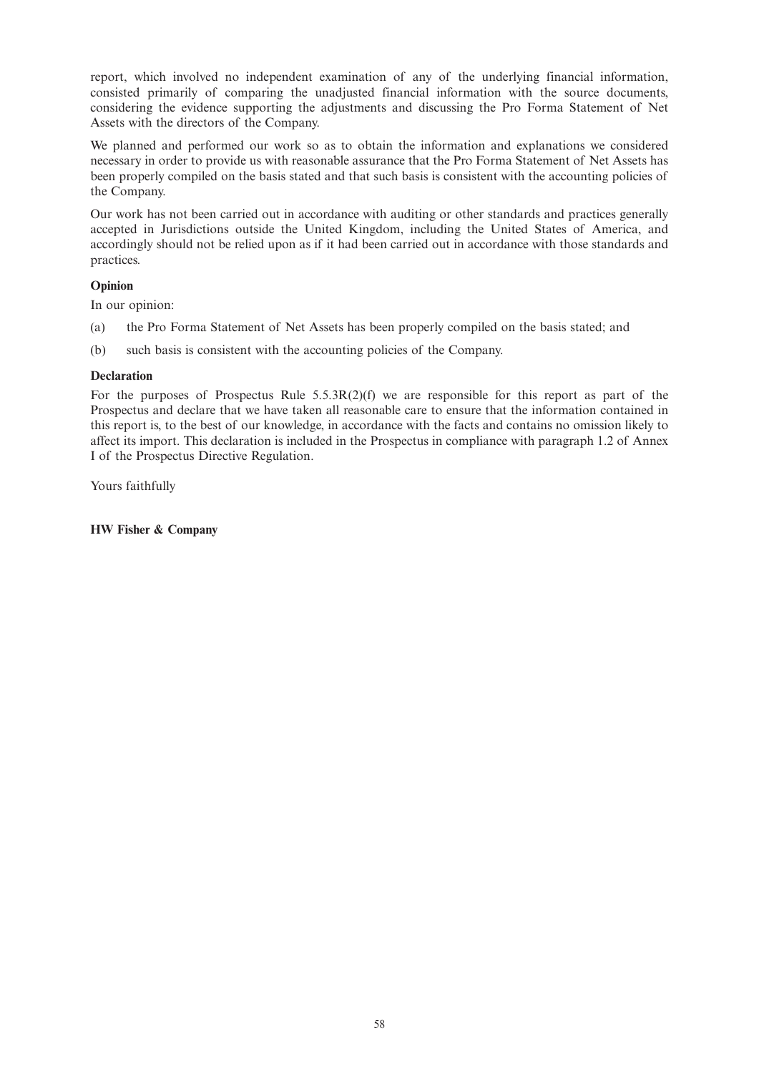report, which involved no independent examination of any of the underlying financial information, consisted primarily of comparing the unadjusted financial information with the source documents, considering the evidence supporting the adjustments and discussing the Pro Forma Statement of Net Assets with the directors of the Company.

We planned and performed our work so as to obtain the information and explanations we considered necessary in order to provide us with reasonable assurance that the Pro Forma Statement of Net Assets has been properly compiled on the basis stated and that such basis is consistent with the accounting policies of the Company.

Our work has not been carried out in accordance with auditing or other standards and practices generally accepted in Jurisdictions outside the United Kingdom, including the United States of America, and accordingly should not be relied upon as if it had been carried out in accordance with those standards and practices.

## **Opinion**

In our opinion:

- (a) the Pro Forma Statement of Net Assets has been properly compiled on the basis stated; and
- (b) such basis is consistent with the accounting policies of the Company.

## **Declaration**

For the purposes of Prospectus Rule  $5.5.3R(2)(f)$  we are responsible for this report as part of the Prospectus and declare that we have taken all reasonable care to ensure that the information contained in this report is, to the best of our knowledge, in accordance with the facts and contains no omission likely to affect its import. This declaration is included in the Prospectus in compliance with paragraph 1.2 of Annex I of the Prospectus Directive Regulation.

Yours faithfully

**HW Fisher & Company**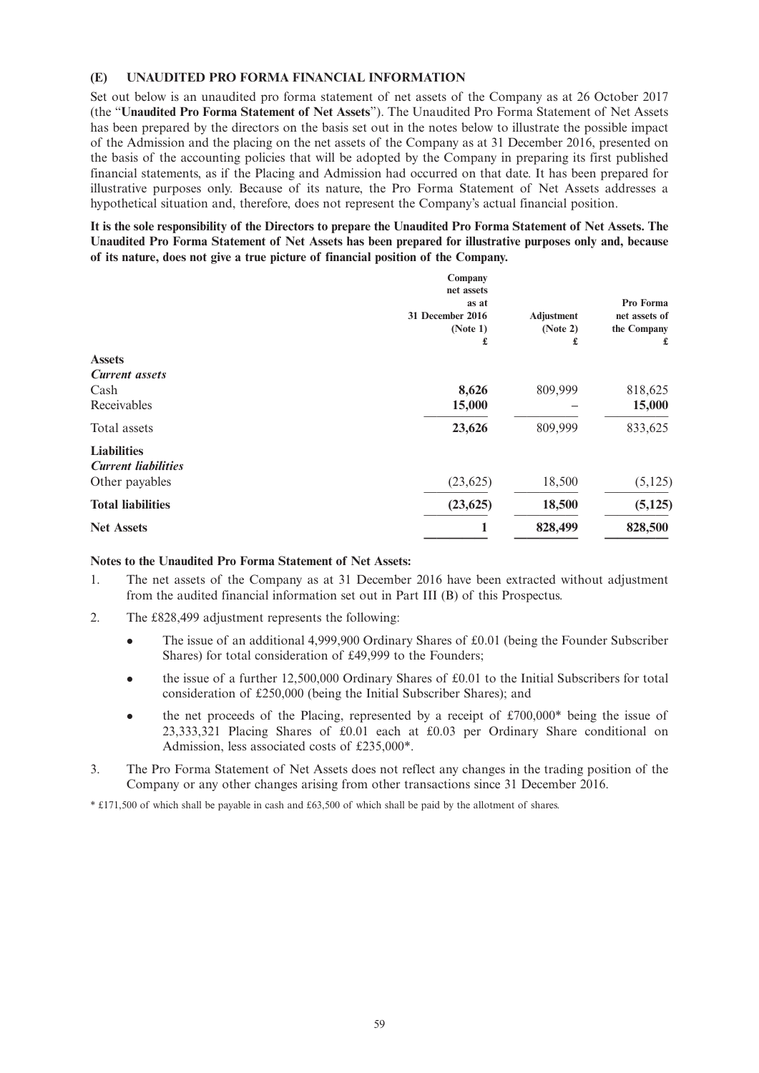### **(E) UNAUDITED PRO FORMA FINANCIAL INFORMATION**

Set out below is an unaudited pro forma statement of net assets of the Company as at 26 October 2017 (the "**Unaudited Pro Forma Statement of Net Assets**"). The Unaudited Pro Forma Statement of Net Assets has been prepared by the directors on the basis set out in the notes below to illustrate the possible impact of the Admission and the placing on the net assets of the Company as at 31 December 2016, presented on the basis of the accounting policies that will be adopted by the Company in preparing its first published financial statements, as if the Placing and Admission had occurred on that date. It has been prepared for illustrative purposes only. Because of its nature, the Pro Forma Statement of Net Assets addresses a hypothetical situation and, therefore, does not represent the Company's actual financial position.

It is the sole responsibility of the Directors to prepare the Unaudited Pro Forma Statement of Net Assets. The **Unaudited Pro Forma Statement of Net Assets has been prepared for illustrative purposes only and, because of its nature, does not give a true picture of financial position of the Company.**

|                                                  | Company<br>net assets<br>as at<br>31 December 2016<br>(Note 1)<br>£ | <b>Adjustment</b><br>(Note 2)<br>£ | Pro Forma<br>net assets of<br>the Company<br>£ |
|--------------------------------------------------|---------------------------------------------------------------------|------------------------------------|------------------------------------------------|
| <b>Assets</b>                                    |                                                                     |                                    |                                                |
| <b>Current assets</b>                            |                                                                     |                                    |                                                |
| Cash                                             | 8,626                                                               | 809,999                            | 818,625                                        |
| Receivables                                      | 15,000                                                              |                                    | 15,000                                         |
| Total assets                                     | 23,626                                                              | 809,999                            | 833,625                                        |
| <b>Liabilities</b><br><b>Current liabilities</b> |                                                                     |                                    |                                                |
| Other payables                                   | (23, 625)                                                           | 18,500                             | (5, 125)                                       |
| <b>Total liabilities</b>                         | (23, 625)                                                           | 18,500                             | (5, 125)                                       |
| <b>Net Assets</b>                                | 1                                                                   | 828,499                            | 828,500                                        |

### **Notes to the Unaudited Pro Forma Statement of Net Assets:**

- 1. The net assets of the Company as at 31 December 2016 have been extracted without adjustment from the audited financial information set out in Part III (B) of this Prospectus.
- 2. The £828,499 adjustment represents the following:
	- <sup>l</sup> The issue of an additional 4,999,900 Ordinary Shares of £0.01 (being the Founder Subscriber Shares) for total consideration of £49,999 to the Founders;
	- $\bullet$  the issue of a further 12,500,000 Ordinary Shares of £0.01 to the Initial Subscribers for total consideration of £250,000 (being the Initial Subscriber Shares); and
	- the net proceeds of the Placing, represented by a receipt of  $£700,000*$  being the issue of 23,333,321 Placing Shares of £0.01 each at £0.03 per Ordinary Share conditional on Admission, less associated costs of £235,000\*.
- 3. The Pro Forma Statement of Net Assets does not reflect any changes in the trading position of the Company or any other changes arising from other transactions since 31 December 2016.

\* £171,500 of which shall be payable in cash and £63,500 of which shall be paid by the allotment of shares.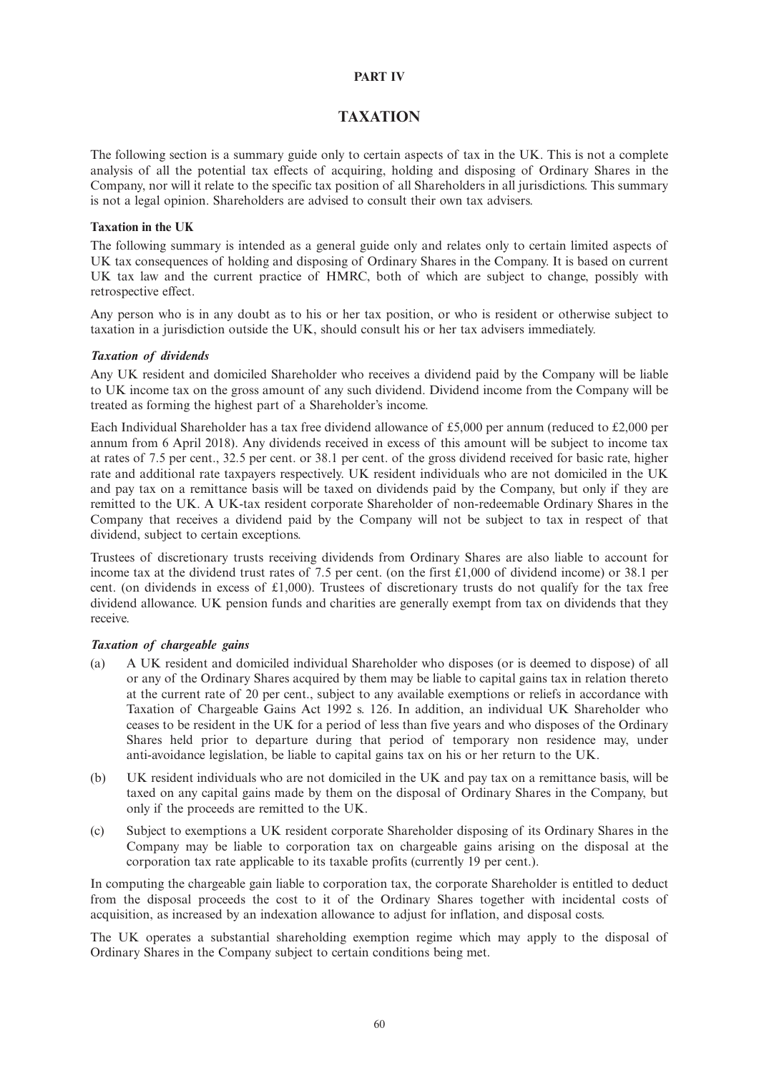## **PART IV**

## **TAXATION**

The following section is a summary guide only to certain aspects of tax in the UK. This is not a complete analysis of all the potential tax effects of acquiring, holding and disposing of Ordinary Shares in the Company, nor will it relate to the specific tax position of all Shareholders in all jurisdictions. This summary is not a legal opinion. Shareholders are advised to consult their own tax advisers.

### **Taxation in the UK**

The following summary is intended as a general guide only and relates only to certain limited aspects of UK tax consequences of holding and disposing of Ordinary Shares in the Company. It is based on current UK tax law and the current practice of HMRC, both of which are subject to change, possibly with retrospective effect.

Any person who is in any doubt as to his or her tax position, or who is resident or otherwise subject to taxation in a jurisdiction outside the UK, should consult his or her tax advisers immediately.

## *Taxation of dividends*

Any UK resident and domiciled Shareholder who receives a dividend paid by the Company will be liable to UK income tax on the gross amount of any such dividend. Dividend income from the Company will be treated as forming the highest part of a Shareholder's income.

Each Individual Shareholder has a tax free dividend allowance of £5,000 per annum (reduced to £2,000 per annum from 6 April 2018). Any dividends received in excess of this amount will be subject to income tax at rates of 7.5 per cent., 32.5 per cent. or 38.1 per cent. of the gross dividend received for basic rate, higher rate and additional rate taxpayers respectively. UK resident individuals who are not domiciled in the UK and pay tax on a remittance basis will be taxed on dividends paid by the Company, but only if they are remitted to the UK. A UK-tax resident corporate Shareholder of non-redeemable Ordinary Shares in the Company that receives a dividend paid by the Company will not be subject to tax in respect of that dividend, subject to certain exceptions.

Trustees of discretionary trusts receiving dividends from Ordinary Shares are also liable to account for income tax at the dividend trust rates of 7.5 per cent. (on the first £1,000 of dividend income) or 38.1 per cent. (on dividends in excess of £1,000). Trustees of discretionary trusts do not qualify for the tax free dividend allowance. UK pension funds and charities are generally exempt from tax on dividends that they receive.

### *Taxation of chargeable gains*

- (a) A UK resident and domiciled individual Shareholder who disposes (or is deemed to dispose) of all or any of the Ordinary Shares acquired by them may be liable to capital gains tax in relation thereto at the current rate of 20 per cent., subject to any available exemptions or reliefs in accordance with Taxation of Chargeable Gains Act 1992 s. 126. In addition, an individual UK Shareholder who ceases to be resident in the UK for a period of less than five years and who disposes of the Ordinary Shares held prior to departure during that period of temporary non residence may, under anti-avoidance legislation, be liable to capital gains tax on his or her return to the UK.
- (b) UK resident individuals who are not domiciled in the UK and pay tax on a remittance basis, will be taxed on any capital gains made by them on the disposal of Ordinary Shares in the Company, but only if the proceeds are remitted to the UK.
- (c) Subject to exemptions a UK resident corporate Shareholder disposing of its Ordinary Shares in the Company may be liable to corporation tax on chargeable gains arising on the disposal at the corporation tax rate applicable to its taxable profits (currently 19 per cent.).

In computing the chargeable gain liable to corporation tax, the corporate Shareholder is entitled to deduct from the disposal proceeds the cost to it of the Ordinary Shares together with incidental costs of acquisition, as increased by an indexation allowance to adjust for inflation, and disposal costs.

The UK operates a substantial shareholding exemption regime which may apply to the disposal of Ordinary Shares in the Company subject to certain conditions being met.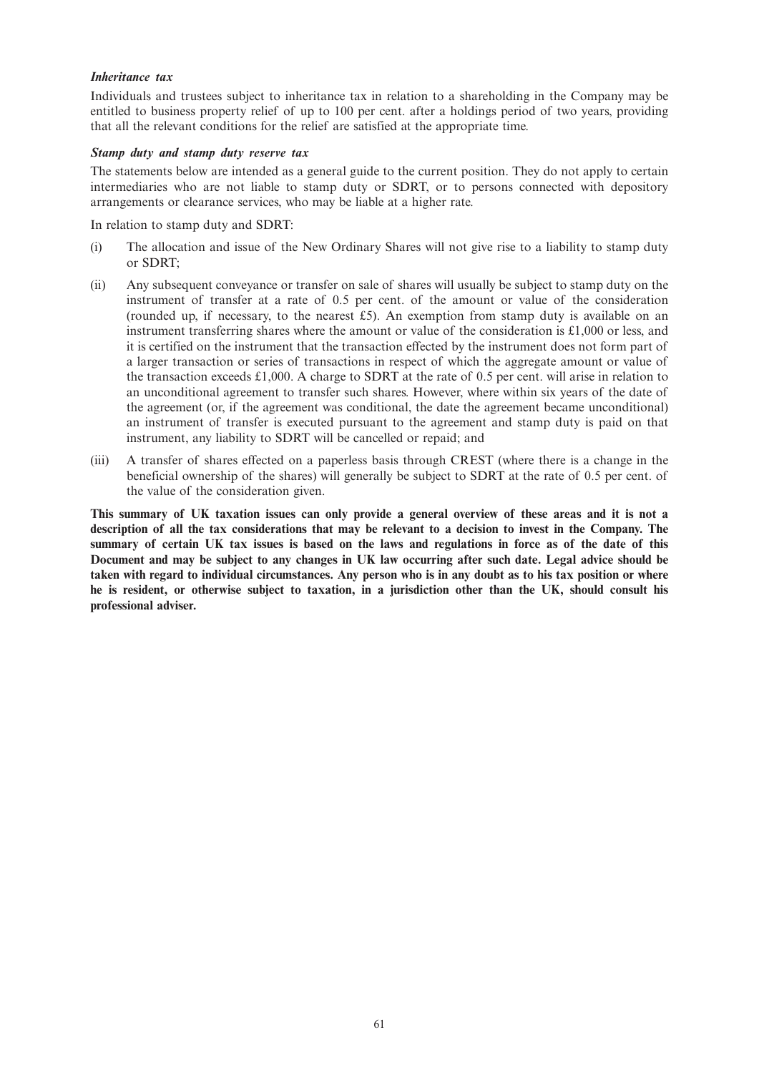### *Inheritance tax*

Individuals and trustees subject to inheritance tax in relation to a shareholding in the Company may be entitled to business property relief of up to 100 per cent. after a holdings period of two years, providing that all the relevant conditions for the relief are satisfied at the appropriate time.

#### *Stamp duty and stamp duty reserve tax*

The statements below are intended as a general guide to the current position. They do not apply to certain intermediaries who are not liable to stamp duty or SDRT, or to persons connected with depository arrangements or clearance services, who may be liable at a higher rate.

In relation to stamp duty and SDRT:

- (i) The allocation and issue of the New Ordinary Shares will not give rise to a liability to stamp duty or SDRT;
- (ii) Any subsequent conveyance or transfer on sale of shares will usually be subject to stamp duty on the instrument of transfer at a rate of 0.5 per cent. of the amount or value of the consideration (rounded up, if necessary, to the nearest  $£5$ ). An exemption from stamp duty is available on an instrument transferring shares where the amount or value of the consideration is £1,000 or less, and it is certified on the instrument that the transaction effected by the instrument does not form part of a larger transaction or series of transactions in respect of which the aggregate amount or value of the transaction exceeds £1,000. A charge to SDRT at the rate of 0.5 per cent. will arise in relation to an unconditional agreement to transfer such shares. However, where within six years of the date of the agreement (or, if the agreement was conditional, the date the agreement became unconditional) an instrument of transfer is executed pursuant to the agreement and stamp duty is paid on that instrument, any liability to SDRT will be cancelled or repaid; and
- (iii) A transfer of shares effected on a paperless basis through CREST (where there is a change in the beneficial ownership of the shares) will generally be subject to SDRT at the rate of 0.5 per cent. of the value of the consideration given.

This summary of UK taxation issues can only provide a general overview of these areas and it is not a description of all the tax considerations that may be relevant to a decision to invest in the Company. The summary of certain UK tax issues is based on the laws and regulations in force as of the date of this Document and may be subject to any changes in UK law occurring after such date. Legal advice should be taken with regard to individual circumstances. Any person who is in any doubt as to his tax position or where he is resident, or otherwise subject to taxation, in a jurisdiction other than the UK, should consult his **professional adviser.**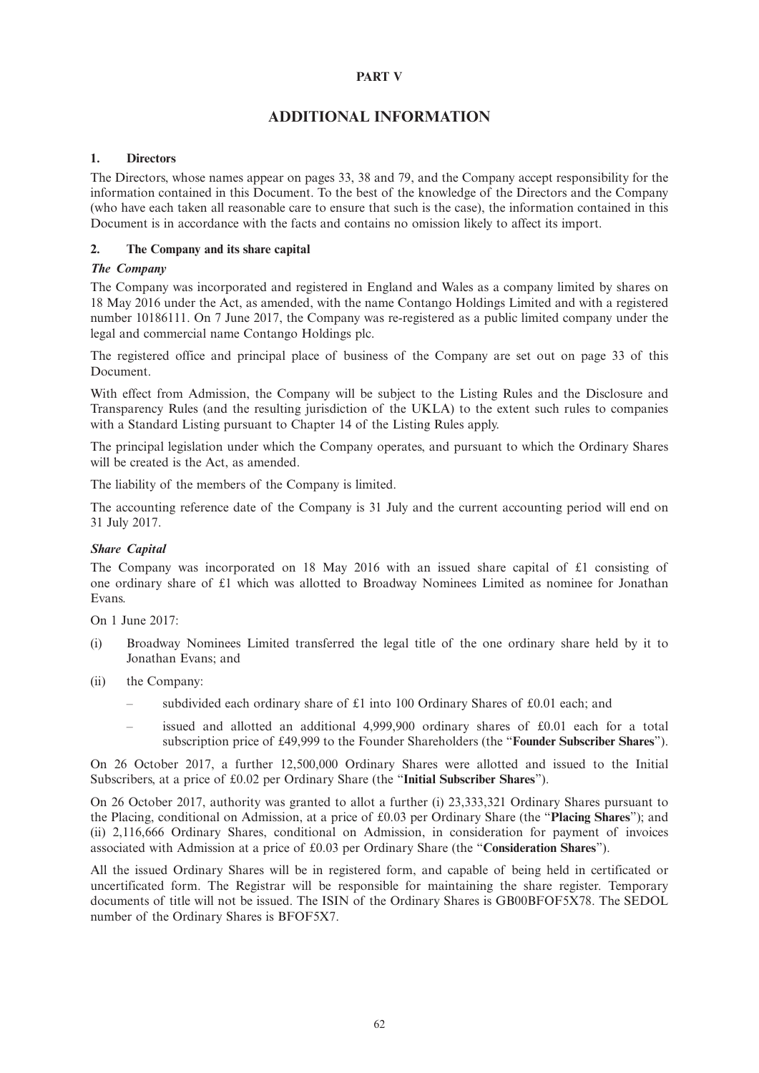## **PART V**

# **ADDITIONAL INFORMATION**

## **1. Directors**

The Directors, whose names appear on pages 33, 38 and 79, and the Company accept responsibility for the information contained in this Document. To the best of the knowledge of the Directors and the Company (who have each taken all reasonable care to ensure that such is the case), the information contained in this Document is in accordance with the facts and contains no omission likely to affect its import.

### **2. The Company and its share capital**

## *The Company*

The Company was incorporated and registered in England and Wales as a company limited by shares on 18 May 2016 under the Act, as amended, with the name Contango Holdings Limited and with a registered number 10186111. On 7 June 2017, the Company was re-registered as a public limited company under the legal and commercial name Contango Holdings plc.

The registered office and principal place of business of the Company are set out on page 33 of this Document.

With effect from Admission, the Company will be subject to the Listing Rules and the Disclosure and Transparency Rules (and the resulting jurisdiction of the UKLA) to the extent such rules to companies with a Standard Listing pursuant to Chapter 14 of the Listing Rules apply.

The principal legislation under which the Company operates, and pursuant to which the Ordinary Shares will be created is the Act, as amended.

The liability of the members of the Company is limited.

The accounting reference date of the Company is 31 July and the current accounting period will end on 31 July 2017.

### *Share Capital*

The Company was incorporated on 18 May 2016 with an issued share capital of £1 consisting of one ordinary share of £1 which was allotted to Broadway Nominees Limited as nominee for Jonathan Evans.

On 1 June 2017:

- (i) Broadway Nominees Limited transferred the legal title of the one ordinary share held by it to Jonathan Evans; and
- (ii) the Company:
	- subdivided each ordinary share of £1 into 100 Ordinary Shares of £0.01 each; and
	- issued and allotted an additional  $4,999,900$  ordinary shares of  $\text{\pounds}0.01$  each for a total subscription price of £49,999 to the Founder Shareholders (the "**Founder Subscriber Shares**").

On 26 October 2017, a further 12,500,000 Ordinary Shares were allotted and issued to the Initial Subscribers, at a price of £0.02 per Ordinary Share (the "**Initial Subscriber Shares**").

On 26 October 2017, authority was granted to allot a further (i) 23,333,321 Ordinary Shares pursuant to the Placing, conditional on Admission, at a price of £0.03 per Ordinary Share (the "**Placing Shares**"); and (ii) 2,116,666 Ordinary Shares, conditional on Admission, in consideration for payment of invoices associated with Admission at a price of £0.03 per Ordinary Share (the "**Consideration Shares**").

All the issued Ordinary Shares will be in registered form, and capable of being held in certificated or uncertificated form. The Registrar will be responsible for maintaining the share register. Temporary documents of title will not be issued. The ISIN of the Ordinary Shares is GB00BFOF5X78. The SEDOL number of the Ordinary Shares is BFOF5X7.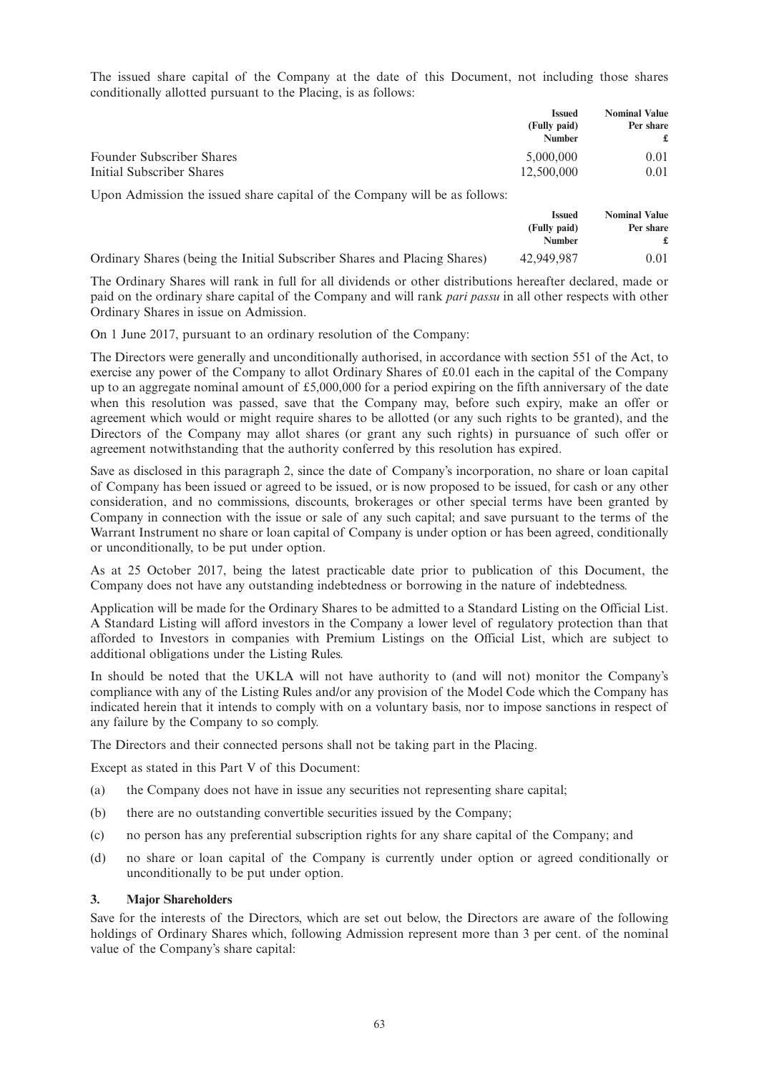The issued share capital of the Company at the date of this Document, not including those shares conditionally allotted pursuant to the Placing, is as follows:

|                                                                            | <b>Issued</b><br>(Fully paid)<br><b>Number</b> | <b>Nominal Value</b><br>Per share |
|----------------------------------------------------------------------------|------------------------------------------------|-----------------------------------|
| <b>Founder Subscriber Shares</b>                                           | 5,000,000                                      | 0.01                              |
| Initial Subscriber Shares                                                  | 12,500,000                                     | 0.01                              |
| Upon Admission the issued share capital of the Company will be as follows: |                                                |                                   |

|                                                                          | <b>Issued</b>                 | <b>Nominal Value</b> |
|--------------------------------------------------------------------------|-------------------------------|----------------------|
|                                                                          | (Fully paid)<br><b>Number</b> | Per share            |
| Ordinary Shares (being the Initial Subscriber Shares and Placing Shares) | 42,949,987                    | 0.01                 |

The Ordinary Shares will rank in full for all dividends or other distributions hereafter declared, made or paid on the ordinary share capital of the Company and will rank *pari passu* in all other respects with other Ordinary Shares in issue on Admission.

On 1 June 2017, pursuant to an ordinary resolution of the Company:

The Directors were generally and unconditionally authorised, in accordance with section 551 of the Act, to exercise any power of the Company to allot Ordinary Shares of £0.01 each in the capital of the Company up to an aggregate nominal amount of £5,000,000 for a period expiring on the fifth anniversary of the date when this resolution was passed, save that the Company may, before such expiry, make an offer or agreement which would or might require shares to be allotted (or any such rights to be granted), and the Directors of the Company may allot shares (or grant any such rights) in pursuance of such offer or agreement notwithstanding that the authority conferred by this resolution has expired.

Save as disclosed in this paragraph 2, since the date of Company's incorporation, no share or loan capital of Company has been issued or agreed to be issued, or is now proposed to be issued, for cash or any other consideration, and no commissions, discounts, brokerages or other special terms have been granted by Company in connection with the issue or sale of any such capital; and save pursuant to the terms of the Warrant Instrument no share or loan capital of Company is under option or has been agreed, conditionally or unconditionally, to be put under option.

As at 25 October 2017, being the latest practicable date prior to publication of this Document, the Company does not have any outstanding indebtedness or borrowing in the nature of indebtedness.

Application will be made for the Ordinary Shares to be admitted to a Standard Listing on the Official List. A Standard Listing will afford investors in the Company a lower level of regulatory protection than that afforded to Investors in companies with Premium Listings on the Official List, which are subject to additional obligations under the Listing Rules.

In should be noted that the UKLA will not have authority to (and will not) monitor the Company's compliance with any of the Listing Rules and/or any provision of the Model Code which the Company has indicated herein that it intends to comply with on a voluntary basis, nor to impose sanctions in respect of any failure by the Company to so comply.

The Directors and their connected persons shall not be taking part in the Placing.

Except as stated in this Part V of this Document:

- (a) the Company does not have in issue any securities not representing share capital;
- (b) there are no outstanding convertible securities issued by the Company;
- (c) no person has any preferential subscription rights for any share capital of the Company; and
- (d) no share or loan capital of the Company is currently under option or agreed conditionally or unconditionally to be put under option.

### **3. Major Shareholders**

Save for the interests of the Directors, which are set out below, the Directors are aware of the following holdings of Ordinary Shares which, following Admission represent more than 3 per cent. of the nominal value of the Company's share capital: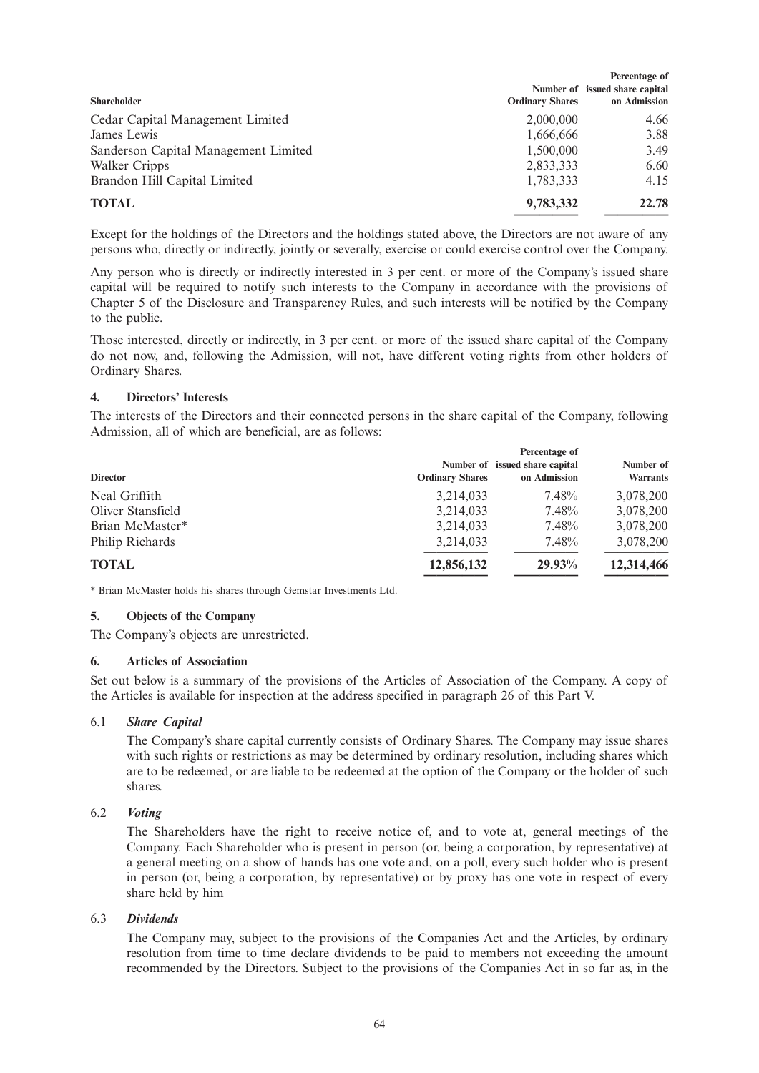|                                      | Percentage of          |                                |  |
|--------------------------------------|------------------------|--------------------------------|--|
|                                      |                        | Number of issued share capital |  |
| <b>Shareholder</b>                   | <b>Ordinary Shares</b> | on Admission                   |  |
| Cedar Capital Management Limited     | 2,000,000              | 4.66                           |  |
| James Lewis                          | 1,666,666              | 3.88                           |  |
| Sanderson Capital Management Limited | 1.500.000              | 3.49                           |  |
| Walker Cripps                        | 2,833,333              | 6.60                           |  |
| Brandon Hill Capital Limited         | 1,783,333              | 4.15                           |  |
| <b>TOTAL</b>                         | 9,783,332              | 22.78                          |  |
|                                      |                        |                                |  |

Except for the holdings of the Directors and the holdings stated above, the Directors are not aware of any persons who, directly or indirectly, jointly or severally, exercise or could exercise control over the Company.

Any person who is directly or indirectly interested in 3 per cent. or more of the Company's issued share capital will be required to notify such interests to the Company in accordance with the provisions of Chapter 5 of the Disclosure and Transparency Rules, and such interests will be notified by the Company to the public.

Those interested, directly or indirectly, in 3 per cent. or more of the issued share capital of the Company do not now, and, following the Admission, will not, have different voting rights from other holders of Ordinary Shares.

### **4. Directors' Interests**

The interests of the Directors and their connected persons in the share capital of the Company, following Admission, all of which are beneficial, are as follows:

| <b>Director</b>   | <b>Ordinary Shares</b> | Percentage of<br>Number of issued share capital<br>on Admission | Number of<br><b>Warrants</b> |
|-------------------|------------------------|-----------------------------------------------------------------|------------------------------|
| Neal Griffith     | 3,214,033              | 7.48%                                                           | 3,078,200                    |
| Oliver Stansfield | 3,214,033              | 7.48%                                                           | 3,078,200                    |
| Brian McMaster*   | 3,214,033              | 7.48%                                                           | 3,078,200                    |
| Philip Richards   | 3,214,033              | 7.48%                                                           | 3,078,200                    |
| <b>TOTAL</b>      | 12,856,132             | 29.93%                                                          | 12,314,466                   |

\* Brian McMaster holds his shares through Gemstar Investments Ltd.

## **5. Objects of the Company**

The Company's objects are unrestricted.

### **6. Articles of Association**

Set out below is a summary of the provisions of the Articles of Association of the Company. A copy of the Articles is available for inspection at the address specified in paragraph 26 of this Part V.

### 6.1 *Share Capital*

The Company's share capital currently consists of Ordinary Shares. The Company may issue shares with such rights or restrictions as may be determined by ordinary resolution, including shares which are to be redeemed, or are liable to be redeemed at the option of the Company or the holder of such shares.

### 6.2 *Voting*

The Shareholders have the right to receive notice of, and to vote at, general meetings of the Company. Each Shareholder who is present in person (or, being a corporation, by representative) at a general meeting on a show of hands has one vote and, on a poll, every such holder who is present in person (or, being a corporation, by representative) or by proxy has one vote in respect of every share held by him

### 6.3 *Dividends*

The Company may, subject to the provisions of the Companies Act and the Articles, by ordinary resolution from time to time declare dividends to be paid to members not exceeding the amount recommended by the Directors. Subject to the provisions of the Companies Act in so far as, in the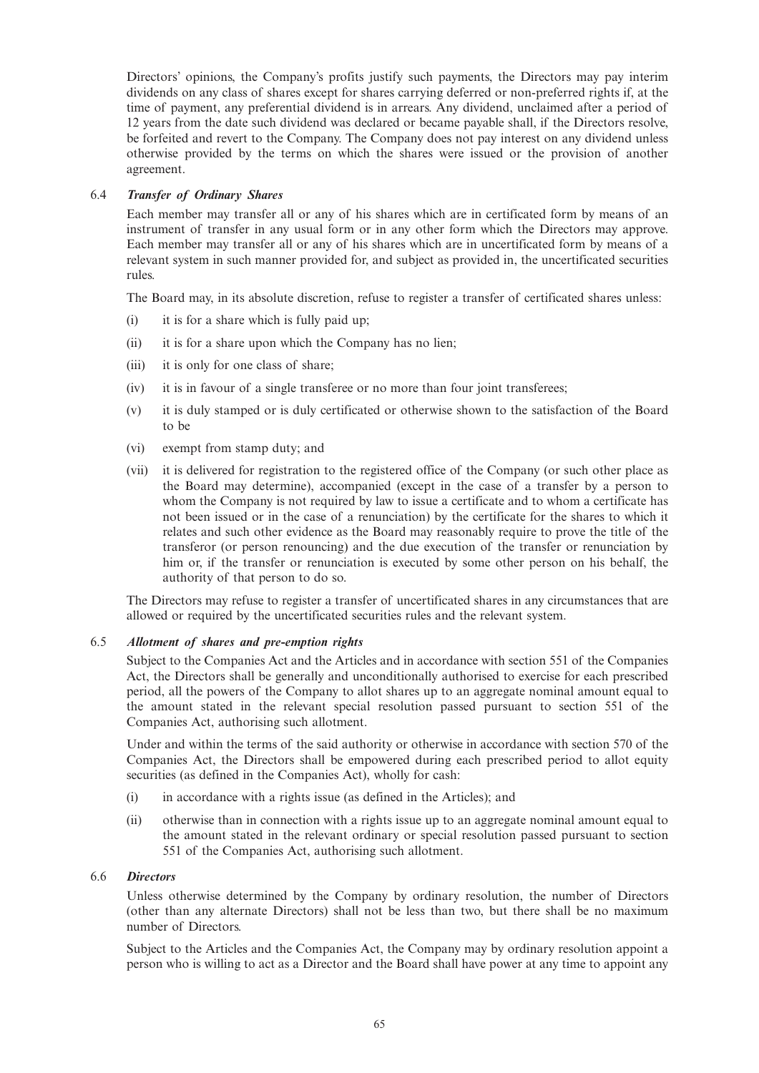Directors' opinions, the Company's profits justify such payments, the Directors may pay interim dividends on any class of shares except for shares carrying deferred or non-preferred rights if, at the time of payment, any preferential dividend is in arrears. Any dividend, unclaimed after a period of 12 years from the date such dividend was declared or became payable shall, if the Directors resolve, be forfeited and revert to the Company. The Company does not pay interest on any dividend unless otherwise provided by the terms on which the shares were issued or the provision of another agreement.

## 6.4 *Transfer of Ordinary Shares*

Each member may transfer all or any of his shares which are in certificated form by means of an instrument of transfer in any usual form or in any other form which the Directors may approve. Each member may transfer all or any of his shares which are in uncertificated form by means of a relevant system in such manner provided for, and subject as provided in, the uncertificated securities rules.

The Board may, in its absolute discretion, refuse to register a transfer of certificated shares unless:

- (i) it is for a share which is fully paid up;
- (ii) it is for a share upon which the Company has no lien;
- (iii) it is only for one class of share;
- (iv) it is in favour of a single transferee or no more than four joint transferees;
- (v) it is duly stamped or is duly certificated or otherwise shown to the satisfaction of the Board to be
- (vi) exempt from stamp duty; and
- (vii) it is delivered for registration to the registered office of the Company (or such other place as the Board may determine), accompanied (except in the case of a transfer by a person to whom the Company is not required by law to issue a certificate and to whom a certificate has not been issued or in the case of a renunciation) by the certificate for the shares to which it relates and such other evidence as the Board may reasonably require to prove the title of the transferor (or person renouncing) and the due execution of the transfer or renunciation by him or, if the transfer or renunciation is executed by some other person on his behalf, the authority of that person to do so.

The Directors may refuse to register a transfer of uncertificated shares in any circumstances that are allowed or required by the uncertificated securities rules and the relevant system.

### 6.5 *Allotment of shares and pre-emption rights*

Subject to the Companies Act and the Articles and in accordance with section 551 of the Companies Act, the Directors shall be generally and unconditionally authorised to exercise for each prescribed period, all the powers of the Company to allot shares up to an aggregate nominal amount equal to the amount stated in the relevant special resolution passed pursuant to section 551 of the Companies Act, authorising such allotment.

Under and within the terms of the said authority or otherwise in accordance with section 570 of the Companies Act, the Directors shall be empowered during each prescribed period to allot equity securities (as defined in the Companies Act), wholly for cash:

- (i) in accordance with a rights issue (as defined in the Articles); and
- (ii) otherwise than in connection with a rights issue up to an aggregate nominal amount equal to the amount stated in the relevant ordinary or special resolution passed pursuant to section 551 of the Companies Act, authorising such allotment.

## 6.6 *Directors*

Unless otherwise determined by the Company by ordinary resolution, the number of Directors (other than any alternate Directors) shall not be less than two, but there shall be no maximum number of Directors.

Subject to the Articles and the Companies Act, the Company may by ordinary resolution appoint a person who is willing to act as a Director and the Board shall have power at any time to appoint any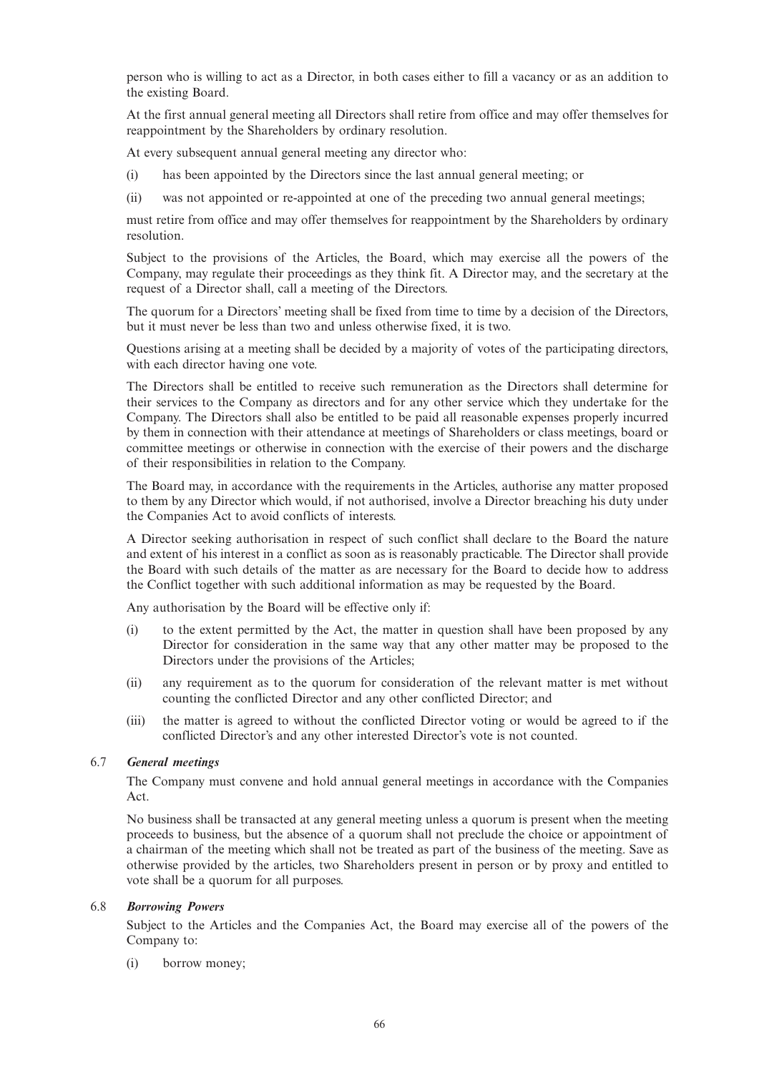person who is willing to act as a Director, in both cases either to fill a vacancy or as an addition to the existing Board.

At the first annual general meeting all Directors shall retire from office and may offer themselves for reappointment by the Shareholders by ordinary resolution.

At every subsequent annual general meeting any director who:

- (i) has been appointed by the Directors since the last annual general meeting; or
- (ii) was not appointed or re-appointed at one of the preceding two annual general meetings;

must retire from office and may offer themselves for reappointment by the Shareholders by ordinary resolution.

Subject to the provisions of the Articles, the Board, which may exercise all the powers of the Company, may regulate their proceedings as they think fit. A Director may, and the secretary at the request of a Director shall, call a meeting of the Directors.

The quorum for a Directors' meeting shall be fixed from time to time by a decision of the Directors, but it must never be less than two and unless otherwise fixed, it is two.

Questions arising at a meeting shall be decided by a majority of votes of the participating directors, with each director having one vote.

The Directors shall be entitled to receive such remuneration as the Directors shall determine for their services to the Company as directors and for any other service which they undertake for the Company. The Directors shall also be entitled to be paid all reasonable expenses properly incurred by them in connection with their attendance at meetings of Shareholders or class meetings, board or committee meetings or otherwise in connection with the exercise of their powers and the discharge of their responsibilities in relation to the Company.

The Board may, in accordance with the requirements in the Articles, authorise any matter proposed to them by any Director which would, if not authorised, involve a Director breaching his duty under the Companies Act to avoid conflicts of interests.

A Director seeking authorisation in respect of such conflict shall declare to the Board the nature and extent of his interest in a conflict as soon as is reasonably practicable. The Director shall provide the Board with such details of the matter as are necessary for the Board to decide how to address the Conflict together with such additional information as may be requested by the Board.

Any authorisation by the Board will be effective only if:

- (i) to the extent permitted by the Act, the matter in question shall have been proposed by any Director for consideration in the same way that any other matter may be proposed to the Directors under the provisions of the Articles;
- (ii) any requirement as to the quorum for consideration of the relevant matter is met without counting the conflicted Director and any other conflicted Director; and
- (iii) the matter is agreed to without the conflicted Director voting or would be agreed to if the conflicted Director's and any other interested Director's vote is not counted.

## 6.7 *General meetings*

The Company must convene and hold annual general meetings in accordance with the Companies Act.

No business shall be transacted at any general meeting unless a quorum is present when the meeting proceeds to business, but the absence of a quorum shall not preclude the choice or appointment of a chairman of the meeting which shall not be treated as part of the business of the meeting. Save as otherwise provided by the articles, two Shareholders present in person or by proxy and entitled to vote shall be a quorum for all purposes.

## 6.8 *Borrowing Powers*

Subject to the Articles and the Companies Act, the Board may exercise all of the powers of the Company to:

(i) borrow money;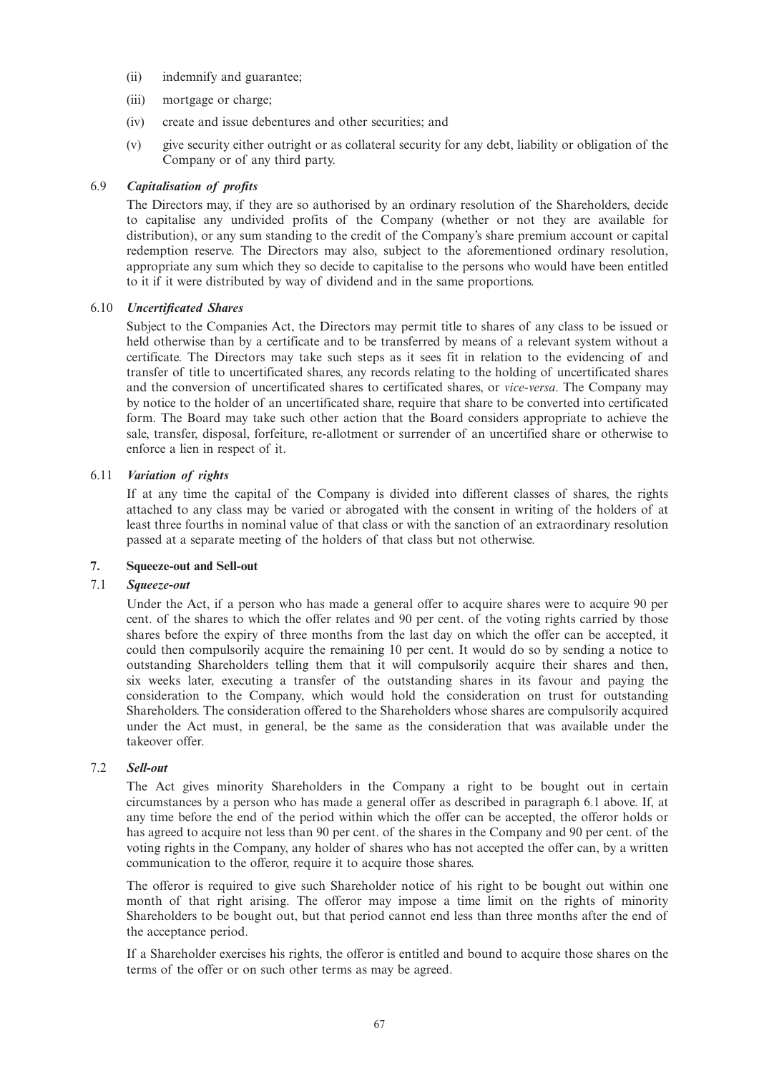- (ii) indemnify and guarantee;
- (iii) mortgage or charge;
- (iv) create and issue debentures and other securities; and
- (v) give security either outright or as collateral security for any debt, liability or obligation of the Company or of any third party.

## 6.9 *Capitalisation of profits*

The Directors may, if they are so authorised by an ordinary resolution of the Shareholders, decide to capitalise any undivided profits of the Company (whether or not they are available for distribution), or any sum standing to the credit of the Company's share premium account or capital redemption reserve. The Directors may also, subject to the aforementioned ordinary resolution, appropriate any sum which they so decide to capitalise to the persons who would have been entitled to it if it were distributed by way of dividend and in the same proportions.

### 6.10 *Uncertificated Shares*

Subject to the Companies Act, the Directors may permit title to shares of any class to be issued or held otherwise than by a certificate and to be transferred by means of a relevant system without a certificate. The Directors may take such steps as it sees fit in relation to the evidencing of and transfer of title to uncertificated shares, any records relating to the holding of uncertificated shares and the conversion of uncertificated shares to certificated shares, or *vice-versa*. The Company may by notice to the holder of an uncertificated share, require that share to be converted into certificated form. The Board may take such other action that the Board considers appropriate to achieve the sale, transfer, disposal, forfeiture, re-allotment or surrender of an uncertified share or otherwise to enforce a lien in respect of it.

## 6.11 *Variation of rights*

If at any time the capital of the Company is divided into different classes of shares, the rights attached to any class may be varied or abrogated with the consent in writing of the holders of at least three fourths in nominal value of that class or with the sanction of an extraordinary resolution passed at a separate meeting of the holders of that class but not otherwise.

### **7. Squeeze-out and Sell-out**

## 7.1 *Squeeze-out*

Under the Act, if a person who has made a general offer to acquire shares were to acquire 90 per cent. of the shares to which the offer relates and 90 per cent. of the voting rights carried by those shares before the expiry of three months from the last day on which the offer can be accepted, it could then compulsorily acquire the remaining 10 per cent. It would do so by sending a notice to outstanding Shareholders telling them that it will compulsorily acquire their shares and then, six weeks later, executing a transfer of the outstanding shares in its favour and paying the consideration to the Company, which would hold the consideration on trust for outstanding Shareholders. The consideration offered to the Shareholders whose shares are compulsorily acquired under the Act must, in general, be the same as the consideration that was available under the takeover offer.

### 7.2 *Sell-out*

The Act gives minority Shareholders in the Company a right to be bought out in certain circumstances by a person who has made a general offer as described in paragraph 6.1 above. If, at any time before the end of the period within which the offer can be accepted, the offeror holds or has agreed to acquire not less than 90 per cent. of the shares in the Company and 90 per cent. of the voting rights in the Company, any holder of shares who has not accepted the offer can, by a written communication to the offeror, require it to acquire those shares.

The offeror is required to give such Shareholder notice of his right to be bought out within one month of that right arising. The offeror may impose a time limit on the rights of minority Shareholders to be bought out, but that period cannot end less than three months after the end of the acceptance period.

If a Shareholder exercises his rights, the offeror is entitled and bound to acquire those shares on the terms of the offer or on such other terms as may be agreed.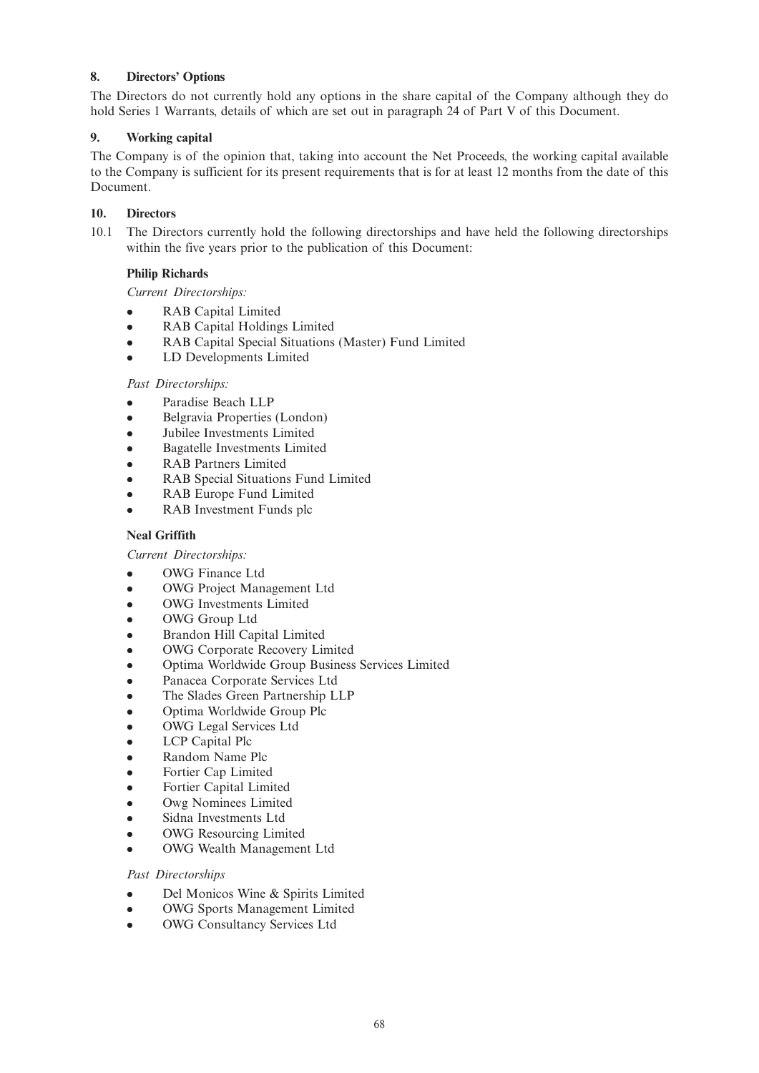## **8. Directors' Options**

The Directors do not currently hold any options in the share capital of the Company although they do hold Series 1 Warrants, details of which are set out in paragraph 24 of Part V of this Document.

### **9. Working capital**

The Company is of the opinion that, taking into account the Net Proceeds, the working capital available to the Company is sufficient for its present requirements that is for at least 12 months from the date of this Document.

## **10. Directors**

10.1 The Directors currently hold the following directorships and have held the following directorships within the five years prior to the publication of this Document:

## **Philip Richards**

*Current Directorships:*

- RAB Capital Limited
- RAB Capital Holdings Limited
- RAB Capital Special Situations (Master) Fund Limited
- LD Developments Limited

## *Past Directorships:*

- Paradise Beach LLP
- Belgravia Properties (London)
- <sup>l</sup> Jubilee Investments Limited
- <sup>l</sup> Bagatelle Investments Limited
- RAB Partners Limited
- RAB Special Situations Fund Limited
- RAB Europe Fund Limited
- RAB Investment Funds plc

### **Neal Griffith**

*Current Directorships:*

- OWG Finance Ltd
- OWG Project Management Ltd
- **OWG** Investments Limited
- OWG Group Ltd
- <sup>l</sup> Brandon Hill Capital Limited
- **OWG Corporate Recovery Limited**
- <sup>l</sup> Optima Worldwide Group Business Services Limited
- Panacea Corporate Services Ltd
- The Slades Green Partnership LLP
- <sup>l</sup> Optima Worldwide Group Plc
- OWG Legal Services Ltd
- LCP Capital Plc
- Random Name Plc
- Fortier Cap Limited
- Fortier Capital Limited
- Owg Nominees Limited
- Sidna Investments Ltd
- **OWG** Resourcing Limited
- OWG Wealth Management Ltd

### *Past Directorships*

- <sup>l</sup> Del Monicos Wine & Spirits Limited
- OWG Sports Management Limited
- **.** OWG Consultancy Services Ltd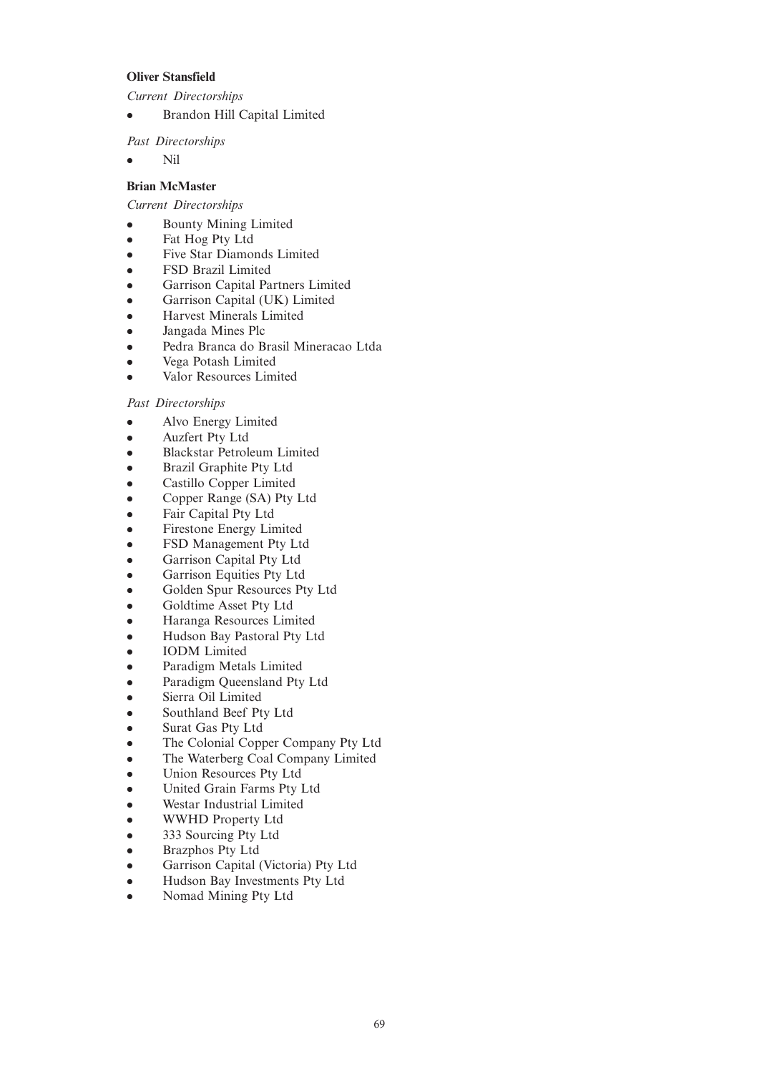## **Oliver Stansfield**

*Current Directorships*

**•** Brandon Hill Capital Limited

*Past Directorships*

 $\bullet$  Nil

## **Brian McMaster**

*Current Directorships*

- <sup>l</sup> Bounty Mining Limited
- Fat Hog Pty Ltd
- Five Star Diamonds Limited
- **FSD Brazil Limited**
- Garrison Capital Partners Limited
- Garrison Capital (UK) Limited
- <sup>l</sup> Harvest Minerals Limited
- Jangada Mines Plc
- <sup>l</sup> Pedra Branca do Brasil Mineracao Ltda
- <sup>l</sup> Vega Potash Limited
- Valor Resources Limited

### *Past Directorships*

- l Alvo Energy Limited
- Auzfert Pty Ltd
- **•** Blackstar Petroleum Limited
- <sup>l</sup> Brazil Graphite Pty Ltd
- Castillo Copper Limited
- Copper Range (SA) Pty Ltd
- Fair Capital Pty Ltd
- Firestone Energy Limited
- FSD Management Pty Ltd
- Garrison Capital Pty Ltd
- Garrison Equities Pty Ltd
- Golden Spur Resources Pty Ltd
- Goldtime Asset Pty Ltd
- <sup>l</sup> Haranga Resources Limited
- <sup>l</sup> Hudson Bay Pastoral Pty Ltd
- <sup>l</sup> IODM Limited
- Paradigm Metals Limited
- Paradigm Queensland Pty Ltd
- Sierra Oil Limited
- Southland Beef Pty Ltd
- Surat Gas Pty Ltd
- The Colonial Copper Company Pty Ltd
- The Waterberg Coal Company Limited
- <sup>l</sup> Union Resources Pty Ltd
- <sup>l</sup> United Grain Farms Pty Ltd
- Westar Industrial Limited
- WWHD Property Ltd
- 333 Sourcing Pty Ltd
- Brazphos Pty Ltd
- Garrison Capital (Victoria) Pty Ltd
- <sup>l</sup> Hudson Bay Investments Pty Ltd
- Nomad Mining Pty Ltd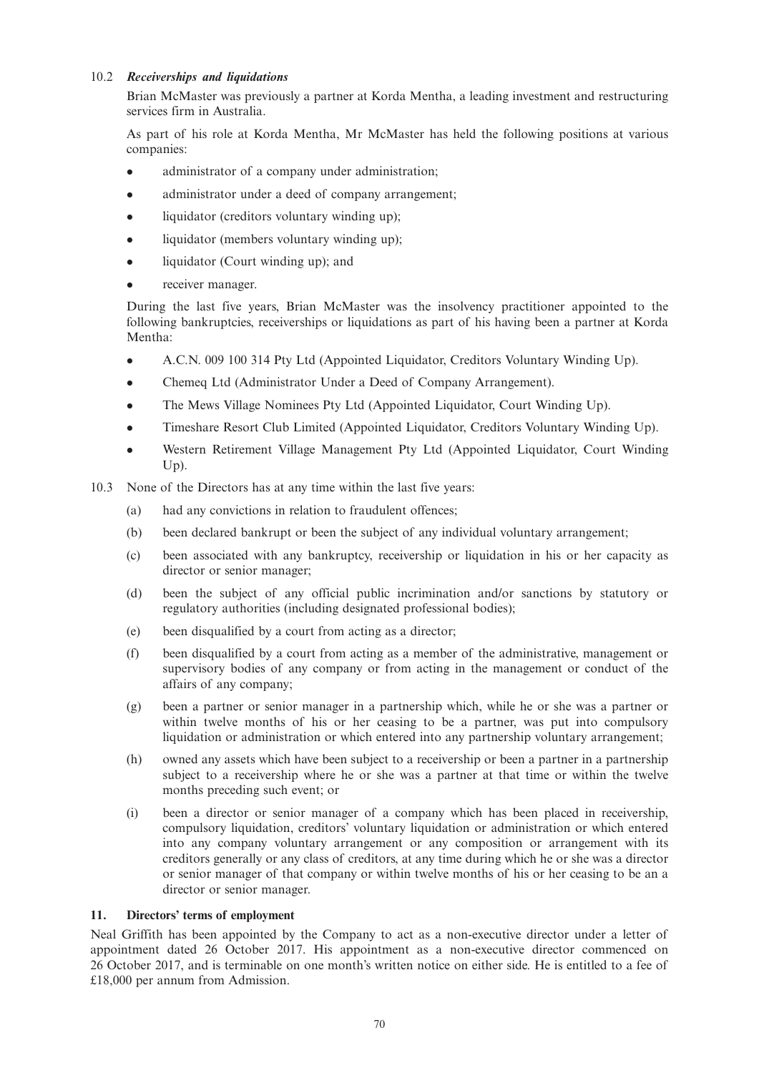## 10.2 *Receiverships and liquidations*

Brian McMaster was previously a partner at Korda Mentha, a leading investment and restructuring services firm in Australia.

As part of his role at Korda Mentha, Mr McMaster has held the following positions at various companies:

- administrator of a company under administration;
- administrator under a deed of company arrangement;
- liquidator (creditors voluntary winding up);
- liquidator (members voluntary winding up);
- liquidator (Court winding up); and
- receiver manager.

During the last five years, Brian McMaster was the insolvency practitioner appointed to the following bankruptcies, receiverships or liquidations as part of his having been a partner at Korda Mentha:

- <sup>l</sup> A.C.N. 009 100 314 Pty Ltd (Appointed Liquidator, Creditors Voluntary Winding Up).
- Chemeq Ltd (Administrator Under a Deed of Company Arrangement).
- The Mews Village Nominees Pty Ltd (Appointed Liquidator, Court Winding Up).
- <sup>l</sup> Timeshare Resort Club Limited (Appointed Liquidator, Creditors Voluntary Winding Up).
- <sup>l</sup> Western Retirement Village Management Pty Ltd (Appointed Liquidator, Court Winding Up).
- 10.3 None of the Directors has at any time within the last five years:
	- (a) had any convictions in relation to fraudulent offences;
	- (b) been declared bankrupt or been the subject of any individual voluntary arrangement;
	- (c) been associated with any bankruptcy, receivership or liquidation in his or her capacity as director or senior manager;
	- (d) been the subject of any official public incrimination and/or sanctions by statutory or regulatory authorities (including designated professional bodies);
	- (e) been disqualified by a court from acting as a director;
	- (f) been disqualified by a court from acting as a member of the administrative, management or supervisory bodies of any company or from acting in the management or conduct of the affairs of any company;
	- (g) been a partner or senior manager in a partnership which, while he or she was a partner or within twelve months of his or her ceasing to be a partner, was put into compulsory liquidation or administration or which entered into any partnership voluntary arrangement;
	- (h) owned any assets which have been subject to a receivership or been a partner in a partnership subject to a receivership where he or she was a partner at that time or within the twelve months preceding such event; or
	- (i) been a director or senior manager of a company which has been placed in receivership, compulsory liquidation, creditors' voluntary liquidation or administration or which entered into any company voluntary arrangement or any composition or arrangement with its creditors generally or any class of creditors, at any time during which he or she was a director or senior manager of that company or within twelve months of his or her ceasing to be an a director or senior manager.

## **11. Directors' terms of employment**

Neal Griffith has been appointed by the Company to act as a non-executive director under a letter of appointment dated 26 October 2017. His appointment as a non-executive director commenced on 26 October 2017, and is terminable on one month's written notice on either side. He is entitled to a fee of £18,000 per annum from Admission.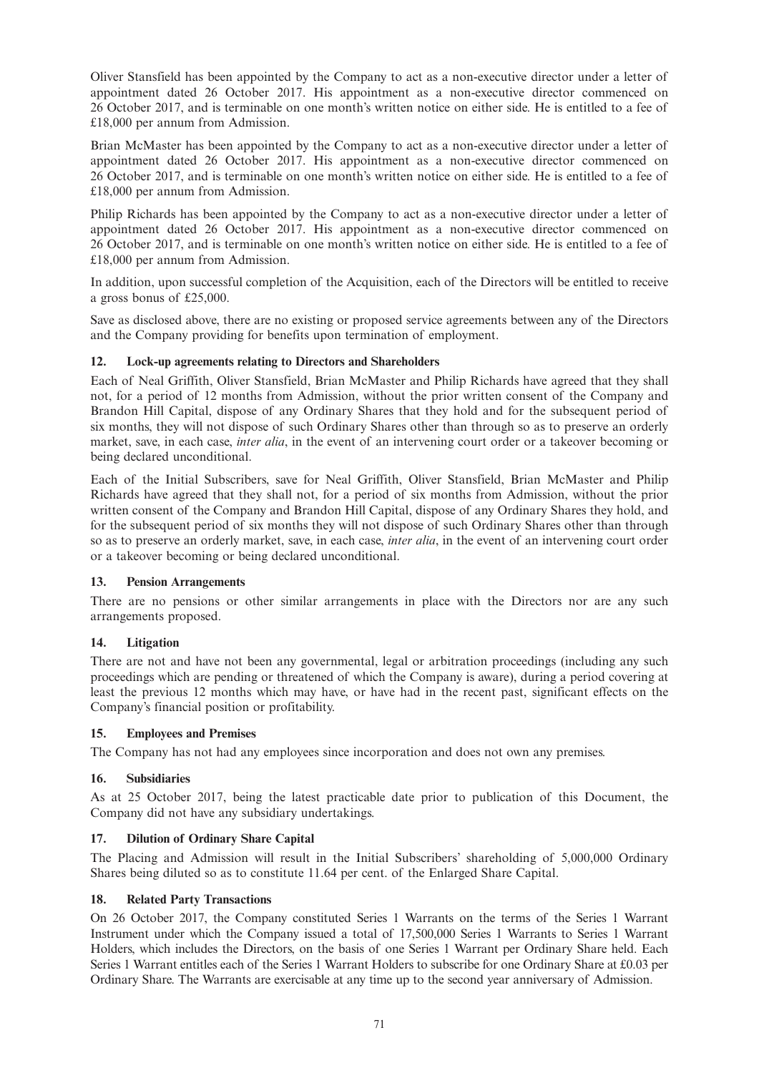Oliver Stansfield has been appointed by the Company to act as a non-executive director under a letter of appointment dated 26 October 2017. His appointment as a non-executive director commenced on 26 October 2017, and is terminable on one month's written notice on either side. He is entitled to a fee of £18,000 per annum from Admission.

Brian McMaster has been appointed by the Company to act as a non-executive director under a letter of appointment dated 26 October 2017. His appointment as a non-executive director commenced on 26 October 2017, and is terminable on one month's written notice on either side. He is entitled to a fee of £18,000 per annum from Admission.

Philip Richards has been appointed by the Company to act as a non-executive director under a letter of appointment dated 26 October 2017. His appointment as a non-executive director commenced on 26 October 2017, and is terminable on one month's written notice on either side. He is entitled to a fee of £18,000 per annum from Admission.

In addition, upon successful completion of the Acquisition, each of the Directors will be entitled to receive a gross bonus of £25,000.

Save as disclosed above, there are no existing or proposed service agreements between any of the Directors and the Company providing for benefits upon termination of employment.

# **12. Lock-up agreements relating to Directors and Shareholders**

Each of Neal Griffith, Oliver Stansfield, Brian McMaster and Philip Richards have agreed that they shall not, for a period of 12 months from Admission, without the prior written consent of the Company and Brandon Hill Capital, dispose of any Ordinary Shares that they hold and for the subsequent period of six months, they will not dispose of such Ordinary Shares other than through so as to preserve an orderly market, save, in each case, *inter alia*, in the event of an intervening court order or a takeover becoming or being declared unconditional.

Each of the Initial Subscribers, save for Neal Griffith, Oliver Stansfield, Brian McMaster and Philip Richards have agreed that they shall not, for a period of six months from Admission, without the prior written consent of the Company and Brandon Hill Capital, dispose of any Ordinary Shares they hold, and for the subsequent period of six months they will not dispose of such Ordinary Shares other than through so as to preserve an orderly market, save, in each case, *inter alia*, in the event of an intervening court order or a takeover becoming or being declared unconditional.

#### **13. Pension Arrangements**

There are no pensions or other similar arrangements in place with the Directors nor are any such arrangements proposed.

# **14. Litigation**

There are not and have not been any governmental, legal or arbitration proceedings (including any such proceedings which are pending or threatened of which the Company is aware), during a period covering at least the previous 12 months which may have, or have had in the recent past, significant effects on the Company's financial position or profitability.

#### **15. Employees and Premises**

The Company has not had any employees since incorporation and does not own any premises.

## **16. Subsidiaries**

As at 25 October 2017, being the latest practicable date prior to publication of this Document, the Company did not have any subsidiary undertakings.

# **17. Dilution of Ordinary Share Capital**

The Placing and Admission will result in the Initial Subscribers' shareholding of 5,000,000 Ordinary Shares being diluted so as to constitute 11.64 per cent. of the Enlarged Share Capital.

## **18. Related Party Transactions**

On 26 October 2017, the Company constituted Series 1 Warrants on the terms of the Series 1 Warrant Instrument under which the Company issued a total of 17,500,000 Series 1 Warrants to Series 1 Warrant Holders, which includes the Directors, on the basis of one Series 1 Warrant per Ordinary Share held. Each Series 1 Warrant entitles each of the Series 1 Warrant Holders to subscribe for one Ordinary Share at £0.03 per Ordinary Share. The Warrants are exercisable at any time up to the second year anniversary of Admission.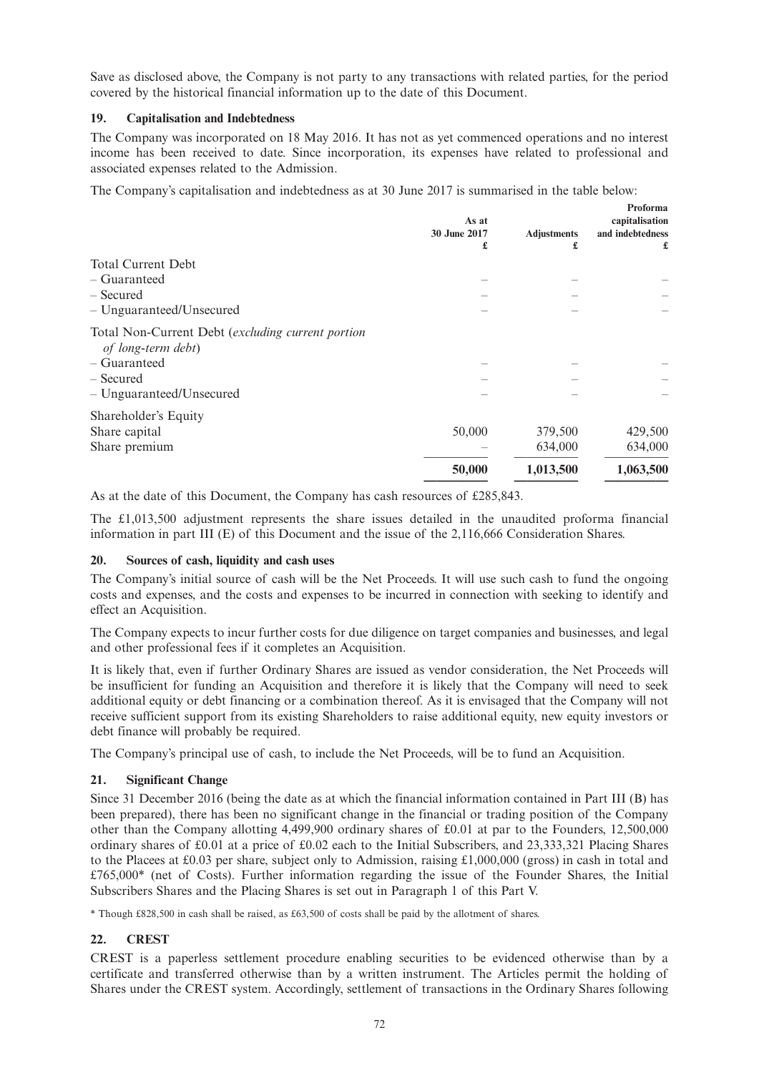Save as disclosed above, the Company is not party to any transactions with related parties, for the period covered by the historical financial information up to the date of this Document.

## **19. Capitalisation and Indebtedness**

The Company was incorporated on 18 May 2016. It has not as yet commenced operations and no interest income has been received to date. Since incorporation, its expenses have related to professional and associated expenses related to the Admission.

The Company's capitalisation and indebtedness as at 30 June 2017 is summarised in the table below:

|                                                                         | As at<br>30 June 2017 | <b>Adjustments</b> | Proforma<br>capitalisation<br>and indebtedness |
|-------------------------------------------------------------------------|-----------------------|--------------------|------------------------------------------------|
|                                                                         | £                     | £                  | £                                              |
| <b>Total Current Debt</b>                                               |                       |                    |                                                |
| – Guaranteed                                                            |                       |                    |                                                |
| – Secured                                                               |                       |                    |                                                |
| - Unguaranteed/Unsecured                                                |                       |                    |                                                |
| Total Non-Current Debt (excluding current portion<br>of long-term debt) |                       |                    |                                                |
| – Guaranteed                                                            |                       |                    |                                                |
| – Secured                                                               |                       |                    |                                                |
| - Unguaranteed/Unsecured                                                |                       |                    |                                                |
| Shareholder's Equity                                                    |                       |                    |                                                |
| Share capital                                                           | 50,000                | 379,500            | 429,500                                        |
| Share premium                                                           |                       | 634,000            | 634,000                                        |
|                                                                         | 50,000                | 1,013,500          | 1,063,500                                      |
|                                                                         |                       |                    |                                                |

As at the date of this Document, the Company has cash resources of £285,843.

The £1,013,500 adjustment represents the share issues detailed in the unaudited proforma financial information in part III (E) of this Document and the issue of the 2,116,666 Consideration Shares.

# **20. Sources of cash, liquidity and cash uses**

The Company's initial source of cash will be the Net Proceeds. It will use such cash to fund the ongoing costs and expenses, and the costs and expenses to be incurred in connection with seeking to identify and effect an Acquisition.

The Company expects to incur further costs for due diligence on target companies and businesses, and legal and other professional fees if it completes an Acquisition.

It is likely that, even if further Ordinary Shares are issued as vendor consideration, the Net Proceeds will be insufficient for funding an Acquisition and therefore it is likely that the Company will need to seek additional equity or debt financing or a combination thereof. As it is envisaged that the Company will not receive sufficient support from its existing Shareholders to raise additional equity, new equity investors or debt finance will probably be required.

The Company's principal use of cash, to include the Net Proceeds, will be to fund an Acquisition.

#### **21. Significant Change**

Since 31 December 2016 (being the date as at which the financial information contained in Part III (B) has been prepared), there has been no significant change in the financial or trading position of the Company other than the Company allotting 4,499,900 ordinary shares of £0.01 at par to the Founders, 12,500,000 ordinary shares of £0.01 at a price of £0.02 each to the Initial Subscribers, and 23,333,321 Placing Shares to the Placees at £0.03 per share, subject only to Admission, raising £1,000,000 (gross) in cash in total and £765,000\* (net of Costs). Further information regarding the issue of the Founder Shares, the Initial Subscribers Shares and the Placing Shares is set out in Paragraph 1 of this Part V.

\* Though £828,500 in cash shall be raised, as £63,500 of costs shall be paid by the allotment of shares.

# **22. CREST**

CREST is a paperless settlement procedure enabling securities to be evidenced otherwise than by a certificate and transferred otherwise than by a written instrument. The Articles permit the holding of Shares under the CREST system. Accordingly, settlement of transactions in the Ordinary Shares following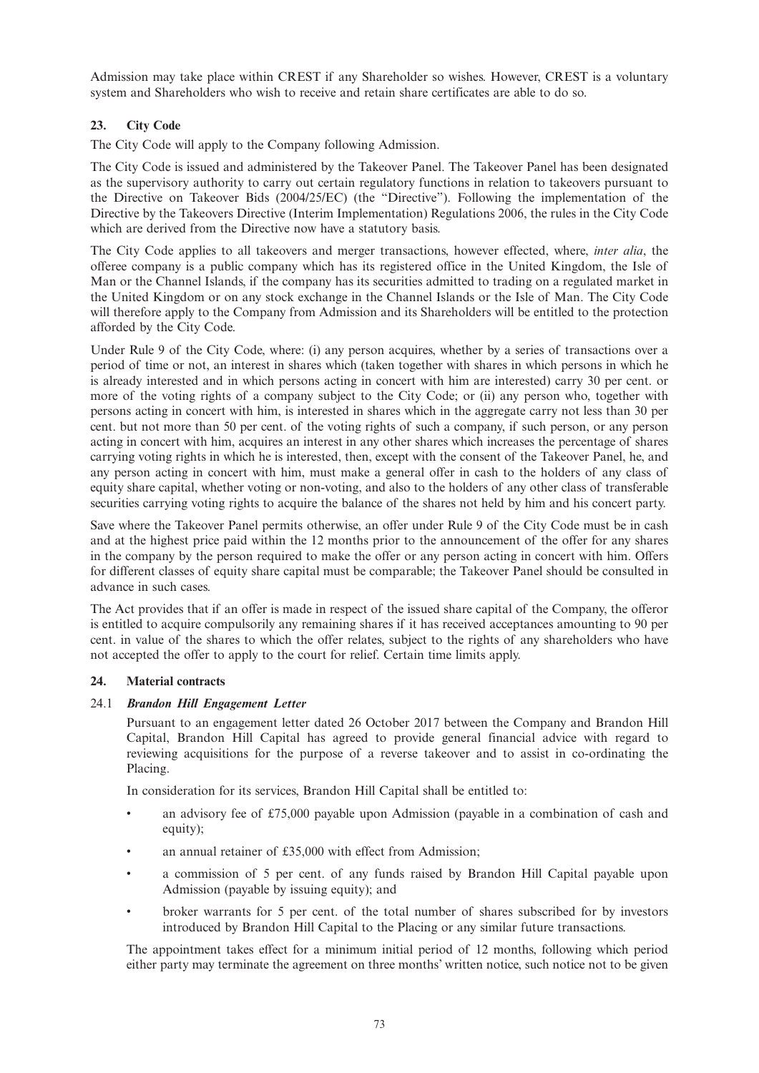Admission may take place within CREST if any Shareholder so wishes. However, CREST is a voluntary system and Shareholders who wish to receive and retain share certificates are able to do so.

# **23. City Code**

The City Code will apply to the Company following Admission.

The City Code is issued and administered by the Takeover Panel. The Takeover Panel has been designated as the supervisory authority to carry out certain regulatory functions in relation to takeovers pursuant to the Directive on Takeover Bids (2004/25/EC) (the "Directive"). Following the implementation of the Directive by the Takeovers Directive (Interim Implementation) Regulations 2006, the rules in the City Code which are derived from the Directive now have a statutory basis.

The City Code applies to all takeovers and merger transactions, however effected, where, *inter alia*, the offeree company is a public company which has its registered office in the United Kingdom, the Isle of Man or the Channel Islands, if the company has its securities admitted to trading on a regulated market in the United Kingdom or on any stock exchange in the Channel Islands or the Isle of Man. The City Code will therefore apply to the Company from Admission and its Shareholders will be entitled to the protection afforded by the City Code.

Under Rule 9 of the City Code, where: (i) any person acquires, whether by a series of transactions over a period of time or not, an interest in shares which (taken together with shares in which persons in which he is already interested and in which persons acting in concert with him are interested) carry 30 per cent. or more of the voting rights of a company subject to the City Code; or (ii) any person who, together with persons acting in concert with him, is interested in shares which in the aggregate carry not less than 30 per cent. but not more than 50 per cent. of the voting rights of such a company, if such person, or any person acting in concert with him, acquires an interest in any other shares which increases the percentage of shares carrying voting rights in which he is interested, then, except with the consent of the Takeover Panel, he, and any person acting in concert with him, must make a general offer in cash to the holders of any class of equity share capital, whether voting or non-voting, and also to the holders of any other class of transferable securities carrying voting rights to acquire the balance of the shares not held by him and his concert party.

Save where the Takeover Panel permits otherwise, an offer under Rule 9 of the City Code must be in cash and at the highest price paid within the 12 months prior to the announcement of the offer for any shares in the company by the person required to make the offer or any person acting in concert with him. Offers for different classes of equity share capital must be comparable; the Takeover Panel should be consulted in advance in such cases.

The Act provides that if an offer is made in respect of the issued share capital of the Company, the offeror is entitled to acquire compulsorily any remaining shares if it has received acceptances amounting to 90 per cent. in value of the shares to which the offer relates, subject to the rights of any shareholders who have not accepted the offer to apply to the court for relief. Certain time limits apply.

#### **24. Material contracts**

#### 24.1 *Brandon Hill Engagement Letter*

Pursuant to an engagement letter dated 26 October 2017 between the Company and Brandon Hill Capital, Brandon Hill Capital has agreed to provide general financial advice with regard to reviewing acquisitions for the purpose of a reverse takeover and to assist in co-ordinating the Placing.

In consideration for its services, Brandon Hill Capital shall be entitled to:

- an advisory fee of £75,000 payable upon Admission (payable in a combination of cash and equity);
- an annual retainer of  $£35,000$  with effect from Admission;
- a commission of 5 per cent. of any funds raised by Brandon Hill Capital payable upon Admission (payable by issuing equity); and
- broker warrants for 5 per cent. of the total number of shares subscribed for by investors introduced by Brandon Hill Capital to the Placing or any similar future transactions.

The appointment takes effect for a minimum initial period of 12 months, following which period either party may terminate the agreement on three months' written notice, such notice not to be given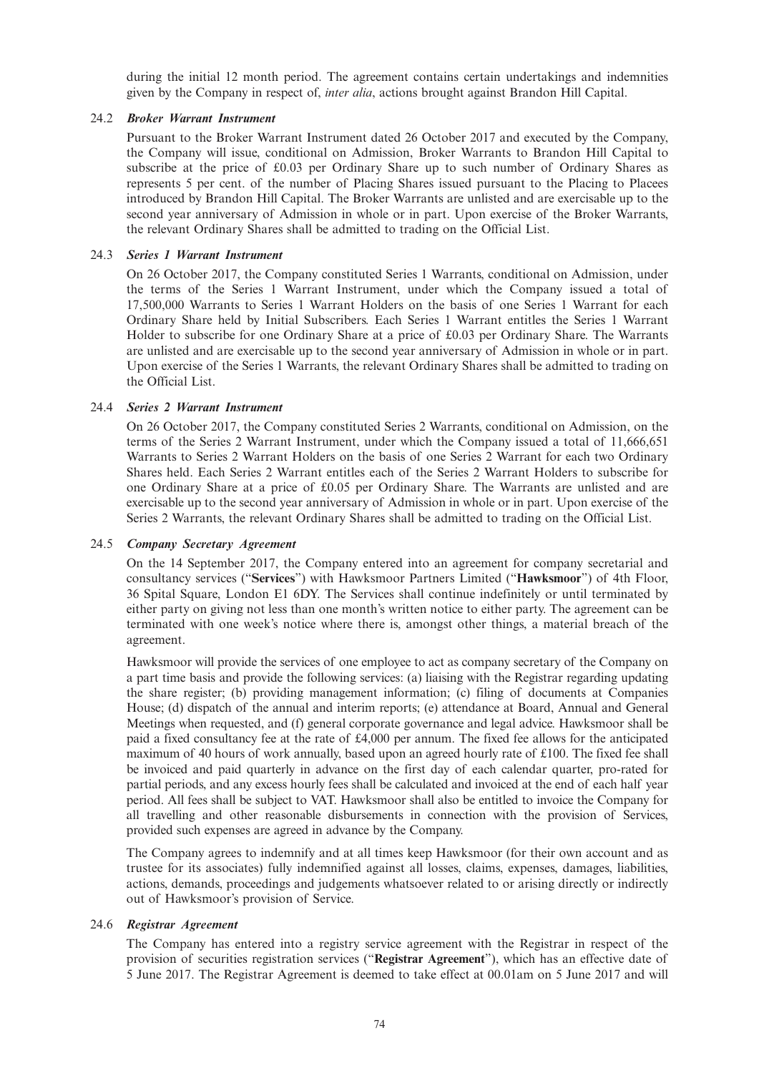during the initial 12 month period. The agreement contains certain undertakings and indemnities given by the Company in respect of, *inter alia*, actions brought against Brandon Hill Capital.

## 24.2 *Broker Warrant Instrument*

Pursuant to the Broker Warrant Instrument dated 26 October 2017 and executed by the Company, the Company will issue, conditional on Admission, Broker Warrants to Brandon Hill Capital to subscribe at the price of £0.03 per Ordinary Share up to such number of Ordinary Shares as represents 5 per cent. of the number of Placing Shares issued pursuant to the Placing to Placees introduced by Brandon Hill Capital. The Broker Warrants are unlisted and are exercisable up to the second year anniversary of Admission in whole or in part. Upon exercise of the Broker Warrants, the relevant Ordinary Shares shall be admitted to trading on the Official List.

## 24.3 *Series 1 Warrant Instrument*

On 26 October 2017, the Company constituted Series 1 Warrants, conditional on Admission, under the terms of the Series 1 Warrant Instrument, under which the Company issued a total of 17,500,000 Warrants to Series 1 Warrant Holders on the basis of one Series 1 Warrant for each Ordinary Share held by Initial Subscribers. Each Series 1 Warrant entitles the Series 1 Warrant Holder to subscribe for one Ordinary Share at a price of £0.03 per Ordinary Share. The Warrants are unlisted and are exercisable up to the second year anniversary of Admission in whole or in part. Upon exercise of the Series 1 Warrants, the relevant Ordinary Shares shall be admitted to trading on the Official List.

## 24.4 *Series 2 Warrant Instrument*

On 26 October 2017, the Company constituted Series 2 Warrants, conditional on Admission, on the terms of the Series 2 Warrant Instrument, under which the Company issued a total of 11,666,651 Warrants to Series 2 Warrant Holders on the basis of one Series 2 Warrant for each two Ordinary Shares held. Each Series 2 Warrant entitles each of the Series 2 Warrant Holders to subscribe for one Ordinary Share at a price of £0.05 per Ordinary Share. The Warrants are unlisted and are exercisable up to the second year anniversary of Admission in whole or in part. Upon exercise of the Series 2 Warrants, the relevant Ordinary Shares shall be admitted to trading on the Official List.

## 24.5 *Company Secretary Agreement*

On the 14 September 2017, the Company entered into an agreement for company secretarial and consultancy services ("**Services**") with Hawksmoor Partners Limited ("**Hawksmoor**") of 4th Floor, 36 Spital Square, London E1 6DY. The Services shall continue indefinitely or until terminated by either party on giving not less than one month's written notice to either party. The agreement can be terminated with one week's notice where there is, amongst other things, a material breach of the agreement.

Hawksmoor will provide the services of one employee to act as company secretary of the Company on a part time basis and provide the following services: (a) liaising with the Registrar regarding updating the share register; (b) providing management information; (c) filing of documents at Companies House; (d) dispatch of the annual and interim reports; (e) attendance at Board, Annual and General Meetings when requested, and (f) general corporate governance and legal advice. Hawksmoor shall be paid a fixed consultancy fee at the rate of £4,000 per annum. The fixed fee allows for the anticipated maximum of 40 hours of work annually, based upon an agreed hourly rate of £100. The fixed fee shall be invoiced and paid quarterly in advance on the first day of each calendar quarter, pro-rated for partial periods, and any excess hourly fees shall be calculated and invoiced at the end of each half year period. All fees shall be subject to VAT. Hawksmoor shall also be entitled to invoice the Company for all travelling and other reasonable disbursements in connection with the provision of Services, provided such expenses are agreed in advance by the Company.

The Company agrees to indemnify and at all times keep Hawksmoor (for their own account and as trustee for its associates) fully indemnified against all losses, claims, expenses, damages, liabilities, actions, demands, proceedings and judgements whatsoever related to or arising directly or indirectly out of Hawksmoor's provision of Service.

#### 24.6 *Registrar Agreement*

The Company has entered into a registry service agreement with the Registrar in respect of the provision of securities registration services ("**Registrar Agreement**"), which has an effective date of 5 June 2017. The Registrar Agreement is deemed to take effect at 00.01am on 5 June 2017 and will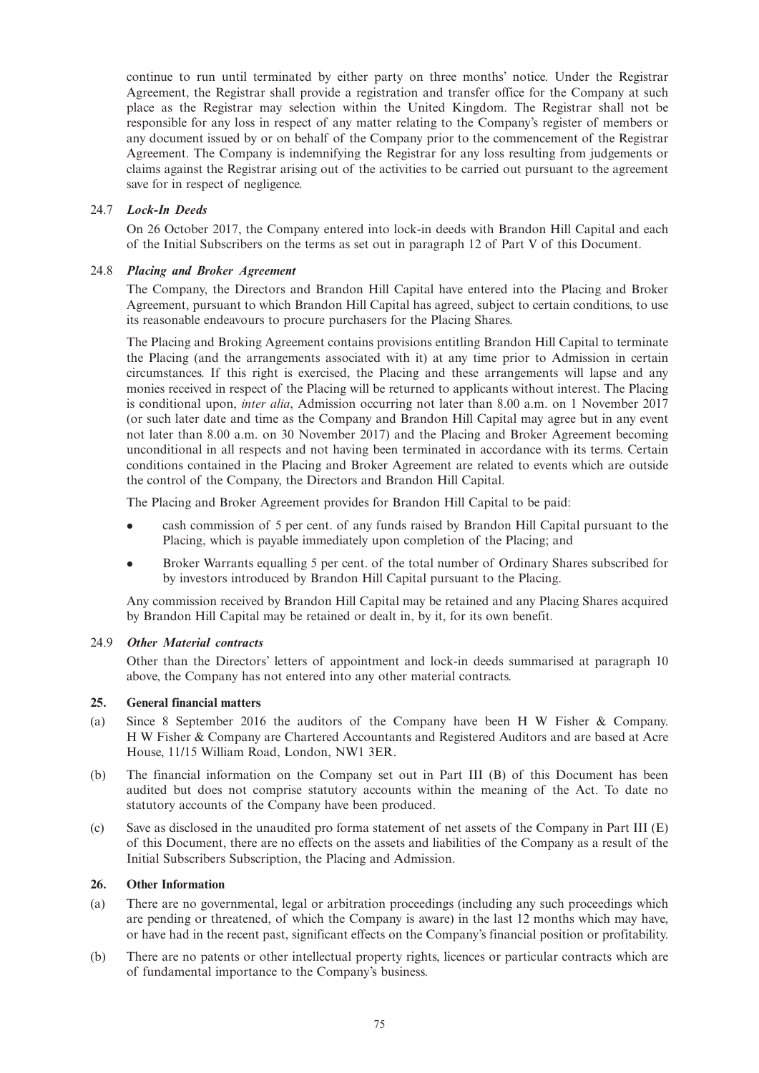continue to run until terminated by either party on three months' notice. Under the Registrar Agreement, the Registrar shall provide a registration and transfer office for the Company at such place as the Registrar may selection within the United Kingdom. The Registrar shall not be responsible for any loss in respect of any matter relating to the Company's register of members or any document issued by or on behalf of the Company prior to the commencement of the Registrar Agreement. The Company is indemnifying the Registrar for any loss resulting from judgements or claims against the Registrar arising out of the activities to be carried out pursuant to the agreement save for in respect of negligence.

## 24.7 *Lock-In Deeds*

On 26 October 2017, the Company entered into lock-in deeds with Brandon Hill Capital and each of the Initial Subscribers on the terms as set out in paragraph 12 of Part V of this Document.

## 24.8 *Placing and Broker Agreement*

The Company, the Directors and Brandon Hill Capital have entered into the Placing and Broker Agreement, pursuant to which Brandon Hill Capital has agreed, subject to certain conditions, to use its reasonable endeavours to procure purchasers for the Placing Shares.

The Placing and Broking Agreement contains provisions entitling Brandon Hill Capital to terminate the Placing (and the arrangements associated with it) at any time prior to Admission in certain circumstances. If this right is exercised, the Placing and these arrangements will lapse and any monies received in respect of the Placing will be returned to applicants without interest. The Placing is conditional upon, *inter alia*, Admission occurring not later than 8.00 a.m. on 1 November 2017 (or such later date and time as the Company and Brandon Hill Capital may agree but in any event not later than 8.00 a.m. on 30 November 2017) and the Placing and Broker Agreement becoming unconditional in all respects and not having been terminated in accordance with its terms. Certain conditions contained in the Placing and Broker Agreement are related to events which are outside the control of the Company, the Directors and Brandon Hill Capital.

The Placing and Broker Agreement provides for Brandon Hill Capital to be paid:

- <sup>l</sup> cash commission of 5 per cent. of any funds raised by Brandon Hill Capital pursuant to the Placing, which is payable immediately upon completion of the Placing; and
- <sup>l</sup> Broker Warrants equalling 5 per cent. of the total number of Ordinary Shares subscribed for by investors introduced by Brandon Hill Capital pursuant to the Placing.

Any commission received by Brandon Hill Capital may be retained and any Placing Shares acquired by Brandon Hill Capital may be retained or dealt in, by it, for its own benefit.

#### 24.9 *Other Material contracts*

Other than the Directors' letters of appointment and lock-in deeds summarised at paragraph 10 above, the Company has not entered into any other material contracts.

## **25. General financial matters**

- (a) Since 8 September 2016 the auditors of the Company have been H W Fisher & Company. H W Fisher & Company are Chartered Accountants and Registered Auditors and are based at Acre House, 11/15 William Road, London, NW1 3ER.
- (b) The financial information on the Company set out in Part III (B) of this Document has been audited but does not comprise statutory accounts within the meaning of the Act. To date no statutory accounts of the Company have been produced.
- (c) Save as disclosed in the unaudited pro forma statement of net assets of the Company in Part III (E) of this Document, there are no effects on the assets and liabilities of the Company as a result of the Initial Subscribers Subscription, the Placing and Admission.

## **26. Other Information**

- (a) There are no governmental, legal or arbitration proceedings (including any such proceedings which are pending or threatened, of which the Company is aware) in the last 12 months which may have, or have had in the recent past, significant effects on the Company's financial position or profitability.
- (b) There are no patents or other intellectual property rights, licences or particular contracts which are of fundamental importance to the Company's business.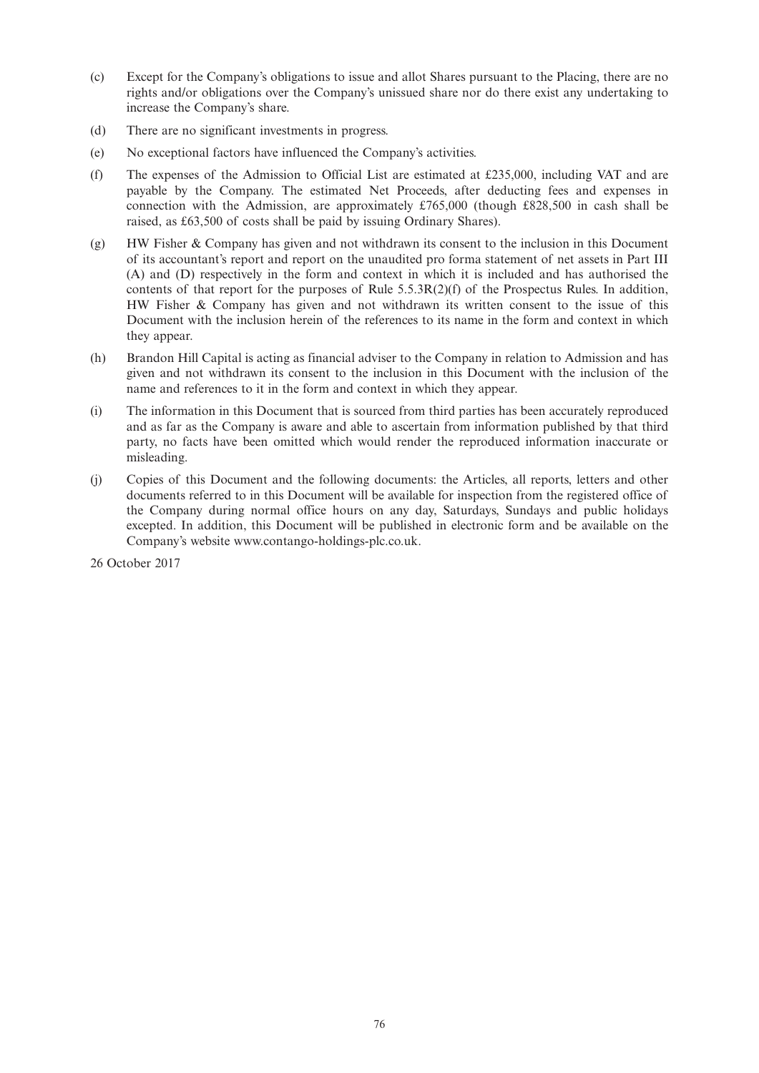- (c) Except for the Company's obligations to issue and allot Shares pursuant to the Placing, there are no rights and/or obligations over the Company's unissued share nor do there exist any undertaking to increase the Company's share.
- (d) There are no significant investments in progress.
- (e) No exceptional factors have influenced the Company's activities.
- (f) The expenses of the Admission to Official List are estimated at £235,000, including VAT and are payable by the Company. The estimated Net Proceeds, after deducting fees and expenses in connection with the Admission, are approximately £765,000 (though £828,500 in cash shall be raised, as £63,500 of costs shall be paid by issuing Ordinary Shares).
- (g) HW Fisher & Company has given and not withdrawn its consent to the inclusion in this Document of its accountant's report and report on the unaudited pro forma statement of net assets in Part III (A) and (D) respectively in the form and context in which it is included and has authorised the contents of that report for the purposes of Rule  $5.5.3R(2)(f)$  of the Prospectus Rules. In addition, HW Fisher & Company has given and not withdrawn its written consent to the issue of this Document with the inclusion herein of the references to its name in the form and context in which they appear.
- (h) Brandon Hill Capital is acting as financial adviser to the Company in relation to Admission and has given and not withdrawn its consent to the inclusion in this Document with the inclusion of the name and references to it in the form and context in which they appear.
- (i) The information in this Document that is sourced from third parties has been accurately reproduced and as far as the Company is aware and able to ascertain from information published by that third party, no facts have been omitted which would render the reproduced information inaccurate or misleading.
- (j) Copies of this Document and the following documents: the Articles, all reports, letters and other documents referred to in this Document will be available for inspection from the registered office of the Company during normal office hours on any day, Saturdays, Sundays and public holidays excepted. In addition, this Document will be published in electronic form and be available on the Company's website www.contango-holdings-plc.co.uk.

26 October 2017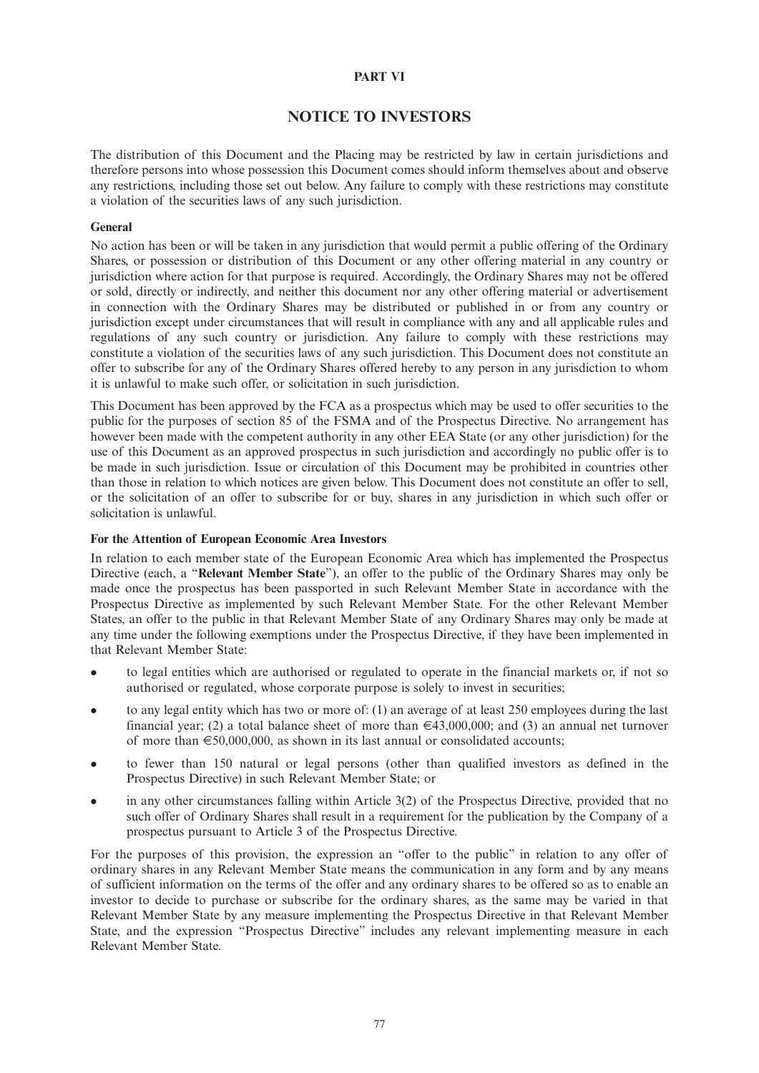## **PART VI**

# **NOTICE TO INVESTORS**

The distribution of this Document and the Placing may be restricted by law in certain jurisdictions and therefore persons into whose possession this Document comes should inform themselves about and observe any restrictions, including those set out below. Any failure to comply with these restrictions may constitute a violation of the securities laws of any such jurisdiction.

#### **General**

No action has been or will be taken in any jurisdiction that would permit a public offering of the Ordinary Shares, or possession or distribution of this Document or any other offering material in any country or jurisdiction where action for that purpose is required. Accordingly, the Ordinary Shares may not be offered or sold, directly or indirectly, and neither this document nor any other offering material or advertisement in connection with the Ordinary Shares may be distributed or published in or from any country or jurisdiction except under circumstances that will result in compliance with any and all applicable rules and regulations of any such country or jurisdiction. Any failure to comply with these restrictions may constitute a violation of the securities laws of any such jurisdiction. This Document does not constitute an offer to subscribe for any of the Ordinary Shares offered hereby to any person in any jurisdiction to whom it is unlawful to make such offer, or solicitation in such jurisdiction.

This Document has been approved by the FCA as a prospectus which may be used to offer securities to the public for the purposes of section 85 of the FSMA and of the Prospectus Directive. No arrangement has however been made with the competent authority in any other EEA State (or any other jurisdiction) for the use of this Document as an approved prospectus in such jurisdiction and accordingly no public offer is to be made in such jurisdiction. Issue or circulation of this Document may be prohibited in countries other than those in relation to which notices are given below. This Document does not constitute an offer to sell, or the solicitation of an offer to subscribe for or buy, shares in any jurisdiction in which such offer or solicitation is unlawful.

#### **For the Attention of European Economic Area Investors**

In relation to each member state of the European Economic Area which has implemented the Prospectus Directive (each, a "**Relevant Member State**"), an offer to the public of the Ordinary Shares may only be made once the prospectus has been passported in such Relevant Member State in accordance with the Prospectus Directive as implemented by such Relevant Member State. For the other Relevant Member States, an offer to the public in that Relevant Member State of any Ordinary Shares may only be made at any time under the following exemptions under the Prospectus Directive, if they have been implemented in that Relevant Member State:

- <sup>l</sup> to legal entities which are authorised or regulated to operate in the financial markets or, if not so authorised or regulated, whose corporate purpose is solely to invest in securities;
- <sup>l</sup> to any legal entity which has two or more of: (1) an average of at least 250 employees during the last financial year; (2) a total balance sheet of more than  $\in$ 43,000,000; and (3) an annual net turnover of more than  $\epsilon$ 50,000,000, as shown in its last annual or consolidated accounts;
- <sup>l</sup> to fewer than 150 natural or legal persons (other than qualified investors as defined in the Prospectus Directive) in such Relevant Member State; or
- in any other circumstances falling within Article 3(2) of the Prospectus Directive, provided that no such offer of Ordinary Shares shall result in a requirement for the publication by the Company of a prospectus pursuant to Article 3 of the Prospectus Directive.

For the purposes of this provision, the expression an "offer to the public" in relation to any offer of ordinary shares in any Relevant Member State means the communication in any form and by any means of sufficient information on the terms of the offer and any ordinary shares to be offered so as to enable an investor to decide to purchase or subscribe for the ordinary shares, as the same may be varied in that Relevant Member State by any measure implementing the Prospectus Directive in that Relevant Member State, and the expression "Prospectus Directive" includes any relevant implementing measure in each Relevant Member State.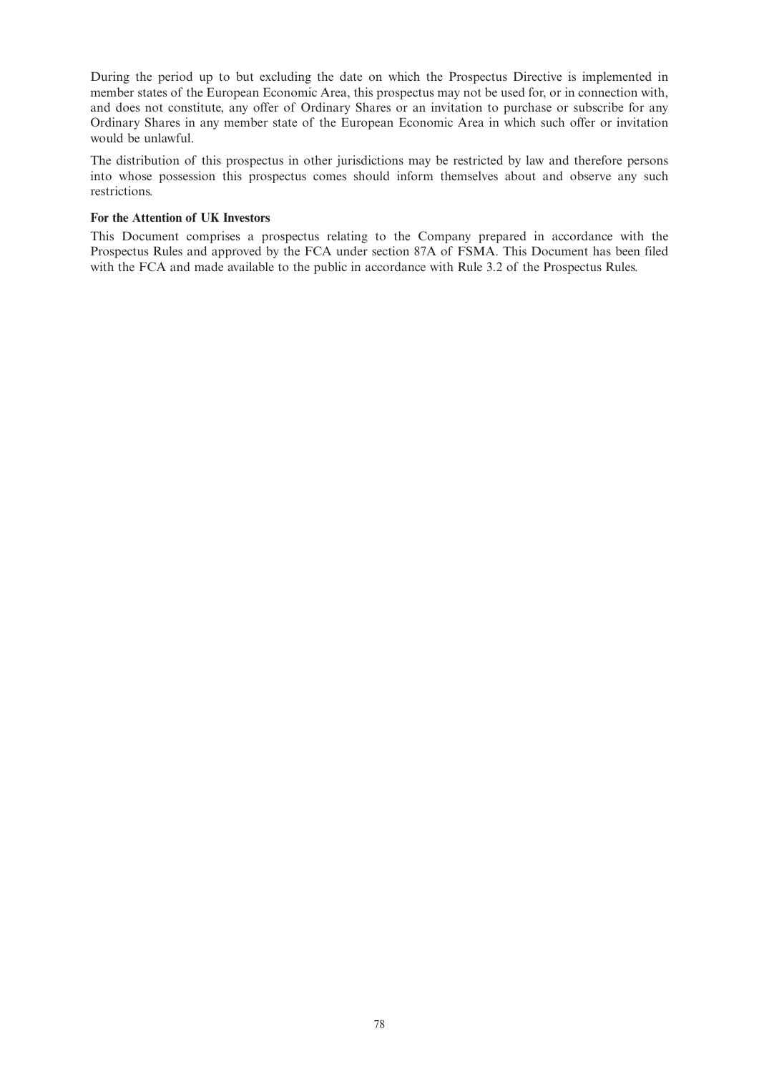During the period up to but excluding the date on which the Prospectus Directive is implemented in member states of the European Economic Area, this prospectus may not be used for, or in connection with, and does not constitute, any offer of Ordinary Shares or an invitation to purchase or subscribe for any Ordinary Shares in any member state of the European Economic Area in which such offer or invitation would be unlawful.

The distribution of this prospectus in other jurisdictions may be restricted by law and therefore persons into whose possession this prospectus comes should inform themselves about and observe any such restrictions.

#### **For the Attention of UK Investors**

This Document comprises a prospectus relating to the Company prepared in accordance with the Prospectus Rules and approved by the FCA under section 87A of FSMA. This Document has been filed with the FCA and made available to the public in accordance with Rule 3.2 of the Prospectus Rules.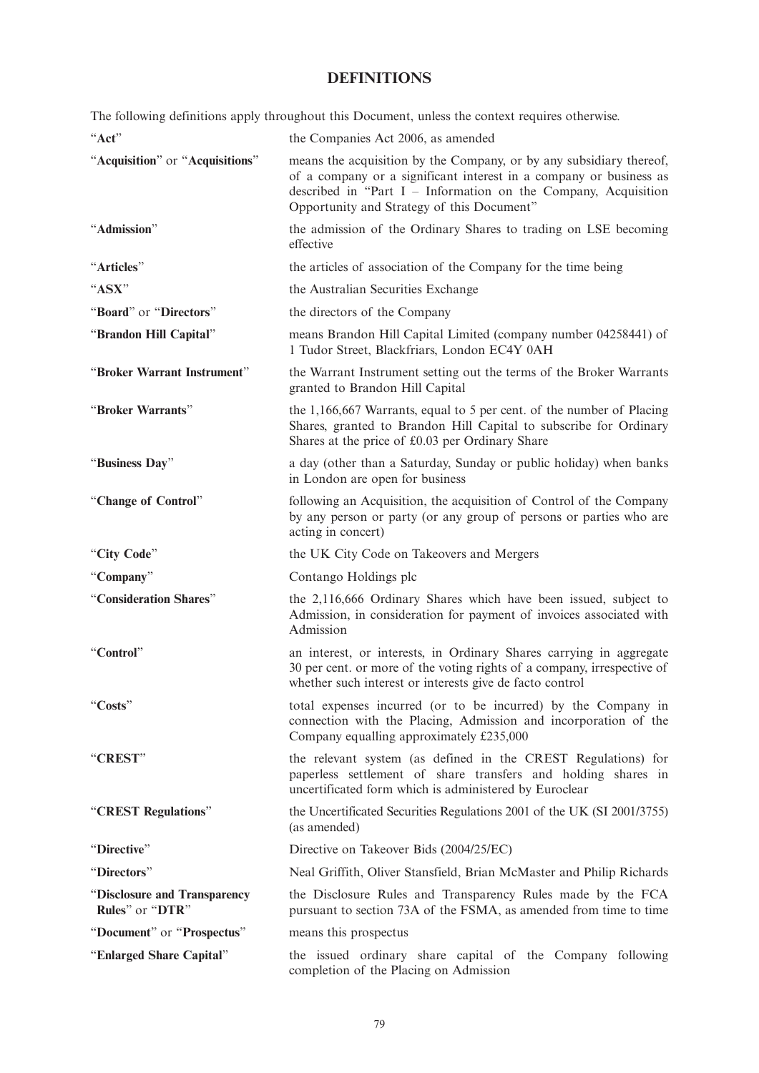# **DEFINITIONS**

The following definitions apply throughout this Document, unless the context requires otherwise.

| "Act"                                           | the Companies Act 2006, as amended                                                                                                                                                                                                                        |
|-------------------------------------------------|-----------------------------------------------------------------------------------------------------------------------------------------------------------------------------------------------------------------------------------------------------------|
| "Acquisition" or "Acquisitions"                 | means the acquisition by the Company, or by any subsidiary thereof,<br>of a company or a significant interest in a company or business as<br>described in "Part I - Information on the Company, Acquisition<br>Opportunity and Strategy of this Document" |
| "Admission"                                     | the admission of the Ordinary Shares to trading on LSE becoming<br>effective                                                                                                                                                                              |
| "Articles"                                      | the articles of association of the Company for the time being                                                                                                                                                                                             |
| "ASX"                                           | the Australian Securities Exchange                                                                                                                                                                                                                        |
| "Board" or "Directors"                          | the directors of the Company                                                                                                                                                                                                                              |
| "Brandon Hill Capital"                          | means Brandon Hill Capital Limited (company number 04258441) of<br>1 Tudor Street, Blackfriars, London EC4Y 0AH                                                                                                                                           |
| "Broker Warrant Instrument"                     | the Warrant Instrument setting out the terms of the Broker Warrants<br>granted to Brandon Hill Capital                                                                                                                                                    |
| "Broker Warrants"                               | the 1,166,667 Warrants, equal to 5 per cent. of the number of Placing<br>Shares, granted to Brandon Hill Capital to subscribe for Ordinary<br>Shares at the price of £0.03 per Ordinary Share                                                             |
| "Business Day"                                  | a day (other than a Saturday, Sunday or public holiday) when banks<br>in London are open for business                                                                                                                                                     |
| "Change of Control"                             | following an Acquisition, the acquisition of Control of the Company<br>by any person or party (or any group of persons or parties who are<br>acting in concert)                                                                                           |
| "City Code"                                     | the UK City Code on Takeovers and Mergers                                                                                                                                                                                                                 |
| "Company"                                       | Contango Holdings plc                                                                                                                                                                                                                                     |
| "Consideration Shares"                          | the 2,116,666 Ordinary Shares which have been issued, subject to<br>Admission, in consideration for payment of invoices associated with<br>Admission                                                                                                      |
| "Control"                                       | an interest, or interests, in Ordinary Shares carrying in aggregate<br>30 per cent. or more of the voting rights of a company, irrespective of<br>whether such interest or interests give de facto control                                                |
| "Costs"                                         | total expenses incurred (or to be incurred) by the Company in<br>connection with the Placing, Admission and incorporation of the<br>Company equalling approximately £235,000                                                                              |
| "CREST"                                         | the relevant system (as defined in the CREST Regulations) for<br>paperless settlement of share transfers and holding shares in<br>uncertificated form which is administered by Euroclear                                                                  |
| "CREST Regulations"                             | the Uncertificated Securities Regulations 2001 of the UK (SI 2001/3755)<br>(as amended)                                                                                                                                                                   |
| "Directive"                                     | Directive on Takeover Bids (2004/25/EC)                                                                                                                                                                                                                   |
| "Directors"                                     | Neal Griffith, Oliver Stansfield, Brian McMaster and Philip Richards                                                                                                                                                                                      |
| "Disclosure and Transparency<br>Rules" or "DTR" | the Disclosure Rules and Transparency Rules made by the FCA<br>pursuant to section 73A of the FSMA, as amended from time to time                                                                                                                          |
| "Document" or "Prospectus"                      | means this prospectus                                                                                                                                                                                                                                     |
| "Enlarged Share Capital"                        | the issued ordinary share capital of the Company following<br>completion of the Placing on Admission                                                                                                                                                      |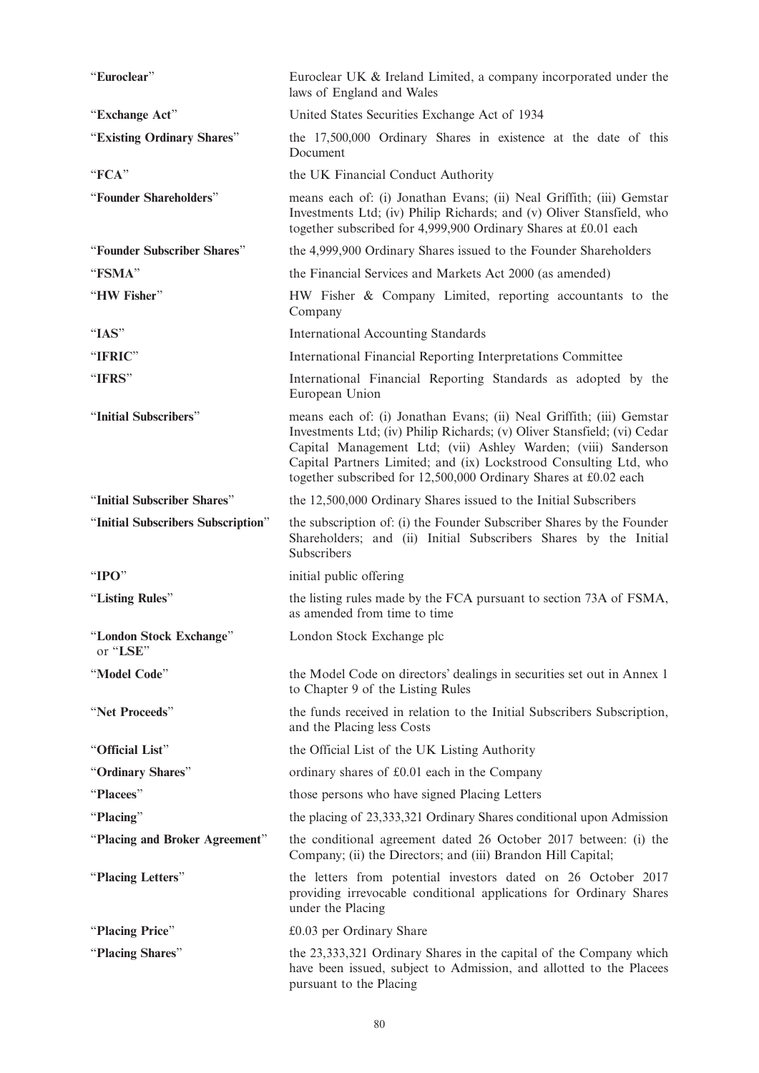| "Euroclear"                         | Euroclear UK & Ireland Limited, a company incorporated under the<br>laws of England and Wales                                                                                                                                                                                                                                                              |
|-------------------------------------|------------------------------------------------------------------------------------------------------------------------------------------------------------------------------------------------------------------------------------------------------------------------------------------------------------------------------------------------------------|
| "Exchange Act"                      | United States Securities Exchange Act of 1934                                                                                                                                                                                                                                                                                                              |
| "Existing Ordinary Shares"          | the 17,500,000 Ordinary Shares in existence at the date of this<br>Document                                                                                                                                                                                                                                                                                |
| "FCA"                               | the UK Financial Conduct Authority                                                                                                                                                                                                                                                                                                                         |
| "Founder Shareholders"              | means each of: (i) Jonathan Evans; (ii) Neal Griffith; (iii) Gemstar<br>Investments Ltd; (iv) Philip Richards; and (v) Oliver Stansfield, who<br>together subscribed for 4,999,900 Ordinary Shares at £0.01 each                                                                                                                                           |
| "Founder Subscriber Shares"         | the 4,999,900 Ordinary Shares issued to the Founder Shareholders                                                                                                                                                                                                                                                                                           |
| "FSMA"                              | the Financial Services and Markets Act 2000 (as amended)                                                                                                                                                                                                                                                                                                   |
| "HW Fisher"                         | HW Fisher & Company Limited, reporting accountants to the<br>Company                                                                                                                                                                                                                                                                                       |
| "IAS"                               | <b>International Accounting Standards</b>                                                                                                                                                                                                                                                                                                                  |
| "IFRIC"                             | International Financial Reporting Interpretations Committee                                                                                                                                                                                                                                                                                                |
| "IFRS"                              | International Financial Reporting Standards as adopted by the<br>European Union                                                                                                                                                                                                                                                                            |
| "Initial Subscribers"               | means each of: (i) Jonathan Evans; (ii) Neal Griffith; (iii) Gemstar<br>Investments Ltd; (iv) Philip Richards; (v) Oliver Stansfield; (vi) Cedar<br>Capital Management Ltd; (vii) Ashley Warden; (viii) Sanderson<br>Capital Partners Limited; and (ix) Lockstrood Consulting Ltd, who<br>together subscribed for 12,500,000 Ordinary Shares at £0.02 each |
| "Initial Subscriber Shares"         | the 12,500,000 Ordinary Shares issued to the Initial Subscribers                                                                                                                                                                                                                                                                                           |
| "Initial Subscribers Subscription"  | the subscription of: (i) the Founder Subscriber Shares by the Founder<br>Shareholders; and (ii) Initial Subscribers Shares by the Initial<br>Subscribers                                                                                                                                                                                                   |
| " $IPO"$                            | initial public offering                                                                                                                                                                                                                                                                                                                                    |
| "Listing Rules"                     | the listing rules made by the FCA pursuant to section 73A of FSMA,<br>as amended from time to time                                                                                                                                                                                                                                                         |
| "London Stock Exchange"<br>or "LSE" | London Stock Exchange plc                                                                                                                                                                                                                                                                                                                                  |
| "Model Code"                        | the Model Code on directors' dealings in securities set out in Annex 1<br>to Chapter 9 of the Listing Rules                                                                                                                                                                                                                                                |
| "Net Proceeds"                      | the funds received in relation to the Initial Subscribers Subscription,<br>and the Placing less Costs                                                                                                                                                                                                                                                      |
| "Official List"                     | the Official List of the UK Listing Authority                                                                                                                                                                                                                                                                                                              |
| "Ordinary Shares"                   | ordinary shares of £0.01 each in the Company                                                                                                                                                                                                                                                                                                               |
| "Placees"                           | those persons who have signed Placing Letters                                                                                                                                                                                                                                                                                                              |
| "Placing"                           | the placing of 23,333,321 Ordinary Shares conditional upon Admission                                                                                                                                                                                                                                                                                       |
| "Placing and Broker Agreement"      | the conditional agreement dated 26 October 2017 between: (i) the<br>Company; (ii) the Directors; and (iii) Brandon Hill Capital;                                                                                                                                                                                                                           |
| "Placing Letters"                   | the letters from potential investors dated on 26 October 2017<br>providing irrevocable conditional applications for Ordinary Shares<br>under the Placing                                                                                                                                                                                                   |
| "Placing Price"                     | $£0.03$ per Ordinary Share                                                                                                                                                                                                                                                                                                                                 |
| "Placing Shares"                    | the 23,333,321 Ordinary Shares in the capital of the Company which<br>have been issued, subject to Admission, and allotted to the Placees<br>pursuant to the Placing                                                                                                                                                                                       |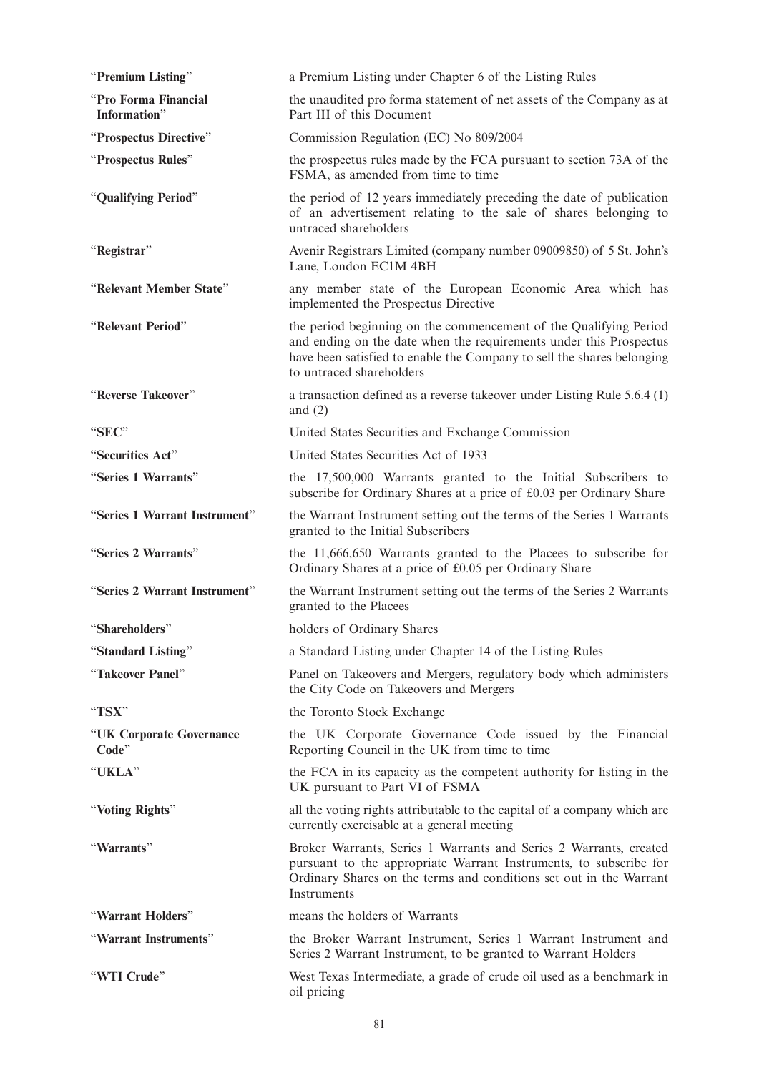| "Premium Listing"                    | a Premium Listing under Chapter 6 of the Listing Rules                                                                                                                                                                                        |
|--------------------------------------|-----------------------------------------------------------------------------------------------------------------------------------------------------------------------------------------------------------------------------------------------|
| "Pro Forma Financial<br>Information" | the unaudited pro forma statement of net assets of the Company as at<br>Part III of this Document                                                                                                                                             |
| "Prospectus Directive"               | Commission Regulation (EC) No 809/2004                                                                                                                                                                                                        |
| "Prospectus Rules"                   | the prospectus rules made by the FCA pursuant to section 73A of the<br>FSMA, as amended from time to time                                                                                                                                     |
| "Qualifying Period"                  | the period of 12 years immediately preceding the date of publication<br>of an advertisement relating to the sale of shares belonging to<br>untraced shareholders                                                                              |
| "Registrar"                          | Avenir Registrars Limited (company number 09009850) of 5 St. John's<br>Lane, London EC1M 4BH                                                                                                                                                  |
| "Relevant Member State"              | any member state of the European Economic Area which has<br>implemented the Prospectus Directive                                                                                                                                              |
| "Relevant Period"                    | the period beginning on the commencement of the Qualifying Period<br>and ending on the date when the requirements under this Prospectus<br>have been satisfied to enable the Company to sell the shares belonging<br>to untraced shareholders |
| "Reverse Takeover"                   | a transaction defined as a reverse takeover under Listing Rule 5.6.4 (1)<br>and $(2)$                                                                                                                                                         |
| "SEC"                                | United States Securities and Exchange Commission                                                                                                                                                                                              |
| "Securities Act"                     | United States Securities Act of 1933                                                                                                                                                                                                          |
| "Series 1 Warrants"                  | the 17,500,000 Warrants granted to the Initial Subscribers to<br>subscribe for Ordinary Shares at a price of £0.03 per Ordinary Share                                                                                                         |
| "Series 1 Warrant Instrument"        | the Warrant Instrument setting out the terms of the Series 1 Warrants<br>granted to the Initial Subscribers                                                                                                                                   |
| "Series 2 Warrants"                  | the 11,666,650 Warrants granted to the Placees to subscribe for<br>Ordinary Shares at a price of £0.05 per Ordinary Share                                                                                                                     |
| "Series 2 Warrant Instrument"        | the Warrant Instrument setting out the terms of the Series 2 Warrants<br>granted to the Placees                                                                                                                                               |
| "Shareholders"                       | holders of Ordinary Shares                                                                                                                                                                                                                    |
| "Standard Listing"                   | a Standard Listing under Chapter 14 of the Listing Rules                                                                                                                                                                                      |
| "Takeover Panel"                     | Panel on Takeovers and Mergers, regulatory body which administers<br>the City Code on Takeovers and Mergers                                                                                                                                   |
| " $TSX"$                             | the Toronto Stock Exchange                                                                                                                                                                                                                    |
| "UK Corporate Governance<br>Code"    | the UK Corporate Governance Code issued by the Financial<br>Reporting Council in the UK from time to time                                                                                                                                     |
| "UKLA"                               | the FCA in its capacity as the competent authority for listing in the<br>UK pursuant to Part VI of FSMA                                                                                                                                       |
| "Voting Rights"                      | all the voting rights attributable to the capital of a company which are<br>currently exercisable at a general meeting                                                                                                                        |
| "Warrants"                           | Broker Warrants, Series 1 Warrants and Series 2 Warrants, created<br>pursuant to the appropriate Warrant Instruments, to subscribe for<br>Ordinary Shares on the terms and conditions set out in the Warrant<br>Instruments                   |
| "Warrant Holders"                    | means the holders of Warrants                                                                                                                                                                                                                 |
| "Warrant Instruments"                | the Broker Warrant Instrument, Series 1 Warrant Instrument and<br>Series 2 Warrant Instrument, to be granted to Warrant Holders                                                                                                               |
| "WTI Crude"                          | West Texas Intermediate, a grade of crude oil used as a benchmark in<br>oil pricing                                                                                                                                                           |